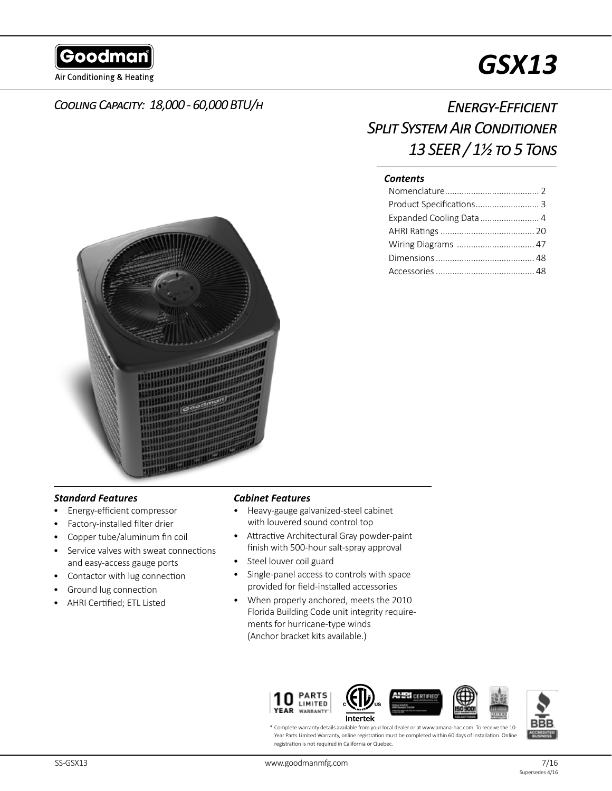Goodman

Air Conditioning & Heating

# *GSX13*

# *Cooling Capacity: 18,000 - 60,000 BTU/h*

# *Energy-Efficient Split System Air Conditioner 13 SEER / 1½ to 5 Tons*

#### *Contents*

| Expanded Cooling Data  4 |  |
|--------------------------|--|
|                          |  |
| Wiring Diagrams  47      |  |
|                          |  |
|                          |  |



## *Standard Features*

- Energy-efficient compressor
- Factory-installed filter drier
- Copper tube/aluminum fin coil
- Service valves with sweat connections and easy-access gauge ports
- Contactor with lug connection
- Ground lug connection
- AHRI Certified; ETL Listed

#### *Cabinet Features*

- Heavy-gauge galvanized-steel cabinet with louvered sound control top
- Attractive Architectural Gray powder-paint finish with 500-hour salt-spray approval
- Steel louver coil guard
- Single-panel access to controls with space provided for field-installed accessories
- When properly anchored, meets the 2010 Florida Building Code unit integrity requirements for hurricane-type winds (Anchor bracket kits available.)



\* Complete warranty details available from your local dealer or at www.amana-hac.com. To receive the 10- Year Parts Limited Warranty, online registration must be completed within 60 days of installation. Online registration is not required in California or Quebec.

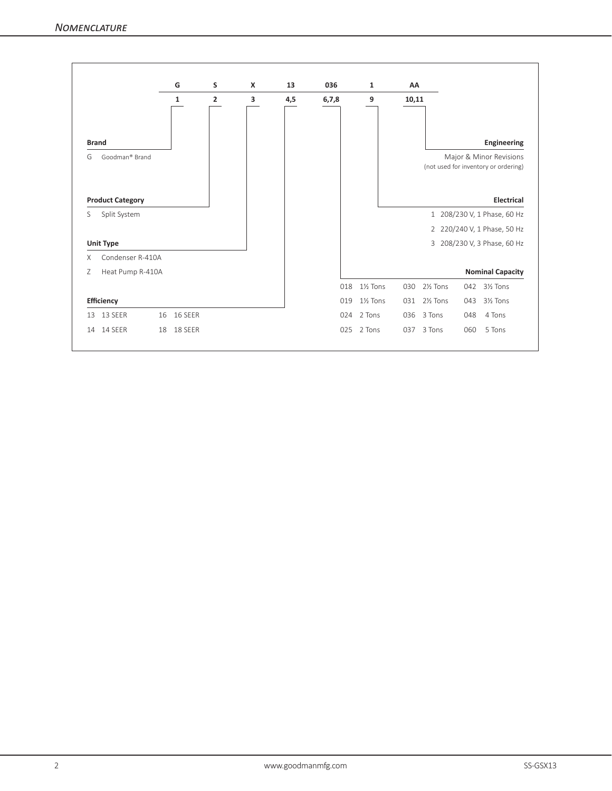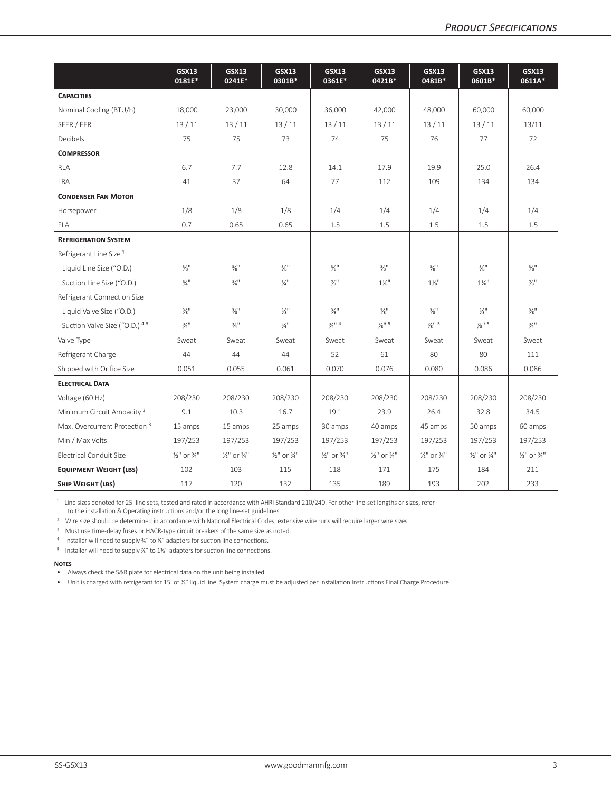|                                          | <b>GSX13</b><br>0181E*             | <b>GSX13</b><br>0241E*             | <b>GSX13</b><br>0301B*             | <b>GSX13</b><br>0361E*             | <b>GSX13</b><br>0421B*             | <b>GSX13</b><br>0481B*             | <b>GSX13</b><br>0601B*             | <b>GSX13</b><br>0611A*             |
|------------------------------------------|------------------------------------|------------------------------------|------------------------------------|------------------------------------|------------------------------------|------------------------------------|------------------------------------|------------------------------------|
| <b>CAPACITIES</b>                        |                                    |                                    |                                    |                                    |                                    |                                    |                                    |                                    |
| Nominal Cooling (BTU/h)                  | 18,000                             | 23,000                             | 30,000                             | 36,000                             | 42,000                             | 48,000                             | 60,000                             | 60,000                             |
| SEER / EER                               | 13/11                              | 13/11                              | 13/11                              | 13/11                              | 13/11                              | 13/11                              | 13/11                              | 13/11                              |
| Decibels                                 | 75                                 | 75                                 | 73                                 | 74                                 | 75                                 | 76                                 | 77                                 | 72                                 |
| <b>COMPRESSOR</b>                        |                                    |                                    |                                    |                                    |                                    |                                    |                                    |                                    |
| <b>RLA</b>                               | 6.7                                | 7.7                                | 12.8                               | 14.1                               | 17.9                               | 19.9                               | 25.0                               | 26.4                               |
| <b>LRA</b>                               | 41                                 | 37                                 | 64                                 | 77                                 | 112                                | 109                                | 134                                | 134                                |
| <b>CONDENSER FAN MOTOR</b>               |                                    |                                    |                                    |                                    |                                    |                                    |                                    |                                    |
| Horsepower                               | 1/8                                | 1/8                                | 1/8                                | 1/4                                | 1/4                                | 1/4                                | 1/4                                | 1/4                                |
| <b>FLA</b>                               | 0.7                                | 0.65                               | 0.65                               | 1.5                                | 1.5                                | 1.5                                | 1.5                                | 1.5                                |
| <b>REFRIGERATION SYSTEM</b>              |                                    |                                    |                                    |                                    |                                    |                                    |                                    |                                    |
| Refrigerant Line Size <sup>1</sup>       |                                    |                                    |                                    |                                    |                                    |                                    |                                    |                                    |
| Liquid Line Size ("O.D.)                 | $\frac{3}{8}$ <sup>11</sup>        | $\frac{3}{8}$ <sup>11</sup>        | $\frac{3}{8}$ <sup>11</sup>        | $\frac{3}{8}$ <sup>11</sup>        | $\frac{3}{8}$ <sup>11</sup>        | $\frac{3}{8}$ <sup>11</sup>        | $\frac{3}{8}$ <sup>11</sup>        | $\frac{3}{8}$ <sup>11</sup>        |
| Suction Line Size ("O.D.)                | $\frac{3}{4}$ <sup>11</sup>        | $\frac{3}{4}$ <sup>11</sup>        | $\frac{3}{4}$ <sup>11</sup>        | $\frac{7}{8}$                      | $1\%$ "                            | $1\frac{1}{8}$                     | $1\frac{1}{8}$                     | $\frac{7}{8}$                      |
| Refrigerant Connection Size              |                                    |                                    |                                    |                                    |                                    |                                    |                                    |                                    |
| Liquid Valve Size ("O.D.)                | $\frac{3}{8}$ <sup>11</sup>        | $\frac{3}{8}$ <sup>11</sup>        | $\frac{3}{8}$ <sup>11</sup>        | $\frac{3}{8}$ <sup>11</sup>        | $\frac{3}{8}$ <sup>11</sup>        | $\frac{3}{8}$ <sup>11</sup>        | $\frac{3}{8}$ <sup>11</sup>        | $\frac{3}{8}$ <sup>11</sup>        |
| Suction Valve Size ("O.D.) 45            | $\frac{3}{4}$ <sup>11</sup>        | $\frac{3}{4}$ <sup>11</sup>        | $\frac{3}{4}$ <sup>11</sup>        | $\frac{3}{4}$ <sup>11</sup> 4      | $\frac{7}{8}$ <sup>11</sup> 5      | $\frac{7}{8}$ <sup>11</sup> 5      | $\frac{7}{8}$ <sup>11</sup> 5      | $\frac{3}{4}$ <sup>11</sup>        |
| Valve Type                               | Sweat                              | Sweat                              | Sweat                              | Sweat                              | Sweat                              | Sweat                              | Sweat                              | Sweat                              |
| Refrigerant Charge                       | 44                                 | 44                                 | 44                                 | 52                                 | 61                                 | 80                                 | 80                                 | 111                                |
| Shipped with Orifice Size                | 0.051                              | 0.055                              | 0.061                              | 0.070                              | 0.076                              | 0.080                              | 0.086                              | 0.086                              |
| <b>ELECTRICAL DATA</b>                   |                                    |                                    |                                    |                                    |                                    |                                    |                                    |                                    |
| Voltage (60 Hz)                          | 208/230                            | 208/230                            | 208/230                            | 208/230                            | 208/230                            | 208/230                            | 208/230                            | 208/230                            |
| Minimum Circuit Ampacity <sup>2</sup>    | 9.1                                | 10.3                               | 16.7                               | 19.1                               | 23.9                               | 26.4                               | 32.8                               | 34.5                               |
| Max. Overcurrent Protection <sup>3</sup> | 15 amps                            | 15 amps                            | 25 amps                            | 30 amps                            | 40 amps                            | 45 amps                            | 50 amps                            | 60 amps                            |
| Min / Max Volts                          | 197/253                            | 197/253                            | 197/253                            | 197/253                            | 197/253                            | 197/253                            | 197/253                            | 197/253                            |
| Electrical Conduit Size                  | $\frac{1}{2}$ " or $\frac{3}{4}$ " | $\frac{1}{2}$ " or $\frac{3}{4}$ " | $\frac{1}{2}$ " or $\frac{3}{4}$ " | $\frac{1}{2}$ " or $\frac{3}{4}$ " | $\frac{1}{2}$ " or $\frac{3}{4}$ " | $\frac{1}{2}$ " or $\frac{3}{4}$ " | $\frac{1}{2}$ " or $\frac{3}{4}$ " | $\frac{1}{2}$ " or $\frac{3}{4}$ " |
| <b>EQUIPMENT WEIGHT (LBS)</b>            | 102                                | 103                                | 115                                | 118                                | 171                                | 175                                | 184                                | 211                                |
| SHIP WEIGHT (LBS)                        | 117                                | 120                                | 132                                | 135                                | 189                                | 193                                | 202                                | 233                                |

<sup>1</sup> Line sizes denoted for 25' line sets, tested and rated in accordance with AHRI Standard 210/240. For other line-set lengths or sizes, refer to the installation & Operating instructions and/or the long line-set guidelines.

<sup>2</sup> Wire size should be determined in accordance with National Electrical Codes; extensive wire runs will require larger wire sizes

<sup>3</sup> Must use time-delay fuses or HACR-type circuit breakers of the same size as noted.

4 Installer will need to supply ¾" to %" adapters for suction line connections.

<sup>5</sup> Installer will need to supply  $\frac{7}{8}$ " to  $1\frac{1}{8}$ " adapters for suction line connections.

#### **Notes**

• Always check the S&R plate for electrical data on the unit being installed.

• Unit is charged with refrigerant for 15' of ⅜" liquid line. System charge must be adjusted per Installation Instructions Final Charge Procedure.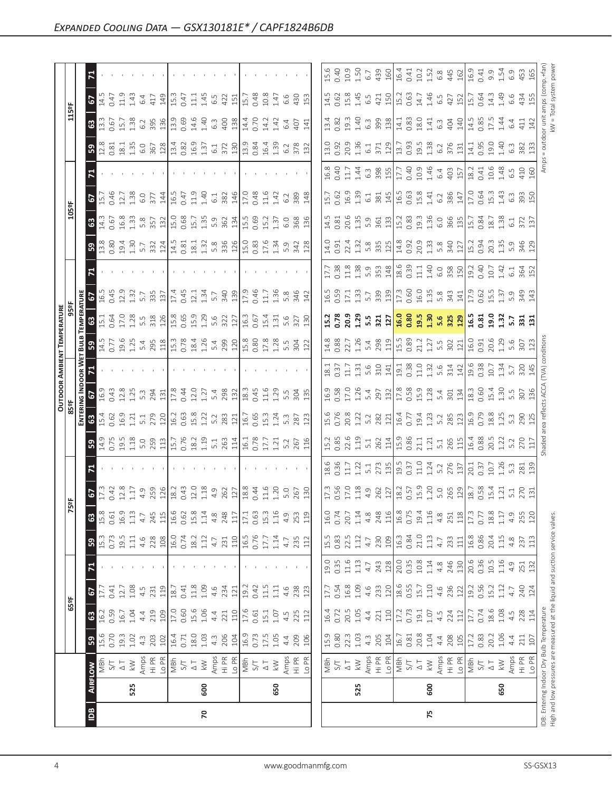| $\mathbf{z}$                                         |                                                                                                                                           |                                                                                                                                                                                                                                                                                                                             |                                                                                                                                                                                                                                                                                                                                                                                                                                                                                                                                                                                                                                                                                                                                                                                                                                                                                                                                                                                                                                                                                                                                                                                                                                                                                                                                                                                                                                                                                     |                                                                                           |                                                                                                                                                                                                                                                                                                                                                                                                                                                                                                                                                                                                                                                                                                                                                                                                                                                                                                                                                                                                                                                                                                                                                                                                                                                                                                                                                                                                                                                                                                                                                                                                                                                                                                                                                                                                                                                                                                                                                                                                                                                                                                                                                                                                                                                                                                                   |
|------------------------------------------------------|-------------------------------------------------------------------------------------------------------------------------------------------|-----------------------------------------------------------------------------------------------------------------------------------------------------------------------------------------------------------------------------------------------------------------------------------------------------------------------------|-------------------------------------------------------------------------------------------------------------------------------------------------------------------------------------------------------------------------------------------------------------------------------------------------------------------------------------------------------------------------------------------------------------------------------------------------------------------------------------------------------------------------------------------------------------------------------------------------------------------------------------------------------------------------------------------------------------------------------------------------------------------------------------------------------------------------------------------------------------------------------------------------------------------------------------------------------------------------------------------------------------------------------------------------------------------------------------------------------------------------------------------------------------------------------------------------------------------------------------------------------------------------------------------------------------------------------------------------------------------------------------------------------------------------------------------------------------------------------------|-------------------------------------------------------------------------------------------|-------------------------------------------------------------------------------------------------------------------------------------------------------------------------------------------------------------------------------------------------------------------------------------------------------------------------------------------------------------------------------------------------------------------------------------------------------------------------------------------------------------------------------------------------------------------------------------------------------------------------------------------------------------------------------------------------------------------------------------------------------------------------------------------------------------------------------------------------------------------------------------------------------------------------------------------------------------------------------------------------------------------------------------------------------------------------------------------------------------------------------------------------------------------------------------------------------------------------------------------------------------------------------------------------------------------------------------------------------------------------------------------------------------------------------------------------------------------------------------------------------------------------------------------------------------------------------------------------------------------------------------------------------------------------------------------------------------------------------------------------------------------------------------------------------------------------------------------------------------------------------------------------------------------------------------------------------------------------------------------------------------------------------------------------------------------------------------------------------------------------------------------------------------------------------------------------------------------------------------------------------------------------------------------------------------------|
| 5                                                    |                                                                                                                                           |                                                                                                                                                                                                                                                                                                                             |                                                                                                                                                                                                                                                                                                                                                                                                                                                                                                                                                                                                                                                                                                                                                                                                                                                                                                                                                                                                                                                                                                                                                                                                                                                                                                                                                                                                                                                                                     |                                                                                           |                                                                                                                                                                                                                                                                                                                                                                                                                                                                                                                                                                                                                                                                                                                                                                                                                                                                                                                                                                                                                                                                                                                                                                                                                                                                                                                                                                                                                                                                                                                                                                                                                                                                                                                                                                                                                                                                                                                                                                                                                                                                                                                                                                                                                                                                                                                   |
| 3                                                    |                                                                                                                                           |                                                                                                                                                                                                                                                                                                                             |                                                                                                                                                                                                                                                                                                                                                                                                                                                                                                                                                                                                                                                                                                                                                                                                                                                                                                                                                                                                                                                                                                                                                                                                                                                                                                                                                                                                                                                                                     |                                                                                           |                                                                                                                                                                                                                                                                                                                                                                                                                                                                                                                                                                                                                                                                                                                                                                                                                                                                                                                                                                                                                                                                                                                                                                                                                                                                                                                                                                                                                                                                                                                                                                                                                                                                                                                                                                                                                                                                                                                                                                                                                                                                                                                                                                                                                                                                                                                   |
| ြို့                                                 |                                                                                                                                           |                                                                                                                                                                                                                                                                                                                             |                                                                                                                                                                                                                                                                                                                                                                                                                                                                                                                                                                                                                                                                                                                                                                                                                                                                                                                                                                                                                                                                                                                                                                                                                                                                                                                                                                                                                                                                                     |                                                                                           |                                                                                                                                                                                                                                                                                                                                                                                                                                                                                                                                                                                                                                                                                                                                                                                                                                                                                                                                                                                                                                                                                                                                                                                                                                                                                                                                                                                                                                                                                                                                                                                                                                                                                                                                                                                                                                                                                                                                                                                                                                                                                                                                                                                                                                                                                                                   |
| $\mathbf{z}$<br><b>The Contract of Contract Inc.</b> |                                                                                                                                           |                                                                                                                                                                                                                                                                                                                             |                                                                                                                                                                                                                                                                                                                                                                                                                                                                                                                                                                                                                                                                                                                                                                                                                                                                                                                                                                                                                                                                                                                                                                                                                                                                                                                                                                                                                                                                                     |                                                                                           |                                                                                                                                                                                                                                                                                                                                                                                                                                                                                                                                                                                                                                                                                                                                                                                                                                                                                                                                                                                                                                                                                                                                                                                                                                                                                                                                                                                                                                                                                                                                                                                                                                                                                                                                                                                                                                                                                                                                                                                                                                                                                                                                                                                                                                                                                                                   |
| $\overline{5}$                                       |                                                                                                                                           |                                                                                                                                                                                                                                                                                                                             |                                                                                                                                                                                                                                                                                                                                                                                                                                                                                                                                                                                                                                                                                                                                                                                                                                                                                                                                                                                                                                                                                                                                                                                                                                                                                                                                                                                                                                                                                     |                                                                                           |                                                                                                                                                                                                                                                                                                                                                                                                                                                                                                                                                                                                                                                                                                                                                                                                                                                                                                                                                                                                                                                                                                                                                                                                                                                                                                                                                                                                                                                                                                                                                                                                                                                                                                                                                                                                                                                                                                                                                                                                                                                                                                                                                                                                                                                                                                                   |
| ි                                                    |                                                                                                                                           |                                                                                                                                                                                                                                                                                                                             |                                                                                                                                                                                                                                                                                                                                                                                                                                                                                                                                                                                                                                                                                                                                                                                                                                                                                                                                                                                                                                                                                                                                                                                                                                                                                                                                                                                                                                                                                     |                                                                                           |                                                                                                                                                                                                                                                                                                                                                                                                                                                                                                                                                                                                                                                                                                                                                                                                                                                                                                                                                                                                                                                                                                                                                                                                                                                                                                                                                                                                                                                                                                                                                                                                                                                                                                                                                                                                                                                                                                                                                                                                                                                                                                                                                                                                                                                                                                                   |
| ခြွ                                                  |                                                                                                                                           |                                                                                                                                                                                                                                                                                                                             |                                                                                                                                                                                                                                                                                                                                                                                                                                                                                                                                                                                                                                                                                                                                                                                                                                                                                                                                                                                                                                                                                                                                                                                                                                                                                                                                                                                                                                                                                     |                                                                                           |                                                                                                                                                                                                                                                                                                                                                                                                                                                                                                                                                                                                                                                                                                                                                                                                                                                                                                                                                                                                                                                                                                                                                                                                                                                                                                                                                                                                                                                                                                                                                                                                                                                                                                                                                                                                                                                                                                                                                                                                                                                                                                                                                                                                                                                                                                                   |
| $\mathbf{z}$                                         |                                                                                                                                           |                                                                                                                                                                                                                                                                                                                             |                                                                                                                                                                                                                                                                                                                                                                                                                                                                                                                                                                                                                                                                                                                                                                                                                                                                                                                                                                                                                                                                                                                                                                                                                                                                                                                                                                                                                                                                                     |                                                                                           |                                                                                                                                                                                                                                                                                                                                                                                                                                                                                                                                                                                                                                                                                                                                                                                                                                                                                                                                                                                                                                                                                                                                                                                                                                                                                                                                                                                                                                                                                                                                                                                                                                                                                                                                                                                                                                                                                                                                                                                                                                                                                                                                                                                                                                                                                                                   |
|                                                      |                                                                                                                                           |                                                                                                                                                                                                                                                                                                                             |                                                                                                                                                                                                                                                                                                                                                                                                                                                                                                                                                                                                                                                                                                                                                                                                                                                                                                                                                                                                                                                                                                                                                                                                                                                                                                                                                                                                                                                                                     |                                                                                           |                                                                                                                                                                                                                                                                                                                                                                                                                                                                                                                                                                                                                                                                                                                                                                                                                                                                                                                                                                                                                                                                                                                                                                                                                                                                                                                                                                                                                                                                                                                                                                                                                                                                                                                                                                                                                                                                                                                                                                                                                                                                                                                                                                                                                                                                                                                   |
| នៃ $\frac{1}{3}$<br>0.64                             |                                                                                                                                           | 327<br>130                                                                                                                                                                                                                                                                                                                  |                                                                                                                                                                                                                                                                                                                                                                                                                                                                                                                                                                                                                                                                                                                                                                                                                                                                                                                                                                                                                                                                                                                                                                                                                                                                                                                                                                                                                                                                                     |                                                                                           |                                                                                                                                                                                                                                                                                                                                                                                                                                                                                                                                                                                                                                                                                                                                                                                                                                                                                                                                                                                                                                                                                                                                                                                                                                                                                                                                                                                                                                                                                                                                                                                                                                                                                                                                                                                                                                                                                                                                                                                                                                                                                                                                                                                                                                                                                                                   |
|                                                      |                                                                                                                                           |                                                                                                                                                                                                                                                                                                                             |                                                                                                                                                                                                                                                                                                                                                                                                                                                                                                                                                                                                                                                                                                                                                                                                                                                                                                                                                                                                                                                                                                                                                                                                                                                                                                                                                                                                                                                                                     |                                                                                           |                                                                                                                                                                                                                                                                                                                                                                                                                                                                                                                                                                                                                                                                                                                                                                                                                                                                                                                                                                                                                                                                                                                                                                                                                                                                                                                                                                                                                                                                                                                                                                                                                                                                                                                                                                                                                                                                                                                                                                                                                                                                                                                                                                                                                                                                                                                   |
|                                                      |                                                                                                                                           |                                                                                                                                                                                                                                                                                                                             |                                                                                                                                                                                                                                                                                                                                                                                                                                                                                                                                                                                                                                                                                                                                                                                                                                                                                                                                                                                                                                                                                                                                                                                                                                                                                                                                                                                                                                                                                     |                                                                                           | $\frac{20}{14}$                                                                                                                                                                                                                                                                                                                                                                                                                                                                                                                                                                                                                                                                                                                                                                                                                                                                                                                                                                                                                                                                                                                                                                                                                                                                                                                                                                                                                                                                                                                                                                                                                                                                                                                                                                                                                                                                                                                                                                                                                                                                                                                                                                                                                                                                                                   |
|                                                      |                                                                                                                                           |                                                                                                                                                                                                                                                                                                                             |                                                                                                                                                                                                                                                                                                                                                                                                                                                                                                                                                                                                                                                                                                                                                                                                                                                                                                                                                                                                                                                                                                                                                                                                                                                                                                                                                                                                                                                                                     |                                                                                           | 307<br>136<br>140                                                                                                                                                                                                                                                                                                                                                                                                                                                                                                                                                                                                                                                                                                                                                                                                                                                                                                                                                                                                                                                                                                                                                                                                                                                                                                                                                                                                                                                                                                                                                                                                                                                                                                                                                                                                                                                                                                                                                                                                                                                                                                                                                                                                                                                                                                 |
|                                                      |                                                                                                                                           |                                                                                                                                                                                                                                                                                                                             |                                                                                                                                                                                                                                                                                                                                                                                                                                                                                                                                                                                                                                                                                                                                                                                                                                                                                                                                                                                                                                                                                                                                                                                                                                                                                                                                                                                                                                                                                     |                                                                                           | 290                                                                                                                                                                                                                                                                                                                                                                                                                                                                                                                                                                                                                                                                                                                                                                                                                                                                                                                                                                                                                                                                                                                                                                                                                                                                                                                                                                                                                                                                                                                                                                                                                                                                                                                                                                                                                                                                                                                                                                                                                                                                                                                                                                                                                                                                                                               |
| ြို့                                                 |                                                                                                                                           |                                                                                                                                                                                                                                                                                                                             |                                                                                                                                                                                                                                                                                                                                                                                                                                                                                                                                                                                                                                                                                                                                                                                                                                                                                                                                                                                                                                                                                                                                                                                                                                                                                                                                                                                                                                                                                     |                                                                                           | $R \nightharpoonup$                                                                                                                                                                                                                                                                                                                                                                                                                                                                                                                                                                                                                                                                                                                                                                                                                                                                                                                                                                                                                                                                                                                                                                                                                                                                                                                                                                                                                                                                                                                                                                                                                                                                                                                                                                                                                                                                                                                                                                                                                                                                                                                                                                                                                                                                                               |
| $\mathbf{z}$                                         |                                                                                                                                           | the control of the con-                                                                                                                                                                                                                                                                                                     |                                                                                                                                                                                                                                                                                                                                                                                                                                                                                                                                                                                                                                                                                                                                                                                                                                                                                                                                                                                                                                                                                                                                                                                                                                                                                                                                                                                                                                                                                     |                                                                                           |                                                                                                                                                                                                                                                                                                                                                                                                                                                                                                                                                                                                                                                                                                                                                                                                                                                                                                                                                                                                                                                                                                                                                                                                                                                                                                                                                                                                                                                                                                                                                                                                                                                                                                                                                                                                                                                                                                                                                                                                                                                                                                                                                                                                                                                                                                                   |
|                                                      |                                                                                                                                           |                                                                                                                                                                                                                                                                                                                             |                                                                                                                                                                                                                                                                                                                                                                                                                                                                                                                                                                                                                                                                                                                                                                                                                                                                                                                                                                                                                                                                                                                                                                                                                                                                                                                                                                                                                                                                                     |                                                                                           |                                                                                                                                                                                                                                                                                                                                                                                                                                                                                                                                                                                                                                                                                                                                                                                                                                                                                                                                                                                                                                                                                                                                                                                                                                                                                                                                                                                                                                                                                                                                                                                                                                                                                                                                                                                                                                                                                                                                                                                                                                                                                                                                                                                                                                                                                                                   |
|                                                      |                                                                                                                                           |                                                                                                                                                                                                                                                                                                                             |                                                                                                                                                                                                                                                                                                                                                                                                                                                                                                                                                                                                                                                                                                                                                                                                                                                                                                                                                                                                                                                                                                                                                                                                                                                                                                                                                                                                                                                                                     |                                                                                           | $0.77$<br>$18.8$<br>$1.17$<br>$4.9$<br>255                                                                                                                                                                                                                                                                                                                                                                                                                                                                                                                                                                                                                                                                                                                                                                                                                                                                                                                                                                                                                                                                                                                                                                                                                                                                                                                                                                                                                                                                                                                                                                                                                                                                                                                                                                                                                                                                                                                                                                                                                                                                                                                                                                                                                                                                        |
|                                                      |                                                                                                                                           |                                                                                                                                                                                                                                                                                                                             |                                                                                                                                                                                                                                                                                                                                                                                                                                                                                                                                                                                                                                                                                                                                                                                                                                                                                                                                                                                                                                                                                                                                                                                                                                                                                                                                                                                                                                                                                     |                                                                                           | $\begin{array}{c} 233 \\ 111 \\ 16.8 \\ 0.86 \\ 20.4 \\ 1.5 \\ 4.8 \end{array}$<br>237<br>113                                                                                                                                                                                                                                                                                                                                                                                                                                                                                                                                                                                                                                                                                                                                                                                                                                                                                                                                                                                                                                                                                                                                                                                                                                                                                                                                                                                                                                                                                                                                                                                                                                                                                                                                                                                                                                                                                                                                                                                                                                                                                                                                                                                                                     |
|                                                      |                                                                                                                                           | and the control                                                                                                                                                                                                                                                                                                             |                                                                                                                                                                                                                                                                                                                                                                                                                                                                                                                                                                                                                                                                                                                                                                                                                                                                                                                                                                                                                                                                                                                                                                                                                                                                                                                                                                                                                                                                                     |                                                                                           |                                                                                                                                                                                                                                                                                                                                                                                                                                                                                                                                                                                                                                                                                                                                                                                                                                                                                                                                                                                                                                                                                                                                                                                                                                                                                                                                                                                                                                                                                                                                                                                                                                                                                                                                                                                                                                                                                                                                                                                                                                                                                                                                                                                                                                                                                                                   |
|                                                      |                                                                                                                                           |                                                                                                                                                                                                                                                                                                                             |                                                                                                                                                                                                                                                                                                                                                                                                                                                                                                                                                                                                                                                                                                                                                                                                                                                                                                                                                                                                                                                                                                                                                                                                                                                                                                                                                                                                                                                                                     |                                                                                           |                                                                                                                                                                                                                                                                                                                                                                                                                                                                                                                                                                                                                                                                                                                                                                                                                                                                                                                                                                                                                                                                                                                                                                                                                                                                                                                                                                                                                                                                                                                                                                                                                                                                                                                                                                                                                                                                                                                                                                                                                                                                                                                                                                                                                                                                                                                   |
|                                                      |                                                                                                                                           |                                                                                                                                                                                                                                                                                                                             |                                                                                                                                                                                                                                                                                                                                                                                                                                                                                                                                                                                                                                                                                                                                                                                                                                                                                                                                                                                                                                                                                                                                                                                                                                                                                                                                                                                                                                                                                     |                                                                                           |                                                                                                                                                                                                                                                                                                                                                                                                                                                                                                                                                                                                                                                                                                                                                                                                                                                                                                                                                                                                                                                                                                                                                                                                                                                                                                                                                                                                                                                                                                                                                                                                                                                                                                                                                                                                                                                                                                                                                                                                                                                                                                                                                                                                                                                                                                                   |
|                                                      |                                                                                                                                           |                                                                                                                                                                                                                                                                                                                             |                                                                                                                                                                                                                                                                                                                                                                                                                                                                                                                                                                                                                                                                                                                                                                                                                                                                                                                                                                                                                                                                                                                                                                                                                                                                                                                                                                                                                                                                                     |                                                                                           | $0.83$<br>20.2<br>1.06<br>4.4<br>$\frac{21}{10}$                                                                                                                                                                                                                                                                                                                                                                                                                                                                                                                                                                                                                                                                                                                                                                                                                                                                                                                                                                                                                                                                                                                                                                                                                                                                                                                                                                                                                                                                                                                                                                                                                                                                                                                                                                                                                                                                                                                                                                                                                                                                                                                                                                                                                                                                  |
|                                                      |                                                                                                                                           |                                                                                                                                                                                                                                                                                                                             |                                                                                                                                                                                                                                                                                                                                                                                                                                                                                                                                                                                                                                                                                                                                                                                                                                                                                                                                                                                                                                                                                                                                                                                                                                                                                                                                                                                                                                                                                     |                                                                                           |                                                                                                                                                                                                                                                                                                                                                                                                                                                                                                                                                                                                                                                                                                                                                                                                                                                                                                                                                                                                                                                                                                                                                                                                                                                                                                                                                                                                                                                                                                                                                                                                                                                                                                                                                                                                                                                                                                                                                                                                                                                                                                                                                                                                                                                                                                                   |
|                                                      |                                                                                                                                           |                                                                                                                                                                                                                                                                                                                             |                                                                                                                                                                                                                                                                                                                                                                                                                                                                                                                                                                                                                                                                                                                                                                                                                                                                                                                                                                                                                                                                                                                                                                                                                                                                                                                                                                                                                                                                                     |                                                                                           | 650                                                                                                                                                                                                                                                                                                                                                                                                                                                                                                                                                                                                                                                                                                                                                                                                                                                                                                                                                                                                                                                                                                                                                                                                                                                                                                                                                                                                                                                                                                                                                                                                                                                                                                                                                                                                                                                                                                                                                                                                                                                                                                                                                                                                                                                                                                               |
| $\boxed{\underline{\mathbf{B}}}$                     | $70\,$                                                                                                                                    |                                                                                                                                                                                                                                                                                                                             |                                                                                                                                                                                                                                                                                                                                                                                                                                                                                                                                                                                                                                                                                                                                                                                                                                                                                                                                                                                                                                                                                                                                                                                                                                                                                                                                                                                                                                                                                     | 75                                                                                        |                                                                                                                                                                                                                                                                                                                                                                                                                                                                                                                                                                                                                                                                                                                                                                                                                                                                                                                                                                                                                                                                                                                                                                                                                                                                                                                                                                                                                                                                                                                                                                                                                                                                                                                                                                                                                                                                                                                                                                                                                                                                                                                                                                                                                                                                                                                   |
|                                                      | $\frac{4}{5}$<br><u> គ្នា ន</u><br>倡<br>$\frac{2}{5}$<br>ៀឺ៊ីឌ<br>67<br>3<br>ြို့<br>$\mathbf{z}$<br>63 67<br>ြို့<br>MBh<br>RFLOW<br>525 | $\begin{array}{c} 0.73 \\ 0.91 \\ 1.14 \\ 2.88 \\ 0.08 \\ 0.07 \\ 0.07 \\ 0.07 \\ 0.01 \\ 0.01 \\ 0.01 \\ 0.01 \\ 0.01 \\ 0.01 \\ 0.01 \\ 0.01 \\ 0.01 \\ 0.01 \\ 0.01 \\ 0.01 \\ 0.01 \\ 0.01 \\ 0.01 \\ 0.01 \\ 0.01 \\ 0.01 \\ 0.01 \\ 0.01 \\ 0.01 \\ 0.01 \\ 0.01 \\ 0.01 \\ 0.01 \\ 0.01 \\ 0.01 \\ 0.$<br>4.7<br>600 | $\begin{array}{c} 3.803 & 4.503 & 4.503 & 4.503 & 4.503 & 4.503 & 4.503 & 4.503 & 4.503 & 4.503 & 4.503 & 4.503 & 4.503 & 4.503 & 4.503 & 4.503 & 4.503 & 4.503 & 4.503 & 4.503 & 4.503 & 4.503 & 4.503 & 4.503 & 4.503 & 4.503 & 4.503 & 4.503 & 4.503 & 4.503 & 4.$<br>$\begin{array}{c} 17.33 \\ 17.41 \\ 18.53 \\ 19.64 \\ 19.65 \\ 10.66 \\ 11.66 \\ 12.67 \\ 13.68 \\ 14.67 \\ 15.68 \\ 16.67 \\ 17.68 \\ 19.69 \\ 10.67 \\ 13.69 \\ 14.73 \\ 15.69 \\ 16.60 \\ 17.60 \\ 18.60 \\ 19.60 \\ 19.60 \\ 19.60 \\ 19.60 \\ 19.60 \\ 19.60 \\ 19.60 \\ 19.60 \\ 19.60 \\ 19$<br>$\begin{array}{l} 0.75 & 0.83 & 0.83 \\ 0.75 & 0.83 & 0.83 \\ 0.75 & 0.83 & 0.83 \\ 0.75 & 0.83 & 0.83 \\ 0.75 & 0.83 & 0.83 \\ 0.75 & 0.83 & 0.83 \\ 0.75 & 0.83 & 0.83 \\ 0.75 & 0.83 & 0.83 \\ 0.75 & 0.83 & 0.83 \\ 0.75 & 0.83 & 0.83 \\ 0.75 & 0.83 & 0.83 \\ 0.75 & 0.83 & 0.$<br>$\begin{array}{l} 1.333\\ 1.4331\\ 1.5341\\ 1.5351\\ 1.5361\\ 1.5361\\ 1.5361\\ 1.5361\\ 1.5361\\ 1.5361\\ 1.5361\\ 1.5361\\ 1.5361\\ 1.5361\\ 1.5361\\ 1.5361\\ 1.5361\\ 1.5361\\ 1.5361\\ 1.5361\\ 1.5361\\ 1.5361\\ 1.5361\\ 1.5361\\ 1.5361\\ 1.5361\\ 1.536$<br>$\begin{array}{c} 1.75 & 1.75 & 1.75 & 1.75 & 1.75 & 1.75 & 1.75 & 1.75 & 1.75 & 1.75 & 1.75 & 1.75 & 1.75 & 1.75 & 1.75 & 1.75 & 1.75 & 1.75 & 1.75 & 1.75 & 1.75 & 1.75 & 1.75 & 1.75 & 1.75 & 1.75 & 1.75 & 1.75 & 1.75 & 1.75 & 1.75 & 1.75 & 1.75 & 1.75 & 1.75 & 1.$<br>206<br>10.3 m<br>10.7 m<br>4 209<br>201<br>4 209<br>650 | 16.0<br>0.74<br>$\begin{array}{c} 17.7 \\ 0.54 \\ 1.09 \\ 4.6 \\ 2.33 \end{array}$<br>525 | $\begin{bmatrix} 45 & 8 & 8 & 45 & 65 \\ 45 & 65 & 8 & 45 & 65 \\ 65 & 65 & 45 & 65 & 65 \\ 65 & 65 & 65 & 65 & 65 \\ 65 & 65 & 65 & 65 & 65 \\ 65 & 65 & 65 & 65 & 65 \\ 65 & 65 & 65 & 65 & 65 \\ 65 & 65 & 65 & 65 & 65 \\ 65 & 65 & 65 & 65 & 65 \\ 65 & 65 & 65 & 65 & 65 \\ 65 & 65 & 65 & 65 & $<br> ជូន ខ្លួ ដូ ដូ ដូ <mark>ដូ ខ្ញុំ ខ្ញុំ ដូ ដូ ងូ ងូ ងូ ដូ</mark> ដូ ខ្ញុំ ខ្ញុំ ដូ ដូ ងូ ងូ <mark>ង</mark><br> ជូ នៃ ខ្ញុំ ដូ ដូ ដូ <mark>ដូ ខ្ញុំ ខ្ញុំ ដូ ដូ ងូ ងូ ងូ ងូ</mark> ដូ ខ្ញុំ ខ្ញុំ ដូ ដូ ដូ ងូ ងូ ង<br>$\begin{bmatrix} 4 & 8 & 8 & 7 & 7 & 8 & 8 & 7 & 7 & 7 & 8 & 8 & 7 & 7 & 7 & 8 & 8 & 7 & 7 & 7 & 8 & 8 & 7 & 7 & 7 & 8 & 8 & 7 & 7 & 7 & 8 & 8 & 7 & 7 & 7 & 8 & 8 & 7 & 7 & 7 & 8 & 8 & 7 & 7 & 7 & 8 & 8 & 7 & 7 & 8 & 8 & 7 & 7 & 8 & 8 & 7 & 7 & 8 & 8 & 7 & 7 & 8 & 8 & 7 & 7 & 8 & 8 & 7 & 8 & 7 & 8 & $<br>$\begin{bmatrix} 6 & 6 & 8 & 8 & 8 & 8 & 7 \\ 11 & 6 & 8 & 8 & 8 & 7 & 1 \\ 13 & 6 & 8 & 8 & 1 & 1 \\ 14 & 6 & 8 & 1 & 1 & 1 \\ 15 & 6 & 1 & 1 & 1 & 1 \\ 16 & 16 & 1 & 1 & 1 & 1 \\ 17 & 17 & 11 & 1 & 1 & 1 \\ 18 & 18 & 11 & 1 & 1 & 1 \\ 19 & 10 & 1 & 1 & 1 & 1 \\ 10 & 10 & 1 & 1 & 1 & 1 \\ 11 & 10 & 1 & $<br>  n s s s u n s s d l n s s d l n s s d l n s s d l n s s d l n s s d l n s s d l n s d l n s d l n s d l n s<br>$\begin{array}{c c c c c c c c c} \multicolumn{4}{c }{\text{1}} & \multicolumn{4}{c }{\text{1}} & \multicolumn{4}{c }{\text{1}} & \multicolumn{4}{c }{\text{1}} & \multicolumn{4}{c }{\text{2}} & \multicolumn{4}{c }{\text{3}} & \multicolumn{4}{c }{\text{4}} & \multicolumn{4}{c }{\text{5}} & \multicolumn{4}{c }{\text{6}} & \multicolumn{4}{c }{\text{6}} & \multicolumn{4}{c }{\text{5}} & \multicolumn{4}{c }{\text{6}} & \multicolumn{$<br>$\frac{120}{18.5}$ $\frac{120}{13.5}$ $\frac{120}{13.5}$ $\frac{120}{13.5}$ $\frac{120}{13.5}$ $\frac{120}{13.5}$ $\frac{120}{13.5}$ $\frac{120}{13.5}$<br>$\begin{array}{ l l l l l }\hline \frac{1}{2} & \frac{1}{2} & \frac{1}{2} & \frac{1}{2} & \frac{1}{2} & \frac{1}{2} & \frac{1}{2} & \frac{1}{2} & \frac{1}{2} & \frac{1}{2} & \frac{1}{2} & \frac{1}{2} & \frac{1}{2} & \frac{1}{2} & \frac{1}{2} & \frac{1}{2} & \frac{1}{2} & \frac{1}{2} & \frac{1}{2} & \frac{1}{2} & \frac{1}{2} & \frac{1}{2} & \frac{1}{2} & \frac{1}{2} & \frac{1}{2} & \$<br>600 |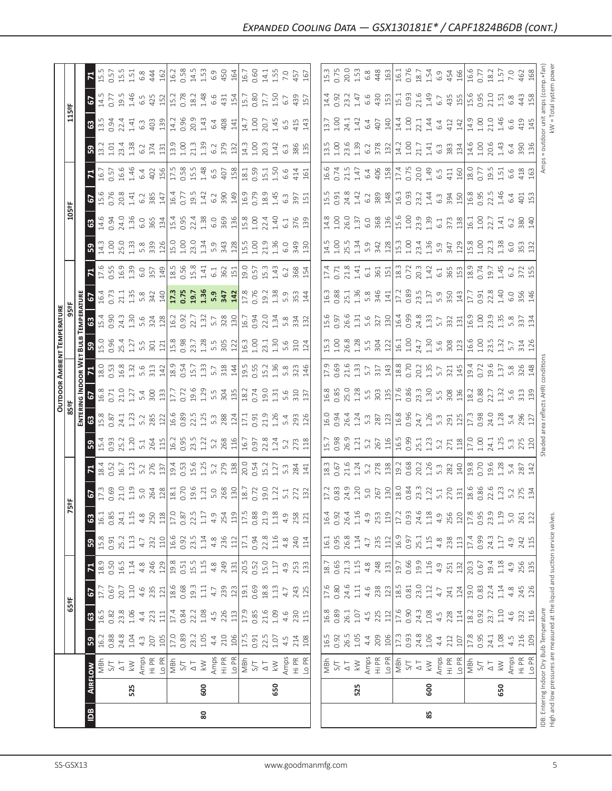|                              | 525<br>$\frac{a}{2}$                                                                                                                                                                                                                                                                                                         | 600<br>80                                                                                                                                                                                                                                                                                                                                                                                                                                                                                                                                                                             | 650 | 525                                                                                                                                                                                                                                                                                                                                                                                                                                                                        | 600<br>85 |                                                                                                                                                                                                                                                                                   | IDB: Entering Indoor<br>High and low pressu<br>650 |
|------------------------------|------------------------------------------------------------------------------------------------------------------------------------------------------------------------------------------------------------------------------------------------------------------------------------------------------------------------------|---------------------------------------------------------------------------------------------------------------------------------------------------------------------------------------------------------------------------------------------------------------------------------------------------------------------------------------------------------------------------------------------------------------------------------------------------------------------------------------------------------------------------------------------------------------------------------------|-----|----------------------------------------------------------------------------------------------------------------------------------------------------------------------------------------------------------------------------------------------------------------------------------------------------------------------------------------------------------------------------------------------------------------------------------------------------------------------------|-----------|-----------------------------------------------------------------------------------------------------------------------------------------------------------------------------------------------------------------------------------------------------------------------------------|----------------------------------------------------|
|                              | <b>FLOW</b>                                                                                                                                                                                                                                                                                                                  | $\begin{array}{l} \text{S} \rightarrow \mathbb{Z} \\ \text{S} \rightarrow \mathbb{Z} \\ \text{S} \rightarrow \mathbb{Z} \\ \text{S} \rightarrow \mathbb{Z} \\ \text{S} \rightarrow \mathbb{Z} \\ \text{S} \rightarrow \mathbb{Z} \\ \text{S} \rightarrow \mathbb{Z} \\ \text{S} \rightarrow \mathbb{Z} \\ \text{S} \rightarrow \mathbb{Z} \\ \text{S} \rightarrow \mathbb{Z} \\ \text{S} \rightarrow \mathbb{Z} \\ \text{S} \rightarrow \mathbb{Z} \\ \text{S} \rightarrow \mathbb{Z} \\ \text{S} \rightarrow \mathbb{Z} \\ \text{S} \rightarrow \mathbb{Z} \\ \text{$                |     | $\begin{array}{ l l l l }\hline \frac{\pi}{2} & \pi \rightarrow \infty & \frac{\pi}{2} & \frac{\pi}{2} & \frac{\pi}{2} & \frac{\pi}{2} & \frac{\pi}{2} & \frac{\pi}{2} & \frac{\pi}{2} & \frac{\pi}{2} \\ \hline \frac{\pi}{2} & \pi \rightarrow \infty & \frac{\pi}{2} & \frac{\pi}{2} & \frac{\pi}{2} & \frac{\pi}{2} & \frac{\pi}{2} & \frac{\pi}{2} & \frac{\pi}{2} & \frac{\pi}{2} & \frac{\pi}{2} & \frac{\pi}{2} & \frac{\pi}{2} & \frac{\pi}{2} & \frac{\pi}{2} &$ |           |                                                                                                                                                                                                                                                                                   |                                                    |
|                              | 0.88<br>0.84<br>0.43<br>4.3<br>207<br>ြို့                                                                                                                                                                                                                                                                                   | $\frac{105}{17.3}$ $\frac{105}{17.3}$ $\frac{105}{17.3}$ $\frac{105}{17.3}$ $\frac{105}{17.3}$ $\frac{105}{17.3}$ $\frac{105}{17.3}$ $\frac{105}{17.3}$ $\frac{105}{17.3}$ $\frac{105}{17.3}$                                                                                                                                                                                                                                                                                                                                                                                         |     | $\begin{array}{ l }\n\hline\n16.5 & 0.92 \\ 0.92 & 0.05 \\ 26.5 & 4.4 \\ 0.09 & 0.05 \\ \hline\n1.7 & 0.09 \\ \hline\n\end{array}$                                                                                                                                                                                                                                                                                                                                         |           | $\begin{array}{cccccccccc} 0.93 & 0.82 & 0.72 & 0.72 & 0.72 & 0.72 & 0.72 & 0.72 & 0.72 & 0.72 & 0.72 & 0.72 & 0.72 & 0.72 & 0.72 & 0.72 & 0.72 & 0.72 & 0.72 & 0.72 & 0.72 & 0.72 & 0.72 & 0.72 & 0.72 & 0.72 & 0.72 & 0.72 & 0.72 & 0.72 & 0.72 & 0.72 & 0.72 & 0.72 & 0.72 & $ |                                                    |
|                              | 63                                                                                                                                                                                                                                                                                                                           | $\begin{array}{l} 188.86 & 188.87 & 188.87 & 188.87 & 188.87 & 188.87 & 188.87 & 188.87 & 188.87 & 188.87 & 188.87 & 188.87 & 188.87 & 188.87 & 188.87 & 188.87 & 188.87 & 188.87 & 188.87 & 188.87 & 188.87 & 188.87 & 188.87 & 188.87 & 188.87 & 188.87 & 188.$                                                                                                                                                                                                                                                                                                                     |     |                                                                                                                                                                                                                                                                                                                                                                                                                                                                            |           |                                                                                                                                                                                                                                                                                   |                                                    |
| $\frac{155}{155}$            | $\overline{5}$                                                                                                                                                                                                                                                                                                               | $\begin{array}{l} \Xi_0 \Xi_1 \Xi_2 \Xi_3 \Xi_4 \Xi_5 \Xi_6 \Xi_7 \Xi_7 \Xi_8 \Xi_8 \Xi_9 \Xi_9 \Xi_9 \Xi_1 \Xi_1 \Xi_2 \Xi_3 \Xi_8 \Xi_9 \Xi_9 \Xi_1 \Xi_2 \Xi_3 \Xi_4 \Xi_5 \Xi_7 \Xi_8 \Xi_8 \Xi_8 \Xi_7 \Xi_7 \Xi_8 \Xi_8 \Xi_8 \Xi_9 \Xi_8 \Xi_9 \Xi_8 \Xi_9 \Xi_8 \Xi_9 \Xi_8 \Xi_9 \Xi_8 \Xi_9 \Xi_8 \Xi_9 \Xi_8 \Xi_9 \Xi_8 \Xi_9 \Xi_8 \$                                                                                                                                                                                                                                    |     |                                                                                                                                                                                                                                                                                                                                                                                                                                                                            |           |                                                                                                                                                                                                                                                                                   |                                                    |
|                              | 18.9<br>$\mathbf{z}$                                                                                                                                                                                                                                                                                                         |                                                                                                                                                                                                                                                                                                                                                                                                                                                                                                                                                                                       |     |                                                                                                                                                                                                                                                                                                                                                                                                                                                                            |           |                                                                                                                                                                                                                                                                                   |                                                    |
|                              | $0.91$<br>$25.2$<br>$1.13$<br>$4.7$<br>$B_{\frac{3}{2}}$                                                                                                                                                                                                                                                                     | $\begin{array}{c} \begin{array}{c} \begin{array}{c} \begin{array}{c} \begin{array}{c} \end{array}\\ \begin{array}{c} \end{array}\\ \begin{array}{c} \end{array}\\ \begin{array}{c} \end{array}\\ \begin{array}{c} \end{array}\\ \begin{array}{c} \end{array}\\ \begin{array}{c} \end{array}\\ \begin{array}{c} \end{array}\\ \begin{array}{c} \end{array}\\ \begin{array}{c} \end{array}\\ \begin{array}{c} \end{array}\\ \begin{array}{c} \end{array}\\ \begin{array}{c} \end{array}\\ \begin{array}{c} \end{array}\\ \begin{array}{c} \end{array}\\ \begin{array}{c} \end{array}\\$ |     |                                                                                                                                                                                                                                                                                                                                                                                                                                                                            |           |                                                                                                                                                                                                                                                                                   |                                                    |
|                              |                                                                                                                                                                                                                                                                                                                              |                                                                                                                                                                                                                                                                                                                                                                                                                                                                                                                                                                                       |     |                                                                                                                                                                                                                                                                                                                                                                                                                                                                            |           |                                                                                                                                                                                                                                                                                   |                                                    |
|                              | 5                                                                                                                                                                                                                                                                                                                            | $\begin{array}{l} 0.61 & 0.71 & 0.71 & 0.71 & 0.71 & 0.71 & 0.71 & 0.71 & 0.71 & 0.71 & 0.71 & 0.71 & 0.71 & 0.71 & 0.71 & 0.71 & 0.71 & 0.71 & 0.71 & 0.71 & 0.71 & 0.71 & 0.71 & 0.71 & 0.71 & 0.71 & 0.71 & 0.71 & 0.71 & 0.71 & 0.71 & 0.71 & 0.71 & 0.71 & 0.71 & 0.$                                                                                                                                                                                                                                                                                                            |     |                                                                                                                                                                                                                                                                                                                                                                                                                                                                            |           |                                                                                                                                                                                                                                                                                   |                                                    |
|                              | $\mathbf{F}_{4}$                                                                                                                                                                                                                                                                                                             |                                                                                                                                                                                                                                                                                                                                                                                                                                                                                                                                                                                       |     |                                                                                                                                                                                                                                                                                                                                                                                                                                                                            |           |                                                                                                                                                                                                                                                                                   |                                                    |
|                              |                                                                                                                                                                                                                                                                                                                              |                                                                                                                                                                                                                                                                                                                                                                                                                                                                                                                                                                                       |     |                                                                                                                                                                                                                                                                                                                                                                                                                                                                            |           |                                                                                                                                                                                                                                                                                   |                                                    |
|                              | <b>ENTER</b><br>63<br>15.8                                                                                                                                                                                                                                                                                                   | $\begin{array}{l} 0.511 \\ 0.541 \\ 0.551 \end{array} \begin{array}{l} \begin{array}{l} \begin{array}{l} \begin{array}{l} \begin{array}{l} \begin{array}{l} \begin{array}{l} \end{array} \\ \begin{array}{l} \end{array} \\ \begin{array}{l} \end{array} \\ \begin{array}{l} \end{array} \\ \begin{array}{l} \end{array} \\ \begin{array}{l} \end{array} \\ \begin{array}{l} \end{array} \\ \begin{array}{l} \end{array} \\ \begin{array}{l} \end{array} \\ \begin{array}{l} \end{array} \\ \begin{array}{l} \end{array} \\ \begin{$                                                  |     |                                                                                                                                                                                                                                                                                                                                                                                                                                                                            |           |                                                                                                                                                                                                                                                                                   |                                                    |
| OUTDOOR                      | $\frac{1}{3}$ $\frac{1}{3}$ $\frac{1}{3}$ $\frac{1}{3}$ $\frac{1}{2}$ $\frac{1}{3}$ $\frac{1}{3}$ $\frac{1}{3}$ $\frac{1}{2}$ $\frac{1}{2}$ $\frac{1}{3}$ $\frac{1}{3}$ $\frac{1}{3}$ $\frac{1}{3}$ $\frac{1}{3}$ $\frac{1}{3}$ $\frac{1}{3}$ $\frac{1}{3}$ $\frac{1}{3}$ $\frac{1}{3}$ $\frac{1}{3}$ $\frac{1}{3}$          |                                                                                                                                                                                                                                                                                                                                                                                                                                                                                                                                                                                       |     |                                                                                                                                                                                                                                                                                                                                                                                                                                                                            |           |                                                                                                                                                                                                                                                                                   |                                                    |
|                              | $\frac{8}{5}$ , $\frac{8}{12}$ , $\frac{3}{12}$ , $\frac{3}{12}$ , $\frac{3}{12}$ , $\frac{4}{12}$ , $\frac{3}{12}$ , $\frac{4}{12}$ , $\frac{3}{12}$ , $\frac{3}{12}$ , $\frac{3}{12}$ , $\frac{3}{12}$ , $\frac{3}{12}$ , $\frac{3}{12}$ , $\frac{3}{12}$ , $\frac{3}{12}$ , $\frac{3}{12}$ , $\frac{3}{12}$ , $\frac{3}{$ |                                                                                                                                                                                                                                                                                                                                                                                                                                                                                                                                                                                       |     |                                                                                                                                                                                                                                                                                                                                                                                                                                                                            |           |                                                                                                                                                                                                                                                                                   |                                                    |
|                              | <u>ដ្ឋី ឌូ <mark>ទី</mark></u>                                                                                                                                                                                                                                                                                               | $\begin{array}{l} 0.8477 \\ 0.7277 \\ 0.9717 \\ 0.911 \\ 0.911 \\ 0.911 \\ 0.911 \\ 0.921 \\ 0.931 \\ 0.911 \\ 0.921 \\ 0.931 \\ 0.911 \\ 0.911 \\ 0.911 \\ 0.911 \\ 0.911 \\ 0.911 \\ 0.911 \\ 0.911 \\ 0.911 \\ 0.911 \\ 0.911 \\ 0.911 \\ 0.911 \\ 0.911 \\ 0.911 \\ 0.911 \\ 0.911 \\ 0.912 \\$                                                                                                                                                                                                                                                                                   |     | $\begin{bmatrix} 0.08 & 0.08 & 0.08 & 0.01 & 0.01 & 0.01 & 0.01 & 0.01 & 0.01 & 0.01 & 0.01 & 0.01 & 0.01 & 0.01 & 0.01 & 0.01 & 0.01 & 0.01 & 0.01 & 0.01 & 0.01 & 0.01 & 0.01 & 0.01 & 0.01 & 0.01 & 0.01 & 0.01 & 0.01 & 0.01 & 0.01 & 0.01 & 0.01 & 0.01 & 0.01 & 0.0$                                                                                                                                                                                                 |           |                                                                                                                                                                                                                                                                                   |                                                    |
| <b>TEMPERATURE</b><br>959    | ទី ន                                                                                                                                                                                                                                                                                                                         | $\begin{array}{l} 0.313 \\ 0.413 \\ 0.424 \\ 0.434 \\ 0.445 \\ 0.456 \\ 0.467 \\ 0.476 \\ 0.481 \\ 0.421 \\ 0.421 \\ 0.431 \\ 0.451 \\ 0.451 \\ 0.451 \\ 0.451 \\ 0.451 \\ 0.451 \\ 0.451 \\ 0.451 \\ 0.451 \\ 0.451 \\ 0.451 \\ 0.451 \\ 0.451 \\ 0.451 \\ 0.451 \\ 0.451 \\ 0.451 \\ 0.451 \\ 0.$                                                                                                                                                                                                                                                                                   |     |                                                                                                                                                                                                                                                                                                                                                                                                                                                                            |           |                                                                                                                                                                                                                                                                                   |                                                    |
|                              | $\frac{2}{5}$                                                                                                                                                                                                                                                                                                                |                                                                                                                                                                                                                                                                                                                                                                                                                                                                                                                                                                                       |     |                                                                                                                                                                                                                                                                                                                                                                                                                                                                            |           |                                                                                                                                                                                                                                                                                   |                                                    |
|                              | ြို့က<br>$\mathbb{E}$                                                                                                                                                                                                                                                                                                        | ca si e e a l'a se si di e a algo chua de se di<br>ca si e e a l'a se si di e a algo chua de se a                                                                                                                                                                                                                                                                                                                                                                                                                                                                                     |     |                                                                                                                                                                                                                                                                                                                                                                                                                                                                            |           |                                                                                                                                                                                                                                                                                   |                                                    |
|                              | 63                                                                                                                                                                                                                                                                                                                           |                                                                                                                                                                                                                                                                                                                                                                                                                                                                                                                                                                                       |     |                                                                                                                                                                                                                                                                                                                                                                                                                                                                            |           |                                                                                                                                                                                                                                                                                   |                                                    |
| $\overline{\frac{10591}{2}}$ | $6\frac{1}{2}$                                                                                                                                                                                                                                                                                                               |                                                                                                                                                                                                                                                                                                                                                                                                                                                                                                                                                                                       |     | lü d a d a a allü m d a a allü o d i a d d a<br>lü d a d a a allü m d a d a a allü o d i a d d ü                                                                                                                                                                                                                                                                                                                                                                           |           |                                                                                                                                                                                                                                                                                   |                                                    |
|                              | $\mathbb{E}$                                                                                                                                                                                                                                                                                                                 | re contra de de la contra de la contra de la contra de la contra de la contra de la contra de la contra del co<br>La contra de la contra de la contra de la contra de la contra del contra del contra del contra del contra del                                                                                                                                                                                                                                                                                                                                                       |     |                                                                                                                                                                                                                                                                                                                                                                                                                                                                            |           |                                                                                                                                                                                                                                                                                   |                                                    |
|                              | B                                                                                                                                                                                                                                                                                                                            |                                                                                                                                                                                                                                                                                                                                                                                                                                                                                                                                                                                       |     | $\begin{bmatrix} 11 & 13 & 16 & 16 & 16 \\ 11 & 12 & 13 & 17 & 18 & 16 \\ 13 & 13 & 14 & 15 & 16 & 17 \\ 14 & 15 & 15 & 17 & 17 & 18 \\ 15 & 16 & 17 & 17 & 18 & 18 \\ 16 & 18 & 18 & 18 & 18 \\ 17 & 19 & 19 & 18 & 18 \\ 18 & 19 & 19 & 19 & 18 \\ 19 & 19 & 19 & 19 & 18 \\ 19 & 19 & 19 & 19 & 1$                                                                                                                                                                      |           |                                                                                                                                                                                                                                                                                   | 90                                                 |
|                              | 89                                                                                                                                                                                                                                                                                                                           |                                                                                                                                                                                                                                                                                                                                                                                                                                                                                                                                                                                       |     | מטלק פלח  <br>  מטלק פלח  מטלק פלח  מטלק פלח<br>  מטלק פלח  מטלק פלח  מטלק פלח                                                                                                                                                                                                                                                                                                                                                                                             |           |                                                                                                                                                                                                                                                                                   |                                                    |
| $\frac{115}{9}$              |                                                                                                                                                                                                                                                                                                                              |                                                                                                                                                                                                                                                                                                                                                                                                                                                                                                                                                                                       |     |                                                                                                                                                                                                                                                                                                                                                                                                                                                                            |           |                                                                                                                                                                                                                                                                                   |                                                    |
|                              |                                                                                                                                                                                                                                                                                                                              |                                                                                                                                                                                                                                                                                                                                                                                                                                                                                                                                                                                       |     |                                                                                                                                                                                                                                                                                                                                                                                                                                                                            |           |                                                                                                                                                                                                                                                                                   |                                                    |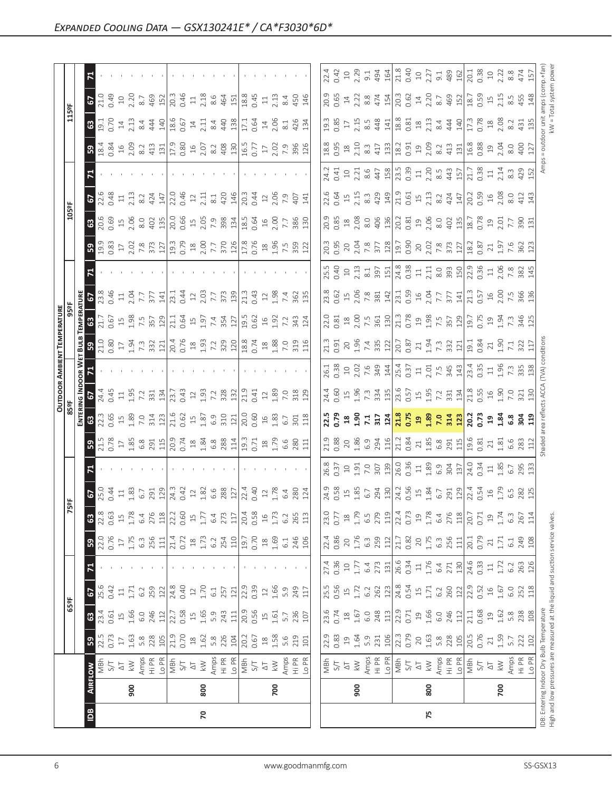|     |                |                                                                               |                |                 |                |              |                                                   |                  |                                                                                                                                                                                                                                |                              |                                                                                                                                                                                                                                |                                                               | <b>OUTDOOR AMBIENT TEMPERATURE</b>                                                                                                                                                                                                                                                                             |                  |                                                                                                                                                                                                                                                                                    |                                                                                                                                                                                                                                |                                                                                           |                                                                                                                                                                                                                                                                                                                        |                                                                                                                                                                                                                                                                                                                                                                              |                                                                                                                                                                                                                                |                                                                                                                                                                                                                                                                                                                       |                                                                                       |                                                                |                                                                                                                                                                                                                                |
|-----|----------------|-------------------------------------------------------------------------------|----------------|-----------------|----------------|--------------|---------------------------------------------------|------------------|--------------------------------------------------------------------------------------------------------------------------------------------------------------------------------------------------------------------------------|------------------------------|--------------------------------------------------------------------------------------------------------------------------------------------------------------------------------------------------------------------------------|---------------------------------------------------------------|----------------------------------------------------------------------------------------------------------------------------------------------------------------------------------------------------------------------------------------------------------------------------------------------------------------|------------------|------------------------------------------------------------------------------------------------------------------------------------------------------------------------------------------------------------------------------------------------------------------------------------|--------------------------------------------------------------------------------------------------------------------------------------------------------------------------------------------------------------------------------|-------------------------------------------------------------------------------------------|------------------------------------------------------------------------------------------------------------------------------------------------------------------------------------------------------------------------------------------------------------------------------------------------------------------------|------------------------------------------------------------------------------------------------------------------------------------------------------------------------------------------------------------------------------------------------------------------------------------------------------------------------------------------------------------------------------|--------------------------------------------------------------------------------------------------------------------------------------------------------------------------------------------------------------------------------|-----------------------------------------------------------------------------------------------------------------------------------------------------------------------------------------------------------------------------------------------------------------------------------------------------------------------|---------------------------------------------------------------------------------------|----------------------------------------------------------------|--------------------------------------------------------------------------------------------------------------------------------------------------------------------------------------------------------------------------------|
|     |                |                                                                               |                | 65°F            |                |              |                                                   |                  | '5ºF                                                                                                                                                                                                                           |                              |                                                                                                                                                                                                                                |                                                               | 85 <sup>o</sup> F                                                                                                                                                                                                                                                                                              |                  |                                                                                                                                                                                                                                                                                    |                                                                                                                                                                                                                                |                                                                                           |                                                                                                                                                                                                                                                                                                                        | 105°F                                                                                                                                                                                                                                                                                                                                                                        |                                                                                                                                                                                                                                |                                                                                                                                                                                                                                                                                                                       | 115°F                                                                                 |                                                                |                                                                                                                                                                                                                                |
|     |                |                                                                               |                |                 |                |              |                                                   |                  |                                                                                                                                                                                                                                |                              |                                                                                                                                                                                                                                | ENTERI                                                        | aal 9N                                                                                                                                                                                                                                                                                                         | OOR WI           |                                                                                                                                                                                                                                                                                    | <b>EMPERATUR</b>                                                                                                                                                                                                               |                                                                                           |                                                                                                                                                                                                                                                                                                                        |                                                                                                                                                                                                                                                                                                                                                                              |                                                                                                                                                                                                                                |                                                                                                                                                                                                                                                                                                                       |                                                                                       |                                                                |                                                                                                                                                                                                                                |
| 1DB | <b>AIRFLOW</b> |                                                                               | $5^{\circ}$    | $\mathbf{G}$    | 57             | $\mathbf{z}$ | 59                                                | $\mathbf{G}$     | $5.534$ $1.33$ $1.35$ $1.37$ $1.37$ $1.37$ $1.37$ $1.37$ $1.37$ $1.37$ $1.37$ $1.37$ $1.37$ $1.37$ $1.37$ $1.37$ $1.37$ $1.37$ $1.37$ $1.37$ $1.37$ $1.37$ $1.37$ $1.37$ $1.37$ $1.37$ $1.37$ $1.37$ $1.37$ $1.37$ $1.37$ $1.$ |                              |                                                                                                                                                                                                                                | $\mathbb{G}$                                                  | 57                                                                                                                                                                                                                                                                                                             |                  | 3.88                                                                                                                                                                                                                                                                               | 63                                                                                                                                                                                                                             | 5                                                                                         | $B$ $\frac{3}{2}$ $\frac{3}{2}$ $\frac{3}{2}$ $\frac{1}{2}$ $\frac{3}{2}$ $\frac{3}{2}$ $\frac{3}{2}$ $\frac{3}{2}$ $\frac{3}{2}$ $\frac{3}{2}$ $\frac{3}{2}$ $\frac{3}{2}$ $\frac{3}{2}$ $\frac{3}{2}$ $\frac{3}{2}$ $\frac{3}{2}$ $\frac{3}{2}$ $\frac{3}{2}$ $\frac{3}{2}$ $\frac{3}{2}$ $\frac{3}{2}$ $\frac{3}{2$ | $\mathbf{G}$                                                                                                                                                                                                                                                                                                                                                                 | $\overline{c}$                                                                                                                                                                                                                 | $\mathbb{R}$                                                                                                                                                                                                                                                                                                          | 63                                                                                    | $\mathbf{c}$                                                   |                                                                                                                                                                                                                                |
|     |                | MBh                                                                           | 22.5           | 23.4            | 25.6           |              | 22.0                                              | 22.8             |                                                                                                                                                                                                                                |                              |                                                                                                                                                                                                                                | 22.3                                                          | 24.4<br>0.45                                                                                                                                                                                                                                                                                                   |                  |                                                                                                                                                                                                                                                                                    |                                                                                                                                                                                                                                | 23.8<br>0.46                                                                              |                                                                                                                                                                                                                                                                                                                        | 20.69                                                                                                                                                                                                                                                                                                                                                                        | 22.6                                                                                                                                                                                                                           | $\frac{18.4}{0.84}$                                                                                                                                                                                                                                                                                                   | 19.1<br>0.70                                                                          | 21.0                                                           |                                                                                                                                                                                                                                |
|     |                | S/T                                                                           | 0.73           | 0.61            | 0.42           |              | 0.76                                              | 0.63             |                                                                                                                                                                                                                                |                              |                                                                                                                                                                                                                                |                                                               |                                                                                                                                                                                                                                                                                                                |                  |                                                                                                                                                                                                                                                                                    |                                                                                                                                                                                                                                |                                                                                           |                                                                                                                                                                                                                                                                                                                        |                                                                                                                                                                                                                                                                                                                                                                              |                                                                                                                                                                                                                                |                                                                                                                                                                                                                                                                                                                       |                                                                                       |                                                                |                                                                                                                                                                                                                                |
|     |                | $\overline{\triangle}$                                                        | $\Box$         | $\overline{1}$  | $\Xi$          |              | $\overline{17}$                                   | $\frac{15}{1}$   |                                                                                                                                                                                                                                |                              |                                                                                                                                                                                                                                |                                                               |                                                                                                                                                                                                                                                                                                                |                  |                                                                                                                                                                                                                                                                                    |                                                                                                                                                                                                                                |                                                                                           |                                                                                                                                                                                                                                                                                                                        | $15$<br>$2.06$                                                                                                                                                                                                                                                                                                                                                               | $\Xi$                                                                                                                                                                                                                          |                                                                                                                                                                                                                                                                                                                       |                                                                                       |                                                                |                                                                                                                                                                                                                                |
|     | 900            | $\geqslant$                                                                   | 1.63           | 1.66            | 1.71           |              | 1.75                                              | 1.78             |                                                                                                                                                                                                                                |                              |                                                                                                                                                                                                                                |                                                               |                                                                                                                                                                                                                                                                                                                |                  |                                                                                                                                                                                                                                                                                    |                                                                                                                                                                                                                                |                                                                                           |                                                                                                                                                                                                                                                                                                                        |                                                                                                                                                                                                                                                                                                                                                                              | 2.13                                                                                                                                                                                                                           |                                                                                                                                                                                                                                                                                                                       |                                                                                       |                                                                |                                                                                                                                                                                                                                |
|     |                | Amps                                                                          | 5.8            | 6.0             | 6.2            |              | $6.\overline{3}$                                  | 6.4              |                                                                                                                                                                                                                                |                              |                                                                                                                                                                                                                                |                                                               |                                                                                                                                                                                                                                                                                                                |                  |                                                                                                                                                                                                                                                                                    |                                                                                                                                                                                                                                | $11$<br>$7.7$<br>$7.7$<br>$377$                                                           |                                                                                                                                                                                                                                                                                                                        |                                                                                                                                                                                                                                                                                                                                                                              | 8.2                                                                                                                                                                                                                            |                                                                                                                                                                                                                                                                                                                       |                                                                                       |                                                                |                                                                                                                                                                                                                                |
|     |                | $\frac{R}{H}$                                                                 | 228            | 246             | 259            |              | 256                                               | 276              |                                                                                                                                                                                                                                |                              |                                                                                                                                                                                                                                | $\begin{array}{c}\n1.80 \\ 1.81 \\ 7.81 \\ 1.19\n\end{array}$ | $\frac{13}{2}$ $\frac{5}{2}$ $\frac{21}{2}$ $\frac{31}{2}$ $\frac{13}{2}$ $\frac{13}{2}$ $\frac{31}{2}$ $\frac{31}{2}$ $\frac{31}{2}$ $\frac{31}{2}$ $\frac{31}{2}$ $\frac{31}{2}$ $\frac{31}{2}$ $\frac{31}{2}$ $\frac{31}{2}$ $\frac{31}{2}$ $\frac{31}{2}$ $\frac{31}{2}$ $\frac{31}{2}$ $\frac{31}{2}$ $\$ |                  |                                                                                                                                                                                                                                                                                    | $\begin{array}{c} 21.7 \\ 0.67 \\ 1.98 \\ 7.5 \\ 7.8 \\ 2.57 \\ 2.9 \\ 1.29 \\ \end{array}$                                                                                                                                    |                                                                                           |                                                                                                                                                                                                                                                                                                                        | $rac{60}{402}$                                                                                                                                                                                                                                                                                                                                                               | 424                                                                                                                                                                                                                            | $15.8$ $\frac{1}{2}$ $\frac{1}{2}$ $\frac{1}{2}$ $\frac{1}{2}$ $\frac{1}{2}$ $\frac{1}{2}$ $\frac{1}{2}$ $\frac{1}{2}$ $\frac{1}{2}$ $\frac{1}{2}$ $\frac{1}{2}$ $\frac{1}{2}$ $\frac{1}{2}$ $\frac{1}{2}$ $\frac{1}{2}$ $\frac{1}{2}$ $\frac{1}{2}$ $\frac{1}{2}$ $\frac{1}{2}$ $\frac{1}{2}$ $\frac{1}{2}$ $\frac{$ | $\frac{14}{2}$ $\frac{344}{440}$                                                      | $\begin{array}{c} 10 \\ 2.20 \\ 8.7 \\ 469 \\ 152 \end{array}$ |                                                                                                                                                                                                                                |
|     |                | Lo PR                                                                         | 105            | 112             | 122            |              | 111                                               | $118$            |                                                                                                                                                                                                                                |                              |                                                                                                                                                                                                                                |                                                               |                                                                                                                                                                                                                                                                                                                |                  |                                                                                                                                                                                                                                                                                    |                                                                                                                                                                                                                                | 141                                                                                       |                                                                                                                                                                                                                                                                                                                        |                                                                                                                                                                                                                                                                                                                                                                              | 147                                                                                                                                                                                                                            |                                                                                                                                                                                                                                                                                                                       |                                                                                       |                                                                |                                                                                                                                                                                                                                |
|     |                | MBh                                                                           | 21.9           | 22.7            | 24.8           |              | 21.4                                              | 22.2             |                                                                                                                                                                                                                                |                              |                                                                                                                                                                                                                                |                                                               |                                                                                                                                                                                                                                                                                                                |                  |                                                                                                                                                                                                                                                                                    | 21.1                                                                                                                                                                                                                           | 23.1                                                                                      |                                                                                                                                                                                                                                                                                                                        | $\begin{array}{ c c c c c }\n\hline\n 0.66 & \hline\n 0.50 & \hline\n 7.0 & \hline\n 7.0 & \hline\n 8.0 & \hline\n 9.0 & \hline\n 1.3 & \hline\n 1.3 & \hline\n 1.3 & \hline\n 0.0 & \hline\n 0.0 & \hline\n 0.0 & \hline\n 0.0 & \hline\n 0.0 & \hline\n 0.0 & \hline\n 0.0 & \hline\n 0.0 & \hline\n 0.0 & \hline\n 0.0 & \hline\n 0.0 & \hline\n 0.0 & \hline\n 0.0 & \h$ | 22.0<br>0.46<br>12                                                                                                                                                                                                             |                                                                                                                                                                                                                                                                                                                       | $\begin{array}{c} \n 18.6 \\  18.6 \\  21.1 \\  32.4 \\  43.7 \\  56.6\n \end{array}$ | $\frac{36}{20}$ 3 4 5 $\frac{48}{21}$                          |                                                                                                                                                                                                                                |
|     |                | 5/1                                                                           | 0.70           | 0.58            | 0.40           |              | 0.72                                              | 0.60             |                                                                                                                                                                                                                                |                              |                                                                                                                                                                                                                                |                                                               |                                                                                                                                                                                                                                                                                                                |                  |                                                                                                                                                                                                                                                                                    |                                                                                                                                                                                                                                | 0.44                                                                                      |                                                                                                                                                                                                                                                                                                                        |                                                                                                                                                                                                                                                                                                                                                                              |                                                                                                                                                                                                                                |                                                                                                                                                                                                                                                                                                                       |                                                                                       |                                                                |                                                                                                                                                                                                                                |
|     |                | $\overline{\Delta}$                                                           | $\frac{8}{18}$ | $\overline{15}$ | $12$           |              | $\stackrel{\textstyle\circ}{\phantom{}_{\sim}}$   | $\frac{15}{1}$   |                                                                                                                                                                                                                                |                              |                                                                                                                                                                                                                                |                                                               |                                                                                                                                                                                                                                                                                                                |                  |                                                                                                                                                                                                                                                                                    |                                                                                                                                                                                                                                |                                                                                           |                                                                                                                                                                                                                                                                                                                        |                                                                                                                                                                                                                                                                                                                                                                              |                                                                                                                                                                                                                                |                                                                                                                                                                                                                                                                                                                       |                                                                                       |                                                                |                                                                                                                                                                                                                                |
| 20  | 800            | $\gtrapprox$                                                                  | 1.62           | 1.65            | 1.70           |              | 1.73                                              | $1.77\,$         |                                                                                                                                                                                                                                |                              |                                                                                                                                                                                                                                |                                                               |                                                                                                                                                                                                                                                                                                                |                  |                                                                                                                                                                                                                                                                                    |                                                                                                                                                                                                                                |                                                                                           |                                                                                                                                                                                                                                                                                                                        |                                                                                                                                                                                                                                                                                                                                                                              | 2.11                                                                                                                                                                                                                           |                                                                                                                                                                                                                                                                                                                       |                                                                                       |                                                                |                                                                                                                                                                                                                                |
|     |                | Amps                                                                          | 5.8            | 5.9             | 6.1            |              | 6.2                                               | 6.4              |                                                                                                                                                                                                                                |                              |                                                                                                                                                                                                                                | $1.87$<br>6.9                                                 |                                                                                                                                                                                                                                                                                                                |                  |                                                                                                                                                                                                                                                                                    | 0.64<br>1.97<br>7.4<br>7.27<br>3.27                                                                                                                                                                                            | $\frac{12}{2.03}$                                                                         |                                                                                                                                                                                                                                                                                                                        |                                                                                                                                                                                                                                                                                                                                                                              | 8.1                                                                                                                                                                                                                            |                                                                                                                                                                                                                                                                                                                       |                                                                                       | 8.6                                                            |                                                                                                                                                                                                                                |
|     |                | Hi PR                                                                         | 226            | 243             | 257            |              | 254                                               | 273              |                                                                                                                                                                                                                                |                              |                                                                                                                                                                                                                                |                                                               |                                                                                                                                                                                                                                                                                                                |                  |                                                                                                                                                                                                                                                                                    |                                                                                                                                                                                                                                | 373                                                                                       |                                                                                                                                                                                                                                                                                                                        |                                                                                                                                                                                                                                                                                                                                                                              | 420                                                                                                                                                                                                                            |                                                                                                                                                                                                                                                                                                                       |                                                                                       | 464<br>151                                                     |                                                                                                                                                                                                                                |
|     |                | Lo PR                                                                         | 104            | 111             | 121            |              | 110                                               | $117\,$          |                                                                                                                                                                                                                                |                              |                                                                                                                                                                                                                                |                                                               |                                                                                                                                                                                                                                                                                                                |                  |                                                                                                                                                                                                                                                                                    |                                                                                                                                                                                                                                |                                                                                           |                                                                                                                                                                                                                                                                                                                        |                                                                                                                                                                                                                                                                                                                                                                              | 146                                                                                                                                                                                                                            |                                                                                                                                                                                                                                                                                                                       |                                                                                       |                                                                |                                                                                                                                                                                                                                |
|     |                | MBh                                                                           | 20.2           | 20.9            | 22.9           |              | 19.7                                              | 20.4             |                                                                                                                                                                                                                                |                              |                                                                                                                                                                                                                                | $\frac{21}{200}$                                              |                                                                                                                                                                                                                                                                                                                |                  |                                                                                                                                                                                                                                                                                    | 19.5                                                                                                                                                                                                                           | 21.3                                                                                      |                                                                                                                                                                                                                                                                                                                        | $\overline{18.5}$                                                                                                                                                                                                                                                                                                                                                            | 20.3                                                                                                                                                                                                                           |                                                                                                                                                                                                                                                                                                                       |                                                                                       | 18.8                                                           |                                                                                                                                                                                                                                |
|     |                | 5/7                                                                           | 0.67           | 0.56            | 0.39           |              | 0.70                                              | 0.58             |                                                                                                                                                                                                                                |                              |                                                                                                                                                                                                                                |                                                               | 21.9<br>0.41                                                                                                                                                                                                                                                                                                   |                  |                                                                                                                                                                                                                                                                                    | 0.62                                                                                                                                                                                                                           | 0.43                                                                                      |                                                                                                                                                                                                                                                                                                                        | 0.64                                                                                                                                                                                                                                                                                                                                                                         | 0.44                                                                                                                                                                                                                           |                                                                                                                                                                                                                                                                                                                       |                                                                                       | 0.45                                                           |                                                                                                                                                                                                                                |
|     |                | $\overline{\circ}$                                                            | $^{28}$        | $\frac{1}{1}$   | $12$           |              | $\overset{\text{\tiny \textsf{SO}}}{\rightarrow}$ | $16$             |                                                                                                                                                                                                                                |                              |                                                                                                                                                                                                                                |                                                               |                                                                                                                                                                                                                                                                                                                |                  |                                                                                                                                                                                                                                                                                    |                                                                                                                                                                                                                                |                                                                                           |                                                                                                                                                                                                                                                                                                                        |                                                                                                                                                                                                                                                                                                                                                                              | $12\,$                                                                                                                                                                                                                         |                                                                                                                                                                                                                                                                                                                       |                                                                                       |                                                                |                                                                                                                                                                                                                                |
|     | 700            | $\gtrapprox$                                                                  | 1.58           | $1.61$          | 1.66           |              | 1.69                                              | 1.73             |                                                                                                                                                                                                                                |                              |                                                                                                                                                                                                                                |                                                               | 1.89                                                                                                                                                                                                                                                                                                           |                  |                                                                                                                                                                                                                                                                                    | 1.92                                                                                                                                                                                                                           | 1.98                                                                                      |                                                                                                                                                                                                                                                                                                                        | $16$<br>$2.00$                                                                                                                                                                                                                                                                                                                                                               | 2.06                                                                                                                                                                                                                           |                                                                                                                                                                                                                                                                                                                       | $\frac{14}{2.06}$                                                                     | $\frac{11}{2.13}$                                              |                                                                                                                                                                                                                                |
|     |                | Amps                                                                          | 5.6            | 5.7             | 5.9            |              | 6.1                                               | 6.2              |                                                                                                                                                                                                                                |                              |                                                                                                                                                                                                                                |                                                               |                                                                                                                                                                                                                                                                                                                |                  |                                                                                                                                                                                                                                                                                    |                                                                                                                                                                                                                                |                                                                                           |                                                                                                                                                                                                                                                                                                                        |                                                                                                                                                                                                                                                                                                                                                                              | 7.9                                                                                                                                                                                                                            |                                                                                                                                                                                                                                                                                                                       |                                                                                       |                                                                |                                                                                                                                                                                                                                |
|     |                | Hi PR                                                                         | 219            | 236             | 249            |              | 246                                               | 265              | 6.4<br>280<br>124                                                                                                                                                                                                              |                              |                                                                                                                                                                                                                                | $1.83$ 6.7<br>6.7<br>5.7<br>5.1<br>3                          | $7.0$<br>$3.29$                                                                                                                                                                                                                                                                                                |                  |                                                                                                                                                                                                                                                                                    | $7.\overline{3}$                                                                                                                                                                                                               | 7.4<br>362<br>135                                                                         |                                                                                                                                                                                                                                                                                                                        | 7.7<br>386<br>130                                                                                                                                                                                                                                                                                                                                                            | 407                                                                                                                                                                                                                            |                                                                                                                                                                                                                                                                                                                       | 8.1<br>426<br>134                                                                     | 450                                                            |                                                                                                                                                                                                                                |
|     |                | Lo PR                                                                         | 101            | 107             | 117            |              | 106                                               | 113              |                                                                                                                                                                                                                                |                              |                                                                                                                                                                                                                                |                                                               |                                                                                                                                                                                                                                                                                                                |                  |                                                                                                                                                                                                                                                                                    | 124                                                                                                                                                                                                                            |                                                                                           |                                                                                                                                                                                                                                                                                                                        |                                                                                                                                                                                                                                                                                                                                                                              | 141                                                                                                                                                                                                                            |                                                                                                                                                                                                                                                                                                                       |                                                                                       | 146                                                            |                                                                                                                                                                                                                                |
|     |                |                                                                               |                |                 |                |              |                                                   |                  |                                                                                                                                                                                                                                |                              |                                                                                                                                                                                                                                |                                                               |                                                                                                                                                                                                                                                                                                                |                  |                                                                                                                                                                                                                                                                                    |                                                                                                                                                                                                                                |                                                                                           |                                                                                                                                                                                                                                                                                                                        |                                                                                                                                                                                                                                                                                                                                                                              |                                                                                                                                                                                                                                |                                                                                                                                                                                                                                                                                                                       |                                                                                       |                                                                |                                                                                                                                                                                                                                |
|     |                | MBh                                                                           | 22.9           | 23.6            | 25.5           | 27.4         | 22.4                                              | 23.0             |                                                                                                                                                                                                                                |                              |                                                                                                                                                                                                                                |                                                               |                                                                                                                                                                                                                                                                                                                |                  |                                                                                                                                                                                                                                                                                    |                                                                                                                                                                                                                                |                                                                                           |                                                                                                                                                                                                                                                                                                                        |                                                                                                                                                                                                                                                                                                                                                                              |                                                                                                                                                                                                                                |                                                                                                                                                                                                                                                                                                                       |                                                                                       |                                                                |                                                                                                                                                                                                                                |
|     |                | 5/1                                                                           | 0.83           | 0.74            | 0.56           | 0.36         | 0.86                                              | 0.77             | 24.9<br>0.58                                                                                                                                                                                                                   |                              |                                                                                                                                                                                                                                | 22.5<br>0.79                                                  | 24.4<br>0.60                                                                                                                                                                                                                                                                                                   |                  |                                                                                                                                                                                                                                                                                    |                                                                                                                                                                                                                                |                                                                                           |                                                                                                                                                                                                                                                                                                                        |                                                                                                                                                                                                                                                                                                                                                                              |                                                                                                                                                                                                                                |                                                                                                                                                                                                                                                                                                                       |                                                                                       |                                                                |                                                                                                                                                                                                                                |
|     |                | $\overline{\Delta}$                                                           | 19             | $^{28}$         | $15$           | $\Box$       | 20                                                | $18$             |                                                                                                                                                                                                                                |                              |                                                                                                                                                                                                                                |                                                               |                                                                                                                                                                                                                                                                                                                |                  |                                                                                                                                                                                                                                                                                    |                                                                                                                                                                                                                                |                                                                                           |                                                                                                                                                                                                                                                                                                                        |                                                                                                                                                                                                                                                                                                                                                                              |                                                                                                                                                                                                                                |                                                                                                                                                                                                                                                                                                                       |                                                                                       |                                                                |                                                                                                                                                                                                                                |
|     | 900            | $\gtrapprox$                                                                  | 1.64           | 1.67            | 1.72           | 1.77         | 1.76                                              | 1.79             |                                                                                                                                                                                                                                |                              |                                                                                                                                                                                                                                |                                                               |                                                                                                                                                                                                                                                                                                                |                  |                                                                                                                                                                                                                                                                                    |                                                                                                                                                                                                                                |                                                                                           |                                                                                                                                                                                                                                                                                                                        |                                                                                                                                                                                                                                                                                                                                                                              |                                                                                                                                                                                                                                |                                                                                                                                                                                                                                                                                                                       |                                                                                       |                                                                |                                                                                                                                                                                                                                |
|     |                | Amps                                                                          | 5.9            | 6.0             | 6.2            | 6.4          | $6.\overline{3}$                                  | 6.5              |                                                                                                                                                                                                                                |                              |                                                                                                                                                                                                                                |                                                               |                                                                                                                                                                                                                                                                                                                |                  |                                                                                                                                                                                                                                                                                    |                                                                                                                                                                                                                                |                                                                                           |                                                                                                                                                                                                                                                                                                                        |                                                                                                                                                                                                                                                                                                                                                                              |                                                                                                                                                                                                                                |                                                                                                                                                                                                                                                                                                                       |                                                                                       |                                                                |                                                                                                                                                                                                                                |
|     |                | Hi PR                                                                         | 231            | 248             | 262            | 273          | 259                                               | 279              |                                                                                                                                                                                                                                |                              |                                                                                                                                                                                                                                |                                                               |                                                                                                                                                                                                                                                                                                                |                  |                                                                                                                                                                                                                                                                                    |                                                                                                                                                                                                                                |                                                                                           |                                                                                                                                                                                                                                                                                                                        |                                                                                                                                                                                                                                                                                                                                                                              |                                                                                                                                                                                                                                |                                                                                                                                                                                                                                                                                                                       |                                                                                       |                                                                |                                                                                                                                                                                                                                |
|     |                | Lo PR                                                                         | 106            | 113             | 123            | 131          | 112                                               | 119              |                                                                                                                                                                                                                                |                              |                                                                                                                                                                                                                                |                                                               |                                                                                                                                                                                                                                                                                                                |                  |                                                                                                                                                                                                                                                                                    | $22.81$ $2.81$ $2.81$ $2.81$ $2.81$ $2.81$ $2.81$ $2.81$ $2.81$ $2.81$ $2.81$ $2.81$ $2.81$ $2.81$ $2.81$ $2.81$ $2.81$ $2.81$ $2.81$ $2.81$ $2.81$ $2.81$ $2.81$ $2.81$ $2.81$ $2.81$ $2.81$ $2.81$ $2.81$ $2.81$ $2.81$ $2.$ |                                                                                           |                                                                                                                                                                                                                                                                                                                        |                                                                                                                                                                                                                                                                                                                                                                              |                                                                                                                                                                                                                                |                                                                                                                                                                                                                                                                                                                       |                                                                                       |                                                                | $21.42$ $21.42$ $31.43$ $41.44$ $41.44$ $41.44$ $41.44$ $41.44$ $41.44$ $41.44$ $41.44$ $41.44$ $41.44$ $41.44$ $41.44$ $41.44$ $41.44$ $41.44$ $41.44$ $41.44$ $41.44$ $41.44$ $41.44$ $41.44$ $41.44$ $41.44$ $41.44$ $41.4$ |
|     |                | NBh                                                                           | 22.3           | 22.9            | 24.8           | 26.6<br>0.34 | 21.7                                              | 22.4             |                                                                                                                                                                                                                                |                              |                                                                                                                                                                                                                                |                                                               |                                                                                                                                                                                                                                                                                                                |                  |                                                                                                                                                                                                                                                                                    |                                                                                                                                                                                                                                |                                                                                           |                                                                                                                                                                                                                                                                                                                        |                                                                                                                                                                                                                                                                                                                                                                              |                                                                                                                                                                                                                                |                                                                                                                                                                                                                                                                                                                       |                                                                                       |                                                                |                                                                                                                                                                                                                                |
|     |                | 5/7                                                                           | 0.79           | 0.71            | 0.54           |              | 0.82                                              | 0.73             |                                                                                                                                                                                                                                |                              |                                                                                                                                                                                                                                |                                                               |                                                                                                                                                                                                                                                                                                                |                  |                                                                                                                                                                                                                                                                                    |                                                                                                                                                                                                                                |                                                                                           |                                                                                                                                                                                                                                                                                                                        |                                                                                                                                                                                                                                                                                                                                                                              |                                                                                                                                                                                                                                |                                                                                                                                                                                                                                                                                                                       |                                                                                       |                                                                |                                                                                                                                                                                                                                |
|     |                | $\overline{\circ}$                                                            | 20             | $\overline{c}$  | $\overline{1}$ | $\Xi$        | $20\,$                                            | 19               |                                                                                                                                                                                                                                |                              |                                                                                                                                                                                                                                |                                                               |                                                                                                                                                                                                                                                                                                                |                  |                                                                                                                                                                                                                                                                                    |                                                                                                                                                                                                                                |                                                                                           |                                                                                                                                                                                                                                                                                                                        |                                                                                                                                                                                                                                                                                                                                                                              |                                                                                                                                                                                                                                |                                                                                                                                                                                                                                                                                                                       |                                                                                       |                                                                |                                                                                                                                                                                                                                |
| 75  | 800            | $\gtrapprox$                                                                  | 1.63           | 1.66            | 1.71           | 1.76         | 1.75                                              | 1.78             |                                                                                                                                                                                                                                |                              |                                                                                                                                                                                                                                |                                                               |                                                                                                                                                                                                                                                                                                                |                  |                                                                                                                                                                                                                                                                                    |                                                                                                                                                                                                                                |                                                                                           |                                                                                                                                                                                                                                                                                                                        |                                                                                                                                                                                                                                                                                                                                                                              |                                                                                                                                                                                                                                |                                                                                                                                                                                                                                                                                                                       |                                                                                       |                                                                |                                                                                                                                                                                                                                |
|     |                | Amps                                                                          | 5.8            | 6.0             | 6.2            | 6.4          | $6.\overline{3}$                                  | 6.4              |                                                                                                                                                                                                                                |                              |                                                                                                                                                                                                                                |                                                               |                                                                                                                                                                                                                                                                                                                |                  |                                                                                                                                                                                                                                                                                    |                                                                                                                                                                                                                                |                                                                                           |                                                                                                                                                                                                                                                                                                                        |                                                                                                                                                                                                                                                                                                                                                                              |                                                                                                                                                                                                                                |                                                                                                                                                                                                                                                                                                                       |                                                                                       |                                                                |                                                                                                                                                                                                                                |
|     |                | Hi PR                                                                         | 228            | 246             | 260            | 271          | 256                                               | 276              |                                                                                                                                                                                                                                |                              |                                                                                                                                                                                                                                |                                                               |                                                                                                                                                                                                                                                                                                                |                  |                                                                                                                                                                                                                                                                                    |                                                                                                                                                                                                                                |                                                                                           |                                                                                                                                                                                                                                                                                                                        |                                                                                                                                                                                                                                                                                                                                                                              |                                                                                                                                                                                                                                |                                                                                                                                                                                                                                                                                                                       |                                                                                       |                                                                |                                                                                                                                                                                                                                |
|     |                | Lo PR                                                                         | 105            | 112             | 122            | 130          | 111                                               | 118              |                                                                                                                                                                                                                                |                              |                                                                                                                                                                                                                                |                                                               |                                                                                                                                                                                                                                                                                                                |                  |                                                                                                                                                                                                                                                                                    |                                                                                                                                                                                                                                |                                                                                           |                                                                                                                                                                                                                                                                                                                        |                                                                                                                                                                                                                                                                                                                                                                              |                                                                                                                                                                                                                                |                                                                                                                                                                                                                                                                                                                       |                                                                                       |                                                                |                                                                                                                                                                                                                                |
|     |                | MBh                                                                           | 20.5           | 21.1            | 22.9           | 24.6         | 20.1                                              | 20.7             |                                                                                                                                                                                                                                | 24.0<br>0.34                 | $21.88$ $8$ $8$ $9$ $8$ $9$ $3$ $8$ $11/2$ $8$ $7$ $12/2$ $8$ $13/2$ $15/2$ $15/2$ $15/2$ $15/2$ $15/2$ $15/2$ $15/2$ $15/2$ $15/2$ $15/2$ $15/2$ $15/2$ $15/2$ $15/2$ $15/2$ $15/2$ $15/2$ $15/2$ $15/2$ $15/2$ $15/2$ $15/2$ |                                                               |                                                                                                                                                                                                                                                                                                                |                  | $\begin{array}{l} 1.95 & 1.95 & 1.95 & 1.95 \\ 1.95 & 1.95 & 1.95 & 1.95 \\ 1.95 & 1.95 & 1.95 & 1.95 \\ 1.95 & 1.95 & 1.95 & 1.95 \\ 1.95 & 1.95 & 1.95 & 1.95 \\ 1.95 & 1.95 & 1.95 & 1.95 \\ 1.95 & 1.95 & 1.95 & 1.95 \\ 1.95 & 1.95 & 1.95 & 1.95 \\ 1.95 & 1.95 & 1.95 & 1.$ |                                                                                                                                                                                                                                |                                                                                           | $\begin{array}{l} 20.95 & 20.75 & 20.75 & 20.75 & 20.75 & 20.75 & 20.75 & 20.75 & 20.75 & 20.75 & 20.75 & 20.75 & 20.75 & 20.75 & 20.75 & 20.75 & 20.75 & 20.75 & 20.75 & 20.75 & 20.75 & 20.75 & 20.75 & 20.75 & 20.75 & 20.75 & 20.75 & 20.75 & 20.75 & 20.75 & 20$                                                  | $\begin{array}{c}\n 20.83 \\  20.83 \\  20.83 \\  30.83 \\  40.83 \\  50.78\n \end{array}$                                                                                                                                                                                                                                                                                   |                                                                                                                                                                                                                                |                                                                                                                                                                                                                                                                                                                       |                                                                                       |                                                                |                                                                                                                                                                                                                                |
|     |                | <b>S/T</b>                                                                    | 0.76           | 0.68            | 0.52           | 0.33         | 0.79                                              | 0.71             |                                                                                                                                                                                                                                |                              |                                                                                                                                                                                                                                |                                                               |                                                                                                                                                                                                                                                                                                                |                  |                                                                                                                                                                                                                                                                                    |                                                                                                                                                                                                                                |                                                                                           |                                                                                                                                                                                                                                                                                                                        |                                                                                                                                                                                                                                                                                                                                                                              |                                                                                                                                                                                                                                |                                                                                                                                                                                                                                                                                                                       |                                                                                       |                                                                |                                                                                                                                                                                                                                |
|     |                | $\overline{\triangle}$                                                        | 21             | $\overline{c}$  | $16$           | $\Xi$        | 21                                                | $\frac{1}{2}$    |                                                                                                                                                                                                                                |                              |                                                                                                                                                                                                                                |                                                               |                                                                                                                                                                                                                                                                                                                |                  |                                                                                                                                                                                                                                                                                    |                                                                                                                                                                                                                                |                                                                                           | $21_{.97}$                                                                                                                                                                                                                                                                                                             |                                                                                                                                                                                                                                                                                                                                                                              |                                                                                                                                                                                                                                |                                                                                                                                                                                                                                                                                                                       |                                                                                       |                                                                | $\frac{10}{2.22}$                                                                                                                                                                                                              |
|     | 700            | $\gtrapprox$                                                                  | 1.59           | 1.62            | 1.67           | 1.72         | 1.71                                              | 1.74             |                                                                                                                                                                                                                                |                              |                                                                                                                                                                                                                                |                                                               |                                                                                                                                                                                                                                                                                                                |                  |                                                                                                                                                                                                                                                                                    |                                                                                                                                                                                                                                |                                                                                           |                                                                                                                                                                                                                                                                                                                        |                                                                                                                                                                                                                                                                                                                                                                              |                                                                                                                                                                                                                                |                                                                                                                                                                                                                                                                                                                       |                                                                                       |                                                                |                                                                                                                                                                                                                                |
|     |                | Amps                                                                          | 5.7            | 5.8             | 6.0            | 6.2          | 6.1                                               | $6.\overline{3}$ |                                                                                                                                                                                                                                |                              | 6.6<br>283                                                                                                                                                                                                                     |                                                               |                                                                                                                                                                                                                                                                                                                |                  |                                                                                                                                                                                                                                                                                    |                                                                                                                                                                                                                                |                                                                                           |                                                                                                                                                                                                                                                                                                                        |                                                                                                                                                                                                                                                                                                                                                                              |                                                                                                                                                                                                                                | $rac{0}{400}$                                                                                                                                                                                                                                                                                                         |                                                                                       |                                                                |                                                                                                                                                                                                                                |
|     |                | Hi PR                                                                         | 222            | 238             | 252            | 263          | 249                                               | 267              |                                                                                                                                                                                                                                | $11.85$<br>$6.783$<br>$7.33$ |                                                                                                                                                                                                                                | <u>១ ខ្លួ ខ្លួ ដ</u>                                          | $\frac{15}{10}$ $\frac{25}{10}$ $\frac{25}{10}$ $\frac{25}{10}$ $\frac{15}{10}$ $\frac{15}{10}$ $\frac{15}{10}$ $\frac{15}{10}$ $\frac{15}{10}$ $\frac{15}{10}$ $\frac{15}{10}$ $\frac{15}{10}$ $\frac{15}{10}$ $\frac{15}{10}$ $\frac{15}{10}$ $\frac{15}{10}$ $\frac{15}{10}$ $\frac{15}{10}$ $\frac{1$      |                  |                                                                                                                                                                                                                                                                                    |                                                                                                                                                                                                                                | $21.3$<br>$0.57$<br>$0.6$<br>$0.7$<br>$0.86$<br>$0.5$<br>$0.5$<br>$0.5$<br>$0.5$<br>$0.5$ | 7.6<br>362<br>123                                                                                                                                                                                                                                                                                                      | 9, 5, 6, 7, 8, 5                                                                                                                                                                                                                                                                                                                                                             | $23.685$ $25.73$ $33.42$ $42.73$ $33.42$ $42.73$ $33.42$ $42.73$ $33.42$ $42.73$ $33.42$ $43.42$ $33.42$ $34.42$ $35.42$ $36.42$ $37.42$ $38.42$ $39.42$ $30.42$ $31.42$ $32.42$ $33.42$ $34.42$ $35.42$ $36.42$ $37.42$ $38.$ |                                                                                                                                                                                                                                                                                                                       | n s s p m s a d s s s m s a d d l d s s s s s a m                                     |                                                                | 8.8<br>474<br>157                                                                                                                                                                                                              |
|     |                | Lo PR                                                                         | 102            | 108             | 118            | 126          | 108                                               | 114              |                                                                                                                                                                                                                                |                              |                                                                                                                                                                                                                                |                                                               |                                                                                                                                                                                                                                                                                                                |                  |                                                                                                                                                                                                                                                                                    |                                                                                                                                                                                                                                |                                                                                           |                                                                                                                                                                                                                                                                                                                        |                                                                                                                                                                                                                                                                                                                                                                              |                                                                                                                                                                                                                                |                                                                                                                                                                                                                                                                                                                       |                                                                                       |                                                                |                                                                                                                                                                                                                                |
|     |                | IDB: Entering Indoor Dry Bulb Temperature                                     |                |                 |                |              |                                                   |                  |                                                                                                                                                                                                                                |                              | Shaded                                                                                                                                                                                                                         |                                                               | area reflects ACCA                                                                                                                                                                                                                                                                                             | (TVA) condition: |                                                                                                                                                                                                                                                                                    |                                                                                                                                                                                                                                |                                                                                           |                                                                                                                                                                                                                                                                                                                        |                                                                                                                                                                                                                                                                                                                                                                              |                                                                                                                                                                                                                                |                                                                                                                                                                                                                                                                                                                       | oor unit                                                                              | amps (co                                                       |                                                                                                                                                                                                                                |
|     |                | High and low pressures are measured at the liquid and suction service valves. |                |                 |                |              |                                                   |                  |                                                                                                                                                                                                                                |                              |                                                                                                                                                                                                                                |                                                               |                                                                                                                                                                                                                                                                                                                |                  |                                                                                                                                                                                                                                                                                    |                                                                                                                                                                                                                                |                                                                                           |                                                                                                                                                                                                                                                                                                                        |                                                                                                                                                                                                                                                                                                                                                                              |                                                                                                                                                                                                                                |                                                                                                                                                                                                                                                                                                                       | kW = Total system powe                                                                |                                                                |                                                                                                                                                                                                                                |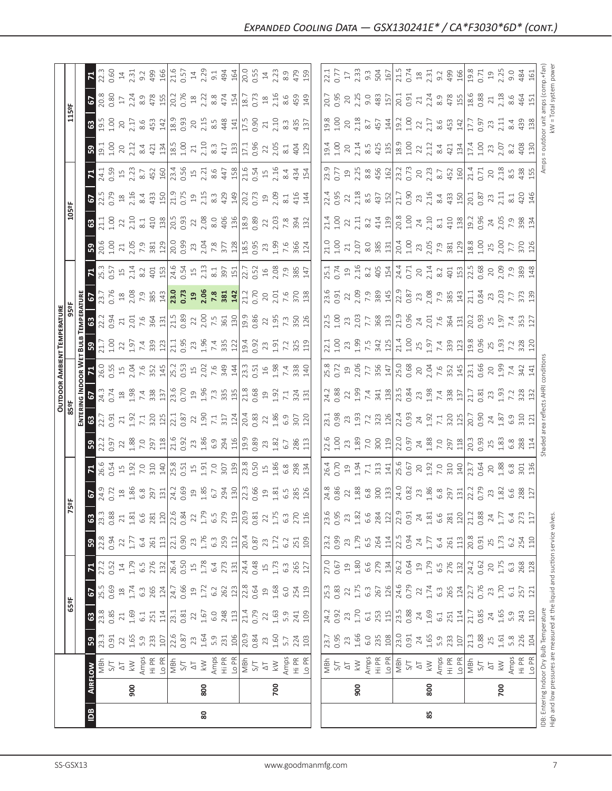|    |                |                                                                                            |                                  |                                        |                                           |                           |                                                                               |                                                                |                                                                                                                                                                                                                                                                                                                                                   |                                                                                                                                                                                                                                                                                                           |                                                                                                                                                                                                                                                                                                               |                                                                                                                                                                                                                                                                                                                        |                                                                                                                                                                                                                                                                                                                             | <b>OUTDOOR AMBIENT TEMPERATURE</b>                                                                                                                                                                                                                                                                  |                                                                                                                                                                                                                                  |                                                                                                                                                                                                                                                                                                             |                                                                                                                                                                                                                                                                                                 |                                                                                                                                                                                                                                                                                             |                                                                                                                                                                                                                                                                                                                                                                          |                                                                                                                                                                                                                                                                                                                                                                     |                                                                                                                                                                                                                                                                                                                                                   |                                                                                                                                                                                                                                                                                                                                                                                                                                                                 |                                                                                                  |                        |                                                   |                                                                     |
|----|----------------|--------------------------------------------------------------------------------------------|----------------------------------|----------------------------------------|-------------------------------------------|---------------------------|-------------------------------------------------------------------------------|----------------------------------------------------------------|---------------------------------------------------------------------------------------------------------------------------------------------------------------------------------------------------------------------------------------------------------------------------------------------------------------------------------------------------|-----------------------------------------------------------------------------------------------------------------------------------------------------------------------------------------------------------------------------------------------------------------------------------------------------------|---------------------------------------------------------------------------------------------------------------------------------------------------------------------------------------------------------------------------------------------------------------------------------------------------------------|------------------------------------------------------------------------------------------------------------------------------------------------------------------------------------------------------------------------------------------------------------------------------------------------------------------------|-----------------------------------------------------------------------------------------------------------------------------------------------------------------------------------------------------------------------------------------------------------------------------------------------------------------------------|-----------------------------------------------------------------------------------------------------------------------------------------------------------------------------------------------------------------------------------------------------------------------------------------------------|----------------------------------------------------------------------------------------------------------------------------------------------------------------------------------------------------------------------------------|-------------------------------------------------------------------------------------------------------------------------------------------------------------------------------------------------------------------------------------------------------------------------------------------------------------|-------------------------------------------------------------------------------------------------------------------------------------------------------------------------------------------------------------------------------------------------------------------------------------------------|---------------------------------------------------------------------------------------------------------------------------------------------------------------------------------------------------------------------------------------------------------------------------------------------|--------------------------------------------------------------------------------------------------------------------------------------------------------------------------------------------------------------------------------------------------------------------------------------------------------------------------------------------------------------------------|---------------------------------------------------------------------------------------------------------------------------------------------------------------------------------------------------------------------------------------------------------------------------------------------------------------------------------------------------------------------|---------------------------------------------------------------------------------------------------------------------------------------------------------------------------------------------------------------------------------------------------------------------------------------------------------------------------------------------------|-----------------------------------------------------------------------------------------------------------------------------------------------------------------------------------------------------------------------------------------------------------------------------------------------------------------------------------------------------------------------------------------------------------------------------------------------------------------|--------------------------------------------------------------------------------------------------|------------------------|---------------------------------------------------|---------------------------------------------------------------------|
|    |                |                                                                                            |                                  | 65°F                                   |                                           |                           |                                                                               |                                                                | 5º                                                                                                                                                                                                                                                                                                                                                |                                                                                                                                                                                                                                                                                                           |                                                                                                                                                                                                                                                                                                               |                                                                                                                                                                                                                                                                                                                        |                                                                                                                                                                                                                                                                                                                             |                                                                                                                                                                                                                                                                                                     |                                                                                                                                                                                                                                  |                                                                                                                                                                                                                                                                                                             |                                                                                                                                                                                                                                                                                                 |                                                                                                                                                                                                                                                                                             |                                                                                                                                                                                                                                                                                                                                                                          | 105°F                                                                                                                                                                                                                                                                                                                                                               |                                                                                                                                                                                                                                                                                                                                                   |                                                                                                                                                                                                                                                                                                                                                                                                                                                                 |                                                                                                  | 115°F                  |                                                   |                                                                     |
|    |                |                                                                                            |                                  |                                        |                                           |                           |                                                                               |                                                                |                                                                                                                                                                                                                                                                                                                                                   |                                                                                                                                                                                                                                                                                                           |                                                                                                                                                                                                                                                                                                               | ENTERI                                                                                                                                                                                                                                                                                                                 |                                                                                                                                                                                                                                                                                                                             | NG INDOOR WET                                                                                                                                                                                                                                                                                       | BULB                                                                                                                                                                                                                             | <b>TEMPERATURE</b>                                                                                                                                                                                                                                                                                          |                                                                                                                                                                                                                                                                                                 |                                                                                                                                                                                                                                                                                             |                                                                                                                                                                                                                                                                                                                                                                          |                                                                                                                                                                                                                                                                                                                                                                     |                                                                                                                                                                                                                                                                                                                                                   |                                                                                                                                                                                                                                                                                                                                                                                                                                                                 |                                                                                                  |                        |                                                   |                                                                     |
| ₿  | <b>AIRFLOW</b> |                                                                                            | ${\tt S3}$                       | $\mathbf{G}$                           |                                           | $\mathbf{z}$              | ${\bf 59}$                                                                    | $\mathbf{G}$                                                   |                                                                                                                                                                                                                                                                                                                                                   |                                                                                                                                                                                                                                                                                                           | 5 <sup>2</sup>                                                                                                                                                                                                                                                                                                | $\mathbf{G}$                                                                                                                                                                                                                                                                                                           |                                                                                                                                                                                                                                                                                                                             | $7\frac{1}{20}$                                                                                                                                                                                                                                                                                     | $\mathbf{B}$                                                                                                                                                                                                                     |                                                                                                                                                                                                                                                                                                             |                                                                                                                                                                                                                                                                                                 |                                                                                                                                                                                                                                                                                             |                                                                                                                                                                                                                                                                                                                                                                          | 63                                                                                                                                                                                                                                                                                                                                                                  |                                                                                                                                                                                                                                                                                                                                                   |                                                                                                                                                                                                                                                                                                                                                                                                                                                                 |                                                                                                  | $\frac{3}{19}$         |                                                   |                                                                     |
|    |                | TS<br>S/T                                                                                  | 23.3<br>0.91                     | 23.8<br>0.85                           | <b>67</b><br>25.5                         | 27.2<br>0.52              | $22.8$<br>0.94                                                                | 0.88<br>23.3                                                   | 67<br>24.9<br>0.72                                                                                                                                                                                                                                                                                                                                | 26.6<br>0.54                                                                                                                                                                                                                                                                                              | 22.2<br>0.97                                                                                                                                                                                                                                                                                                  | 22.7                                                                                                                                                                                                                                                                                                                   | 67<br>24.3<br>0.74                                                                                                                                                                                                                                                                                                          |                                                                                                                                                                                                                                                                                                     | $\begin{array}{c} 21.7 \\ 1.00 \\ 1.9 \\ 1.9 \\ 7.4 \\ \end{array}$                                                                                                                                                              | 22.2<br>0.94                                                                                                                                                                                                                                                                                                | 67<br>23.7<br>0.76                                                                                                                                                                                                                                                                              |                                                                                                                                                                                                                                                                                             | <mark>ន</mark> ា នី ទី                                                                                                                                                                                                                                                                                                                                                   | $\begin{array}{c} 21.1 \\ 1.00 \\ 2.10 \\ 2.10 \\ 3.11 \\ 410 \\ \end{array}$                                                                                                                                                                                                                                                                                       | <b>67</b><br>22.5                                                                                                                                                                                                                                                                                                                                 |                                                                                                                                                                                                                                                                                                                                                                                                                                                                 |                                                                                                  | 1.00                   | <b>67</b><br>20.8                                 | 22.3<br><b>0.60</b>                                                 |
|    |                | $\overline{\mathbb{Q}}$                                                                    |                                  |                                        |                                           |                           |                                                                               | $21\,$                                                         |                                                                                                                                                                                                                                                                                                                                                   |                                                                                                                                                                                                                                                                                                           |                                                                                                                                                                                                                                                                                                               |                                                                                                                                                                                                                                                                                                                        |                                                                                                                                                                                                                                                                                                                             |                                                                                                                                                                                                                                                                                                     |                                                                                                                                                                                                                                  |                                                                                                                                                                                                                                                                                                             |                                                                                                                                                                                                                                                                                                 |                                                                                                                                                                                                                                                                                             |                                                                                                                                                                                                                                                                                                                                                                          |                                                                                                                                                                                                                                                                                                                                                                     |                                                                                                                                                                                                                                                                                                                                                   |                                                                                                                                                                                                                                                                                                                                                                                                                                                                 |                                                                                                  |                        |                                                   |                                                                     |
|    | 900            | $\geqslant$                                                                                | $22$<br>$1.65$<br>$5.9$<br>$233$ | 21<br>1.69<br>6.1<br>251               | 1.74                                      | $14$<br>1.79              | $\frac{22}{1.77}$                                                             | 1.81                                                           |                                                                                                                                                                                                                                                                                                                                                   | $\begin{array}{c} 1.5 \\ 1.92 \\ 7.0 \\ 310 \end{array}$                                                                                                                                                                                                                                                  | 22<br>1.88<br>7.97                                                                                                                                                                                                                                                                                            |                                                                                                                                                                                                                                                                                                                        |                                                                                                                                                                                                                                                                                                                             |                                                                                                                                                                                                                                                                                                     |                                                                                                                                                                                                                                  |                                                                                                                                                                                                                                                                                                             |                                                                                                                                                                                                                                                                                                 |                                                                                                                                                                                                                                                                                             |                                                                                                                                                                                                                                                                                                                                                                          |                                                                                                                                                                                                                                                                                                                                                                     |                                                                                                                                                                                                                                                                                                                                                   |                                                                                                                                                                                                                                                                                                                                                                                                                                                                 | $20^{2}$                                                                                         | $20$<br>$2.17$         | $17$<br>$2.24$                                    | $14$<br>$2.31$                                                      |
|    |                |                                                                                            |                                  |                                        | 6.3<br>265                                | 6.5<br>276                |                                                                               | $6.6$                                                          |                                                                                                                                                                                                                                                                                                                                                   |                                                                                                                                                                                                                                                                                                           |                                                                                                                                                                                                                                                                                                               |                                                                                                                                                                                                                                                                                                                        |                                                                                                                                                                                                                                                                                                                             |                                                                                                                                                                                                                                                                                                     |                                                                                                                                                                                                                                  |                                                                                                                                                                                                                                                                                                             |                                                                                                                                                                                                                                                                                                 |                                                                                                                                                                                                                                                                                             |                                                                                                                                                                                                                                                                                                                                                                          |                                                                                                                                                                                                                                                                                                                                                                     |                                                                                                                                                                                                                                                                                                                                                   |                                                                                                                                                                                                                                                                                                                                                                                                                                                                 | $8.4\,$                                                                                          |                        |                                                   |                                                                     |
|    |                | $\begin{array}{c}\n\text{Amps} \\ \text{Hi PR} \\ \text{L0 PR} \\ \text{NBF}\n\end{array}$ |                                  |                                        |                                           |                           | $64$ $13$                                                                     | 281                                                            | $\begin{array}{c}\n 28 \\  28 \\  30 \\  \hline\n 50 \\  75 \\  \hline\n 14 \\  0 \\  0 \\  \hline\n 0\n \end{array}$                                                                                                                                                                                                                             |                                                                                                                                                                                                                                                                                                           |                                                                                                                                                                                                                                                                                                               |                                                                                                                                                                                                                                                                                                                        |                                                                                                                                                                                                                                                                                                                             |                                                                                                                                                                                                                                                                                                     |                                                                                                                                                                                                                                  |                                                                                                                                                                                                                                                                                                             |                                                                                                                                                                                                                                                                                                 |                                                                                                                                                                                                                                                                                             | $\begin{array}{c}\n 11.63 \\  13.65 \\  15.67 \\  16.67 \\  17.68 \\  18.61 \\  19.63 \\  10.63 \\  15.63 \\  19.63 \\  19.63 \\  19.63 \\  19.63 \\  19.63 \\  19.63 \\  19.63 \\  19.63 \\  19.63 \\  19.63 \\  19.63 \\  19.63 \\  19.63 \\  19.63 \\  19.63 \\  19.63 \\  19.63 \\  19.63 \\  19.63 \\  19.63 \\  19.63 \\  1$                                       |                                                                                                                                                                                                                                                                                                                                                                     | $\begin{array}{c}\n 2.46 \\  2.47 \\  3.47 \\  4.47 \\  5.47 \\  6.47 \\  7.47 \\  7.47 \\  7.47 \\  7.47 \\  7.47 \\  7.47 \\  7.47 \\  7.47 \\  7.47 \\  7.47 \\  7.47 \\  7.47 \\  7.47 \\  7.47 \\  7.47 \\  7.47 \\  7.47 \\  7.47 \\  7.47 \\  7.47 \\  7.47 \\  7.47 \\  7.47 \\  7.47 \\  7.47 \\  7.47 \\  7.47 \\  7.47 \\  7.47 \\  7$ | $\begin{array}{cccccccccc} \mathcal{L}_1^1 & \mathcal{D}_1 & \mathcal{D}_2 & \mathcal{D}_3 & \mathcal{D}_4 & \mathcal{D}_5 & \mathcal{D}_6 & \mathcal{D}_7 & \mathcal{D}_7 & \mathcal{D}_8 & \mathcal{D}_8 & \mathcal{D}_8 & \mathcal{D}_9 & \mathcal{D}_9 & \mathcal{D}_9 & \mathcal{D}_9 & \mathcal{D}_9 & \mathcal{D}_9 & \mathcal{D}_9 & \mathcal{D}_9 & \mathcal{D}_9 & \mathcal{D}_9 & \mathcal{D}_9 & \mathcal{D}_9 & \mathcal{D}_9 & \mathcal{D}_9 & \$ | 421                                                                                              | 8.6<br>453             | 8.9<br>478<br>150.76                              | $9.2$<br>$499$<br>$166$                                             |
|    |                |                                                                                            | 107                              | 114                                    |                                           | $\frac{32}{2}$            |                                                                               | 22.6<br>$\frac{20}{2}$                                         |                                                                                                                                                                                                                                                                                                                                                   |                                                                                                                                                                                                                                                                                                           | $\frac{18}{1}$                                                                                                                                                                                                                                                                                                |                                                                                                                                                                                                                                                                                                                        |                                                                                                                                                                                                                                                                                                                             |                                                                                                                                                                                                                                                                                                     |                                                                                                                                                                                                                                  |                                                                                                                                                                                                                                                                                                             |                                                                                                                                                                                                                                                                                                 |                                                                                                                                                                                                                                                                                             |                                                                                                                                                                                                                                                                                                                                                                          |                                                                                                                                                                                                                                                                                                                                                                     |                                                                                                                                                                                                                                                                                                                                                   |                                                                                                                                                                                                                                                                                                                                                                                                                                                                 | $\frac{134}{ }$                                                                                  | $\frac{142}{2}$        |                                                   |                                                                     |
|    |                |                                                                                            | 22.6                             | 23.1<br>0.81                           | $\frac{124}{24.7}$                        | 26.4<br>0.50              | $22.1$<br>0.90                                                                | 0.84                                                           |                                                                                                                                                                                                                                                                                                                                                   | $\frac{14}{15}$ $\frac{18}{15}$ $\frac{18}{15}$ $\frac{15}{15}$ $\frac{15}{15}$ $\frac{15}{15}$ $\frac{15}{15}$ $\frac{15}{15}$ $\frac{15}{15}$ $\frac{15}{15}$ $\frac{15}{15}$ $\frac{15}{15}$ $\frac{15}{15}$ $\frac{15}{15}$ $\frac{15}{15}$ $\frac{15}{15}$ $\frac{15}{15}$ $\frac{15}{15}$ $\frac{1$ |                                                                                                                                                                                                                                                                                                               |                                                                                                                                                                                                                                                                                                                        |                                                                                                                                                                                                                                                                                                                             |                                                                                                                                                                                                                                                                                                     | $\begin{array}{c} 123 \\ 21.1 \\ 0.95 \\ 2.3 \\ 1.96 \\ 7.4 \\ 335 \\ 122 \\ \end{array}$                                                                                                                                        |                                                                                                                                                                                                                                                                                                             |                                                                                                                                                                                                                                                                                                 |                                                                                                                                                                                                                                                                                             |                                                                                                                                                                                                                                                                                                                                                                          | $\frac{18}{18}$ $\frac{18}{18}$ $\frac{18}{18}$ $\frac{18}{18}$ $\frac{18}{18}$ $\frac{18}{18}$ $\frac{18}{18}$ $\frac{18}{18}$ $\frac{18}{18}$ $\frac{18}{18}$ $\frac{18}{18}$ $\frac{18}{18}$ $\frac{18}{18}$ $\frac{18}{18}$ $\frac{18}{18}$ $\frac{18}{18}$ $\frac{18}{18}$ $\frac{18}{18}$ $\frac{1$                                                           |                                                                                                                                                                                                                                                                                                                                                   |                                                                                                                                                                                                                                                                                                                                                                                                                                                                 | 1.00<br>$\overline{18.5}$                                                                        | 18.9<br>0.93           |                                                   | 21.6<br>0.57<br>14<br>2.29                                          |
|    |                | $\Delta \overline{1}$                                                                      |                                  |                                        |                                           |                           | 23                                                                            | $22\,$                                                         |                                                                                                                                                                                                                                                                                                                                                   |                                                                                                                                                                                                                                                                                                           |                                                                                                                                                                                                                                                                                                               |                                                                                                                                                                                                                                                                                                                        |                                                                                                                                                                                                                                                                                                                             |                                                                                                                                                                                                                                                                                                     |                                                                                                                                                                                                                                  |                                                                                                                                                                                                                                                                                                             |                                                                                                                                                                                                                                                                                                 |                                                                                                                                                                                                                                                                                             |                                                                                                                                                                                                                                                                                                                                                                          |                                                                                                                                                                                                                                                                                                                                                                     |                                                                                                                                                                                                                                                                                                                                                   |                                                                                                                                                                                                                                                                                                                                                                                                                                                                 |                                                                                                  |                        |                                                   |                                                                     |
| 80 | 800            | $\lesssim$                                                                                 | $23$<br>1.64                     | $22$<br>1.67                           | $1.72$<br>$6.2$                           | $1.78$<br>$6.4$           |                                                                               |                                                                |                                                                                                                                                                                                                                                                                                                                                   |                                                                                                                                                                                                                                                                                                           |                                                                                                                                                                                                                                                                                                               |                                                                                                                                                                                                                                                                                                                        |                                                                                                                                                                                                                                                                                                                             |                                                                                                                                                                                                                                                                                                     |                                                                                                                                                                                                                                  |                                                                                                                                                                                                                                                                                                             |                                                                                                                                                                                                                                                                                                 |                                                                                                                                                                                                                                                                                             |                                                                                                                                                                                                                                                                                                                                                                          |                                                                                                                                                                                                                                                                                                                                                                     |                                                                                                                                                                                                                                                                                                                                                   |                                                                                                                                                                                                                                                                                                                                                                                                                                                                 | 2.10                                                                                             | $20^{2}$               | $\frac{18}{2.28}$                                 |                                                                     |
|    |                |                                                                                            |                                  |                                        |                                           |                           | $1.76$<br>6.3                                                                 |                                                                |                                                                                                                                                                                                                                                                                                                                                   |                                                                                                                                                                                                                                                                                                           |                                                                                                                                                                                                                                                                                                               |                                                                                                                                                                                                                                                                                                                        |                                                                                                                                                                                                                                                                                                                             |                                                                                                                                                                                                                                                                                                     |                                                                                                                                                                                                                                  |                                                                                                                                                                                                                                                                                                             |                                                                                                                                                                                                                                                                                                 |                                                                                                                                                                                                                                                                                             |                                                                                                                                                                                                                                                                                                                                                                          |                                                                                                                                                                                                                                                                                                                                                                     |                                                                                                                                                                                                                                                                                                                                                   |                                                                                                                                                                                                                                                                                                                                                                                                                                                                 | $8.\overline{3}$<br>417                                                                          | $8.\overline{5}$       |                                                   | 9.1                                                                 |
|    |                | Amps<br>Hi PR<br>Lo PR                                                                     | 5.9<br>231<br>106                | 6.0<br>248<br>113                      | $\frac{262}{123}$<br>0.64                 | 273                       | 259<br>112                                                                    | $1.79$<br>$6.5$<br>$779$<br>$119$                              |                                                                                                                                                                                                                                                                                                                                                   |                                                                                                                                                                                                                                                                                                           |                                                                                                                                                                                                                                                                                                               |                                                                                                                                                                                                                                                                                                                        |                                                                                                                                                                                                                                                                                                                             |                                                                                                                                                                                                                                                                                                     |                                                                                                                                                                                                                                  |                                                                                                                                                                                                                                                                                                             |                                                                                                                                                                                                                                                                                                 |                                                                                                                                                                                                                                                                                             |                                                                                                                                                                                                                                                                                                                                                                          |                                                                                                                                                                                                                                                                                                                                                                     |                                                                                                                                                                                                                                                                                                                                                   |                                                                                                                                                                                                                                                                                                                                                                                                                                                                 |                                                                                                  | 448                    | 474<br>154                                        | 494<br>164                                                          |
|    |                |                                                                                            |                                  |                                        |                                           |                           |                                                                               |                                                                |                                                                                                                                                                                                                                                                                                                                                   |                                                                                                                                                                                                                                                                                                           |                                                                                                                                                                                                                                                                                                               |                                                                                                                                                                                                                                                                                                                        |                                                                                                                                                                                                                                                                                                                             |                                                                                                                                                                                                                                                                                                     |                                                                                                                                                                                                                                  |                                                                                                                                                                                                                                                                                                             |                                                                                                                                                                                                                                                                                                 |                                                                                                                                                                                                                                                                                             |                                                                                                                                                                                                                                                                                                                                                                          |                                                                                                                                                                                                                                                                                                                                                                     |                                                                                                                                                                                                                                                                                                                                                   |                                                                                                                                                                                                                                                                                                                                                                                                                                                                 | 133                                                                                              |                        |                                                   |                                                                     |
|    |                | $\frac{1}{2}$                                                                              | $\frac{20.9}{0.84}$              | 21.4<br>0.79                           |                                           | $24.4$<br>0.48            | $20.4$<br>0.87                                                                | 20.9                                                           |                                                                                                                                                                                                                                                                                                                                                   |                                                                                                                                                                                                                                                                                                           |                                                                                                                                                                                                                                                                                                               | $20.4$<br>$0.83$<br>$2.2$<br>$1.86$<br>$0.9$                                                                                                                                                                                                                                                                           | $\begin{array}{c} 21.8 \\ 21.8 \\ 1.9 \\ 1.1 \\ 7.1 \\ 31 \\ 1.31 \\ \end{array}$                                                                                                                                                                                                                                           | 23.3<br>0.51                                                                                                                                                                                                                                                                                        | 19.4<br>0.92                                                                                                                                                                                                                     | 19.86<br>0.86<br>2 2 5 7 3 5 0 5 12                                                                                                                                                                                                                                                                         | 21.2<br>0.70                                                                                                                                                                                                                                                                                    |                                                                                                                                                                                                                                                                                             | $\frac{18.5}{2.9}$ $\frac{3}{2}$ $\frac{3}{2}$ $\frac{6}{2}$ $\frac{6}{2}$ $\frac{6}{2}$ $\frac{6}{2}$                                                                                                                                                                                                                                                                   |                                                                                                                                                                                                                                                                                                                                                                     |                                                                                                                                                                                                                                                                                                                                                   |                                                                                                                                                                                                                                                                                                                                                                                                                                                                 | 17.1                                                                                             | 17.5                   | 18.7                                              | 20.0<br>0.55                                                        |
|    |                |                                                                                            |                                  |                                        |                                           |                           |                                                                               | 0.81                                                           |                                                                                                                                                                                                                                                                                                                                                   |                                                                                                                                                                                                                                                                                                           |                                                                                                                                                                                                                                                                                                               |                                                                                                                                                                                                                                                                                                                        |                                                                                                                                                                                                                                                                                                                             |                                                                                                                                                                                                                                                                                                     |                                                                                                                                                                                                                                  |                                                                                                                                                                                                                                                                                                             |                                                                                                                                                                                                                                                                                                 |                                                                                                                                                                                                                                                                                             |                                                                                                                                                                                                                                                                                                                                                                          |                                                                                                                                                                                                                                                                                                                                                                     |                                                                                                                                                                                                                                                                                                                                                   |                                                                                                                                                                                                                                                                                                                                                                                                                                                                 | 0.96                                                                                             | 0.90                   | 0.73                                              |                                                                     |
|    |                | $\overline{\triangle}$                                                                     |                                  | 22                                     |                                           |                           | 23                                                                            |                                                                |                                                                                                                                                                                                                                                                                                                                                   |                                                                                                                                                                                                                                                                                                           |                                                                                                                                                                                                                                                                                                               |                                                                                                                                                                                                                                                                                                                        |                                                                                                                                                                                                                                                                                                                             |                                                                                                                                                                                                                                                                                                     |                                                                                                                                                                                                                                  |                                                                                                                                                                                                                                                                                                             |                                                                                                                                                                                                                                                                                                 |                                                                                                                                                                                                                                                                                             |                                                                                                                                                                                                                                                                                                                                                                          |                                                                                                                                                                                                                                                                                                                                                                     |                                                                                                                                                                                                                                                                                                                                                   |                                                                                                                                                                                                                                                                                                                                                                                                                                                                 |                                                                                                  | 21                     | $^{28}$                                           |                                                                     |
|    | 700            | $\lesssim$                                                                                 | $23$<br>1.60                     | 1.63                                   | 1.68                                      | 1.73                      | 1.72                                                                          |                                                                | 1.81                                                                                                                                                                                                                                                                                                                                              |                                                                                                                                                                                                                                                                                                           |                                                                                                                                                                                                                                                                                                               |                                                                                                                                                                                                                                                                                                                        |                                                                                                                                                                                                                                                                                                                             | $198$<br>$748$<br>$788$<br>$740$                                                                                                                                                                                                                                                                    | $23 \n1.91$                                                                                                                                                                                                                      |                                                                                                                                                                                                                                                                                                             |                                                                                                                                                                                                                                                                                                 |                                                                                                                                                                                                                                                                                             |                                                                                                                                                                                                                                                                                                                                                                          |                                                                                                                                                                                                                                                                                                                                                                     | 2.09                                                                                                                                                                                                                                                                                                                                              |                                                                                                                                                                                                                                                                                                                                                                                                                                                                 | 2.05                                                                                             | 2.10                   | 2.16                                              | $\frac{14}{2.23}$                                                   |
|    |                |                                                                                            | 5.7                              |                                        | 6.0                                       | $6.\overline{3}$          | 6.2                                                                           |                                                                |                                                                                                                                                                                                                                                                                                                                                   |                                                                                                                                                                                                                                                                                                           |                                                                                                                                                                                                                                                                                                               |                                                                                                                                                                                                                                                                                                                        |                                                                                                                                                                                                                                                                                                                             |                                                                                                                                                                                                                                                                                                     |                                                                                                                                                                                                                                  |                                                                                                                                                                                                                                                                                                             |                                                                                                                                                                                                                                                                                                 |                                                                                                                                                                                                                                                                                             |                                                                                                                                                                                                                                                                                                                                                                          |                                                                                                                                                                                                                                                                                                                                                                     | 8.1                                                                                                                                                                                                                                                                                                                                               |                                                                                                                                                                                                                                                                                                                                                                                                                                                                 | $\overline{8.1}$                                                                                 | 8.3                    | 8.6                                               | 8.9                                                                 |
|    |                |                                                                                            |                                  | $5.9$<br>241                           |                                           |                           |                                                                               |                                                                |                                                                                                                                                                                                                                                                                                                                                   |                                                                                                                                                                                                                                                                                                           | 286                                                                                                                                                                                                                                                                                                           |                                                                                                                                                                                                                                                                                                                        |                                                                                                                                                                                                                                                                                                                             |                                                                                                                                                                                                                                                                                                     | $7.\overline{2}$<br>325                                                                                                                                                                                                          |                                                                                                                                                                                                                                                                                                             |                                                                                                                                                                                                                                                                                                 |                                                                                                                                                                                                                                                                                             |                                                                                                                                                                                                                                                                                                                                                                          |                                                                                                                                                                                                                                                                                                                                                                     | 416                                                                                                                                                                                                                                                                                                                                               | 434                                                                                                                                                                                                                                                                                                                                                                                                                                                             | 404                                                                                              | 435                    | 459                                               | 479                                                                 |
|    |                | Amps<br>Hi PR<br>Lo PR                                                                     | 224<br>103                       | 109                                    | 254<br>119                                | 265<br>127                | 251<br>109                                                                    | $\begin{array}{c} 22 \\ 1.75 \\ 6.3 \\ 270 \\ 116 \end{array}$ | G.5<br>285<br>126                                                                                                                                                                                                                                                                                                                                 | 134                                                                                                                                                                                                                                                                                                       | 113                                                                                                                                                                                                                                                                                                           | 307<br>120                                                                                                                                                                                                                                                                                                             |                                                                                                                                                                                                                                                                                                                             |                                                                                                                                                                                                                                                                                                     | 119                                                                                                                                                                                                                              |                                                                                                                                                                                                                                                                                                             | $20,000$<br>$7,600$<br>$7,600$                                                                                                                                                                                                                                                                  |                                                                                                                                                                                                                                                                                             | 124                                                                                                                                                                                                                                                                                                                                                                      |                                                                                                                                                                                                                                                                                                                                                                     | 144                                                                                                                                                                                                                                                                                                                                               | 154                                                                                                                                                                                                                                                                                                                                                                                                                                                             | 129                                                                                              | 137                    | 149                                               | 159                                                                 |
|    |                |                                                                                            |                                  |                                        |                                           |                           |                                                                               |                                                                |                                                                                                                                                                                                                                                                                                                                                   |                                                                                                                                                                                                                                                                                                           |                                                                                                                                                                                                                                                                                                               |                                                                                                                                                                                                                                                                                                                        |                                                                                                                                                                                                                                                                                                                             |                                                                                                                                                                                                                                                                                                     |                                                                                                                                                                                                                                  |                                                                                                                                                                                                                                                                                                             |                                                                                                                                                                                                                                                                                                 |                                                                                                                                                                                                                                                                                             |                                                                                                                                                                                                                                                                                                                                                                          |                                                                                                                                                                                                                                                                                                                                                                     |                                                                                                                                                                                                                                                                                                                                                   |                                                                                                                                                                                                                                                                                                                                                                                                                                                                 |                                                                                                  |                        |                                                   |                                                                     |
|    |                |                                                                                            | 23.7                             |                                        | 25.3                                      |                           | 23.2<br>0.99                                                                  | 23.6                                                           | 24.8                                                                                                                                                                                                                                                                                                                                              | 26.4                                                                                                                                                                                                                                                                                                      | 22.6                                                                                                                                                                                                                                                                                                          | 23.1                                                                                                                                                                                                                                                                                                                   | 24.2                                                                                                                                                                                                                                                                                                                        | 25.8                                                                                                                                                                                                                                                                                                | 22.1                                                                                                                                                                                                                             | 22.5                                                                                                                                                                                                                                                                                                        | 23.6                                                                                                                                                                                                                                                                                            | 25.1                                                                                                                                                                                                                                                                                        | 21.0                                                                                                                                                                                                                                                                                                                                                                     | 21.4                                                                                                                                                                                                                                                                                                                                                                | 22.4                                                                                                                                                                                                                                                                                                                                              | 23.9                                                                                                                                                                                                                                                                                                                                                                                                                                                            | 19.4                                                                                             | 19.8                   | 20.7                                              | 22.1                                                                |
|    |                |                                                                                            | 0.95                             | 24.2<br>0.92                           | 0.83                                      | 27.0<br>0.67              |                                                                               | 0.95                                                           | 0.86                                                                                                                                                                                                                                                                                                                                              | 0.70                                                                                                                                                                                                                                                                                                      |                                                                                                                                                                                                                                                                                                               | <b>3.98</b>                                                                                                                                                                                                                                                                                                            | 0.88                                                                                                                                                                                                                                                                                                                        |                                                                                                                                                                                                                                                                                                     |                                                                                                                                                                                                                                  |                                                                                                                                                                                                                                                                                                             | 0.91                                                                                                                                                                                                                                                                                            |                                                                                                                                                                                                                                                                                             | 001                                                                                                                                                                                                                                                                                                                                                                      | 001                                                                                                                                                                                                                                                                                                                                                                 | 0.95                                                                                                                                                                                                                                                                                                                                              |                                                                                                                                                                                                                                                                                                                                                                                                                                                                 | 1.00                                                                                             | 1.00                   | 0.95                                              | 0.77                                                                |
|    |                | 다 강<br>지도                                                                                  | $23$                             | 23                                     |                                           | $\Xi$                     | 23                                                                            | 23                                                             | 22                                                                                                                                                                                                                                                                                                                                                | $\overline{19}$                                                                                                                                                                                                                                                                                           | $1.00$<br>$23$                                                                                                                                                                                                                                                                                                |                                                                                                                                                                                                                                                                                                                        |                                                                                                                                                                                                                                                                                                                             |                                                                                                                                                                                                                                                                                                     |                                                                                                                                                                                                                                  |                                                                                                                                                                                                                                                                                                             |                                                                                                                                                                                                                                                                                                 |                                                                                                                                                                                                                                                                                             |                                                                                                                                                                                                                                                                                                                                                                          |                                                                                                                                                                                                                                                                                                                                                                     |                                                                                                                                                                                                                                                                                                                                                   |                                                                                                                                                                                                                                                                                                                                                                                                                                                                 | 20                                                                                               |                        | $20$                                              | $17\,$                                                              |
|    | 900            | $\lesssim$                                                                                 | 1.66                             | 1.70                                   | $22 \n1.75$                               | 1.80                      | $1.79$<br>6.5                                                                 | $1.82$<br>6.6                                                  |                                                                                                                                                                                                                                                                                                                                                   | 1.94                                                                                                                                                                                                                                                                                                      |                                                                                                                                                                                                                                                                                                               |                                                                                                                                                                                                                                                                                                                        |                                                                                                                                                                                                                                                                                                                             |                                                                                                                                                                                                                                                                                                     |                                                                                                                                                                                                                                  |                                                                                                                                                                                                                                                                                                             |                                                                                                                                                                                                                                                                                                 |                                                                                                                                                                                                                                                                                             |                                                                                                                                                                                                                                                                                                                                                                          |                                                                                                                                                                                                                                                                                                                                                                     |                                                                                                                                                                                                                                                                                                                                                   |                                                                                                                                                                                                                                                                                                                                                                                                                                                                 | 2.14                                                                                             | $20^{20}_{2.18}$       | 2.25                                              | $2.\overline{33}$<br>9.3                                            |
|    |                |                                                                                            | 6.0                              | $6.1\,$                                |                                           | 6.6                       |                                                                               |                                                                |                                                                                                                                                                                                                                                                                                                                                   | 7.1                                                                                                                                                                                                                                                                                                       |                                                                                                                                                                                                                                                                                                               |                                                                                                                                                                                                                                                                                                                        |                                                                                                                                                                                                                                                                                                                             |                                                                                                                                                                                                                                                                                                     |                                                                                                                                                                                                                                  |                                                                                                                                                                                                                                                                                                             |                                                                                                                                                                                                                                                                                                 |                                                                                                                                                                                                                                                                                             |                                                                                                                                                                                                                                                                                                                                                                          |                                                                                                                                                                                                                                                                                                                                                                     |                                                                                                                                                                                                                                                                                                                                                   |                                                                                                                                                                                                                                                                                                                                                                                                                                                                 |                                                                                                  | $8.7\,$                | 9.0                                               |                                                                     |
|    |                |                                                                                            | 235                              |                                        |                                           |                           |                                                                               | 284                                                            |                                                                                                                                                                                                                                                                                                                                                   |                                                                                                                                                                                                                                                                                                           |                                                                                                                                                                                                                                                                                                               |                                                                                                                                                                                                                                                                                                                        |                                                                                                                                                                                                                                                                                                                             |                                                                                                                                                                                                                                                                                                     |                                                                                                                                                                                                                                  |                                                                                                                                                                                                                                                                                                             |                                                                                                                                                                                                                                                                                                 |                                                                                                                                                                                                                                                                                             |                                                                                                                                                                                                                                                                                                                                                                          |                                                                                                                                                                                                                                                                                                                                                                     |                                                                                                                                                                                                                                                                                                                                                   |                                                                                                                                                                                                                                                                                                                                                                                                                                                                 |                                                                                                  | 457                    |                                                   |                                                                     |
|    |                |                                                                                            | 108                              |                                        |                                           | 279                       |                                                                               | 122                                                            |                                                                                                                                                                                                                                                                                                                                                   |                                                                                                                                                                                                                                                                                                           |                                                                                                                                                                                                                                                                                                               |                                                                                                                                                                                                                                                                                                                        |                                                                                                                                                                                                                                                                                                                             |                                                                                                                                                                                                                                                                                                     |                                                                                                                                                                                                                                  |                                                                                                                                                                                                                                                                                                             |                                                                                                                                                                                                                                                                                                 |                                                                                                                                                                                                                                                                                             |                                                                                                                                                                                                                                                                                                                                                                          |                                                                                                                                                                                                                                                                                                                                                                     |                                                                                                                                                                                                                                                                                                                                                   |                                                                                                                                                                                                                                                                                                                                                                                                                                                                 |                                                                                                  | $\frac{144}{19.2}$     |                                                   | 504<br>167                                                          |
|    |                | Amps<br>Hi PR<br>Lo PR<br>S/T<br>S/T                                                       | 23.0<br>0.91                     | $253$ $\frac{115}{23}$ $\frac{88}{25}$ | 267<br>126<br>24.6<br>0.79                | 26.2<br>0.64              | $264$<br>$\frac{114}{22.5}$                                                   | 22.9                                                           |                                                                                                                                                                                                                                                                                                                                                   |                                                                                                                                                                                                                                                                                                           |                                                                                                                                                                                                                                                                                                               |                                                                                                                                                                                                                                                                                                                        |                                                                                                                                                                                                                                                                                                                             |                                                                                                                                                                                                                                                                                                     |                                                                                                                                                                                                                                  |                                                                                                                                                                                                                                                                                                             |                                                                                                                                                                                                                                                                                                 |                                                                                                                                                                                                                                                                                             |                                                                                                                                                                                                                                                                                                                                                                          |                                                                                                                                                                                                                                                                                                                                                                     |                                                                                                                                                                                                                                                                                                                                                   |                                                                                                                                                                                                                                                                                                                                                                                                                                                                 |                                                                                                  |                        | $483$<br>$151$<br>$291$<br>$0.91$                 | 21.5<br>0.74                                                        |
|    |                |                                                                                            |                                  |                                        |                                           |                           |                                                                               | 0.91                                                           |                                                                                                                                                                                                                                                                                                                                                   |                                                                                                                                                                                                                                                                                                           |                                                                                                                                                                                                                                                                                                               |                                                                                                                                                                                                                                                                                                                        |                                                                                                                                                                                                                                                                                                                             |                                                                                                                                                                                                                                                                                                     |                                                                                                                                                                                                                                  |                                                                                                                                                                                                                                                                                                             |                                                                                                                                                                                                                                                                                                 |                                                                                                                                                                                                                                                                                             |                                                                                                                                                                                                                                                                                                                                                                          |                                                                                                                                                                                                                                                                                                                                                                     |                                                                                                                                                                                                                                                                                                                                                   |                                                                                                                                                                                                                                                                                                                                                                                                                                                                 |                                                                                                  | 1.00                   |                                                   |                                                                     |
|    |                |                                                                                            |                                  | $24$ 1.69                              |                                           | $\Xi$                     | $24$<br>1.77                                                                  |                                                                |                                                                                                                                                                                                                                                                                                                                                   |                                                                                                                                                                                                                                                                                                           |                                                                                                                                                                                                                                                                                                               |                                                                                                                                                                                                                                                                                                                        |                                                                                                                                                                                                                                                                                                                             |                                                                                                                                                                                                                                                                                                     |                                                                                                                                                                                                                                  |                                                                                                                                                                                                                                                                                                             |                                                                                                                                                                                                                                                                                                 |                                                                                                                                                                                                                                                                                             |                                                                                                                                                                                                                                                                                                                                                                          |                                                                                                                                                                                                                                                                                                                                                                     |                                                                                                                                                                                                                                                                                                                                                   |                                                                                                                                                                                                                                                                                                                                                                                                                                                                 |                                                                                                  | 2.17                   | 2.24                                              |                                                                     |
| 85 | 800            | $\stackrel{\textstyle<}{\sim}$                                                             |                                  |                                        |                                           |                           |                                                                               |                                                                |                                                                                                                                                                                                                                                                                                                                                   |                                                                                                                                                                                                                                                                                                           |                                                                                                                                                                                                                                                                                                               |                                                                                                                                                                                                                                                                                                                        |                                                                                                                                                                                                                                                                                                                             |                                                                                                                                                                                                                                                                                                     |                                                                                                                                                                                                                                  |                                                                                                                                                                                                                                                                                                             |                                                                                                                                                                                                                                                                                                 |                                                                                                                                                                                                                                                                                             |                                                                                                                                                                                                                                                                                                                                                                          |                                                                                                                                                                                                                                                                                                                                                                     |                                                                                                                                                                                                                                                                                                                                                   |                                                                                                                                                                                                                                                                                                                                                                                                                                                                 |                                                                                                  |                        |                                                   |                                                                     |
|    |                |                                                                                            |                                  |                                        |                                           |                           | 6.4                                                                           |                                                                |                                                                                                                                                                                                                                                                                                                                                   |                                                                                                                                                                                                                                                                                                           |                                                                                                                                                                                                                                                                                                               |                                                                                                                                                                                                                                                                                                                        |                                                                                                                                                                                                                                                                                                                             |                                                                                                                                                                                                                                                                                                     |                                                                                                                                                                                                                                  |                                                                                                                                                                                                                                                                                                             |                                                                                                                                                                                                                                                                                                 |                                                                                                                                                                                                                                                                                             |                                                                                                                                                                                                                                                                                                                                                                          |                                                                                                                                                                                                                                                                                                                                                                     |                                                                                                                                                                                                                                                                                                                                                   |                                                                                                                                                                                                                                                                                                                                                                                                                                                                 |                                                                                                  |                        |                                                   |                                                                     |
|    |                | Amps<br>Hi PR                                                                              | $74$<br>$1.65$<br>$5.9$<br>$107$ | $6.1$<br>$251$<br>$114$                | $22$<br>$1.74$<br>$6.3$<br>$265$<br>$124$ | 1.79<br>6.5<br>276<br>132 | 261<br>113                                                                    | $\begin{array}{c} 24 \\ 1.81 \\ 6.6 \\ 281 \\ 120 \end{array}$ | $\begin{array}{c}\n 1.88 \\  6.83 \\  7.82 \\  8.83 \\  7.83 \\  7.84 \\  8.8 \\  7.85 \\  7.87 \\  7.86 \\  7.87 \\  7.87 \\  7.89 \\  7.89 \\  7.81 \\  7.83 \\  7.85 \\  7.87 \\  7.87 \\  7.89 \\  7.89 \\  7.89 \\  7.89 \\  7.89 \\  7.89 \\  7.89 \\  7.89 \\  7.89 \\  7.89 \\  7.89 \\  7.89 \\  7.89 \\  7.89 \\  7.89 \\  7.89 \\  7.$ |                                                                                                                                                                                                                                                                                                           | $\begin{array}{l} 1.89 \\ 7.89 \\ 8.10 \\ 1.20 \\ 1.30 \\ 1.30 \\ 1.30 \\ 1.30 \\ 1.30 \\ 1.30 \\ 1.30 \\ 1.30 \\ 1.30 \\ 1.30 \\ 1.30 \\ 1.30 \\ 1.30 \\ 1.30 \\ 1.30 \\ 1.30 \\ 1.30 \\ 1.30 \\ 1.30 \\ 1.30 \\ 1.30 \\ 1.30 \\ 1.30 \\ 1.30 \\ 1.30 \\ 1.30 \\ 1.30 \\ 1.30 \\ 1.30 \\ 1.30 \\ 1.30 \\ 1.$ | $\begin{array}{c}\n 23.937 \\  25.937 \\  27.837 \\  27.937 \\  27.937 \\  27.937 \\  27.937 \\  27.937 \\  27.937 \\  27.937 \\  27.937 \\  27.937 \\  27.937 \\  27.937 \\  27.937 \\  27.937 \\  27.937 \\  27.937 \\  27.937 \\  27.937 \\  27.937 \\  27.937 \\  27.937 \\  27.937 \\  27.937 \\  27.937 \\  27.$ | $\begin{array}{c} 229 \\ 219 \\ 747 \\ 81 \\ 123 \\ 131 \\ 133 \\ 142 \\ 154 \\ 163 \\ 135 \\ 136 \\ 137 \\ 138 \\ 139 \\ 131 \\ 131 \\ 131 \\ 132 \\ 143 \\ 144 \\ 154 \\ 163 \\ 181 \\ 181 \\ 182 \\ 183 \\ 191 \\ 191 \\ 132 \\ 133 \\ 134 \\ 135 \\ 136 \\ 137 \\ 138 \\ 139 \\ 139 \\ 139 \\ 139 \\ 139 \\ 139 \\ 139$ | $\begin{array}{l} 0.796 \\ 0.796 \\ 0.797 \\ 0.798 \\ 0.799 \\ 0.799 \\ 0.799 \\ 0.799 \\ 0.799 \\ 0.799 \\ 0.799 \\ 0.799 \\ 0.799 \\ 0.799 \\ 0.799 \\ 0.799 \\ 0.799 \\ 0.799 \\ 0.799 \\ 0.799 \\ 0.799 \\ 0.799 \\ 0.799 \\ 0.799 \\ 0.799 \\ 0.799 \\ 0.799 \\ 0.799 \\ 0.799 \\ 0.799 \\ 0.$ | $\frac{1}{2}$ to the state of the state of the state of the state of the state of the state of the state of the state of the state of the state of the state of the state of the state of the state of the state of the state of | $\frac{20}{2}$ $\frac{20}{2}$ $\frac{20}{2}$ $\frac{20}{2}$ $\frac{20}{2}$ $\frac{20}{2}$ $\frac{20}{2}$ $\frac{20}{2}$ $\frac{20}{2}$ $\frac{20}{2}$ $\frac{20}{2}$ $\frac{20}{2}$ $\frac{20}{2}$ $\frac{20}{2}$ $\frac{20}{2}$ $\frac{20}{2}$ $\frac{20}{2}$ $\frac{20}{2}$ $\frac{20}{2}$ $\frac{20}{2}$ |                                                                                                                                                                                                                                                                                                 |                                                                                                                                                                                                                                                                                             | $\frac{1}{2} \sum_{1}^{2} \sum_{1}^{2} \sum_{1}^{2} \sum_{1}^{2} \sum_{1}^{2} \sum_{1}^{2} \sum_{1}^{2} \sum_{1}^{2} \sum_{1}^{2} \sum_{1}^{2} \sum_{1}^{2} \sum_{1}^{2} \sum_{1}^{2} \sum_{1}^{2} \sum_{1}^{2} \sum_{1}^{2} \sum_{1}^{2} \sum_{1}^{2} \sum_{1}^{2} \sum_{1}^{2} \sum_{1}^{2} \sum_{1}^{2} \sum_{1}^{2} \sum_{1}^{2} \sum_{1}^{2} \sum_{1}^{2} \sum_{1}$ | $\begin{array}{c c c c c c c c} \text{2.5} & \text{2.5} & \text{2.5} & \text{2.5} & \text{2.5} & \text{2.5} & \text{2.5} & \text{2.5} & \text{2.5} & \text{2.5} & \text{2.5} & \text{2.5} & \text{2.5} & \text{2.5} & \text{2.5} & \text{2.5} & \text{2.5} & \text{2.5} & \text{2.5} & \text{2.5} & \text{2.5} & \text{2.5} & \text{2.5} & \text{2.5} & \text{2.5}$ | $\begin{array}{l} 22.385 \\ 22.385 \\ 23.43 \\ 24.5 \\ 25.6 \\ 26.7 \\ 27.8 \\ 28.4 \\ 29.4 \\ 20.4 \\ 21. \\ 22. \\ 23. \\ 24. \\ 26.4 \\ 27. \\ 28.4 \\ 29. \\ 29. \\ 21. \\ 22. \\ 23. \\ 24. \\ 25. \\ 26. \\ 27. \\ 28. \\ 29. \\ 29. \\ 21. \\ 22. \\ 23. \\ 24. \\ 25. \\ 27. \\ 29. \\ 29. \\ 29. \\ 29. \\ $                             | $\begin{array}{l} 0.77 \\ 2.9 \\ 2.3 \\ 8.4 \\ 9.6 \\ \hline \end{array}$                                                                                                                                                                                                                                                                                                                                                                                       | $\begin{bmatrix} 1 & 1 & 1 & 1 \\ 1 & 1 & 1 & 1 \\ 1 & 1 & 1 & 1 \\ 1 & 1 & 1 & 1 \end{bmatrix}$ | 8.6<br>453<br>142      | $\frac{8.9}{47}$ $\frac{15}{18.6}$ $\frac{6}{88}$ | $\begin{array}{c} 18 \\ 21 \\ 31 \\ 49 \\ 66 \\ \hline \end{array}$ |
|    |                | Lo PR                                                                                      |                                  |                                        |                                           |                           |                                                                               |                                                                |                                                                                                                                                                                                                                                                                                                                                   |                                                                                                                                                                                                                                                                                                           |                                                                                                                                                                                                                                                                                                               |                                                                                                                                                                                                                                                                                                                        |                                                                                                                                                                                                                                                                                                                             |                                                                                                                                                                                                                                                                                                     |                                                                                                                                                                                                                                  |                                                                                                                                                                                                                                                                                                             |                                                                                                                                                                                                                                                                                                 |                                                                                                                                                                                                                                                                                             |                                                                                                                                                                                                                                                                                                                                                                          |                                                                                                                                                                                                                                                                                                                                                                     |                                                                                                                                                                                                                                                                                                                                                   |                                                                                                                                                                                                                                                                                                                                                                                                                                                                 |                                                                                                  |                        |                                                   |                                                                     |
|    |                | $\frac{1}{2}$                                                                              | $21.3$<br>$0.88$                 | 21.7<br>0.85                           | 22.7                                      | 24.2                      | $20.8$<br>0.91                                                                | 21.2                                                           |                                                                                                                                                                                                                                                                                                                                                   |                                                                                                                                                                                                                                                                                                           |                                                                                                                                                                                                                                                                                                               |                                                                                                                                                                                                                                                                                                                        |                                                                                                                                                                                                                                                                                                                             |                                                                                                                                                                                                                                                                                                     |                                                                                                                                                                                                                                  |                                                                                                                                                                                                                                                                                                             |                                                                                                                                                                                                                                                                                                 |                                                                                                                                                                                                                                                                                             |                                                                                                                                                                                                                                                                                                                                                                          |                                                                                                                                                                                                                                                                                                                                                                     |                                                                                                                                                                                                                                                                                                                                                   | $\frac{21.4}{0.71}$                                                                                                                                                                                                                                                                                                                                                                                                                                             | $17.4$<br>$1.00$                                                                                 | 17.7<br>0.97           |                                                   | $\frac{19.8}{0.71}$                                                 |
|    |                |                                                                                            |                                  |                                        |                                           |                           |                                                                               | 0.88                                                           |                                                                                                                                                                                                                                                                                                                                                   |                                                                                                                                                                                                                                                                                                           |                                                                                                                                                                                                                                                                                                               |                                                                                                                                                                                                                                                                                                                        |                                                                                                                                                                                                                                                                                                                             |                                                                                                                                                                                                                                                                                                     |                                                                                                                                                                                                                                  |                                                                                                                                                                                                                                                                                                             |                                                                                                                                                                                                                                                                                                 |                                                                                                                                                                                                                                                                                             |                                                                                                                                                                                                                                                                                                                                                                          |                                                                                                                                                                                                                                                                                                                                                                     |                                                                                                                                                                                                                                                                                                                                                   |                                                                                                                                                                                                                                                                                                                                                                                                                                                                 |                                                                                                  |                        |                                                   |                                                                     |
|    |                | $\overline{\Delta}$                                                                        | $25$<br>1.61                     | $24$ 1.65                              | $23$<br>1.70                              | $20$<br>1.75              | $25$<br>1.73                                                                  | $24\,$                                                         |                                                                                                                                                                                                                                                                                                                                                   | $\frac{20}{1.88}$                                                                                                                                                                                                                                                                                         | $25$<br>$1.83$                                                                                                                                                                                                                                                                                                | 24<br>1.87                                                                                                                                                                                                                                                                                                             |                                                                                                                                                                                                                                                                                                                             |                                                                                                                                                                                                                                                                                                     |                                                                                                                                                                                                                                  |                                                                                                                                                                                                                                                                                                             |                                                                                                                                                                                                                                                                                                 |                                                                                                                                                                                                                                                                                             |                                                                                                                                                                                                                                                                                                                                                                          |                                                                                                                                                                                                                                                                                                                                                                     |                                                                                                                                                                                                                                                                                                                                                   |                                                                                                                                                                                                                                                                                                                                                                                                                                                                 | $23$<br>$2.07$                                                                                   | $23$<br>$2.11$         | $\sqrt{2}1$                                       | $19$<br>$2.25$                                                      |
|    | 700            | $\gtrapprox$                                                                               |                                  |                                        |                                           |                           |                                                                               | 1.77                                                           |                                                                                                                                                                                                                                                                                                                                                   |                                                                                                                                                                                                                                                                                                           |                                                                                                                                                                                                                                                                                                               |                                                                                                                                                                                                                                                                                                                        |                                                                                                                                                                                                                                                                                                                             |                                                                                                                                                                                                                                                                                                     |                                                                                                                                                                                                                                  |                                                                                                                                                                                                                                                                                                             |                                                                                                                                                                                                                                                                                                 |                                                                                                                                                                                                                                                                                             |                                                                                                                                                                                                                                                                                                                                                                          |                                                                                                                                                                                                                                                                                                                                                                     |                                                                                                                                                                                                                                                                                                                                                   |                                                                                                                                                                                                                                                                                                                                                                                                                                                                 |                                                                                                  |                        | 2.18                                              |                                                                     |
|    |                | Amps<br>Hi PR                                                                              | 5.8<br>226                       | 5.9<br>243                             | $6.1$                                     | $6.\overline{3}$          | 6.2                                                                           | 6.4                                                            |                                                                                                                                                                                                                                                                                                                                                   | $6.\overline{8}$                                                                                                                                                                                                                                                                                          | 6.8<br>288                                                                                                                                                                                                                                                                                                    | 6.9<br>310                                                                                                                                                                                                                                                                                                             | 23<br>1.93<br>7.2<br>328                                                                                                                                                                                                                                                                                                    |                                                                                                                                                                                                                                                                                                     |                                                                                                                                                                                                                                  |                                                                                                                                                                                                                                                                                                             |                                                                                                                                                                                                                                                                                                 |                                                                                                                                                                                                                                                                                             |                                                                                                                                                                                                                                                                                                                                                                          |                                                                                                                                                                                                                                                                                                                                                                     |                                                                                                                                                                                                                                                                                                                                                   |                                                                                                                                                                                                                                                                                                                                                                                                                                                                 |                                                                                                  | 8.4                    | 8.6                                               | 9.0                                                                 |
|    |                |                                                                                            |                                  |                                        | 257<br>121                                | 268<br>128                | 254<br>110                                                                    | 273<br>117                                                     | 23 G.S 82<br>52 G.S 82<br>12                                                                                                                                                                                                                                                                                                                      |                                                                                                                                                                                                                                                                                                           |                                                                                                                                                                                                                                                                                                               |                                                                                                                                                                                                                                                                                                                        |                                                                                                                                                                                                                                                                                                                             |                                                                                                                                                                                                                                                                                                     |                                                                                                                                                                                                                                  | $\begin{array}{c} 20.3 \\ 0.93 \\ 25 \\ 45 \\ 74 \\ 82 \\ 1 \end{array}$                                                                                                                                                                                                                                    | $\begin{array}{c} 2,0.5 & 0.5 & 0.5 \\ 0.5 & 0.5 & 0.5 \\ 0.5 & 0.5 & 0.5 \\ 0.5 & 0.5 & 0.5 \\ 0.5 & 0.5 & 0.5 \\ 0.5 & 0.5 & 0.5 \\ 0.5 & 0.5 & 0.5 \\ 0.5 & 0.5 & 0.5 \\ 0.5 & 0.5 & 0.5 \\ 0.5 & 0.5 & 0.5 \\ 0.5 & 0.5 & 0.5 \\ 0.5 & 0.5 & 0.5 \\ 0.5 & 0.5 & 0.5 \\ 0.5 & 0.5 & 0.5 \\ $ | $\begin{array}{l} 12.5 & 0.6 & 0.6 & 0.6 \\ 0.7 & 0.6 & 0.6 & 0.6 \\ 0.7 & 0.6 & 0.6 & 0.6 \\ 0.7 & 0.7 & 0.7 & 0.6 \\ 0.7 & 0.7 & 0.7 & 0.6 \\ 0.7 & 0.7 & 0.7 & 0.6 \\ 0.7 & 0.7 & 0.7 & 0.6 \\ 0.7 & 0.7 & 0.7 & 0.6 \\ 0.7 & 0.7 & 0.7 & 0.6 \\ 0.7 & 0.7 & 0.7 & 0.6 \\ 0.7 & 0.7 & 0$ |                                                                                                                                                                                                                                                                                                                                                                          | $210,98$<br>$79,88$<br>$134$                                                                                                                                                                                                                                                                                                                                        | 8.1<br>420<br>146                                                                                                                                                                                                                                                                                                                                 | $20.18$<br>$2.38$<br>$4.35$<br>$4.5$                                                                                                                                                                                                                                                                                                                                                                                                                            | $\frac{2}{3}$ 30                                                                                 | 439                    | 464<br>151                                        | 484                                                                 |
|    |                | Lo PR                                                                                      | 104                              | 110                                    |                                           |                           |                                                                               |                                                                |                                                                                                                                                                                                                                                                                                                                                   | 136                                                                                                                                                                                                                                                                                                       |                                                                                                                                                                                                                                                                                                               | 121                                                                                                                                                                                                                                                                                                                    |                                                                                                                                                                                                                                                                                                                             |                                                                                                                                                                                                                                                                                                     |                                                                                                                                                                                                                                  |                                                                                                                                                                                                                                                                                                             |                                                                                                                                                                                                                                                                                                 |                                                                                                                                                                                                                                                                                             | 126                                                                                                                                                                                                                                                                                                                                                                      |                                                                                                                                                                                                                                                                                                                                                                     |                                                                                                                                                                                                                                                                                                                                                   |                                                                                                                                                                                                                                                                                                                                                                                                                                                                 |                                                                                                  | 138                    |                                                   | 161                                                                 |
|    |                | IDB: Entering Indoor Dry Bulb Temperature                                                  |                                  |                                        |                                           |                           | High and low pressures are measured at the liquid and suction service valves. |                                                                |                                                                                                                                                                                                                                                                                                                                                   |                                                                                                                                                                                                                                                                                                           | shaded                                                                                                                                                                                                                                                                                                        | rea reflects AHRI                                                                                                                                                                                                                                                                                                      |                                                                                                                                                                                                                                                                                                                             | condition                                                                                                                                                                                                                                                                                           |                                                                                                                                                                                                                                  |                                                                                                                                                                                                                                                                                                             |                                                                                                                                                                                                                                                                                                 |                                                                                                                                                                                                                                                                                             |                                                                                                                                                                                                                                                                                                                                                                          |                                                                                                                                                                                                                                                                                                                                                                     |                                                                                                                                                                                                                                                                                                                                                   |                                                                                                                                                                                                                                                                                                                                                                                                                                                                 | outdoor unit                                                                                     | kW = Total system powe | amps (comp.+fan                                   |                                                                     |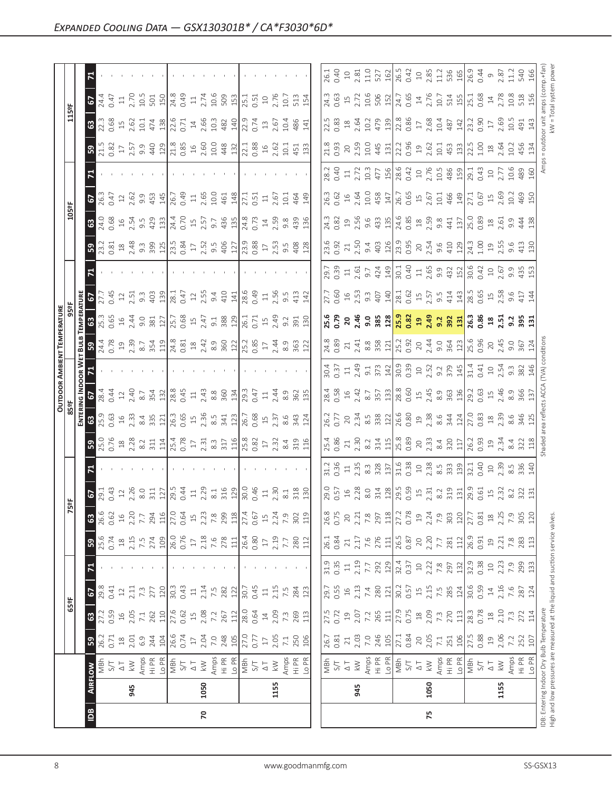|                     | 5                                     |                                                                                                                                                                                                                                                                                                                                                                                               |                                                                                      |                                                                                                                                                                                                                                                                                                                                                                                                                                                                      |                                  |                             |
|---------------------|---------------------------------------|-----------------------------------------------------------------------------------------------------------------------------------------------------------------------------------------------------------------------------------------------------------------------------------------------------------------------------------------------------------------------------------------------|--------------------------------------------------------------------------------------|----------------------------------------------------------------------------------------------------------------------------------------------------------------------------------------------------------------------------------------------------------------------------------------------------------------------------------------------------------------------------------------------------------------------------------------------------------------------|----------------------------------|-----------------------------|
|                     | 3                                     | $\frac{13}{23}$ $\frac{8}{6}$ $\frac{1}{23}$ $\frac{1}{24}$ $\frac{1}{24}$ $\frac{1}{24}$ $\frac{1}{24}$ $\frac{1}{24}$ $\frac{1}{24}$ $\frac{1}{24}$ $\frac{1}{24}$ $\frac{1}{24}$ $\frac{1}{24}$ $\frac{1}{24}$ $\frac{1}{24}$ $\frac{1}{24}$ $\frac{1}{24}$ $\frac{1}{24}$ $\frac{1}{24}$ $\frac{1}{24}$                                                                                   |                                                                                      |                                                                                                                                                                                                                                                                                                                                                                                                                                                                      |                                  |                             |
|                     | ခြွ                                   | $\begin{bmatrix} 1 & 0 & 0 & 0 & 0 \\ 0 & 0 & 0 & 0 & 0 \\ 0 & 0 & 0 & 0 & 0 \\ 0 & 0 & 0 & 0 & 0 \\ 0 & 0 & 0 & 0 & 0 \\ 0 & 0 & 0 & 0 & 0 \\ 0 & 0 & 0 & 0 & 0 \\ 0 & 0 & 0 & 0 & 0 \\ 0 & 0 & 0 & 0 & 0 \\ 0 & 0 & 0 & 0 & 0 \\ 0 & 0 & 0 & 0 & 0 \\ 0 & 0 & 0 & 0 & 0 \\ 0 & 0 & 0 & 0 & 0 \\ 0 & 0 & 0 & 0 & 0 \\ 0 & $                                                                  |                                                                                      | $\begin{bmatrix} 23 & 23 & 23 & 23 & 24 & 25 \\ 23 & 23 & 23 & 23 & 24 & 25 \\ 24 & 23 & 24 & 25 & 26 & 27 \\ 25 & 25 & 25 & 25 & 26 & 27 \\ 25 & 25 & 25 & 25 & 27 & 28 \\ 25 & 25 & 25 & 25 & 27 & 28 \\ 25 & 25 & 25 & 25 & 27 & 28 \\ 25 & 25 & 25 & 25 & 27 & 28 \\ 25 & 25 & 25 & 25 & 27 & 2$                                                                                                                                                                 |                                  |                             |
|                     | 티                                     |                                                                                                                                                                                                                                                                                                                                                                                               |                                                                                      |                                                                                                                                                                                                                                                                                                                                                                                                                                                                      |                                  |                             |
|                     | 67                                    | $\begin{array}{l} 26.75 & 27.75 & 27.75 & 27.75 & 27.75 & 27.75 & 27.75 & 27.75 & 27.75 & 27.75 & 27.75 & 27.75 & 27.75 & 27.75 & 27.75 & 27.75 & 27.75 & 27.75 & 27.75 & 27.75 & 27.75 & 27.75 & 27.75 & 27.75 & 27.75 & 27.75 & 27.75 & 27.75 & 27.75 & 27.75 & 27$                                                                                                                         |                                                                                      |                                                                                                                                                                                                                                                                                                                                                                                                                                                                      |                                  |                             |
|                     | 8                                     |                                                                                                                                                                                                                                                                                                                                                                                               |                                                                                      |                                                                                                                                                                                                                                                                                                                                                                                                                                                                      |                                  |                             |
|                     | ခြွ                                   | $\begin{array}{l} 23.81 & 24.81 & 25.81 & 26.81 & 27.81 & 28.81 & 27.81 & 28.81 & 27.81 & 27.81 & 28.81 & 27.81 & 28.81 & 27.81 & 28.81 & 29.81 & 29.82 & 29.81 & 29.81 & 29.82 & 29.81 & 29.82 & 29.83 & 29.83 & 29.84 & 29.85 & 29.85 & 29.86 & 29.86 & 29.86 & 29$                                                                                                                         |                                                                                      |                                                                                                                                                                                                                                                                                                                                                                                                                                                                      |                                  |                             |
|                     | $\mathbf{z}$                          |                                                                                                                                                                                                                                                                                                                                                                                               |                                                                                      |                                                                                                                                                                                                                                                                                                                                                                                                                                                                      |                                  |                             |
|                     | 립 2                                   | $\begin{array}{l} 7.43 \\ 7.54 \end{array}$ $\begin{array}{l} 7.47 \\ 7.47 \end{array}$ $\begin{array}{l} 7.47 \\ 7.47 \end{array}$ $\begin{array}{l} 7.47 \\ 7.47 \end{array}$ $\begin{array}{l} 7.47 \\ 7.47 \end{array}$ $\begin{array}{l} 7.47 \\ 7.47 \end{array}$ $\begin{array}{l} 7.47 \\ 7.47 \end{array}$ $\begin{array}{l} 7.47 \\ 7.47 \end{array}$ $\begin{array}{l} 7.47$       |                                                                                      |                                                                                                                                                                                                                                                                                                                                                                                                                                                                      |                                  |                             |
| <b>MTURE</b><br>959 | န္း                                   | $\frac{16}{16}$ $\frac{16}{16}$ $\frac{14}{16}$ $\frac{16}{16}$ $\frac{16}{16}$ $\frac{16}{16}$ $\frac{16}{16}$ $\frac{16}{16}$ $\frac{16}{16}$ $\frac{16}{16}$ $\frac{16}{16}$ $\frac{16}{16}$ $\frac{16}{16}$ $\frac{16}{16}$ $\frac{16}{16}$ $\frac{16}{16}$ $\frac{16}{16}$ $\frac{16}{16}$ $\frac{1$                                                                                     |                                                                                      |                                                                                                                                                                                                                                                                                                                                                                                                                                                                      |                                  |                             |
|                     | <u> ដ្ឋី  ន</u>                       | $\begin{bmatrix} 1 & 0 & 0 & 0 \\ 0 & 0 & 0 & 0 \\ 0 & 0 & 0 & 0 \\ 0 & 0 & 0 & 0 \\ 0 & 0 & 0 & 0 \\ 0 & 0 & 0 & 0 \\ 0 & 0 & 0 & 0 \\ 0 & 0 & 0 & 0 \\ 0 & 0 & 0 & 0 \\ 0 & 0 & 0 & 0 \\ 0 & 0 & 0 & 0 \\ 0 & 0 & 0 & 0 \\ 0 & 0 & 0 & 0 \\ 0 & 0 & 0 & 0 \\ 0 & 0 & 0 & 0 \\ 0 & 0 & 0 & 0 \\ 0 & 0 & 0 & 0 \\ 0 & 0 & 0 & $                                                               |                                                                                      |                                                                                                                                                                                                                                                                                                                                                                                                                                                                      |                                  |                             |
|                     | $\frac{1}{6}$ $\blacksquare$          |                                                                                                                                                                                                                                                                                                                                                                                               |                                                                                      |                                                                                                                                                                                                                                                                                                                                                                                                                                                                      |                                  |                             |
|                     | $\frac{2}{19}$                        | $\begin{array}{ccccccccc}\n\dot{x} & \dot{y} & \dot{z} & \dot{z} & \dot{z} & \dot{z} & \dot{z} & \dot{z} & \dot{z} & \dot{z} & \dot{z} & \dot{z} & \dot{z} & \dot{z} & \dot{z} & \dot{z} & \dot{z} & \dot{z} & \dot{z} & \dot{z} & \dot{z} & \dot{z} & \dot{z} & \dot{z} & \dot{z} & \dot{z} & \dot{z} & \dot{z} & \dot{z} & \dot{z} & \dot{z} & \dot{z} & \dot{z} & \dot{z} & \dot{z} & \$   |                                                                                      |                                                                                                                                                                                                                                                                                                                                                                                                                                                                      |                                  |                             |
| $rac{1}{2}$         | <u>ដ្ឋី</u> ខ $\overline{\mathbf{r}}$ |                                                                                                                                                                                                                                                                                                                                                                                               |                                                                                      |                                                                                                                                                                                                                                                                                                                                                                                                                                                                      |                                  |                             |
|                     | ခြွ                                   |                                                                                                                                                                                                                                                                                                                                                                                               |                                                                                      |                                                                                                                                                                                                                                                                                                                                                                                                                                                                      |                                  |                             |
|                     | ᄝ                                     |                                                                                                                                                                                                                                                                                                                                                                                               |                                                                                      |                                                                                                                                                                                                                                                                                                                                                                                                                                                                      |                                  |                             |
|                     |                                       |                                                                                                                                                                                                                                                                                                                                                                                               |                                                                                      |                                                                                                                                                                                                                                                                                                                                                                                                                                                                      |                                  |                             |
| ဗို့၊               |                                       | $\begin{bmatrix} 6 & 6 & 6 & 6 \\ 6 & 6 & 6 & 6 \\ 6 & 6 & 6 & 6 \\ 7 & 8 & 6 & 6 \\ 8 & 10 & 11 & 10 \\ 11 & 10 & 10 & 10 \\ 13 & 11 & 10 & 10 \\ 14 & 10 & 10 & 10 \\ 15 & 10 & 10 & 10 \\ 16 & 10 & 10 & 10 \\ 17 & 10 & 10 & 10 \\ 18 & 11 & 10 & 10 \\ 19 & 11 & 11 & 10 \\ 10 & 10 & 10 & 10 \\ 11 & 11$                                                                                |                                                                                      | $\begin{bmatrix} 0.75 & 0.75 & 0.75 & 0.75 & 0.75 & 0.75 & 0.75 & 0.75 & 0.75 & 0.75 & 0.75 & 0.75 & 0.75 & 0.75 & 0.75 & 0.75 & 0.75 & 0.75 & 0.75 & 0.75 & 0.75 & 0.75 & 0.75 & 0.75 & 0.75 & 0.75 & 0.75 & 0.75 & 0.75 & 0.75 & 0.75 & 0.75 & 0.75 & 0.75 & 0.75 & 0.7$                                                                                                                                                                                           |                                  |                             |
|                     | 63<br>ခြွ                             |                                                                                                                                                                                                                                                                                                                                                                                               | $\begin{array}{c} 278 \\ 111 \\ 26.4 \\ 0.80 \\ 17 \\ 7.7 \end{array}$<br>280<br>112 |                                                                                                                                                                                                                                                                                                                                                                                                                                                                      |                                  | $283$<br>$113$              |
|                     |                                       |                                                                                                                                                                                                                                                                                                                                                                                               |                                                                                      |                                                                                                                                                                                                                                                                                                                                                                                                                                                                      |                                  |                             |
|                     | R                                     |                                                                                                                                                                                                                                                                                                                                                                                               | the contract of the con-                                                             | $\begin{bmatrix} 31 & 32 & 33 & 33 \\ 31 & 32 & 33 & 34 \\ 31 & 32 & 33 & 35 \\ 31 & 32 & 33 & 36 \\ 31 & 32 & 33 & 37 \\ 31 & 32 & 33 & 33 \\ 31 & 32 & 33 & 34 \\ 31 & 32 & 33 & 35 \\ 31 & 32 & 33 & 34 \\ 31 & 32 & 33 & 35 \\ 31 & 33 & 34 & 35 \\ 31 & 33 & 34 & 35 \\ 31 & 33 & 34 & 35 \\ 31 & 3$                                                                                                                                                            |                                  |                             |
| $\frac{1}{3}$       | $ $ 63 $ $ 67                         |                                                                                                                                                                                                                                                                                                                                                                                               |                                                                                      |                                                                                                                                                                                                                                                                                                                                                                                                                                                                      |                                  |                             |
|                     |                                       | $\begin{array}{l} 27.59 \text{ } \text{ } 69.51 \text{ } \text{ } 27.54 \text{ } \text{ } 27.54 \text{ } \text{ } 27.54 \text{ } \text{ } 27.54 \text{ } \text{ } 27.54 \text{ } \text{ } 27.54 \text{ } \text{ } 27.54 \text{ } \text{ } 27.54 \text{ } \text{ } 27.54 \text{ } \text{ } 27.54 \text{ } \text{ } 27.54 \text{ } \text{ } 27.54 \text{ } \text{ } 27.54 \text{ } \text{ } 27$ | $269$<br>113                                                                         |                                                                                                                                                                                                                                                                                                                                                                                                                                                                      |                                  |                             |
|                     | ြို့                                  |                                                                                                                                                                                                                                                                                                                                                                                               |                                                                                      | $\begin{array}{ l l l } \hline 7.5 & 7.03 & 0.01 & 0.01 & 0.01 & 0.01 & 0.01 & 0.01 & 0.01 & 0.01 & 0.01 & 0.01 & 0.01 & 0.01 & 0.01 & 0.01 & 0.01 & 0.01 & 0.01 & 0.01 & 0.01 & 0.01 & 0.01 & 0.01 & 0.01 & 0.01 & 0.01 & 0.01 & 0.01 & 0.01 & 0.01 & 0.01 & 0.01 & 0.01 & $                                                                                                                                                                                        | $2.05$<br>$7.1$ $106$<br>$107.5$ | $0.88$<br>19<br>2.06<br>252 |
|                     | RFLOW                                 |                                                                                                                                                                                                                                                                                                                                                                                               |                                                                                      | $\begin{array}{ l l l l l }\hline \frac{\pi}{2} & \pi & \pi & \pi & \pi \\ \hline \frac{\pi}{2} & \pi & \pi & \pi & \pi \\ \hline \frac{\pi}{2} & \pi & \pi & \pi & \pi \\ \hline \frac{\pi}{2} & \pi & \pi & \pi & \pi \\ \hline \frac{\pi}{2} & \pi & \pi & \pi & \pi \\ \hline \frac{\pi}{2} & \pi & \pi & \pi & \pi \\ \hline \frac{\pi}{2} & \pi & \pi & \pi & \pi \\ \hline \frac{\pi}{2} & \pi & \pi & \pi & \pi \\ \hline \frac{\pi}{2} & \pi & \pi & \pi &$ |                                  |                             |
|                     | 945                                   | 1050                                                                                                                                                                                                                                                                                                                                                                                          | 1155                                                                                 | 945                                                                                                                                                                                                                                                                                                                                                                                                                                                                  | 1050                             | 1155                        |
|                     | ≌                                     | $\mathbf{r}$                                                                                                                                                                                                                                                                                                                                                                                  |                                                                                      |                                                                                                                                                                                                                                                                                                                                                                                                                                                                      | 75                               |                             |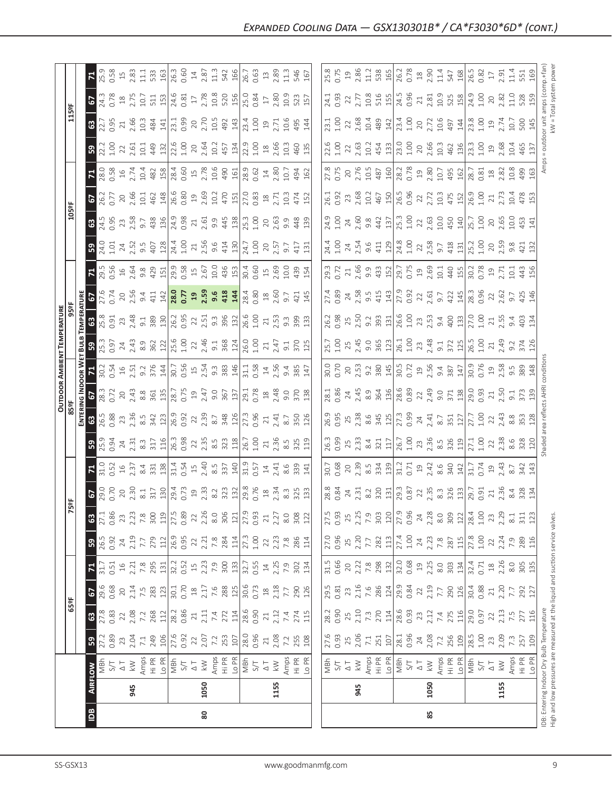|                     | $\boxed{2}$                                                                                                                                                                                                                                                                                                                                                                                 | 80                                            |                                                                                                                                                                                                                                                                                                                                                                                                                                                                             |                                                                                                                                                                                                                                                                                                                                                           | 85                                                                                                                                                                                                                                                                                                                           |                                                                                                                                                                                                                                                                                                                                                                                                         |                             |                                       |
|---------------------|---------------------------------------------------------------------------------------------------------------------------------------------------------------------------------------------------------------------------------------------------------------------------------------------------------------------------------------------------------------------------------------------|-----------------------------------------------|-----------------------------------------------------------------------------------------------------------------------------------------------------------------------------------------------------------------------------------------------------------------------------------------------------------------------------------------------------------------------------------------------------------------------------------------------------------------------------|-----------------------------------------------------------------------------------------------------------------------------------------------------------------------------------------------------------------------------------------------------------------------------------------------------------------------------------------------------------|------------------------------------------------------------------------------------------------------------------------------------------------------------------------------------------------------------------------------------------------------------------------------------------------------------------------------|---------------------------------------------------------------------------------------------------------------------------------------------------------------------------------------------------------------------------------------------------------------------------------------------------------------------------------------------------------------------------------------------------------|-----------------------------|---------------------------------------|
|                     | 945                                                                                                                                                                                                                                                                                                                                                                                         | 1050                                          | 1155                                                                                                                                                                                                                                                                                                                                                                                                                                                                        | 945                                                                                                                                                                                                                                                                                                                                                       | 1050                                                                                                                                                                                                                                                                                                                         |                                                                                                                                                                                                                                                                                                                                                                                                         | 1155                        | IDB: Entering Inc<br>High and low pre |
|                     | <b>ARE ON S</b><br>$\frac{1}{\sqrt{5}}$<br>$\frac{1}{\sqrt{5}}$<br>$\frac{1}{\sqrt{5}}$<br>$\frac{1}{\sqrt{5}}$<br>$\frac{1}{\sqrt{5}}$<br>$\frac{1}{\sqrt{5}}$<br>$\frac{1}{\sqrt{5}}$<br>$\frac{1}{\sqrt{5}}$<br>$\frac{1}{\sqrt{5}}$<br>$\frac{1}{\sqrt{5}}$<br>$\frac{1}{\sqrt{5}}$<br>$\frac{1}{\sqrt{5}}$<br>$\frac{1}{\sqrt{5}}$<br>$\frac{1}{\sqrt{5}}$<br>$\frac{1}{\sqrt{5}}$<br> |                                               |                                                                                                                                                                                                                                                                                                                                                                                                                                                                             |                                                                                                                                                                                                                                                                                                                                                           |                                                                                                                                                                                                                                                                                                                              |                                                                                                                                                                                                                                                                                                                                                                                                         |                             |                                       |
|                     | B                                                                                                                                                                                                                                                                                                                                                                                           |                                               | $\begin{array}{l} 1236 \\ 1536 \\ 164 \\ 1756 \\ 186 \\ 1876 \\ 1986 \\ 1996 \\ 1096 \\ 1096 \\ 1096 \\ 1096 \\ 1096 \\ 1096 \\ 1096 \\ 1096 \\ 1096 \\ 1096 \\ 1096 \\ 1096 \\ 1096 \\ 1096 \\ 1096 \\ 1096 \\ 1096 \\ 1096 \\ 1096 \\ 1096 \\ 1096 \\ 1096 \\ 1096 \\ 1096 \\ 1096 \\ 1096 \\ 1096 \\ 1096$                                                                                                                                                               |                                                                                                                                                                                                                                                                                                                                                           |                                                                                                                                                                                                                                                                                                                              |                                                                                                                                                                                                                                                                                                                                                                                                         | م∟                          |                                       |
|                     |                                                                                                                                                                                                                                                                                                                                                                                             |                                               |                                                                                                                                                                                                                                                                                                                                                                                                                                                                             |                                                                                                                                                                                                                                                                                                                                                           |                                                                                                                                                                                                                                                                                                                              |                                                                                                                                                                                                                                                                                                                                                                                                         |                             |                                       |
| $\frac{1}{255}$     |                                                                                                                                                                                                                                                                                                                                                                                             |                                               |                                                                                                                                                                                                                                                                                                                                                                                                                                                                             | $\begin{bmatrix} 9.5 & 3 & 7 & 12 \\ 0.3 & 3 & 7 & 12 \\ 0.3 & 3 & 7 & 12 \\ 0.3 & 3 & 5 & 12 \\ 0.3 & 3 & 3 & 12 \\ 0.3 & 3 & 3 & 12 \\ 0.3 & 3 & 3 & 12 \\ 0.3 & 3 & 3 & 12 \\ 0.3 & 3 & 3 & 12 \\ 0.3 & 3 & 3 & 12 \\ 0.3 & 3 & 3 & 12 \\ 0.3 & 3 & 3 & 12 \\ 0.3 & 3 & 3 & 12 \\ 0.3 & 3 & 3 & 12 \\ 0.3$                                             |                                                                                                                                                                                                                                                                                                                              |                                                                                                                                                                                                                                                                                                                                                                                                         |                             |                                       |
|                     | $\mathbf{z}$                                                                                                                                                                                                                                                                                                                                                                                |                                               | $\frac{1}{21} \cdot \frac{1}{21} \times \frac{1}{21} \times \frac{1}{21} \times \frac{1}{21} \times \frac{1}{21} \times \frac{1}{21} \times \frac{1}{21} \times \frac{1}{21} \times \frac{1}{21} \times \frac{1}{21} \times \frac{1}{21} \times \frac{1}{21} \times \frac{1}{21} \times \frac{1}{21} \times \frac{1}{21} \times \frac{1}{21} \times \frac{1}{21} \times \frac{1}{21} \times \frac{1}{21} \times \frac{1}{21} \times \frac{1}{21} \times$                    | $\left  \begin{array}{c} \pi_1 \; \pi_2 \; \pi_3 \; \pi_4 \\ \pi_5 \; \pi_6 \; \pi_7 \; \pi_8 \; \pi_8 \\ \pi_7 \; \pi_8 \; \pi_8 \; \pi_9 \; \pi_9 \; \pi_9 \; \pi_8 \; \pi_9 \; \pi_9 \\ \pi_8 \; \pi_9 \; \pi_9 \; \pi_9 \; \pi_9 \; \pi_9 \; \pi_9 \; \pi_1 \; \pi_1 \; \pi_1 \; \pi_2 \; \pi_2 \; \pi_3 \; \pi_3 \; \pi_3 \; \pi_4 \; \pi_1 \; \pi_$ |                                                                                                                                                                                                                                                                                                                              |                                                                                                                                                                                                                                                                                                                                                                                                         |                             |                                       |
|                     | 50                                                                                                                                                                                                                                                                                                                                                                                          |                                               | $\begin{array}{l} \begin{array}{l} \text{15} \\ \text{0.93}\ \text{7} \end{array} & \begin{array}{l} \text{15} \\ \text{25} \end{array} & \begin{array}{l} \text{15} \\ \text{15} \end{array} & \begin{array}{l} \text{15} \\ \text{15} \end{array} & \begin{array}{l} \text{15} \\ \text{15} \end{array} & \begin{array}{l} \text{15} \\ \text{15} \end{array} & \begin{array}{l} \text{15} \\ \text{15} \end{array} & \begin{array}{l} \text{15} \\ \text{15} \end{array$ |                                                                                                                                                                                                                                                                                                                                                           |                                                                                                                                                                                                                                                                                                                              |                                                                                                                                                                                                                                                                                                                                                                                                         |                             |                                       |
|                     |                                                                                                                                                                                                                                                                                                                                                                                             |                                               |                                                                                                                                                                                                                                                                                                                                                                                                                                                                             |                                                                                                                                                                                                                                                                                                                                                           |                                                                                                                                                                                                                                                                                                                              |                                                                                                                                                                                                                                                                                                                                                                                                         |                             |                                       |
| 凛                   | 2                                                                                                                                                                                                                                                                                                                                                                                           |                                               |                                                                                                                                                                                                                                                                                                                                                                                                                                                                             | $\begin{array}{ l }\n\hline\n883 \\ 084 \\ 731 \\ 082 \\ 150 \\ 087 \\ 100 \\ 087 \\ 087\n\end{array}$                                                                                                                                                                                                                                                    |                                                                                                                                                                                                                                                                                                                              |                                                                                                                                                                                                                                                                                                                                                                                                         |                             |                                       |
|                     | 31.0<br>0.52<br>티                                                                                                                                                                                                                                                                                                                                                                           |                                               | $\frac{15}{23} \times \frac{15}{23} \times \frac{15}{23} \times \frac{15}{23} \times \frac{15}{23} \times \frac{15}{23} \times \frac{15}{23} \times \frac{15}{23} \times \frac{15}{23} \times \frac{15}{23} \times \frac{15}{23} \times \frac{15}{23} \times \frac{15}{23} \times \frac{15}{23} \times \frac{15}{23} \times \frac{15}{23} \times \frac{15}{23} \times \frac{15}{23} \times \frac{15}{23} \times \frac{15}{23} \times$                                       |                                                                                                                                                                                                                                                                                                                                                           |                                                                                                                                                                                                                                                                                                                              |                                                                                                                                                                                                                                                                                                                                                                                                         |                             |                                       |
|                     | $\begin{array}{c}\n 24 \\  23 \\  33 \\  \hline\n 37 \\  4 \\  53 \\  \hline\n 116 \\  76 \\  38 \\  0.98 \\  21\n \end{array}$<br>25.94<br>0.94<br>ြို့                                                                                                                                                                                                                                    |                                               |                                                                                                                                                                                                                                                                                                                                                                                                                                                                             |                                                                                                                                                                                                                                                                                                                                                           | $\begin{array}{c} 2.33 \\ 3.34 \\ 2.11 \\ 2.51 \\ 2.52 \\ 2.53 \\ 2.54 \\ 2.55 \\ 2.57 \\ 2.59 \\ 2.59 \\ 2.59 \\ 2.51 \\ 2.51 \\ 2.52 \\ 2.53 \\ 2.54 \\ 2.55 \\ 2.54 \\ 2.55 \\ 2.55 \\ 2.55 \\ 2.55 \\ 2.55 \\ 2.55 \\ 2.55 \\ 2.55 \\ 2.55 \\ 2.55 \\ 2.55 \\ 2.55 \\ 2.55 \\ 2.55 \\ 2.55 \\ 2.55 \\ 2.$                |                                                                                                                                                                                                                                                                                                                                                                                                         | $2.38$<br>8.6<br>328<br>120 |                                       |
|                     | 0.88<br>‡ ឌ                                                                                                                                                                                                                                                                                                                                                                                 |                                               | $\begin{array}{c} 23.85 & 23.83 & 23.83 & 23.83 & 24.83 & 25.83 & 26.83 & 27.83 & 28.83 & 27.83 & 28.83 & 29.83 & 20.83 & 20.83 & 20.83 & 20.83 & 20.83 & 20.83 & 20.83 & 20.83 & 20.83 & 20.83 & 20.83 & 20.83 & 20.83 & 20.83 & 20.83 & 20.83 & 20.83 & 20.83 & 20$                                                                                                                                                                                                       |                                                                                                                                                                                                                                                                                                                                                           |                                                                                                                                                                                                                                                                                                                              |                                                                                                                                                                                                                                                                                                                                                                                                         |                             |                                       |
| OUTDOOR             | 을의<br>28.3<br>0.72                                                                                                                                                                                                                                                                                                                                                                          |                                               |                                                                                                                                                                                                                                                                                                                                                                                                                                                                             |                                                                                                                                                                                                                                                                                                                                                           |                                                                                                                                                                                                                                                                                                                              |                                                                                                                                                                                                                                                                                                                                                                                                         |                             |                                       |
|                     | $\begin{array}{cccc}\n 1.54 & 0.51 & 0.56 & 0.54 \\  0.54 & 0.51 & 0.56 & 0.54 \\  0.54 & 0.56 & 0.54 & 0.54\n \end{array}$<br>$\frac{2}{9}$ $\overline{5}$                                                                                                                                                                                                                                 |                                               |                                                                                                                                                                                                                                                                                                                                                                                                                                                                             |                                                                                                                                                                                                                                                                                                                                                           | $\begin{bmatrix} 8 & 8 & 8 & 1 \\ 8 & 1 & 8 & 1 \\ 9 & 1 & 1 & 1 \\ 9 & 1 & 1 & 1 \\ 9 & 1 & 1 & 1 \\ 9 & 1 & 1 & 1 \\ 9 & 1 & 1 & 1 \\ 9 & 1 & 1 & 1 \\ 9 & 1 & 1 & 1 \\ 10 & 1 & 1 & 1 \\ 11 & 1 & 1 & 1 \\ 12 & 1 & 1 & 1 & 1 \\ 13 & 1 & 1 & 1 & 1 \\ 14 & 1 & 1 & 1 & 1 \\ 15 & 1 & 1 & 1 & 1 \\ 16 & 1 & 1 & 1 & 1 \\$ |                                                                                                                                                                                                                                                                                                                                                                                                         | 9.5<br>389<br>148           |                                       |
| TEMPERATURE<br>959F | $\frac{1}{3}$ , $\frac{5}{2}$ , $\frac{4}{3}$ , $\frac{3}{8}$ , $\frac{6}{3}$ , $\frac{1}{2}$ , $\frac{1}{2}$ , $\frac{6}{5}$ , $\frac{6}{5}$<br><u> នី ន</u>                                                                                                                                                                                                                               | 22                                            |                                                                                                                                                                                                                                                                                                                                                                                                                                                                             | $\begin{array}{ c c c }\n\hline\n25.7 & 245 \\ 1.00 & 245 \\ 2.45 & 9.0\n\end{array}$                                                                                                                                                                                                                                                                     | $\frac{363}{261}$                                                                                                                                                                                                                                                                                                            | $\begin{array}{c}\n 23 \\  23 \\  37 \\  28 \\  37 \\  29 \\  20 \\  21 \\  23 \\  24 \\  25 \\  21 \\  23 \\  24 \\  25 \\  26 \\  27 \\  28 \\  29 \\  20 \\  21 \\  23 \\  24 \\  25 \\  27 \\  28 \\  29 \\  20 \\  21 \\  23 \\  24 \\  25 \\  27 \\  28 \\  29 \\  20 \\  21 \\  20 \\  21 \\  22 \\  23 \\  24 \\  25 \\  26 \\  27 \\  28 \\  29 \\  20 \\  20 \\  21 \\  20 \\  20 \\  21 \\ $ | 2.49<br>9.2<br>9.74<br>126  |                                       |
|                     | រូន<br>$23,48$<br>$2,48$<br>$9,189$<br>$180$<br>$16,35$<br>$16,35$<br>0.91<br>ទី ន                                                                                                                                                                                                                                                                                                          | $9.396$<br>$39.32$<br>$20.4$<br>22<br>2.5     | $\frac{1}{1}$ $\frac{1}{2}$ $\frac{1}{3}$ $\frac{3}{3}$ $\frac{3}{3}$ $\frac{3}{12}$                                                                                                                                                                                                                                                                                                                                                                                        | $\begin{array}{ l } \hline 26.3 & 8 \\ 0.98 & 7.50 \\ 2.50 & 9.33 \\ \hline 3.33 & 1.50 \\ 2.65 & 1.00 \\ \hline \end{array}$                                                                                                                                                                                                                             |                                                                                                                                                                                                                                                                                                                              | $\begin{array}{c} 23 \\ 23 \\ 24 \\ 25 \\ 26 \\ 27 \\ 28 \\ 29 \\ 20 \\ 21 \\ 22 \\ 23 \\ 24 \\ 25 \\ 26 \\ 27 \\ 28 \\ 29 \\ 20 \\ 20 \\ 24 \\ 20 \\ 20 \\ 24 \\ 20 \\ 24 \\ 20 \\ 24 \\ 20 \\ 24 \\ 20 \\ 24 \\ 20 \\ 24 \\ 25 \\ 26 \\ 27 \\ 28 \\ 29 \\ 20 \\ 20 \\ 24 \\ 20 \\ 25 \\ 27 \\ 28 \\ 29 \\ 29 \\ 20 \\ 20 \\ 20 \\ 20 \\ 20 \\ $                                                       |                             |                                       |
|                     | 0.56<br>E                                                                                                                                                                                                                                                                                                                                                                                   |                                               | $0.60$<br>0.5 $2.69$<br>2.6 $0.03$<br>4 $\frac{354}{4}$<br>2 5 5 4 5 6 5 9 6 6 9 9 9 9 9 9 9 9 5 7 9 9 1                                                                                                                                                                                                                                                                                                                                                                    | $\begin{array}{ l l } \hline 29.3 & 21 & 0.72 \\ \hline 0.72 & 2.66 & 9.33 & 0.75 \\ 9.9 & 43 & 52 & 0.75 \\ \hline \end{array}$                                                                                                                                                                                                                          | $\Xi$                                                                                                                                                                                                                                                                                                                        | $2.5$ $\frac{1}{2}$ $\frac{1}{3}$ $\frac{1}{6}$ $\frac{1}{2}$ $\frac{1}{6}$ $\frac{1}{2}$ $\frac{1}{6}$ $\frac{1}{2}$ $\frac{1}{6}$ $\frac{1}{2}$ $\frac{1}{6}$ $\frac{1}{6}$ $\frac{1}{6}$ $\frac{1}{6}$ $\frac{1}{6}$ $\frac{1}{6}$ $\frac{1}{6}$ $\frac{1}{6}$ $\frac{1}{6}$ $\frac{1}{6}$ $\frac{1}{6}$ $\frac{1$                                                                                   |                             |                                       |
|                     | 1.01<br>$24.52$<br>$2.52$<br>$9.5$<br>$9.5$<br>$21$<br>ြို့                                                                                                                                                                                                                                                                                                                                 | 24.4<br>1.00<br>21.56                         |                                                                                                                                                                                                                                                                                                                                                                                                                                                                             |                                                                                                                                                                                                                                                                                                                                                           |                                                                                                                                                                                                                                                                                                                              |                                                                                                                                                                                                                                                                                                                                                                                                         | 9.8<br>421<br>132           |                                       |
|                     | $\begin{array}{c} 1.63 \\ 0.54 \\ 0.55 \\ 0.56 \\ 0.57 \\ 0.58 \\ 0.57 \\ 0.58 \\ 0.59 \\ 0.59 \\ 0.51 \\ 0.51 \\ 0.51 \\ 0.51 \\ 0.51 \\ 0.51 \\ 0.51 \\ 0.51 \\ 0.51 \\ 0.53 \\ 0.55 \\ 0.55 \\ 0.57 \\ 0.57 \\ 0.59 \\ 0.59 \\ 0.59 \\ 0.59 \\ 0.59 \\ 0.59 \\ 0.59 \\ 0.59 \\ 0.59 \\ 0.59 \\ 0.59 \\ 0.$<br>$ \mathfrak{S} $                                                           |                                               | $\begin{array}{c} 9.9 \\ 44.8 \\ 43.0 \\ 15.0 \\ 26.0 \\ 38.0 \\ 43.0 \\ 43.0 \\ 45.0 \\ 47.0 \\ 49.0 \\ 40.0 \\ 43.0 \\ 47.0 \\ 49.0 \\ 40.0 \\ 47.0 \\ 49.0 \\ 49.0 \\ 40.0 \\ 47.0 \\ 49.0 \\ 40.0 \\ 47.0 \\ 49.0 \\ 49.0 \\ 40.0 \\ 47.0 \\ 49.0 \\ 49.0 \\ 40.0 \\ 47.0 \\ 49.0 \\ 49.0 \\ 40.0 \\ 47.$                                                                                                                                                               | $\begin{array}{ l }\n\hline\n3.02 & 4.03 & 4.03 \\ \hline\n1.02 & 4.03 & 4.03 \\ \hline\n1.03 & 4.03 & 4.03 \\ \hline\n1.03 & 4.03 & 4.03 \\ \hline\n1.03 & 4.03 & 4.03 \\ \hline\n1.03 & 4.03 & 4.03 \\ \hline\n1.03 & 4.03 & 4.03 \\ \hline\n1.03 & 4.03 & 4.03 \\ \hline\n1.03 & 4.03 & 4.03 \\ \hline\n1.03 & 4.03 & 4.03 \\ $                        |                                                                                                                                                                                                                                                                                                                              | $\frac{22}{100}$ $\frac{25}{100}$ $\frac{25}{100}$ $\frac{25}{100}$ $\frac{25}{100}$ $\frac{25}{100}$                                                                                                                                                                                                                                                                                                   | 2.65<br>10.0<br>453<br>141  |                                       |
| $\frac{105}{5}$     | 26.7<br>0.7<br>2 0.6<br>2 0.7<br>2 0.8<br>2 0.8<br>2 0.8<br>2 0.8<br>2 0.9<br>5                                                                                                                                                                                                                                                                                                             | $2.69$<br>$10.2$<br>$470$<br>$77.0$<br>$77.0$ | $0.83$<br>$2.71$<br>$10.3$<br>$45$<br>$45$                                                                                                                                                                                                                                                                                                                                                                                                                                  |                                                                                                                                                                                                                                                                                                                                                           |                                                                                                                                                                                                                                                                                                                              |                                                                                                                                                                                                                                                                                                                                                                                                         |                             |                                       |
|                     | 28.0<br>0.58<br>티                                                                                                                                                                                                                                                                                                                                                                           |                                               |                                                                                                                                                                                                                                                                                                                                                                                                                                                                             | $\begin{array}{ l l } \hline 7,78 \\[-4pt] 0.75 & 2.76 \\[-4pt] 2.7 & 2.76 \\[-4pt] 2.7 & 2.76 \\[-4pt] 4 & 5.76 \\[-4pt] 5 & 2.78 \\[-4pt] 5 & 2.78 \\[-4pt] 5 & 2.78 \\[-4pt] 5 & 2.78 \\[-4pt] 5 & 2.78 \\[-4pt] 5 & 2.78 \\[-4pt] 5 & 2.78 \\[-4pt] 5 & 2.78 \\[-4pt] 5 & 2.78 \\[-4pt] 5 & 2.78 \\[-4pt] 5 & 2.7$                                    |                                                                                                                                                                                                                                                                                                                              | $\begin{array}{c} 2.80 \\ 10.7 \\ 495 \\ 492 \\ \hline \end{array} \begin{array}{c} 16 \\ 16 \\ 28.7 \\ 28.1 \\ 38.2 \\ 49.3 \\ 49.4 \\ 40.3 \\ \hline \end{array}$                                                                                                                                                                                                                                     |                             |                                       |
|                     | 22.2<br>1.00<br>ြို့                                                                                                                                                                                                                                                                                                                                                                        |                                               | $19.7$ $\frac{13}{12}$ $\frac{13}{12}$ $\frac{13}{12}$ $\frac{13}{12}$ $\frac{13}{12}$ $\frac{13}{12}$ $\frac{13}{12}$ $\frac{13}{12}$ $\frac{13}{12}$ $\frac{13}{12}$ $\frac{13}{12}$ $\frac{13}{12}$ $\frac{13}{12}$ $\frac{13}{12}$ $\frac{13}{12}$ $\frac{13}{12}$                                                                                                                                                                                                      |                                                                                                                                                                                                                                                                                                                                                           |                                                                                                                                                                                                                                                                                                                              |                                                                                                                                                                                                                                                                                                                                                                                                         |                             |                                       |
|                     | 22.7<br>0.95<br>$ \mathfrak{S} $                                                                                                                                                                                                                                                                                                                                                            |                                               | $\begin{array}{c}\n 71.66 \\  73.67 \\  74.71 \\  75.67 \\  76.71 \\  77.67 \\  78.71 \\  79.67 \\  79.67 \\  79.67 \\  79.67 \\  79.67 \\  79.67 \\  79.67 \\  79.67 \\  79.67 \\  79.67 \\  79.67 \\  79.67 \\  79.67 \\  79.67 \\  79.67 \\  79.67 \\  79.67 \\  79.67 \\  79.67 \\  79.67 \\  79.67 \\  79.67 \\  79.67 \\  7$                                                                                                                                          |                                                                                                                                                                                                                                                                                                                                                           |                                                                                                                                                                                                                                                                                                                              |                                                                                                                                                                                                                                                                                                                                                                                                         |                             |                                       |
| $\frac{1159F}{F}$   | 24.3<br>0.78<br>$\mathbf{E}$                                                                                                                                                                                                                                                                                                                                                                |                                               |                                                                                                                                                                                                                                                                                                                                                                                                                                                                             | $\begin{array}{ l l l }\hline 74.3 & 0.93 & 0.77 & 0.81 & 0.96 \\ 0.93 & 0.77 & 0.81 & 0.91 & 0.96 \\ 0.91 & 0.91 & 0.96 & 0.91 & 0.91 \\ \hline \end{array}$                                                                                                                                                                                             |                                                                                                                                                                                                                                                                                                                              | $\begin{array}{c}\n 2.81 \\  10.9 \\  525 \\  158 \\  24.9 \\  1.00\n\end{array}$<br>$\overline{c}$                                                                                                                                                                                                                                                                                                     | 2.82<br>11.0<br>528<br>159  |                                       |
|                     |                                                                                                                                                                                                                                                                                                                                                                                             |                                               |                                                                                                                                                                                                                                                                                                                                                                                                                                                                             |                                                                                                                                                                                                                                                                                                                                                           |                                                                                                                                                                                                                                                                                                                              |                                                                                                                                                                                                                                                                                                                                                                                                         |                             |                                       |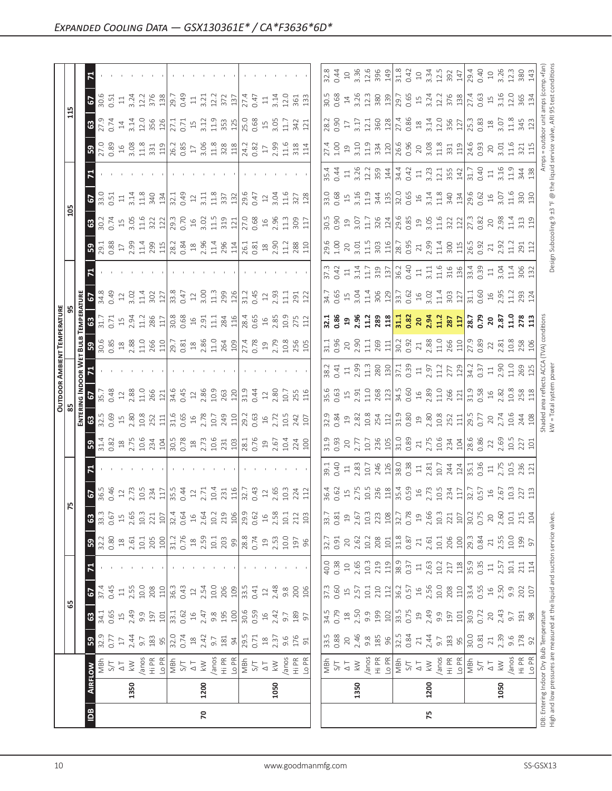|                                     | $\mathbf{z}$<br>$\sqrt{2}$                                                                                                                                                                                                           |                                                                                                                                                                                                                                                                                                                                                                                                                                       |                                                                                                                                                                                                                                                                                                               |                                            |                                                     |                                                                                                                                                                                                                                                                                                                                                                                                        |
|-------------------------------------|--------------------------------------------------------------------------------------------------------------------------------------------------------------------------------------------------------------------------------------|---------------------------------------------------------------------------------------------------------------------------------------------------------------------------------------------------------------------------------------------------------------------------------------------------------------------------------------------------------------------------------------------------------------------------------------|---------------------------------------------------------------------------------------------------------------------------------------------------------------------------------------------------------------------------------------------------------------------------------------------------------------|--------------------------------------------|-----------------------------------------------------|--------------------------------------------------------------------------------------------------------------------------------------------------------------------------------------------------------------------------------------------------------------------------------------------------------------------------------------------------------------------------------------------------------|
| ]                                   | <b>63</b>                                                                                                                                                                                                                            | $\frac{1}{2}$ $\frac{1}{2}$ $\frac{1}{2}$ $\frac{1}{2}$ $\frac{1}{2}$ $\frac{1}{2}$ $\frac{1}{2}$ $\frac{1}{2}$ $\frac{1}{2}$ $\frac{1}{2}$ $\frac{1}{2}$ $\frac{1}{2}$ $\frac{1}{2}$ $\frac{1}{2}$ $\frac{1}{2}$ $\frac{1}{2}$ $\frac{1}{2}$ $\frac{1}{2}$ $\frac{1}{2}$ $\frac{1}{2}$ $\frac{1}{2}$ $\frac{1}{2}$                                                                                                                   |                                                                                                                                                                                                                                                                                                               |                                            |                                                     |                                                                                                                                                                                                                                                                                                                                                                                                        |
|                                     | ြို့                                                                                                                                                                                                                                 | $\begin{array}{c} 22.89 \text{ } \frac{1}{2} \text{ } \frac{1}{2} \text{ } \frac{1}{2} \text{ } \frac{1}{2} \text{ } \frac{1}{2} \text{ } \frac{1}{2} \text{ } \frac{1}{2} \text{ } \frac{1}{2} \text{ } \frac{1}{2} \text{ } \frac{1}{2} \text{ } \frac{1}{2} \text{ } \frac{1}{2} \text{ } \frac{1}{2} \text{ } \frac{1}{2} \text{ } \frac{1}{2} \text{ } \frac{1}{2} \text{ } \frac{1}{2} \text{ } \frac{1}{2} \text{ } \frac{1}{$ |                                                                                                                                                                                                                                                                                                               |                                            |                                                     |                                                                                                                                                                                                                                                                                                                                                                                                        |
|                                     | $\overline{5}$                                                                                                                                                                                                                       |                                                                                                                                                                                                                                                                                                                                                                                                                                       |                                                                                                                                                                                                                                                                                                               |                                            |                                                     |                                                                                                                                                                                                                                                                                                                                                                                                        |
|                                     | 5                                                                                                                                                                                                                                    | $\begin{array}{c} 3.53 \\ 3.54 \\ 5.55 \\ 6.57 \\ 7.58 \\ 7.59 \\ 7.51 \\ 7.53 \\ 7.54 \\ 7.54 \\ 7.55 \\ 7.57 \\ 7.59 \\ 7.59 \\ 7.54 \\ 7.59 \\ 7.59 \\ 7.59 \\ 7.59 \\ 7.59 \\ 7.59 \\ 7.59 \\ 7.59 \\ 7.59 \\ 7.59 \\ 7.59 \\ 7.59 \\ 7.59 \\ 7.59 \\ 7.59 \\ 7.59 \\ 7.59 \\ 7.59 \\ 7.59 \\ 7.59 \\ 7.$                                                                                                                         |                                                                                                                                                                                                                                                                                                               |                                            |                                                     |                                                                                                                                                                                                                                                                                                                                                                                                        |
| ) 음                                 | 63                                                                                                                                                                                                                                   | $\begin{array}{l} 36.75 \\ 0.74 \\ 3.65 \\ 4.81 \\ 5.36 \\ 6.11 \\ 3.21 \\ 3.21 \\ 3.21 \\ 3.22 \\ 3.22 \\ 3.23 \\ 3.24 \\ 3.25 \\ 3.25 \\ 3.27 \\ 3.28 \\ 3.29 \\ 3.21 \\ 3.29 \\ 3.21 \\ 3.22 \\ 3.23 \\ 3.24 \\ 3.25 \\ 3.27 \\ 3.29 \\ 3.21 \\ 3.23 \\ 3.25 \\ 3.27 \\ 3.29 \\ 3.29 \\ 3.21 \\ 3.23 \\ 3$                                                                                                                         |                                                                                                                                                                                                                                                                                                               |                                            |                                                     |                                                                                                                                                                                                                                                                                                                                                                                                        |
|                                     | ြို့                                                                                                                                                                                                                                 | $\begin{array}{l} 13.83 \\ 03.82 \end{array} \begin{array}{l} 12.7 \\ 15.7 \\ 15.7 \end{array} \begin{array}{l} 12.7 \\ 15.7 \\ 15.7 \end{array} \begin{array}{l} 12.7 \\ 15.7 \\ 15.7 \end{array} \begin{array}{l} 12.7 \\ 15.7 \\ 15.7 \end{array} \begin{array}{l} 12.7 \\ 15.7 \\ 15.7 \end{array} \begin{array}{l} 12.7 \\ 15.7 \\ 15.7 \end{array} \begin{array}{l} 12.7 \\ 15.7 \\ 1$                                          |                                                                                                                                                                                                                                                                                                               |                                            |                                                     |                                                                                                                                                                                                                                                                                                                                                                                                        |
|                                     | $\mathbf{z}$                                                                                                                                                                                                                         |                                                                                                                                                                                                                                                                                                                                                                                                                                       |                                                                                                                                                                                                                                                                                                               |                                            |                                                     | $\begin{bmatrix} 17.3 & 17.1 & 17.1 & 17.1 & 17.1 & 17.1 & 17.1 & 17.1 & 17.1 & 17.1 & 17.1 & 17.1 & 17.1 & 17.1 & 17.1 & 17.1 & 17.1 & 17.1 & 17.1 & 17.1 & 17.1 & 17.1 & 17.1 & 17.1 & 17.1 & 17.1 & 17.1 & 17.1 & 17.1 & 17.1 & 17.1 & 17.1 & 17.1 & 17.1 & 17.1 & 17.$                                                                                                                             |
|                                     | $34.8$ $3.2$ $2.3$ $3.5$ $3.5$ $3.5$ $3.5$ $3.5$ $3.5$ $3.5$ $3.5$ $3.5$ $3.5$ $3.5$ $3.5$ $3.5$ $3.5$ $3.5$ $3.5$ $3.5$ $3.5$ $3.5$ $3.5$ $3.5$ $3.5$ $3.5$ $3.5$ $3.5$ $3.5$ $3.5$ $3.5$ $3.5$ $3.5$ $3.5$ $3.5$ $3.5$ $3.5$<br>3명 |                                                                                                                                                                                                                                                                                                                                                                                                                                       | $\begin{array}{c} 11.3 \\ 13.8 \\ 14.1 \\ 15.4 \\ 16.4 \\ 17.4 \\ 18.4 \\ 19.1 \\ 11.4 \\ 12.5 \\ 13.2 \\ 14.2 \\ 15.3 \\ 16.4 \\ 17.4 \\ 18.4 \\ 19.5 \\ 19.4 \\ 10.4 \\ 11.4 \\ 12.5 \\ 13.4 \\ 14.5 \\ 15.4 \\ 16.5 \\ 17.5 \\ 18.5 \\ 19.5 \\ 19.5 \\ 19.5 \\ 19.5 \\ 19.5 \\ 19.5 \\ 19.5 \\ 19.5 \\ 19$ |                                            |                                                     |                                                                                                                                                                                                                                                                                                                                                                                                        |
| TEMPERATURE<br>95                   | ່∎ສ                                                                                                                                                                                                                                  | $\frac{1}{2}$ $\frac{1}{2}$ $\frac{3}{2}$ $\frac{3}{2}$ $\frac{1}{2}$ $\frac{1}{2}$ $\frac{8}{2}$ $\frac{1}{2}$ $\frac{1}{2}$ $\frac{8}{2}$ $\frac{6}{2}$ $\frac{9}{2}$ $\frac{1}{2}$ $\frac{1}{2}$ $\frac{4}{2}$ $\frac{1}{2}$ $\frac{1}{2}$ $\frac{8}{2}$ $\frac{6}{2}$ $\frac{6}{2}$ $\frac{6}{2}$ $\frac{8}{2}$ $\frac{3}{2}$ $\frac{1}{2}$ $\frac{1$                                                                             |                                                                                                                                                                                                                                                                                                               |                                            |                                                     | ដូ ឌូ ១ ឌូ ដ្មី ឌូ ឌូ <mark>ដូ ឌូ ខ ខ្ញុំ ដូ ឌូ ដូ</mark> ឌ្រូ ខ្លួ ខ ខ្លួំ ដូ ឌូ ដូ ដូ ដូ                                                                                                                                                                                                                                                                                                             |
|                                     | ႞ႜႝႜ                                                                                                                                                                                                                                 |                                                                                                                                                                                                                                                                                                                                                                                                                                       |                                                                                                                                                                                                                                                                                                               |                                            |                                                     |                                                                                                                                                                                                                                                                                                                                                                                                        |
|                                     | រីដ                                                                                                                                                                                                                                  |                                                                                                                                                                                                                                                                                                                                                                                                                                       |                                                                                                                                                                                                                                                                                                               |                                            |                                                     |                                                                                                                                                                                                                                                                                                                                                                                                        |
| $\frac{\text{OutdoOR AMBIENT}}{85}$ | $ \mathbb{S} $                                                                                                                                                                                                                       | $\begin{array}{c} 1.763 \\ 1.861 \\ 1.872 \\ 1.881 \\ 1.814 \\ 1.814 \\ 1.814 \\ 1.814 \\ 1.814 \\ 1.814 \\ 1.814 \\ 1.814 \\ 1.814 \\ 1.814 \\ 1.814 \\ 1.814 \\ 1.814 \\ 1.814 \\ 1.814 \\ 1.814 \\ 1.814 \\ 1.814 \\ 1.814 \\ 1.814 \\ 1.814 \\ 1.814 \\ 1.814 \\ 1.814 \\ 1.814 \\ 1.814 \\ 1.$                                                                                                                                   |                                                                                                                                                                                                                                                                                                               |                                            |                                                     |                                                                                                                                                                                                                                                                                                                                                                                                        |
|                                     | ន $\vert$ ន                                                                                                                                                                                                                          |                                                                                                                                                                                                                                                                                                                                                                                                                                       |                                                                                                                                                                                                                                                                                                               |                                            |                                                     |                                                                                                                                                                                                                                                                                                                                                                                                        |
|                                     | B                                                                                                                                                                                                                                    |                                                                                                                                                                                                                                                                                                                                                                                                                                       |                                                                                                                                                                                                                                                                                                               |                                            |                                                     |                                                                                                                                                                                                                                                                                                                                                                                                        |
|                                     | $\overline{5}$                                                                                                                                                                                                                       |                                                                                                                                                                                                                                                                                                                                                                                                                                       |                                                                                                                                                                                                                                                                                                               |                                            |                                                     |                                                                                                                                                                                                                                                                                                                                                                                                        |
|                                     | 57                                                                                                                                                                                                                                   | $\begin{array}{l} 1666 \\ 8026 \\ 1203 \\ 1204 \\ 1205 \\ 1206 \\ 1207 \\ 1208 \\ 1209 \\ 1209 \\ 1209 \\ 1209 \\ 1209 \\ 1209 \\ 1209 \\ 1209 \\ 1209 \\ 1209 \\ 1209 \\ 1209 \\ 1209 \\ 1209 \\ 1209 \\ 1209 \\ 1209 \\ 1209 \\ 1209 \\ 1209 \\ 1209 \\ 1209 \\ 1209 \\ 1209 \\ 1209 \\ 1209 \\ 1209 \\ 12$                                                                                                                         |                                                                                                                                                                                                                                                                                                               |                                            |                                                     |                                                                                                                                                                                                                                                                                                                                                                                                        |
| $ \mathbb{E} $                      | 3                                                                                                                                                                                                                                    | $\frac{3}{3}$ .<br>$\frac{3}{5}$ $\frac{5}{1}$ $\frac{3}{10}$ $\frac{3}{10}$ $\frac{3}{10}$ $\frac{3}{10}$ $\frac{4}{10}$ $\frac{4}{10}$ $\frac{4}{10}$ $\frac{4}{10}$ $\frac{4}{10}$ $\frac{4}{10}$ $\frac{4}{10}$ $\frac{4}{10}$ $\frac{4}{10}$ $\frac{4}{10}$ $\frac{4}{10}$ $\frac{4}{10}$ $\frac{4}{10}$ $\$                                                                                                                     | $\begin{array}{c c} 12.2 & 100 \\ 21.9 & 100 \\ 21.9 & 21.5 \\ 21.9 & 21.5 \\ 21.9 & 21.5 \\ 21.9 & 21.5 \\ 21.9 & 21.5 \\ 21.9 & 21.5 \\ 21.9 & 21.5 \\ 21.9 & 21.5 \\ 21.9 & 21.5 \\ 21.9 & 21.5 \\ 21.9 & 21.5 \\ 21.9 & 21.5 \\ 21.9 & 21.5 \\ 21.9 & 21.5 \\ 21.9 & 21.5 \\ 21.9 & 21$                   |                                            |                                                     |                                                                                                                                                                                                                                                                                                                                                                                                        |
|                                     | $0.80$<br>18<br>B                                                                                                                                                                                                                    |                                                                                                                                                                                                                                                                                                                                                                                                                                       |                                                                                                                                                                                                                                                                                                               | $\frac{1}{32.7}$<br>0.91<br>20             |                                                     |                                                                                                                                                                                                                                                                                                                                                                                                        |
|                                     | $\mathbf{z}$                                                                                                                                                                                                                         |                                                                                                                                                                                                                                                                                                                                                                                                                                       |                                                                                                                                                                                                                                                                                                               |                                            |                                                     |                                                                                                                                                                                                                                                                                                                                                                                                        |
|                                     |                                                                                                                                                                                                                                      | $\frac{1}{2}$ $\frac{1}{2}$ $\frac{1}{2}$ $\frac{1}{2}$ $\frac{1}{2}$ $\frac{1}{2}$ $\frac{1}{2}$ $\frac{1}{2}$ $\frac{1}{2}$ $\frac{1}{2}$ $\frac{1}{2}$ $\frac{1}{2}$ $\frac{1}{2}$ $\frac{1}{2}$ $\frac{1}{2}$ $\frac{1}{2}$ $\frac{1}{2}$ $\frac{1}{2}$ $\frac{1}{2}$ $\frac{1}{2}$ $\frac{1}{2}$ $\frac{1}{2}$                                                                                                                   |                                                                                                                                                                                                                                                                                                               |                                            |                                                     | $\begin{bmatrix} \vec{r}_1 & \vec{r}_2 & \vec{r}_3 & \vec{r}_4 \\ \vec{r}_1 & \vec{r}_2 & \vec{r}_3 & \vec{r}_4 \\ \vec{r}_2 & \vec{r}_3 & \vec{r}_4 & \vec{r}_5 \\ \vec{r}_4 & \vec{r}_5 & \vec{r}_6 & \vec{r}_7 \\ \vec{r}_6 & \vec{r}_7 & \vec{r}_8 & \vec{r}_7 & \vec{r}_8 \\ \vec{r}_7 & \vec{r}_8 & \vec{r}_9 & \vec{r}_9 & \vec{r}_9 & \vec{r}_9 \\ \vec{r}_8 & \vec{r}_9 & \vec{r}_9 & \vec{r$ |
| ಜಿ                                  | 63   67                                                                                                                                                                                                                              |                                                                                                                                                                                                                                                                                                                                                                                                                                       |                                                                                                                                                                                                                                                                                                               |                                            |                                                     |                                                                                                                                                                                                                                                                                                                                                                                                        |
|                                     | ြို့                                                                                                                                                                                                                                 | $\frac{33.5}{32.71}$<br>$\frac{17.7}{32.71}$<br>$\frac{47.7}{32.71}$<br>$\frac{39.5}{32.71}$<br>$\frac{17.71}{32.71}$<br>$\frac{17.71}{32.71}$<br>$\frac{17.71}{32.71}$                                                                                                                                                                                                                                                               | $\begin{array}{c} 18 \\ 2.37 \\ 9.6 \\ 176 \\ \end{array}$                                                                                                                                                                                                                                                    | 3.5<br>3.88<br>2.9<br>5<br>2.8<br>9.8<br>3 | $0.84$<br>$2.4$<br>$3.5$<br>$3.5$<br>$5.5$<br>$5.5$ | $\begin{array}{c} 0.81 \\ 2.1 \\ 2.39 \\ 9.6 \\ 1.78 \\ \end{array}$                                                                                                                                                                                                                                                                                                                                   |
|                                     | $\overline{\tilde{6}}$                                                                                                                                                                                                               |                                                                                                                                                                                                                                                                                                                                                                                                                                       |                                                                                                                                                                                                                                                                                                               |                                            |                                                     | Anos<br>Hi PR<br>Lo PR                                                                                                                                                                                                                                                                                                                                                                                 |
|                                     | 1350                                                                                                                                                                                                                                 | 1200                                                                                                                                                                                                                                                                                                                                                                                                                                  | 1050                                                                                                                                                                                                                                                                                                          | 1350                                       | 1200                                                | 1050                                                                                                                                                                                                                                                                                                                                                                                                   |
|                                     | $\boxed{\underline{\mathbf{B}}}$                                                                                                                                                                                                     | $\mathbf{r}$                                                                                                                                                                                                                                                                                                                                                                                                                          |                                                                                                                                                                                                                                                                                                               |                                            | 75                                                  |                                                                                                                                                                                                                                                                                                                                                                                                        |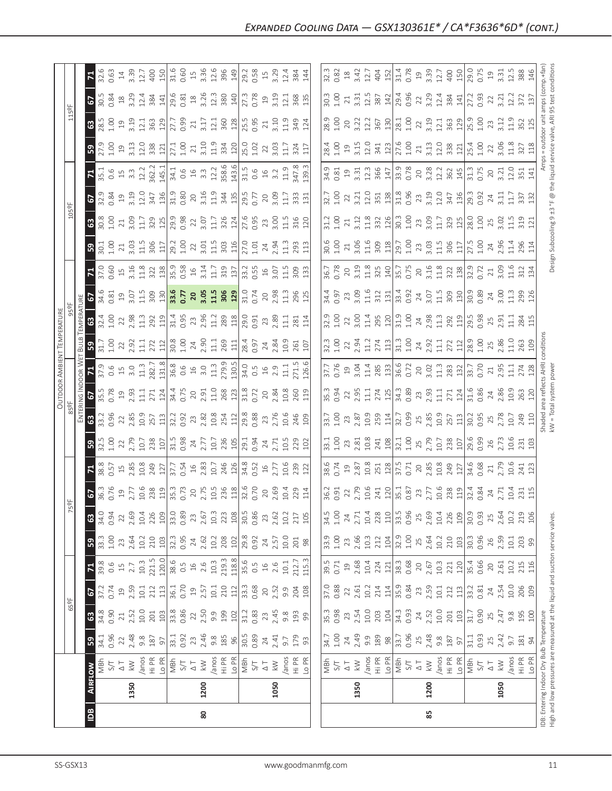| $\boxed{2}$                                                                                                                                                                                                                                                                                                                                                                                                                                                | 80                                                                                                                                                                                                                                                                                                                                                                                      |                                                                                                                                                                                                                                                                                                             |                                                                                                                                                                                                                                                                                                                                                                 | 85   |                                                                                                                                                                                                                                                                            |                                           |
|------------------------------------------------------------------------------------------------------------------------------------------------------------------------------------------------------------------------------------------------------------------------------------------------------------------------------------------------------------------------------------------------------------------------------------------------------------|-----------------------------------------------------------------------------------------------------------------------------------------------------------------------------------------------------------------------------------------------------------------------------------------------------------------------------------------------------------------------------------------|-------------------------------------------------------------------------------------------------------------------------------------------------------------------------------------------------------------------------------------------------------------------------------------------------------------|-----------------------------------------------------------------------------------------------------------------------------------------------------------------------------------------------------------------------------------------------------------------------------------------------------------------------------------------------------------------|------|----------------------------------------------------------------------------------------------------------------------------------------------------------------------------------------------------------------------------------------------------------------------------|-------------------------------------------|
| 1350                                                                                                                                                                                                                                                                                                                                                                                                                                                       | 1200                                                                                                                                                                                                                                                                                                                                                                                    | 1050                                                                                                                                                                                                                                                                                                        | 1350                                                                                                                                                                                                                                                                                                                                                            | 1200 | 1050                                                                                                                                                                                                                                                                       | IDB: Entering Indoc<br>High and low press |
| <b>IFLOW</b>                                                                                                                                                                                                                                                                                                                                                                                                                                               |                                                                                                                                                                                                                                                                                                                                                                                         |                                                                                                                                                                                                                                                                                                             |                                                                                                                                                                                                                                                                                                                                                                 |      |                                                                                                                                                                                                                                                                            |                                           |
| ြို့                                                                                                                                                                                                                                                                                                                                                                                                                                                       |                                                                                                                                                                                                                                                                                                                                                                                         |                                                                                                                                                                                                                                                                                                             |                                                                                                                                                                                                                                                                                                                                                                 |      |                                                                                                                                                                                                                                                                            | $181$<br>94                               |
|                                                                                                                                                                                                                                                                                                                                                                                                                                                            |                                                                                                                                                                                                                                                                                                                                                                                         |                                                                                                                                                                                                                                                                                                             | $\begin{bmatrix} .53 & .82 & .82 & .82 \\ .53 & .82 & .82 & .82 \\ .54 & .55 & .82 & .82 \\ .55 & .56 & .82 & .82 \\ .57 & .57 & .58 & .82 \\ .58 & .59 & .59 & .82 \\ .51 & .59 & .59 & .82 \\ .51 & .52 & .59 & .82 \\ .51 & .53 & .59 & .82 \\ .51 & .52 & .59 & .82 \\ .53 & .54 & .59 & .82 \\ .51 & .52 & .59 & .82 \\ .53 & .59 & .59 & .82 \\ .51 & .5$ |      |                                                                                                                                                                                                                                                                            |                                           |
| 67                                                                                                                                                                                                                                                                                                                                                                                                                                                         |                                                                                                                                                                                                                                                                                                                                                                                         |                                                                                                                                                                                                                                                                                                             |                                                                                                                                                                                                                                                                                                                                                                 |      |                                                                                                                                                                                                                                                                            |                                           |
| $\mathbf{z}$                                                                                                                                                                                                                                                                                                                                                                                                                                               | $\begin{array}{l} 39.66 & 0.0000 \\ 39.6 & 0.0000 \\ 39.6 & 0.0000 \\ 39.6 & 0.0000 \\ 39.6 & 0.0000 \\ 39.6 & 0.0000 \\ 39.6 & 0.0000 \\ 39.6 & 0.0000 \\ 39.6 & 0.0000 \\ 39.6 & 0.0000 \\ 39.6 & 0.0000 \\ 39.6 & 0.0000 \\ 39.6 & 0.0000 \\ 39.6 & 0.0000 \\ 39.6 & 0.0000 \\ 3$                                                                                                    |                                                                                                                                                                                                                                                                                                             |                                                                                                                                                                                                                                                                                                                                                                 |      |                                                                                                                                                                                                                                                                            |                                           |
| ခြွှ                                                                                                                                                                                                                                                                                                                                                                                                                                                       | $\begin{array}{c} 33.503 \\ 35.403 \\ 35.504 \\ 37.504 \\ 38.504 \\ 39.503 \\ 30.504 \\ 30.504 \\ 30.504 \\ 30.504 \\ 30.504 \\ 30.504 \\ 30.504 \\ 30.504 \\ 30.504 \\ 30.504 \\ 30.504 \\ 30.504 \\ 30.504 \\ 30.504 \\ 30.504 \\ 30.504 \\ 30.504 \\ 30.504 \\ 30.504 \\ 30.504 \\ 30.5$                                                                                             |                                                                                                                                                                                                                                                                                                             |                                                                                                                                                                                                                                                                                                                                                                 |      |                                                                                                                                                                                                                                                                            |                                           |
|                                                                                                                                                                                                                                                                                                                                                                                                                                                            |                                                                                                                                                                                                                                                                                                                                                                                         |                                                                                                                                                                                                                                                                                                             | $\begin{array}{ l l l l }\hline \mbox{31.5}\cr \mbox{4.5}\cr \mbox{51.5}\cr \mbox{62.5}\cr \mbox{71.5}\cr \mbox{82.5}\cr \mbox{93.5}\cr \mbox{120}\cr \mbox{131}\cr \mbox{133}\cr \mbox{133}\cr \mbox{14}\cr \mbox{15}\cr \mbox{163}\cr \mbox{17}\cr \mbox{183}\cr \mbox{193}\cr \mbox{193}\cr \mbox{103}\cr \mbox{110}\cr \mbox{120}\cr \mbox{133}\cr \m$      |      |                                                                                                                                                                                                                                                                            |                                           |
|                                                                                                                                                                                                                                                                                                                                                                                                                                                            |                                                                                                                                                                                                                                                                                                                                                                                         |                                                                                                                                                                                                                                                                                                             |                                                                                                                                                                                                                                                                                                                                                                 |      |                                                                                                                                                                                                                                                                            |                                           |
| $\vert$ $\vert$                                                                                                                                                                                                                                                                                                                                                                                                                                            | $\begin{array}{l} 8.6 \\ 0.51 \\ 0.9 \\ 0.9 \\ 0.9 \\ 0.00 \\ 0.00 \\ 0.00 \\ 0.00 \\ 0.00 \\ 0.00 \\ 0.00 \\ 0.00 \\ 0.00 \\ 0.00 \\ 0.00 \\ 0.00 \\ 0.00 \\ 0.00 \\ 0.00 \\ 0.00 \\ 0.00 \\ 0.00 \\ 0.00 \\ 0.00 \\ 0.00 \\ 0.00 \\ 0.00 \\ 0.00 \\ 0.00 \\ 0.00 \\ 0.00 \\ 0.00 \\ 0.00 \\ 0.00 \\ 0.00 \\ $                                                                         |                                                                                                                                                                                                                                                                                                             |                                                                                                                                                                                                                                                                                                                                                                 |      |                                                                                                                                                                                                                                                                            |                                           |
| ြို့                                                                                                                                                                                                                                                                                                                                                                                                                                                       |                                                                                                                                                                                                                                                                                                                                                                                         |                                                                                                                                                                                                                                                                                                             |                                                                                                                                                                                                                                                                                                                                                                 |      |                                                                                                                                                                                                                                                                            |                                           |
| $\frac{1}{3}\,\mathbf{3}\,\mathbf{3}\,\mathbf{3}\,\mathbf{5}\,\mathbf{6}\,\mathbf{7}\,\mathbf{8}\,\mathbf{8}\,\mathbf{5}\,\mathbf{6}\,\mathbf{7}\,\mathbf{1}\,\mathbf{1}\,\mathbf{1}\,\mathbf{3}\,\mathbf{3}\,\mathbf{5}\,\mathbf{7}\,\mathbf{3}\,\mathbf{5}\,\mathbf{6}\,\mathbf{7}\,\mathbf{3}\,\mathbf{5}\,\mathbf{6}\,\mathbf{7}\,\mathbf{6}\,\mathbf{6}\,\mathbf{6}\,\mathbf{7}\,\mathbf{8}\,\mathbf{8}\,\mathbf{6}\,\mathbf{7}\,\mathbf{6}\,\mathbf$ |                                                                                                                                                                                                                                                                                                                                                                                         |                                                                                                                                                                                                                                                                                                             |                                                                                                                                                                                                                                                                                                                                                                 | 25   | $\begin{array}{c c c c c} \n3.85 & 2.57 & 1.13 & 0.95 & 0.93 & 0.93 & 0.93 & 0.93 & 0.93 & 0.93 & 0.93 & 0.93 & 0.93 & 0.93 & 0.93 & 0.93 & 0.93 & 0.93 & 0.93 & 0.93 & 0.93 & 0.93 & 0.93 & 0.93 & 0.93 & 0.93 & 0.93 & 0.93 & 0.93 & 0.93 & 0.93 & 0.93 & 0.93 & 0.93 &$ |                                           |
| $\sqrt{2}$                                                                                                                                                                                                                                                                                                                                                                                                                                                 |                                                                                                                                                                                                                                                                                                                                                                                         |                                                                                                                                                                                                                                                                                                             |                                                                                                                                                                                                                                                                                                                                                                 |      |                                                                                                                                                                                                                                                                            |                                           |
| $\vert$ $\vert$                                                                                                                                                                                                                                                                                                                                                                                                                                            | $\frac{1}{3}$<br>$\frac{1}{3}$<br>$\frac{1}{3}$<br>$\frac{1}{3}$<br>$\frac{1}{3}$<br>$\frac{1}{3}$<br>$\frac{1}{3}$<br>$\frac{1}{3}$<br>$\frac{1}{3}$<br>$\frac{1}{3}$<br>$\frac{1}{3}$<br>$\frac{1}{3}$<br>$\frac{1}{3}$<br>$\frac{1}{3}$<br>$\frac{1}{3}$<br>$\frac{1}{3}$<br>$\frac{1}{3}$<br>$\frac{1}{3}$<br>$\frac{1}{3}$<br>$\frac{1}{3}$<br>                                    |                                                                                                                                                                                                                                                                                                             |                                                                                                                                                                                                                                                                                                                                                                 |      |                                                                                                                                                                                                                                                                            |                                           |
| ြို့ ၅                                                                                                                                                                                                                                                                                                                                                                                                                                                     |                                                                                                                                                                                                                                                                                                                                                                                         |                                                                                                                                                                                                                                                                                                             |                                                                                                                                                                                                                                                                                                                                                                 |      |                                                                                                                                                                                                                                                                            |                                           |
| $\mathbf{G}$                                                                                                                                                                                                                                                                                                                                                                                                                                               |                                                                                                                                                                                                                                                                                                                                                                                         |                                                                                                                                                                                                                                                                                                             |                                                                                                                                                                                                                                                                                                                                                                 |      |                                                                                                                                                                                                                                                                            |                                           |
| $\overline{5}$                                                                                                                                                                                                                                                                                                                                                                                                                                             | 18 a a b c n a b c <mark>3. 5 a a n h s a b c</mark> 5 a a n h s c 5 a a n h s c 5 a a n h s c 5 a a n h s 5 a b c 5 a a n h s 5 a 5 a c 5 a 5 a $\frac{1}{2}$ 5 a $\frac{1}{2}$ 5 a $\frac{1}{2}$ 5 a $\frac{1}{2}$ 5 a $\frac{1}{2}$ 5 a $\frac{1}{2}$ 5 a $\frac{$                                                                                                                   |                                                                                                                                                                                                                                                                                                             |                                                                                                                                                                                                                                                                                                                                                                 |      |                                                                                                                                                                                                                                                                            |                                           |
| $\vert$ $\vert$ $\vert$                                                                                                                                                                                                                                                                                                                                                                                                                                    | $\begin{array}{c} 2566 \\ 2566 \end{array}$ $\begin{array}{c} 2564 \\ 2564 \end{array}$ $\begin{array}{c} 2564 \\ 2564 \end{array}$ $\begin{array}{c} 2564 \\ 2564 \end{array}$ $\begin{array}{c} 2564 \\ 2564 \end{array}$ $\begin{array}{c} 2564 \\ 2564 \end{array}$ $\begin{array}{c} 2564 \\ 2564 \end{array}$ $\begin{array}{c} 2564 \\ 2564 \end{array}$ $\begin{array}{c} 2564$ |                                                                                                                                                                                                                                                                                                             |                                                                                                                                                                                                                                                                                                                                                                 |      |                                                                                                                                                                                                                                                                            |                                           |
| ြို့                                                                                                                                                                                                                                                                                                                                                                                                                                                       | $\begin{array}{c} 2354 & 2544 \\ 255 & 2544 \\ 256 & 2544 \\ 256 & 2544 \\ 256 & 2544 \\ 256 & 2544 \\ 256 & 2544 \\ 256 & 2544 \\ 256 & 2544 \\ 256 & 2544 \\ 256 & 2544 \\ 256 & 2544 \\ 256 & 2544 \\ 256 & 2544 \\ 256 & 2544 \\ 256 & 2544 \\ 256 & 2544 \\ 256 & 2544 \\ 256 & 2544 \\ 25$                                                                                        |                                                                                                                                                                                                                                                                                                             |                                                                                                                                                                                                                                                                                                                                                                 |      |                                                                                                                                                                                                                                                                            |                                           |
| 3                                                                                                                                                                                                                                                                                                                                                                                                                                                          | $\begin{array}{l} 89.616 & 129.616 \\ 89.616 & 129.616 \\ 129.616 & 129.616 \\ 129.616 & 129.616 \\ 129.616 & 129.616 \\ 129.616 & 129.616 \\ 129.616 & 129.616 \\ 129.616 & 129.616 \\ 129.616 & 129.616 \\ 129.616 & 129.616 \\ 129.616 & 129.616 \\ 129.616 & 129.616$                                                                                                               |                                                                                                                                                                                                                                                                                                             |                                                                                                                                                                                                                                                                                                                                                                 |      |                                                                                                                                                                                                                                                                            |                                           |
| $\mathbf{z}$<br>5                                                                                                                                                                                                                                                                                                                                                                                                                                          | $\frac{1}{12}$ $\frac{1}{12}$ $\frac{1}{12}$ $\frac{1}{12}$ $\frac{1}{12}$ $\frac{1}{12}$ $\frac{1}{12}$ $\frac{1}{12}$ $\frac{1}{12}$ $\frac{1}{12}$ $\frac{1}{12}$ $\frac{1}{12}$ $\frac{1}{12}$ $\frac{1}{12}$ $\frac{1}{12}$ $\frac{1}{12}$ $\frac{1}{12}$ $\frac{1}{12}$ $\frac{1}{12}$ $\frac{1}{12}$                                                                             |                                                                                                                                                                                                                                                                                                             |                                                                                                                                                                                                                                                                                                                                                                 |      |                                                                                                                                                                                                                                                                            |                                           |
| $3.53$ $2.3$ $3.53$ $3.51$ $1.52$ $3.53$ $3.53$ $3.53$ $3.53$ $3.53$ $3.53$ $3.53$ $3.53$ $3.53$ $3.53$ $3.53$ $3.53$ $3.53$ $3.53$ $3.53$ $3.53$ $3.53$ $3.53$ $3.53$ $3.53$ $3.53$ $3.53$ $3.53$ $3.53$ $3.53$ $3.53$ $3.53$                                                                                                                                                                                                                             |                                                                                                                                                                                                                                                                                                                                                                                         |                                                                                                                                                                                                                                                                                                             |                                                                                                                                                                                                                                                                                                                                                                 |      |                                                                                                                                                                                                                                                                            |                                           |
| $3.83$ $\frac{3}{2}$ $\frac{3}{2}$ $\frac{3}{2}$ $\frac{3}{2}$ $\frac{3}{2}$ $\frac{3}{2}$ $\frac{3}{2}$ $\frac{3}{2}$ $\frac{3}{2}$ $\frac{3}{2}$ $\frac{3}{2}$ $\frac{3}{2}$ $\frac{3}{2}$ $\frac{3}{2}$ $\frac{3}{2}$ $\frac{3}{2}$ $\frac{3}{2}$ $\frac{3}{2}$ $\frac{3}{2}$ $\frac{3}{2}$ $\frac{3}{2}$ $\frac{$                                                                                                                                      |                                                                                                                                                                                                                                                                                                                                                                                         |                                                                                                                                                                                                                                                                                                             |                                                                                                                                                                                                                                                                                                                                                                 |      |                                                                                                                                                                                                                                                                            |                                           |
|                                                                                                                                                                                                                                                                                                                                                                                                                                                            |                                                                                                                                                                                                                                                                                                                                                                                         | $\frac{5}{20}$ $\frac{3}{20}$ $\frac{3}{20}$ $\frac{3}{20}$ $\frac{3}{20}$ $\frac{3}{20}$ $\frac{3}{20}$ $\frac{3}{20}$ $\frac{3}{20}$ $\frac{3}{20}$ $\frac{3}{20}$ $\frac{3}{20}$ $\frac{3}{20}$ $\frac{3}{20}$ $\frac{3}{20}$ $\frac{3}{20}$ $\frac{3}{20}$ $\frac{3}{20}$ $\frac{3}{20}$ $\frac{3}{20}$ |                                                                                                                                                                                                                                                                                                                                                                 |      |                                                                                                                                                                                                                                                                            |                                           |
| $\overline{6}$                                                                                                                                                                                                                                                                                                                                                                                                                                             |                                                                                                                                                                                                                                                                                                                                                                                         |                                                                                                                                                                                                                                                                                                             |                                                                                                                                                                                                                                                                                                                                                                 |      |                                                                                                                                                                                                                                                                            |                                           |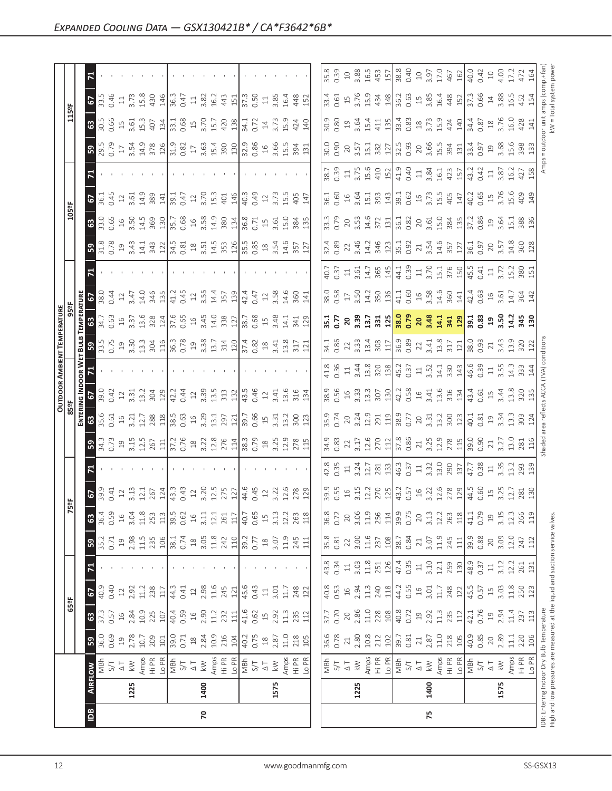|                     | ᄫ                                              |                                                                                                                                                                                                                                                                                                                                                                                                                                                                                                                                                                                                                                                                                                                                                                                        |                                                                 |                                                                                                                                                                                                                                                                                                                                                                                                        |                                                                                                            |                                                                                                                  |
|---------------------|------------------------------------------------|----------------------------------------------------------------------------------------------------------------------------------------------------------------------------------------------------------------------------------------------------------------------------------------------------------------------------------------------------------------------------------------------------------------------------------------------------------------------------------------------------------------------------------------------------------------------------------------------------------------------------------------------------------------------------------------------------------------------------------------------------------------------------------------|-----------------------------------------------------------------|--------------------------------------------------------------------------------------------------------------------------------------------------------------------------------------------------------------------------------------------------------------------------------------------------------------------------------------------------------------------------------------------------------|------------------------------------------------------------------------------------------------------------|------------------------------------------------------------------------------------------------------------------|
|                     | <b>67</b>                                      |                                                                                                                                                                                                                                                                                                                                                                                                                                                                                                                                                                                                                                                                                                                                                                                        |                                                                 |                                                                                                                                                                                                                                                                                                                                                                                                        |                                                                                                            |                                                                                                                  |
|                     | 63                                             | $\begin{array}{c} 30.66 \\ 0.66 \end{array}$ $\begin{array}{c} 10.7 \\ 10.7 \\ 10.7 \end{array}$ $\begin{array}{c} 10.7 \\ 10.7 \\ 10.7 \end{array}$ $\begin{array}{c} 10.7 \\ 10.7 \\ 10.7 \end{array}$ $\begin{array}{c} 10.7 \\ 10.7 \\ 10.7 \end{array}$ $\begin{array}{c} 10.7 \\ 10.7 \\ 10.7 \end{array}$ $\begin{array}{c} 10.7 \\ 10.7 \\ 10.7 \end{array}$ $\$                                                                                                                                                                                                                                                                                                                                                                                                               |                                                                 |                                                                                                                                                                                                                                                                                                                                                                                                        |                                                                                                            |                                                                                                                  |
|                     | ြို့                                           |                                                                                                                                                                                                                                                                                                                                                                                                                                                                                                                                                                                                                                                                                                                                                                                        |                                                                 |                                                                                                                                                                                                                                                                                                                                                                                                        |                                                                                                            |                                                                                                                  |
|                     | $\mathbf{z}$                                   |                                                                                                                                                                                                                                                                                                                                                                                                                                                                                                                                                                                                                                                                                                                                                                                        |                                                                 |                                                                                                                                                                                                                                                                                                                                                                                                        |                                                                                                            |                                                                                                                  |
|                     | 67                                             | 18 0 1 2 3 8 9 1 1 2 7 1 2 3 4 9 9 9 1 2 3 9 9 1 9 9 9 1 2 9 9 9 1 2 9 9 9 1 2 9 9 9 1 2 9 9 1 2 9 9 1 2 9 9 1                                                                                                                                                                                                                                                                                                                                                                                                                                                                                                                                                                                                                                                                         |                                                                 |                                                                                                                                                                                                                                                                                                                                                                                                        |                                                                                                            |                                                                                                                  |
|                     | ි                                              | $30.66$ $3.62$ $4.63$ $5.62$ $6.63$ $6.65$ $6.62$ $6.63$ $6.62$ $6.63$ $6.62$ $6.63$ $6.63$ $6.63$ $6.63$ $6.63$ $6.63$ $6.63$ $6.63$ $6.63$ $6.63$ $6.63$ $6.63$ $6.63$ $6.63$ $6.63$ $6.63$ $6.63$ $6.63$ $6.63$ $6.63$ $6.$                                                                                                                                                                                                                                                                                                                                                                                                                                                                                                                                                         |                                                                 |                                                                                                                                                                                                                                                                                                                                                                                                        |                                                                                                            |                                                                                                                  |
|                     | ခြွ                                            | $\begin{bmatrix} 3 & 8 & 9 & 4 & 4 & 3 & 2 \\ 0 & 2 & 3 & 4 & 4 & 3 & 5 \\ 0 & 3 & 4 & 4 & 3 & 5 & 6 \\ 0 & 4 & 5 & 6 & 5 & 6 & 6 \\ 0 & 5 & 6 & 6 & 6 & 6 & 6 \\ 0 & 6 & 6 & 6 & 6 & 6 & 6 \\ 0 & 6 & 6 & 6 & 6 & 6 & 6 \\ 0 & 6 & 6 & 6 & 6 & 6 & 6 \\ 0 & 6 & 6 & 6 & 6 & 6 & 6 \\ 0 & 6 & 6 & 6 & 6 & 6 & 6 \\ 0 & $                                                                                                                                                                                                                                                                                                                                                                                                                                                               |                                                                 |                                                                                                                                                                                                                                                                                                                                                                                                        |                                                                                                            |                                                                                                                  |
|                     | $\mathbf{z}$                                   |                                                                                                                                                                                                                                                                                                                                                                                                                                                                                                                                                                                                                                                                                                                                                                                        |                                                                 |                                                                                                                                                                                                                                                                                                                                                                                                        |                                                                                                            |                                                                                                                  |
|                     | $\frac{2}{5}$                                  |                                                                                                                                                                                                                                                                                                                                                                                                                                                                                                                                                                                                                                                                                                                                                                                        |                                                                 |                                                                                                                                                                                                                                                                                                                                                                                                        |                                                                                                            |                                                                                                                  |
| <u>іатик</u><br>959 | 0.63<br>∣ຶ<br>$\frac{16}{1}$                   |                                                                                                                                                                                                                                                                                                                                                                                                                                                                                                                                                                                                                                                                                                                                                                                        |                                                                 |                                                                                                                                                                                                                                                                                                                                                                                                        |                                                                                                            |                                                                                                                  |
|                     |                                                |                                                                                                                                                                                                                                                                                                                                                                                                                                                                                                                                                                                                                                                                                                                                                                                        |                                                                 |                                                                                                                                                                                                                                                                                                                                                                                                        |                                                                                                            |                                                                                                                  |
|                     | <b>SEP</b>                                     |                                                                                                                                                                                                                                                                                                                                                                                                                                                                                                                                                                                                                                                                                                                                                                                        |                                                                 |                                                                                                                                                                                                                                                                                                                                                                                                        |                                                                                                            |                                                                                                                  |
|                     | $rac{1}{67}$                                   |                                                                                                                                                                                                                                                                                                                                                                                                                                                                                                                                                                                                                                                                                                                                                                                        |                                                                 |                                                                                                                                                                                                                                                                                                                                                                                                        |                                                                                                            |                                                                                                                  |
| $rac{1}{2}$         |                                                | $\begin{bmatrix} 6 & 6 & 6 \\ 6 & 6 & 6 \\ 6 & 6 & 6 \\ 6 & 6 & 6 \\ 6 & 6 & 6 \\ 6 & 6 & 6 \\ 6 & 6 & 6 \\ 6 & 6 & 6 \\ 6 & 6 & 6 \\ 6 & 6 & 6 \\ 6 & 6 & 6 \\ 6 & 6 & 6 \\ 6 & 6 & 6 \\ 6 & 6 & 6 \\ 6 & 6 & 6 \\ 6 & 6 & 6 \\ 6 & 6 & 6 \\ 6 & 6 & 6 \\ 6 & 6 & 6 \\ 6 & 6 & 6 \\ 6 & 6 & 6 \\ 6 & 6 & 6 \\ 6 & 6 & 6 \\ 6 & 6 & $                                                                                                                                                                                                                                                                                                                                                                                                                                                  |                                                                 |                                                                                                                                                                                                                                                                                                                                                                                                        |                                                                                                            |                                                                                                                  |
|                     | ခြွ                                            |                                                                                                                                                                                                                                                                                                                                                                                                                                                                                                                                                                                                                                                                                                                                                                                        |                                                                 | $\begin{bmatrix} 37.8 & 32.8 & 34.8 & 34.8 & 34.8 & 34.8 & 34.8 & 34.8 & 34.8 & 34.8 & 34.8 & 34.8 & 34.8 & 34.8 & 34.8 & 34.8 & 34.8 & 34.8 & 34.8 & 34.8 & 34.8 & 34.8 & 34.8 & 34.8 & 34.8 & 34.8 & 34.8 & 34.8 & 34.8 & 34.8 & 34.8 & 34.8 & 34.8 & 34.8 & 34.8 & 34.$                                                                                                                             |                                                                                                            |                                                                                                                  |
|                     | 티                                              |                                                                                                                                                                                                                                                                                                                                                                                                                                                                                                                                                                                                                                                                                                                                                                                        |                                                                 |                                                                                                                                                                                                                                                                                                                                                                                                        |                                                                                                            |                                                                                                                  |
|                     |                                                |                                                                                                                                                                                                                                                                                                                                                                                                                                                                                                                                                                                                                                                                                                                                                                                        |                                                                 |                                                                                                                                                                                                                                                                                                                                                                                                        |                                                                                                            |                                                                                                                  |
| ္တို                | 36.4<br>0.59<br>63                             | $\begin{array}{r l l} \hline \textbf{.5} & \textbf{.5} & \textbf{.5} & \textbf{.5} \\ \hline \textbf{.6} & \textbf{.7} & \textbf{.7} & \textbf{.7} & \textbf{.7} \\ \hline \textbf{.7} & \textbf{.7} & \textbf{.7} & \textbf{.7} & \textbf{.7} \\ \hline \textbf{.8} & \textbf{.7} & \textbf{.7} & \textbf{.7} & \textbf{.7} \\ \hline \textbf{.9} & \textbf{.9} & \textbf{.7} & \textbf{.7} & \textbf{.7} \\ \h$<br>$\frac{16}{12} = \frac{16}{12} = \frac{16}{12} = \frac{16}{12} = \frac{16}{12} = \frac{16}{12} = \frac{16}{12} = \frac{16}{12} = \frac{16}{12} = \frac{16}{12} = \frac{16}{12} = \frac{16}{12} = \frac{16}{12} = \frac{16}{12} = \frac{16}{12} = \frac{16}{12} = \frac{16}{12} = \frac{16}{12} = \frac{16}{12} = \frac{16}{12} = \frac{16}{12} = \frac{16}{12} =$ |                                                                 |                                                                                                                                                                                                                                                                                                                                                                                                        |                                                                                                            |                                                                                                                  |
|                     | 35.2<br>0.71<br>19<br>ြို့                     | $18$<br>$3.05$<br>11.8<br>242<br>110<br>39.2<br>39.77<br>$2.98$<br>$1.5$<br>$1.5$<br>$1.5$<br>$1.5$<br>$1.5$<br>$1.74$                                                                                                                                                                                                                                                                                                                                                                                                                                                                                                                                                                                                                                                                 | $\begin{array}{c} 18 \\ 3.07 \\ 11.9 \\ 245 \\ 111 \end{array}$ | $\begin{array}{c} 3.00 \\ 11.6 \\ 237 \\ \hline 108 \\ 38.7 \\ 0.84 \end{array}$<br>$\begin{array}{c} 35.8 \\ 0.81 \\ 2 \end{array}$                                                                                                                                                                                                                                                                   | 21                                                                                                         | $\begin{array}{c c}\n3.07 \\ 1.9 \\ 2.45 \\ 1.1 \\ 0.88 \\ 0.88 \\ 0.9 \\ 0.9 \\ 0.0 \\ 1.0\n\end{array}$<br>247 |
|                     | 티                                              |                                                                                                                                                                                                                                                                                                                                                                                                                                                                                                                                                                                                                                                                                                                                                                                        | and the contract of the                                         |                                                                                                                                                                                                                                                                                                                                                                                                        |                                                                                                            |                                                                                                                  |
|                     |                                                |                                                                                                                                                                                                                                                                                                                                                                                                                                                                                                                                                                                                                                                                                                                                                                                        |                                                                 |                                                                                                                                                                                                                                                                                                                                                                                                        |                                                                                                            |                                                                                                                  |
| $\frac{1}{255}$     | $ $ 63   67                                    |                                                                                                                                                                                                                                                                                                                                                                                                                                                                                                                                                                                                                                                                                                                                                                                        |                                                                 |                                                                                                                                                                                                                                                                                                                                                                                                        |                                                                                                            |                                                                                                                  |
|                     |                                                | $\frac{1}{2}$ ; $\frac{1}{2}$ a $\frac{3}{2}$ a $\frac{3}{2}$ a $\frac{1}{2}$ a $\frac{4}{3}$ a $\frac{3}{2}$ a $\frac{3}{2}$ a $\frac{3}{2}$ a $\frac{3}{2}$ a $\frac{3}{2}$ a $\frac{3}{2}$ a $\frac{3}{2}$ a $\frac{3}{2}$ a $\frac{3}{2}$ a $\frac{3}{2}$ a $\frac{3}{2}$ a $\frac{3}{2}$ a $\frac{3}{$                                                                                                                                                                                                                                                                                                                                                                                                                                                                            |                                                                 | 37.7                                                                                                                                                                                                                                                                                                                                                                                                   | $2.92$<br>$1.35$<br>$1.35$<br>$1.35$<br>$1.35$<br>$1.35$<br>$1.35$<br>$1.35$<br>$1.35$<br>$1.35$<br>$1.35$ | $\frac{137}{237}$                                                                                                |
|                     | $0.69$<br>$0.9$<br>2.78<br>10.7<br>209<br>ြို့ |                                                                                                                                                                                                                                                                                                                                                                                                                                                                                                                                                                                                                                                                                                                                                                                        |                                                                 | 36.6<br>0.78<br>$\begin{array}{c} 2.80 \\ 10.8 \\ 2.12 \\ 102 \end{array}$<br>$\overline{21}$                                                                                                                                                                                                                                                                                                          | $2.87$<br>11.0<br>218<br>100<br>40.9<br>39.7<br>$\overline{21}$                                            | $0.85$<br>$20$<br>$2.89$<br>220<br>106<br>$\overline{11}$                                                        |
|                     | $\overline{\tilde{6}}$                         | $\begin{array}{l} \text{S} \rightarrow \text{S} \\ \text{S} \rightarrow \text{S} \\ \text{S} \rightarrow \text{S} \\ \text{S} \rightarrow \text{S} \\ \text{S} \rightarrow \text{S} \\ \text{S} \rightarrow \text{S} \\ \text{S} \rightarrow \text{S} \\ \text{S} \rightarrow \text{S} \\ \text{S} \rightarrow \text{S} \\ \text{S} \rightarrow \text{S} \\ \text{S} \rightarrow \text{S} \\ \text{S} \rightarrow \text{S} \\ \text{S} \rightarrow \text{S} \\ \text{S} \rightarrow \text{S} \\ \text{S} \rightarrow \text{S} \\ \text{S} \rightarrow \text{S} \\ \text{S}$                                                                                                                                                                                                            |                                                                 | $\begin{array}{ l l l l }\hline \frac{1}{2} & \frac{1}{2} & \frac{1}{2} & \frac{1}{2} & \frac{1}{2} & \frac{1}{2} & \frac{1}{2} & \frac{1}{2} & \frac{1}{2} & \frac{1}{2} & \frac{1}{2} \\ \hline \frac{1}{2} & \frac{1}{2} & \frac{1}{2} & \frac{1}{2} & \frac{1}{2} & \frac{1}{2} & \frac{1}{2} & \frac{1}{2} & \frac{1}{2} & \frac{1}{2} & \frac{1}{2} & \frac{1}{2} & \frac{1}{2} & \frac{1}{2} &$ |                                                                                                            |                                                                                                                  |
|                     | 1225<br> ≌                                     | 1400                                                                                                                                                                                                                                                                                                                                                                                                                                                                                                                                                                                                                                                                                                                                                                                   | 1575                                                            | 1225                                                                                                                                                                                                                                                                                                                                                                                                   | 1400                                                                                                       | 1575                                                                                                             |
|                     |                                                | $\mathsf{R}$                                                                                                                                                                                                                                                                                                                                                                                                                                                                                                                                                                                                                                                                                                                                                                           |                                                                 |                                                                                                                                                                                                                                                                                                                                                                                                        | 75                                                                                                         |                                                                                                                  |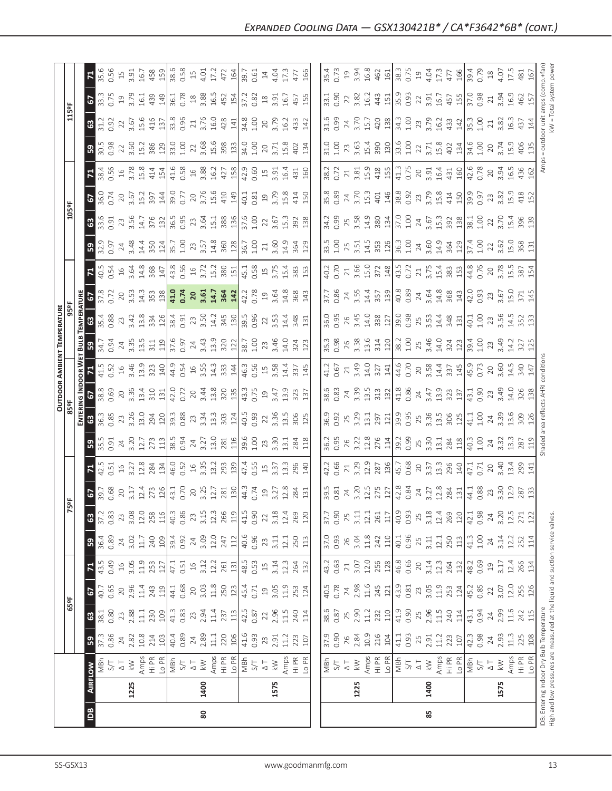|                                            | $\overline{a}$ |      |      | 8 |                                                                                                                                                                                                                                                                                                                                                                                                                                                                                                                                                                                                         |                                                                                                                                                                                                                                                                                                                                                                                                       | 85   |      |  |
|--------------------------------------------|----------------|------|------|---|---------------------------------------------------------------------------------------------------------------------------------------------------------------------------------------------------------------------------------------------------------------------------------------------------------------------------------------------------------------------------------------------------------------------------------------------------------------------------------------------------------------------------------------------------------------------------------------------------------|-------------------------------------------------------------------------------------------------------------------------------------------------------------------------------------------------------------------------------------------------------------------------------------------------------------------------------------------------------------------------------------------------------|------|------|--|
|                                            |                | 1225 | 1400 |   | 1575                                                                                                                                                                                                                                                                                                                                                                                                                                                                                                                                                                                                    | 1225                                                                                                                                                                                                                                                                                                                                                                                                  | 1400 | 1575 |  |
|                                            |                |      |      |   | $\frac{1}{8}$                                                                                                                                                                                                                                                                                                                                                                                                                                                                                                                                                                                           | $\begin{array}{ l l l l l }\hline \frac{1}{2} & \frac{1}{2} & \frac{1}{2} & \frac{1}{2} & \frac{1}{2} & \frac{1}{2} & \frac{1}{2} & \frac{1}{2} & \frac{1}{2} & \frac{1}{2} \\ \hline \frac{1}{2} & \frac{1}{2} & \frac{1}{2} & \frac{1}{2} & \frac{1}{2} & \frac{1}{2} & \frac{1}{2} & \frac{1}{2} & \frac{1}{2} & \frac{1}{2} & \frac{1}{2} & \frac{1}{2} & \frac{1}{2} & \frac{1}{2} & \frac{1}{2$ |      |      |  |
| $\sqrt{3}$                                 |                |      |      |   |                                                                                                                                                                                                                                                                                                                                                                                                                                                                                                                                                                                                         |                                                                                                                                                                                                                                                                                                                                                                                                       |      |      |  |
|                                            |                |      |      |   |                                                                                                                                                                                                                                                                                                                                                                                                                                                                                                                                                                                                         |                                                                                                                                                                                                                                                                                                                                                                                                       |      |      |  |
| 65 <sup>2</sup>                            |                |      |      |   |                                                                                                                                                                                                                                                                                                                                                                                                                                                                                                                                                                                                         |                                                                                                                                                                                                                                                                                                                                                                                                       |      |      |  |
|                                            |                |      |      |   | $7.433$ $4.33$ $4.33$ $1.33$ $1.31$ $1.33$ $1.33$ $1.33$ $1.33$ $1.33$ $1.33$ $1.33$ $1.33$ $1.33$ $1.33$ $1.33$ $1.33$ $1.33$ $1.33$ $1.33$ $1.33$ $1.33$ $1.33$ $1.33$ $1.33$ $1.33$ $1.33$ $1.33$ $1.33$ $1.33$ $1.33$ $1.$                                                                                                                                                                                                                                                                                                                                                                          | $\begin{bmatrix} 3 & 3 & 2 & 3 & 3 & 3 & 3 & 3 & 4 & 4 & 5 & 6 & 6 & 6 & 6 & 6 & 6 & 6 & 7 & 7 & 7 & 8 & 7 & 7 & 8 & 7 & 7 & 8 & 7 & 8 & 7 & 8 & 7 & 8 & 7 & 8 & 7 & 8 & 7 & 8 & 7 & 8 & 7 & 8 & 7 & 8 & 7 & 8 & 7 & 8 & 7 & 8 & 7 & 8 & 7 & 8 & 7 & 8 & 7 & 8 & 7 & 8 & 7 & 8 & 7 & 8 & 7 & 8 & 7 & 8 & 7 & $                                                                                        |      |      |  |
| ြုက္သ                                      |                |      |      |   | $\begin{array}{l} 4,0.89\\ 8,0.84\\ 0.85\\ 0.01\\ 0.01\\ 0.01\\ 0.01\\ 0.01\\ 0.01\\ 0.01\\ 0.01\\ 0.01\\ 0.01\\ 0.01\\ 0.01\\ 0.01\\ 0.01\\ 0.01\\ 0.01\\ 0.01\\ 0.01\\ 0.01\\ 0.01\\ 0.01\\ 0.01\\ 0.01\\ 0.01\\ 0.01\\ 0.01\\ 0.01\\ 0.01\\ 0.01\\ 0.01\\ 0.01\\ 0.01$                                                                                                                                                                                                                                                                                                                               |                                                                                                                                                                                                                                                                                                                                                                                                       |      |      |  |
|                                            |                |      |      |   | $37.83\%$ $37.83\%$ $37.23\%$ $38.23\%$ $39.23\%$ $39.23\%$ $39.23\%$ $39.23\%$ $39.23\%$ $39.23\%$ $39.23\%$ $39.23\%$ $39.23\%$ $39.23\%$ $39.23\%$ $39.23\%$ $39.23\%$ $39.23\%$ $39.23\%$ $39.23\%$ $39.23\%$ $39.23\%$                                                                                                                                                                                                                                                                                                                                                                             |                                                                                                                                                                                                                                                                                                                                                                                                       |      |      |  |
| $\overline{5}$                             |                |      |      |   |                                                                                                                                                                                                                                                                                                                                                                                                                                                                                                                                                                                                         |                                                                                                                                                                                                                                                                                                                                                                                                       |      |      |  |
| $\mathbb{R}$                               |                |      |      |   | $\frac{15}{12}$ $\frac{15}{12}$ $\frac{17}{12}$ $\frac{18}{12}$ $\frac{18}{12}$ $\frac{18}{12}$ $\frac{18}{12}$ $\frac{18}{12}$ $\frac{17}{12}$ $\frac{18}{12}$ $\frac{17}{12}$ $\frac{17}{12}$ $\frac{17}{12}$ $\frac{17}{12}$ $\frac{17}{12}$ $\frac{17}{12}$ $\frac{17}{12}$ $\frac{17}{12}$ $\frac{1$                                                                                                                                                                                                                                                                                               | $\begin{bmatrix} 12.6 & 12.6 & 12.6 & 12.6 & 12.6 & 12.6 & 12.6 & 12.6 & 12.6 & 12.6 & 12.6 & 12.6 & 12.6 & 12.6 & 12.6 & 12.6 & 12.6 & 12.6 & 12.6 & 12.6 & 12.6 & 12.6 & 12.6 & 12.6 & 12.6 & 12.6 & 12.6 & 12.6 & 12.6 & 12.6 & 12.6 & 12.6 & 12.6 & 12.6 & 12.6 & 12.$                                                                                                                            |      |      |  |
|                                            |                |      |      |   |                                                                                                                                                                                                                                                                                                                                                                                                                                                                                                                                                                                                         | $\begin{bmatrix} 16 & 16 & 16 \\ 16 & 16 & 16 \\ 16 & 16 & 16 \\ 16 & 16 & 16 \\ 16 & 16 & 16 \\ 17 & 18 & 16 \\ 18 & 19 & 10 & 16 \\ 19 & 10 & 10 & 16 \\ 10 & 10 & 10 & 16 \\ 11 & 10 & 10 & 16 \\ 10 & 10 & 10 & 16 \\ 11 & 10 & 10 & 16 \\ 12 & 11 & 10 & 16 \\ 13 & 11 & 10 & 16 \\ 14 & 10 & 10 & 1$                                                                                            |      |      |  |
|                                            |                |      |      |   |                                                                                                                                                                                                                                                                                                                                                                                                                                                                                                                                                                                                         |                                                                                                                                                                                                                                                                                                                                                                                                       |      |      |  |
| OUTDOOR AMBIENT TEMPERATURI<br>85ºF<br>95° |                |      |      |   | $\frac{1}{3}$ $\frac{1}{2}$ $\frac{1}{2}$ $\frac{1}{2}$ $\frac{3}{2}$ $\frac{3}{2}$ $\frac{3}{2}$ $\frac{1}{2}$ $\frac{1}{2}$ $\frac{1}{2}$ $\frac{1}{2}$ $\frac{1}{2}$ $\frac{1}{2}$ $\frac{1}{2}$ $\frac{1}{2}$ $\frac{1}{2}$ $\frac{1}{2}$ $\frac{1}{2}$ $\frac{1}{2}$ $\frac{1}{2}$ $\frac{1}{2}$ $\frac{1}{2}$                                                                                                                                                                                                                                                                                     |                                                                                                                                                                                                                                                                                                                                                                                                       |      |      |  |
| $rac{1}{5}$                                |                |      |      |   | $4.5$ $3.6$ $4.6$ $3.8$ $3.9$ $4.4$ $4.6$ $3.6$ $3.3$ $4.4$ $4.6$ $3.6$ $4.6$ $3.6$ $4.3$ $3.4$ $3.4$ $3.4$ $3.4$ $3.4$ $3.4$ $3.4$ $3.4$ $3.4$ $3.4$ $3.4$ $3.4$ $3.4$ $3.4$ $3.4$ $3.4$ $3.4$ $3.4$ $3.4$ $3.4$ $3.4$ $3.4$                                                                                                                                                                                                                                                                                                                                                                           |                                                                                                                                                                                                                                                                                                                                                                                                       |      |      |  |
| <u>ដ្ឋី ន</u>                              |                |      |      |   | $3.54$ $\frac{1}{2}$ $\frac{1}{2}$ $\frac{1}{2}$ $\frac{1}{2}$ $\frac{1}{2}$ $\frac{1}{2}$ $\frac{1}{2}$ $\frac{1}{2}$ $\frac{1}{2}$ $\frac{1}{2}$ $\frac{1}{2}$ $\frac{1}{2}$ $\frac{1}{2}$ $\frac{1}{2}$ $\frac{1}{2}$ $\frac{1}{2}$ $\frac{1}{2}$ $\frac{1}{2}$ $\frac{1}{2}$ $\frac{1}{2}$ $\frac{1}{2}$ $\frac{$                                                                                                                                                                                                                                                                                   |                                                                                                                                                                                                                                                                                                                                                                                                       |      |      |  |
|                                            |                |      |      |   | $\frac{38}{28}$ $\frac{37}{28}$ $\frac{37}{28}$ $\frac{47}{28}$ $\frac{61}{28}$ $\frac{13}{28}$ $\frac{37}{28}$ $\frac{37}{28}$ $\frac{37}{28}$ $\frac{37}{28}$ $\frac{37}{28}$ $\frac{37}{28}$ $\frac{37}{28}$ $\frac{37}{28}$ $\frac{37}{28}$ $\frac{37}{28}$ $\frac{37}{28}$ $\frac{37}{28}$ $\frac{3$                                                                                                                                                                                                                                                                                               |                                                                                                                                                                                                                                                                                                                                                                                                       |      |      |  |
| $\mathbb{R}$                               |                |      |      |   | $40.54 \times 4.84 \times 10.84 \times 10.84 \times 10.84 \times 10.84 \times 10.84 \times 10.84 \times 10.84 \times 10.84 \times 10.84 \times 10.84 \times 10.84 \times 10.84 \times 10.84 \times 10.84 \times 10.84 \times 10.84 \times 10.84 \times 10.84 \times 10.84 \times 10.84 \times 10.84 \times 10.84 \times 10.84 \times 10.84 \times 10.84 \times 10.84$<br>Commander and the season of the community of the community of the community of the community of the community of the community of the community of the community of the community of the community of the community of the com |                                                                                                                                                                                                                                                                                                                                                                                                       |      |      |  |
| ြုပ္တာ                                     |                |      |      |   | $\frac{15}{10}$ $\frac{1}{2}$ $\frac{1}{4}$ $\frac{1}{4}$ $\frac{1}{4}$ $\frac{1}{5}$ $\frac{1}{6}$ $\frac{1}{10}$ $\frac{1}{10}$ $\frac{1}{2}$ $\frac{1}{3}$ $\frac{1}{2}$ $\frac{1}{3}$ $\frac{1}{6}$ $\frac{1}{2}$ $\frac{1}{6}$ $\frac{1}{2}$ $\frac{1}{6}$ $\frac{1}{2}$ $\frac{1}{6}$ $\frac{1}{2}$ $\frac{1}{6$                                                                                                                                                                                                                                                                                  |                                                                                                                                                                                                                                                                                                                                                                                                       |      |      |  |
|                                            |                |      |      |   |                                                                                                                                                                                                                                                                                                                                                                                                                                                                                                                                                                                                         |                                                                                                                                                                                                                                                                                                                                                                                                       |      |      |  |
| 5<br>$\frac{55}{205}$                      |                |      |      |   |                                                                                                                                                                                                                                                                                                                                                                                                                                                                                                                                                                                                         | $\begin{array}{l} 36.89\\ 36.92\\ 47.61\\ 50.39\\ 70.61\\ 70.62\\ 70.63\\ 70.64\\ 70.64\\ 70.64\\ 70.65\\ 70.65\\ 70.66\\ 70.67\\ 70.67\\ 70.67\\ 70.67\\ 70.67\\ 70.67\\ 70.67\\ 70.67\\ 70.67\\ 70.67\\ 70.67\\ 70.67\\ 70.67\\ 70.67\\ 70.67\\ 70.67\\ 70.67\\ 70$                                                                                                                                 |      |      |  |
|                                            |                |      |      |   |                                                                                                                                                                                                                                                                                                                                                                                                                                                                                                                                                                                                         |                                                                                                                                                                                                                                                                                                                                                                                                       |      |      |  |
|                                            |                |      |      |   |                                                                                                                                                                                                                                                                                                                                                                                                                                                                                                                                                                                                         | $\begin{bmatrix} 1 & 1 & 1 & 1 & 1 \\ 1 & 1 & 1 & 1 & 1 \\ 1 & 1 & 1 & 1 & 1 \\ 1 & 1 & 1 & 1 & 1 \\ 1 & 1 & 1 & 1 & 1 \\ 1 & 1 & 1 & 1 & 1 \\ 1 & 1 & 1 & 1 & 1 \\ 1 & 1 & 1 & 1 & 1 \\ 1 & 1 & 1 & 1 & 1 \\ 1 & 1 & 1 & 1 & 1 \\ 1 & 1 & 1 & 1 & 1 \\ 1 & 1 & 1 & 1 & 1 \\ 1 & 1 & 1 & 1 & 1 \\ 1 & 1 & 1 & 1 & 1 \\ 1 & $                                                                          |      |      |  |
| 8                                          |                |      |      |   | $\begin{array}{c} 11 & 03 & 03 & 05 & 04 \\ 01 & 03 & 05 & 05 & 06 \\ 03 & 04 & 05 & 07 & 07 \\ 04 & 05 & 06 & 07 & 08 \\ 05 & 06 & 07 & 07 & 07 \\ 06 & 07 & 08 & 07 & 07 \\ 07 & 08 & 07 & 07 & 08 \\ 08 & 07 & 07 & 07 & 07 & 08 \\ 09 & 08 & 07 & 08 & 07 & 08 \\ 01 & 08 & 07 & 08 & 07 & 08 \\ $                                                                                                                                                                                                                                                                                                  |                                                                                                                                                                                                                                                                                                                                                                                                       |      |      |  |
|                                            |                |      |      |   |                                                                                                                                                                                                                                                                                                                                                                                                                                                                                                                                                                                                         |                                                                                                                                                                                                                                                                                                                                                                                                       |      |      |  |
|                                            |                |      |      |   |                                                                                                                                                                                                                                                                                                                                                                                                                                                                                                                                                                                                         |                                                                                                                                                                                                                                                                                                                                                                                                       |      |      |  |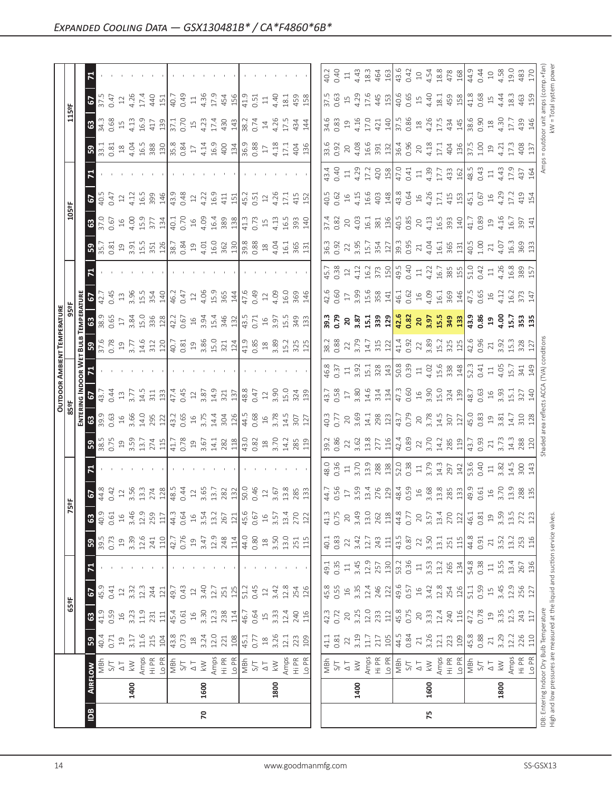|                | 리                                |                                                                                                                                                                                                                                                                                                                                                                                                                                                                                                                                                                                                                                                                                                                                                           |                                                                                                                                                         |                                                                                                                                                                                                                                                                                                                                                                                                        |                                                                           |                                   |
|----------------|----------------------------------|-----------------------------------------------------------------------------------------------------------------------------------------------------------------------------------------------------------------------------------------------------------------------------------------------------------------------------------------------------------------------------------------------------------------------------------------------------------------------------------------------------------------------------------------------------------------------------------------------------------------------------------------------------------------------------------------------------------------------------------------------------------|---------------------------------------------------------------------------------------------------------------------------------------------------------|--------------------------------------------------------------------------------------------------------------------------------------------------------------------------------------------------------------------------------------------------------------------------------------------------------------------------------------------------------------------------------------------------------|---------------------------------------------------------------------------|-----------------------------------|
|                | 57                               |                                                                                                                                                                                                                                                                                                                                                                                                                                                                                                                                                                                                                                                                                                                                                           |                                                                                                                                                         |                                                                                                                                                                                                                                                                                                                                                                                                        |                                                                           |                                   |
|                | ි                                | $\begin{array}{c} 1.63 & 1.65 & 1.67 & 1.67 \\ 1.65 & 1.67 & 1.67 & 1.67 \\ 1.67 & 1.67 & 1.67 & 1.67 \\ 1.69 & 1.67 & 1.67 & 1.67 \\ 1.61 & 1.67 & 1.67 & 1.67 \\ 1.61 & 1.67 & 1.67 & 1.67 \\ 1.61 & 1.67 & 1.67 & 1.67 \\ 1.61 & 1.67 & 1.67 & 1.67 \\ 1.61 & 1.67 & 1.67 & 1.$                                                                                                                                                                                                                                                                                                                                                                                                                                                                        |                                                                                                                                                         |                                                                                                                                                                                                                                                                                                                                                                                                        |                                                                           |                                   |
|                | ြို့                             | $\begin{array}{c} 33.61 & 24.62 & 25.64 \\ 35.61 & 25.64 & 25.64 \\ 36.62 & 27.64 & 25.64 \\ 37.63 & 28.64 & 27.64 \\ 38.64 & 29.64 & 27.64 \\ 39.65 & 29.64 & 27.64 \\ 30.65 & 27.64 & 27.64 \\ 30.66 & 27.64 & 27.64 \\ 31.67 & 23.64 & 27.64 \\ 32.67 & 27.64 & 27.64 \\ 33$                                                                                                                                                                                                                                                                                                                                                                                                                                                                           |                                                                                                                                                         |                                                                                                                                                                                                                                                                                                                                                                                                        |                                                                           |                                   |
|                | 티                                |                                                                                                                                                                                                                                                                                                                                                                                                                                                                                                                                                                                                                                                                                                                                                           |                                                                                                                                                         | $\begin{bmatrix} 4 & 3 & 1 & 3 & 3 & 3 & 6 \\ 4 & 3 & 4 & 1 & 5 & 6 & 8 \\ 3 & 4 & 5 & 5 & 6 & 8 & 6 \\ 4 & 5 & 6 & 6 & 6 & 7 & 8 \\ 5 & 6 & 6 & 6 & 7 & 8 & 8 \\ 6 & 6 & 7 & 8 & 7 & 8 & 8 \\ 6 & 7 & 8 & 8 & 8 & 1 & 8 \\ 7 & 8 & 1 & 8 & 1 & 8 & 8 \\ 8 & 1 & 8 & 1 & 8 & 1 & 8 \\ 9 & 1 & 1 & 1 & 1 & 1 & 1 \\ 10 &$                                                                               |                                                                           |                                   |
|                | 67                               | $40.77 \times 10.88 \times 10.87 \times 10.77 \times 10.77 \times 10.77 \times 10.77 \times 10.77 \times 10.77 \times 10.77 \times 10.77 \times 10.77 \times 10.77 \times 10.77 \times 10.77 \times 10.77 \times 10.77 \times 10.77 \times 10.77 \times 10.77 \times 10.77 \times 10.77 \times 10.77 \times 10.77 \times 10.77 \times 10.77 \times 10.77 \times 10.7$                                                                                                                                                                                                                                                                                                                                                                                     |                                                                                                                                                         |                                                                                                                                                                                                                                                                                                                                                                                                        |                                                                           |                                   |
|                | ි                                | $\frac{1}{2}$                                                                                                                                                                                                                                                                                                                                                                                                                                                                                                                                                                                                                                                                                                                                             |                                                                                                                                                         |                                                                                                                                                                                                                                                                                                                                                                                                        |                                                                           |                                   |
|                | ြို့                             | n<br>2010 - 2010 - 2010 - 2010 - 2010 - 2010 - 2010 - 2010 - 2010 - 2010 - 2010 - 2010 - 2010 - 2010 - 2010 - 2010<br>2010 - 2010 - 2010 - 2010 - 2010 - 2010 - 2010 - 2010 - 2010 - 2010 - 2010 - 2010 - 2010 - 2010 - 2010 - 2010                                                                                                                                                                                                                                                                                                                                                                                                                                                                                                                       |                                                                                                                                                         |                                                                                                                                                                                                                                                                                                                                                                                                        |                                                                           |                                   |
|                | $\mathbf{z}$                     |                                                                                                                                                                                                                                                                                                                                                                                                                                                                                                                                                                                                                                                                                                                                                           |                                                                                                                                                         |                                                                                                                                                                                                                                                                                                                                                                                                        |                                                                           |                                   |
|                | 합의                               | $7.36$ $1.43$ $1.45$ $1.45$ $1.45$ $1.45$ $1.45$ $1.45$ $1.45$ $1.45$ $1.45$ $1.45$ $1.45$ $1.45$ $1.45$ $1.45$ $1.45$ $1.45$ $1.45$ $1.45$ $1.45$ $1.45$ $1.45$ $1.45$ $1.45$ $1.45$ $1.45$ $1.45$ $1.45$ $1.45$ $1.45$ $1.4$                                                                                                                                                                                                                                                                                                                                                                                                                                                                                                                            |                                                                                                                                                         |                                                                                                                                                                                                                                                                                                                                                                                                        |                                                                           |                                   |
| RATURE<br>95ºI | ∣ິສ                              |                                                                                                                                                                                                                                                                                                                                                                                                                                                                                                                                                                                                                                                                                                                                                           |                                                                                                                                                         |                                                                                                                                                                                                                                                                                                                                                                                                        |                                                                           |                                   |
|                | <u> ដ្ឋី  ន</u>                  | $\begin{array}{c} 1.85 & 1.75 & 1.75 & 1.75 \\ 1.75 & 1.75 & 1.75 & 1.75 \\ 1.75 & 1.75 & 1.75 & 1.75 \\ 1.75 & 1.75 & 1.75 & 1.75 \\ 1.75 & 1.75 & 1.75 & 1.75 \\ 1.75 & 1.75 & 1.75 & 1.75 \\ 1.75 & 1.75 & 1.75 & 1.75 \\ 1.75 & 1.75 & 1.75 & 1.75 \\ 1.75 & 1.75 & 1.75 & 1.$                                                                                                                                                                                                                                                                                                                                                                                                                                                                        |                                                                                                                                                         |                                                                                                                                                                                                                                                                                                                                                                                                        |                                                                           |                                   |
|                | $\frac{1}{3}$                    |                                                                                                                                                                                                                                                                                                                                                                                                                                                                                                                                                                                                                                                                                                                                                           |                                                                                                                                                         |                                                                                                                                                                                                                                                                                                                                                                                                        |                                                                           |                                   |
|                | <b>ED</b><br>BI<br>BI            | $\begin{array}{l} \Gamma_1 \rightarrow 4 \\ \Gamma_2 \rightarrow 4 \\ \Gamma_3 \rightarrow 5 \\ \Gamma_4 \rightarrow 6 \\ \Gamma_5 \rightarrow 6 \\ \Gamma_6 \rightarrow 6 \\ \Gamma_7 \rightarrow 6 \\ \Gamma_8 \rightarrow 6 \\ \Gamma_9 \rightarrow 6 \\ \Gamma_1 \rightarrow 6 \\ \Gamma_2 \rightarrow 6 \\ \Gamma_3 \rightarrow 6 \\ \Gamma_4 \rightarrow 6 \\ \Gamma_5 \rightarrow 6 \\ \Gamma_6 \rightarrow 6 \\ \Gamma_7 \rightarrow 6 \\ \Gamma_8 \rightarrow 6 \\ \Gamma_9 \rightarrow 6 \\ \Gamma_9 \rightarrow 6 \\ \Gamma_1 \rightarrow 6 \\ \Gamma_1 \rightarrow 6 \\ \Gamma_2 \rightarrow 6 \\ \Gamma_3 \rightarrow 6 \\ \Gamma_4 \rightarrow$                                                                                             |                                                                                                                                                         |                                                                                                                                                                                                                                                                                                                                                                                                        |                                                                           |                                   |
| $rac{1}{2}$    | <b>E</b> 3                       | 1818 1920 1930 1931 1932 1933 1934 1936 1936 1937 1938 1939 1931 1932 1933 1934 1935 1936 1937 1938 1937 1937                                                                                                                                                                                                                                                                                                                                                                                                                                                                                                                                                                                                                                             |                                                                                                                                                         |                                                                                                                                                                                                                                                                                                                                                                                                        |                                                                           |                                   |
|                | ခြွ                              | $\begin{array}{l} 38.5 \\ 0.75 \\ 0.79 \\ 0.39 \\ 0.74 \\ 0.74 \\ 0.75 \\ 0.74 \\ 0.76 \\ 0.77 \\ 0.77 \\ 0.78 \\ 0.79 \\ 0.79 \\ 0.79 \\ 0.79 \\ 0.79 \\ 0.79 \\ 0.79 \\ 0.79 \\ 0.79 \\ 0.79 \\ 0.79 \\ 0.79 \\ 0.79 \\ 0.71 \\ 0.79 \\ 0.71 \\ 0.79 \\ 0.71 \\ 0.73 \\ 0.71 \\ 0.73 \\ 0.73 \\ 0.73 \\ 0.$                                                                                                                                                                                                                                                                                                                                                                                                                                             |                                                                                                                                                         |                                                                                                                                                                                                                                                                                                                                                                                                        |                                                                           |                                   |
|                | 티                                |                                                                                                                                                                                                                                                                                                                                                                                                                                                                                                                                                                                                                                                                                                                                                           |                                                                                                                                                         |                                                                                                                                                                                                                                                                                                                                                                                                        |                                                                           |                                   |
|                |                                  |                                                                                                                                                                                                                                                                                                                                                                                                                                                                                                                                                                                                                                                                                                                                                           |                                                                                                                                                         |                                                                                                                                                                                                                                                                                                                                                                                                        |                                                                           |                                   |
| ¤              |                                  | $\begin{array}{r l l} \hline \textbf{6} & \textbf{4} & \textbf{3} & \textbf{2} & \textbf{3} & \textbf{4} & \textbf{5} & \textbf{6} \\ \hline \textbf{7} & \textbf{8} & \textbf{1} & \textbf{1} & \textbf{1} & \textbf{1} & \textbf{1} & \textbf{1} & \textbf{1} & \textbf{1} \\ \hline \textbf{8} & \textbf{9} & \textbf{1} & \textbf{1} & \textbf{1} & \textbf{1} & \textbf{1} & \textbf{1} & \textbf{1} & \textbf{1} & \textbf{$<br>$\frac{1}{2}$ $\frac{1}{2}$ $\frac{1}{2}$ $\frac{1}{2}$ $\frac{1}{2}$ $\frac{1}{2}$ $\frac{1}{2}$ $\frac{1}{4}$ $\frac{1}{2}$ $\frac{1}{2}$ $\frac{1}{2}$ $\frac{1}{2}$ $\frac{1}{2}$ $\frac{1}{2}$ $\frac{1}{2}$ $\frac{1}{2}$ $\frac{1}{2}$ $\frac{1}{2}$ $\frac{1}{2}$ $\frac{1}{2}$ $\frac{1}{2}$ $\frac{1}{2}$ |                                                                                                                                                         | $\begin{bmatrix} \vec{a_1} & \vec{c_2} & \vec{c_3} & \vec{c_4} & \vec{c_5} \\ \vec{c_1} & \vec{c_2} & \vec{c_3} & \vec{c_4} & \vec{c_5} & \vec{c_6} \\ \vec{c_6} & \vec{c_7} & \vec{c_8} & \vec{c_7} & \vec{c_8} & \vec{c_7} \\ \vec{c_8} & \vec{c_8} & \vec{c_9} & \vec{c_8} & \vec{c_9} & \vec{c_8} \\ \vec{c_9} & \vec{c_8} & \vec{c_9} & \vec{c_8$                                                 |                                                                           |                                   |
|                | 8<br>ခြွ                         |                                                                                                                                                                                                                                                                                                                                                                                                                                                                                                                                                                                                                                                                                                                                                           |                                                                                                                                                         |                                                                                                                                                                                                                                                                                                                                                                                                        |                                                                           |                                   |
|                |                                  |                                                                                                                                                                                                                                                                                                                                                                                                                                                                                                                                                                                                                                                                                                                                                           |                                                                                                                                                         |                                                                                                                                                                                                                                                                                                                                                                                                        |                                                                           |                                   |
|                | 티                                |                                                                                                                                                                                                                                                                                                                                                                                                                                                                                                                                                                                                                                                                                                                                                           | the contract of the con-                                                                                                                                |                                                                                                                                                                                                                                                                                                                                                                                                        |                                                                           |                                   |
| $\frac{1}{3}$  | 19   89                          |                                                                                                                                                                                                                                                                                                                                                                                                                                                                                                                                                                                                                                                                                                                                                           |                                                                                                                                                         |                                                                                                                                                                                                                                                                                                                                                                                                        |                                                                           |                                   |
|                | 41.9<br>0.59<br>16               | $\begin{array}{c} 3.31 & 2.11 \\ 3.1 & 3.11 \\ 4.2 & 5.12 \\ 5.3 & 6.12 \\ 6.2 & 6.12 \\ 7.4 & 7.12 \\ 8.5 & 7.12 \\ 9.6 & 1.12 \\ 10.6 & 1.12 \\ 11.1 & 1.12 \\ 12.1 & 1.12 \\ 13.1 & 1.12 \\ 14.1 & 1.12 \\ 15.1 & 1.12 \\ 16.1 & 1.12 \\ 17.1 & 1.12 \\ 18.1 & 1.12 \\ 19.1 & 1.12 \\ 10.$                                                                                                                                                                                                                                                                                                                                                                                                                                                             |                                                                                                                                                         |                                                                                                                                                                                                                                                                                                                                                                                                        |                                                                           |                                   |
|                | $^{40.4}_{0.71}$<br>ြို့<br>3.17 | $\begin{array}{c c}\n1.6 \\ 2.15 \\ 2.04 \\ 4.38 \\ 0.73 \\ 0.8 \\ 3.24 \\ 0.2\n\end{array}$                                                                                                                                                                                                                                                                                                                                                                                                                                                                                                                                                                                                                                                              | $\begin{array}{c cc}\n 221 & 0.77 & 0.73 \\  \hline\n 108 & 0.77 & 0.33 \\  0.73 & 0.23 & 0.73 \\  \hline\n 12.1 & 0.23 & 0.03 \\  \hline\n\end{array}$ | $\begin{array}{ l } \hline 411 \\ 0.81 \\ 2.2 \\ 3.19 \\ 1.7 \\ 2.10 \\ \hline \end{array}$                                                                                                                                                                                                                                                                                                            | $\begin{array}{c} 21 \\ 3.26 \\ 12.1 \\ 28 \\ \hline \end{array}$<br>44.5 | 0.88<br>21<br>3.29<br>12.2<br>226 |
|                | $\overline{\tilde{6}}$           | $\begin{array}{l} \text{S} \rightarrow \text{S} \\ \text{S} \rightarrow \text{S} \\ \text{S} \rightarrow \text{S} \\ \text{S} \rightarrow \text{S} \\ \text{S} \rightarrow \text{S} \\ \text{S} \rightarrow \text{S} \\ \text{S} \rightarrow \text{S} \\ \text{S} \rightarrow \text{S} \\ \text{S} \rightarrow \text{S} \\ \text{S} \rightarrow \text{S} \\ \text{S} \rightarrow \text{S} \\ \text{S} \rightarrow \text{S} \\ \text{S} \rightarrow \text{S} \\ \text{S} \rightarrow \text{S} \\ \text{S} \rightarrow \text{S} \\ \text{S} \rightarrow \text{S} \\ \text{S}$                                                                                                                                                                               |                                                                                                                                                         | $\begin{array}{ l l l l }\hline \frac{1}{2} & \frac{1}{2} & \frac{1}{2} & \frac{1}{2} & \frac{1}{2} & \frac{1}{2} & \frac{1}{2} & \frac{1}{2} & \frac{1}{2} & \frac{1}{2} & \frac{1}{2} \\ \hline \frac{1}{2} & \frac{1}{2} & \frac{1}{2} & \frac{1}{2} & \frac{1}{2} & \frac{1}{2} & \frac{1}{2} & \frac{1}{2} & \frac{1}{2} & \frac{1}{2} & \frac{1}{2} & \frac{1}{2} & \frac{1}{2} & \frac{1}{2} &$ |                                                                           |                                   |
|                | 1400                             | 1600                                                                                                                                                                                                                                                                                                                                                                                                                                                                                                                                                                                                                                                                                                                                                      | 1800                                                                                                                                                    | 1400                                                                                                                                                                                                                                                                                                                                                                                                   | 1600                                                                      | 1800                              |
|                | ≌                                | $\mathbf{r}$                                                                                                                                                                                                                                                                                                                                                                                                                                                                                                                                                                                                                                                                                                                                              |                                                                                                                                                         |                                                                                                                                                                                                                                                                                                                                                                                                        | 75                                                                        |                                   |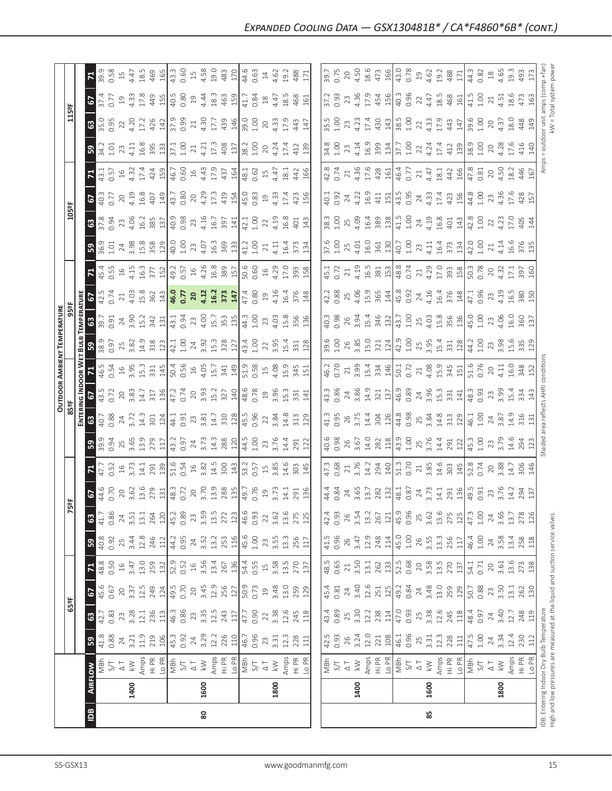| 1400<br>$\frac{a}{2}$                                                                                                                                                                                                                                                                                                                                 | 1600<br>80                                                                                                                                                                                                                                                                                                                                                                                                                            | 1800 | 1400                                                                                                                                                                                                                                                                                                                                                                                                                                    | 1600<br>85 | 1800 | IDB: Entering Indoc<br>High and low press |
|-------------------------------------------------------------------------------------------------------------------------------------------------------------------------------------------------------------------------------------------------------------------------------------------------------------------------------------------------------|---------------------------------------------------------------------------------------------------------------------------------------------------------------------------------------------------------------------------------------------------------------------------------------------------------------------------------------------------------------------------------------------------------------------------------------|------|-----------------------------------------------------------------------------------------------------------------------------------------------------------------------------------------------------------------------------------------------------------------------------------------------------------------------------------------------------------------------------------------------------------------------------------------|------------|------|-------------------------------------------|
| FLOW<br>  MBh                                                                                                                                                                                                                                                                                                                                         |                                                                                                                                                                                                                                                                                                                                                                                                                                       |      | $\begin{array}{ l l l l l }\hline\hline\mathbf{g}&\mathbf{h}&\mathbf{h}&\mathbf{g}\\ \hline\mathbf{g}&\mathbf{h}&\mathbf{h}&\mathbf{g}\\ \hline\mathbf{g}&\mathbf{h}&\mathbf{h}&\mathbf{g}\\ \hline\mathbf{g}&\mathbf{h}&\mathbf{h}&\mathbf{g}\\ \hline\mathbf{g}&\mathbf{h}&\mathbf{h}&\mathbf{h}\\ \hline\mathbf{g}&\mathbf{h}&\mathbf{h}&\mathbf{h}\\ \hline\hline\mathbf{g}&\mathbf{h}&\mathbf{h}&\mathbf{h}\\ \hline\hline\mathbf$ |            |      |                                           |
| 39 <sup>2</sup>                                                                                                                                                                                                                                                                                                                                       | $\frac{1}{8}$ $\frac{8}{8}$ $\frac{1}{2}$ $\frac{1}{2}$ $\frac{1}{2}$ $\frac{1}{2}$ $\frac{1}{4}$ $\frac{1}{4}$ $\frac{1}{2}$ $\frac{1}{2}$ $\frac{1}{2}$ $\frac{1}{2}$ $\frac{1}{2}$ $\frac{1}{2}$ $\frac{1}{2}$ $\frac{1}{2}$ $\frac{1}{2}$ $\frac{1}{2}$ $\frac{1}{2}$ $\frac{1}{2}$ $\frac{1}{2}$ $\frac{1}{2}$                                                                                                                   |      |                                                                                                                                                                                                                                                                                                                                                                                                                                         |            |      |                                           |
| 63                                                                                                                                                                                                                                                                                                                                                    |                                                                                                                                                                                                                                                                                                                                                                                                                                       |      |                                                                                                                                                                                                                                                                                                                                                                                                                                         |            |      |                                           |
| $\frac{1}{255}$                                                                                                                                                                                                                                                                                                                                       |                                                                                                                                                                                                                                                                                                                                                                                                                                       |      | $\begin{bmatrix} 45 & 81 & 81 & 63 \\ 45 & 81 & 81 & 63 \\ 65 & 81 & 81 & 81 \\ 65 & 81 & 81 & 81 \\ 65 & 82 & 83 & 84 \\ 65 & 83 & 84 & 85 \\ 65 & 87 & 81 & 81 \\ 65 & 88 & 81 & 81 \\ 65 & 82 & 83 & 81 \\ 65 & 83 & 83 & 81 \\ 67 & 88 & 81 & 82 \\ 68 & 81 & 82 & 83 \\ 69 & 82 & 83 & 85 \\ 61 & 8$                                                                                                                               |            |      |                                           |
|                                                                                                                                                                                                                                                                                                                                                       |                                                                                                                                                                                                                                                                                                                                                                                                                                       |      |                                                                                                                                                                                                                                                                                                                                                                                                                                         |            |      |                                           |
|                                                                                                                                                                                                                                                                                                                                                       |                                                                                                                                                                                                                                                                                                                                                                                                                                       |      |                                                                                                                                                                                                                                                                                                                                                                                                                                         |            |      |                                           |
|                                                                                                                                                                                                                                                                                                                                                       |                                                                                                                                                                                                                                                                                                                                                                                                                                       |      | $\begin{bmatrix} 4 & 3 & 6 & 7 & 7 & 8 & 7 & 8 & 7 & 8 & 7 & 8 & 7 & 8 & 7 & 8 & 7 & 8 & 7 & 8 & 7 & 8 & 7 & 8 & 7 & 8 & 7 & 8 & 7 & 8 & 7 & 8 & 7 & 8 & 7 & 8 & 7 & 8 & 7 & 8 & 7 & 8 & 7 & 8 & 7 & 8 & 7 & 8 & 7 & 8 & 7 & 8 & 7 & 8 & 7 & 8 & 7 & 8 & 7 & 8 & 7 & 8 & 7 & 8 & 7 & 8 & 7 & 8 & 7 & 8 & 7 & $                                                                                                                          |            |      |                                           |
|                                                                                                                                                                                                                                                                                                                                                       |                                                                                                                                                                                                                                                                                                                                                                                                                                       |      | $\begin{bmatrix} 4 & 3 & 4 & 6 \\ 4 & 3 & 4 & 6 \\ 2 & 3 & 4 & 6 \\ 3 & 4 & 6 & 2 \end{bmatrix} \times \begin{bmatrix} 3 & 3 & 4 & 5 \\ 2 & 3 & 4 & 6 \\ 3 & 3 & 4 & 5 \\ 4 & 3 & 2 & 4 \end{bmatrix} \times \begin{bmatrix} 1 & 1 & 1 & 1 \\ 2 & 1 & 1 & 1 \\ 3 & 1 & 1 & 1 \\ 4 & 2 & 1 & 1 \end{bmatrix} \times \begin{bmatrix} 1 & 1 & 1 & 1 \\ 1 & 1 & 1 & 1 \\ 1 & 1 & $                                                          |            |      |                                           |
| $\mathbb{R}$                                                                                                                                                                                                                                                                                                                                          |                                                                                                                                                                                                                                                                                                                                                                                                                                       |      |                                                                                                                                                                                                                                                                                                                                                                                                                                         |            |      | 20<br>3.88<br>14.7<br>306<br>146          |
| $\begin{array}{l} \textbf{39.33}\phantom{0}3,0.3\phantom{0}3,0.3\phantom{0}3,0.3\phantom{0}3,0.3\phantom{0}3,0.3\phantom{0}3,0.3\phantom{0}3,0.3\phantom{0}3,0.3\phantom{0}4,0.3\phantom{0}5,0.3\phantom{0}6,0.3\phantom{0}7,0.3\phantom{0}8,0.3\phantom{0}8,0.3\phantom{0}9,0.3\phantom{0}8,0.3\phantom{0}9,0.3\phantom{0}8,0.3\phantom{0}$          |                                                                                                                                                                                                                                                                                                                                                                                                                                       |      |                                                                                                                                                                                                                                                                                                                                                                                                                                         |            |      |                                           |
|                                                                                                                                                                                                                                                                                                                                                       | $\frac{83}{23} \times \frac{17}{23} \times \frac{17}{23} \times \frac{17}{23} \times \frac{17}{23} \times \frac{17}{23} \times \frac{17}{23} \times \frac{17}{23} \times \frac{17}{23} \times \frac{17}{23} \times \frac{17}{23} \times \frac{17}{23} \times \frac{17}{23} \times \frac{17}{23} \times \frac{17}{23} \times \frac{17}{23} \times \frac{17}{23} \times \frac{17}{23} \times \frac{17}{23} \times \frac{17}{23} \times$ |      |                                                                                                                                                                                                                                                                                                                                                                                                                                         |            |      |                                           |
| $\frac{2}{5}$                                                                                                                                                                                                                                                                                                                                         |                                                                                                                                                                                                                                                                                                                                                                                                                                       |      |                                                                                                                                                                                                                                                                                                                                                                                                                                         |            |      |                                           |
| OUTDOOR AMBIENT T<br>85ºF<br>$\frac{6}{8}$ $\sum$ $\frac{4}{9}$ $\frac{6}{9}$ $\frac{3}{9}$ $\frac{1}{9}$ $\frac{1}{9}$ $\frac{1}{9}$ $\frac{1}{9}$ $\frac{1}{9}$ $\frac{1}{9}$ $\frac{1}{9}$ $\frac{1}{9}$ $\frac{1}{9}$ $\frac{1}{9}$ $\frac{1}{9}$ $\frac{1}{9}$ $\frac{1}{9}$ $\frac{1}{9}$ $\frac{1}{9}$ $\frac{1}{9}$ $\frac{1}{9}$ $\frac{1}{$ |                                                                                                                                                                                                                                                                                                                                                                                                                                       |      | $\begin{bmatrix} 165 & 2 & 3 & 3 & 4 & 4 & 6 \\ 0 & 2 & 1 & 3 & 3 & 4 & 4 & 6 \\ 0 & 2 & 3 & 3 & 4 & 4 & 6 \\ 0 & 2 & 4 & 3 & 5 & 6 & 6 \\ 0 & 2 & 4 & 4 & 5 & 6 & 6 \\ 0 & 2 & 2 & 4 & 5 & 6 & 6 \\ 0 & 2 & 2 & 4 & 5 & 6 & 6 \\ 0 & 2 & 2 & 5 & 5 & 6 & 6 \\ 0 & 2 & 2 & 5 & 5 & 6 & 6 \\ 0 & 2 & 2 & 5 & 5 & 6 & 6$                                                                                                                  |            |      |                                           |
| <b>TEMPERATURE</b><br>959                                                                                                                                                                                                                                                                                                                             | $\begin{array}{l} \hline 0.9 & 0.9 \\ 2.9 & 0.9 \\ 3.8 & 3.4 \\ 3.4 & 3.7 \\ 4.2 & 3.7 \\ 5.4 & 5.4 \\ 6.5 & 7.4 \\ 7.4 & 8.4 \\ 8.5 & 1.4 \\ 9.5 & 1.4 \\ 1.4 & 1.4 \\ 1.5 & 1.4 \\ 1.5 & 1.4 \\ 1.5 & 1.5 \\ 1.5 & 1.5 \\ 1.5 & 1.5 \\ 1.5 & 1.5 \\ 1.5 & 1.5 \\ 1.5 & 1.5 \\ 1.5 & 1.5 \\ 1.5 & 1.5 \\$                                                                                                                            |      |                                                                                                                                                                                                                                                                                                                                                                                                                                         |            |      |                                           |
| 56<br><u>ទី 3</u>                                                                                                                                                                                                                                                                                                                                     | $\frac{1}{2}$                                                                                                                                                                                                                                                                                                                                                                                                                         |      |                                                                                                                                                                                                                                                                                                                                                                                                                                         |            |      |                                           |
| $7\frac{45}{4}$                                                                                                                                                                                                                                                                                                                                       | 0.5<br>1 4 1 5 2 1 2 1 3 1 3 1 4 3 3 8 1 5 6 6 6 9 7 3 9 3 8 1 5 6 7 6 7 8 9 8 9 7 6 7 8 9 8 1 6 7 8 9 8 1 8 9 8 1 6                                                                                                                                                                                                                                                                                                                  |      |                                                                                                                                                                                                                                                                                                                                                                                                                                         |            |      |                                           |
| $1.01$<br>$24$<br>$3.98$<br>$15.8$<br>$3.58$                                                                                                                                                                                                                                                                                                          | $\frac{1}{2}$ $\frac{1}{2}$ $\frac{1}{2}$ $\frac{1}{2}$ $\frac{1}{2}$ $\frac{1}{2}$ $\frac{1}{2}$ $\frac{1}{2}$ $\frac{1}{2}$ $\frac{1}{2}$ $\frac{1}{2}$ $\frac{1}{2}$ $\frac{1}{2}$ $\frac{1}{2}$ $\frac{1}{2}$ $\frac{1}{2}$ $\frac{1}{2}$ $\frac{1}{2}$ $\frac{1}{2}$ $\frac{1}{2}$ $\frac{1}{2}$ $\frac{1}{2}$                                                                                                                   |      |                                                                                                                                                                                                                                                                                                                                                                                                                                         |            |      |                                           |
| 8                                                                                                                                                                                                                                                                                                                                                     |                                                                                                                                                                                                                                                                                                                                                                                                                                       |      |                                                                                                                                                                                                                                                                                                                                                                                                                                         |            |      |                                           |
| 5<br>$\frac{105}{5}$                                                                                                                                                                                                                                                                                                                                  | $\begin{array}{l} 35.05 & 0.05 & 0.05 & 0.05 \\ 0.05 & 0.05 & 0.05 & 0.05 \\ 0.05 & 0.05 & 0.05 & 0.05 \\ 0.05 & 0.05 & 0.05 & 0.05 \\ 0.05 & 0.05 & 0.05 & 0.05 \\ 0.05 & 0.05 & 0.05 & 0.05 \\ 0.05 & 0.05 & 0.05 & 0.05 \\ 0.05 & 0.05 & 0.05 & 0.05 \\ 0.05 & 0.05 & 0.05 & 0$                                                                                                                                                    |      |                                                                                                                                                                                                                                                                                                                                                                                                                                         |            |      |                                           |
| $\mathbf{z}$                                                                                                                                                                                                                                                                                                                                          | $\begin{array}{cccccccccc} 1.1 & . & . & . & . & . \\ 1.5 & . & . & . & . & . \\ 1.5 & . & . & . & . & . \\ 1.5 & . & . & . & . & . \\ 1.5 & . & . & . & . & . \\ 1.5 & . & . & . & . \\ 1.5 & . & . & . & . \\ 1.5 & . & . & . & . \\ 1.5 & . & . & . & . \\ 1.5 & . & . & . & . \\ 1.5 & . & . & . & . \\ 1.5 & . & . & . & . \\ 1.5 & . & . & . & . \\ 1.5 & . & . & . & . \\ 1.5 & . & . & . & . \\ 1.5 & .$                      |      |                                                                                                                                                                                                                                                                                                                                                                                                                                         |            |      |                                           |
| 3 <sup>o</sup>                                                                                                                                                                                                                                                                                                                                        | $3.7528$ $2.7728$ $3.7728$ $4.7728$ $5.7728$ $6.7728$ $7.7728$ $7.7728$ $7.7728$ $7.7728$                                                                                                                                                                                                                                                                                                                                             |      |                                                                                                                                                                                                                                                                                                                                                                                                                                         |            |      |                                           |
| $\frac{1159F}{F}$                                                                                                                                                                                                                                                                                                                                     |                                                                                                                                                                                                                                                                                                                                                                                                                                       |      | $\begin{bmatrix} .5 & .5 & .5 & .5 & .5 \\ .5 & .5 & .5 & .5 & .5 \\ .5 & .5 & .5 & .5 & .5 \\ .5 & .5 & .5 & .5 & .5 \\ .5 & .5 & .5 & .5 & .5 \\ .5 & .5 & .5 & .5 & .5 \\ .5 & .5 & .5 & .5 & .5 \\ .5 & .5 & .5 & .5 & .5 \\ .5 & .5 & .5 & .5 & .5 \\ .5 & .5 & .5 & .5 & .5 \\ .5 & .5 & .5 & .5 & .5 \\ .5 & .5 & .5 & .5 & .5 \\ .5 & .5 & .5 & .5 & .5 \\ .5 & .5 & .5 & .5 & .5 \\ .5 & .$                                    |            |      |                                           |
|                                                                                                                                                                                                                                                                                                                                                       |                                                                                                                                                                                                                                                                                                                                                                                                                                       |      |                                                                                                                                                                                                                                                                                                                                                                                                                                         |            |      |                                           |
|                                                                                                                                                                                                                                                                                                                                                       |                                                                                                                                                                                                                                                                                                                                                                                                                                       |      |                                                                                                                                                                                                                                                                                                                                                                                                                                         |            |      |                                           |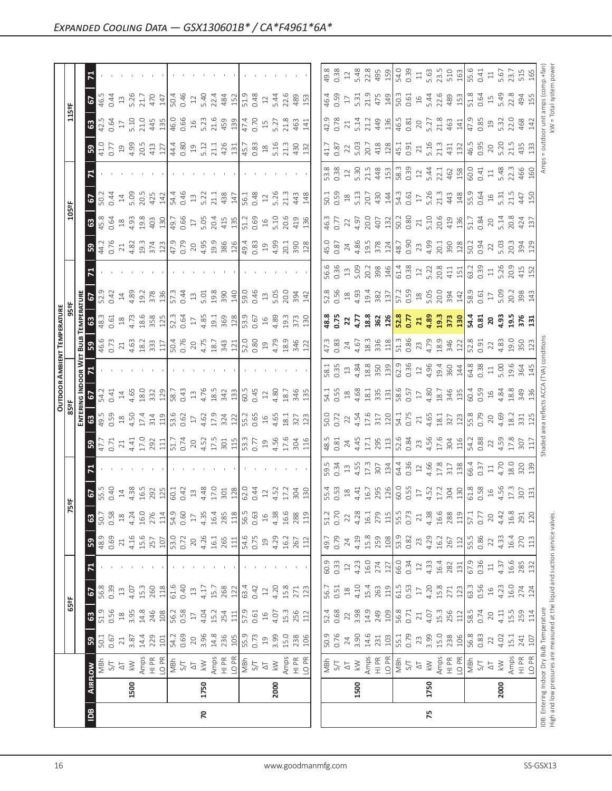| ᄫ                                                         |                                                                                                                                                                                                               |                                               |                                                                                                                                                                                                                                                                                                                                                                                                                                                                                                                                                                                                                                                                                                                                                                                                                                                                                                                                                                                                                                                                                                                                                                                                                                                                                                                                                                                                                                                                                                                                                                                                                                                                                                                                                                                                                                                                                                                                                                                                                                                                                                                                                                                                                                                                                                                                                                                                                                                                                                                                                                                                                                                                                                                                                                                                                                                                                                                                                                                                                                                                                                                                                                                                                                                                                                                                                                                                                                                                                                                                                                                                                                                                                        |                                    |                                                                                                                                                                                                                                                                                                                                                                                                                                                                                                                                                                                                                                                                                                                                                                                                                                                                                                                                                                                                                                                                                                                                                                                                                                                                                                                                                                                                                                                                                                                                                                                                                                                                                                                                                                                                                                                                                                                                                                                                                                                                                                                                                                                                                                                                                                                         |
|-----------------------------------------------------------|---------------------------------------------------------------------------------------------------------------------------------------------------------------------------------------------------------------|-----------------------------------------------|----------------------------------------------------------------------------------------------------------------------------------------------------------------------------------------------------------------------------------------------------------------------------------------------------------------------------------------------------------------------------------------------------------------------------------------------------------------------------------------------------------------------------------------------------------------------------------------------------------------------------------------------------------------------------------------------------------------------------------------------------------------------------------------------------------------------------------------------------------------------------------------------------------------------------------------------------------------------------------------------------------------------------------------------------------------------------------------------------------------------------------------------------------------------------------------------------------------------------------------------------------------------------------------------------------------------------------------------------------------------------------------------------------------------------------------------------------------------------------------------------------------------------------------------------------------------------------------------------------------------------------------------------------------------------------------------------------------------------------------------------------------------------------------------------------------------------------------------------------------------------------------------------------------------------------------------------------------------------------------------------------------------------------------------------------------------------------------------------------------------------------------------------------------------------------------------------------------------------------------------------------------------------------------------------------------------------------------------------------------------------------------------------------------------------------------------------------------------------------------------------------------------------------------------------------------------------------------------------------------------------------------------------------------------------------------------------------------------------------------------------------------------------------------------------------------------------------------------------------------------------------------------------------------------------------------------------------------------------------------------------------------------------------------------------------------------------------------------------------------------------------------------------------------------------------------------------------------------------------------------------------------------------------------------------------------------------------------------------------------------------------------------------------------------------------------------------------------------------------------------------------------------------------------------------------------------------------------------------------------------------------------------------------------------------------------|------------------------------------|-------------------------------------------------------------------------------------------------------------------------------------------------------------------------------------------------------------------------------------------------------------------------------------------------------------------------------------------------------------------------------------------------------------------------------------------------------------------------------------------------------------------------------------------------------------------------------------------------------------------------------------------------------------------------------------------------------------------------------------------------------------------------------------------------------------------------------------------------------------------------------------------------------------------------------------------------------------------------------------------------------------------------------------------------------------------------------------------------------------------------------------------------------------------------------------------------------------------------------------------------------------------------------------------------------------------------------------------------------------------------------------------------------------------------------------------------------------------------------------------------------------------------------------------------------------------------------------------------------------------------------------------------------------------------------------------------------------------------------------------------------------------------------------------------------------------------------------------------------------------------------------------------------------------------------------------------------------------------------------------------------------------------------------------------------------------------------------------------------------------------------------------------------------------------------------------------------------------------------------------------------------------------------------------------------------------------|
| 5                                                         |                                                                                                                                                                                                               |                                               |                                                                                                                                                                                                                                                                                                                                                                                                                                                                                                                                                                                                                                                                                                                                                                                                                                                                                                                                                                                                                                                                                                                                                                                                                                                                                                                                                                                                                                                                                                                                                                                                                                                                                                                                                                                                                                                                                                                                                                                                                                                                                                                                                                                                                                                                                                                                                                                                                                                                                                                                                                                                                                                                                                                                                                                                                                                                                                                                                                                                                                                                                                                                                                                                                                                                                                                                                                                                                                                                                                                                                                                                                                                                                        |                                    |                                                                                                                                                                                                                                                                                                                                                                                                                                                                                                                                                                                                                                                                                                                                                                                                                                                                                                                                                                                                                                                                                                                                                                                                                                                                                                                                                                                                                                                                                                                                                                                                                                                                                                                                                                                                                                                                                                                                                                                                                                                                                                                                                                                                                                                                                                                         |
| ිසි<br>ශ                                                  |                                                                                                                                                                                                               |                                               |                                                                                                                                                                                                                                                                                                                                                                                                                                                                                                                                                                                                                                                                                                                                                                                                                                                                                                                                                                                                                                                                                                                                                                                                                                                                                                                                                                                                                                                                                                                                                                                                                                                                                                                                                                                                                                                                                                                                                                                                                                                                                                                                                                                                                                                                                                                                                                                                                                                                                                                                                                                                                                                                                                                                                                                                                                                                                                                                                                                                                                                                                                                                                                                                                                                                                                                                                                                                                                                                                                                                                                                                                                                                                        |                                    |                                                                                                                                                                                                                                                                                                                                                                                                                                                                                                                                                                                                                                                                                                                                                                                                                                                                                                                                                                                                                                                                                                                                                                                                                                                                                                                                                                                                                                                                                                                                                                                                                                                                                                                                                                                                                                                                                                                                                                                                                                                                                                                                                                                                                                                                                                                         |
| ြို့<br>$\begin{array}{c} 41.0 \\ 0.77 \\ 19 \end{array}$ |                                                                                                                                                                                                               |                                               |                                                                                                                                                                                                                                                                                                                                                                                                                                                                                                                                                                                                                                                                                                                                                                                                                                                                                                                                                                                                                                                                                                                                                                                                                                                                                                                                                                                                                                                                                                                                                                                                                                                                                                                                                                                                                                                                                                                                                                                                                                                                                                                                                                                                                                                                                                                                                                                                                                                                                                                                                                                                                                                                                                                                                                                                                                                                                                                                                                                                                                                                                                                                                                                                                                                                                                                                                                                                                                                                                                                                                                                                                                                                                        |                                    |                                                                                                                                                                                                                                                                                                                                                                                                                                                                                                                                                                                                                                                                                                                                                                                                                                                                                                                                                                                                                                                                                                                                                                                                                                                                                                                                                                                                                                                                                                                                                                                                                                                                                                                                                                                                                                                                                                                                                                                                                                                                                                                                                                                                                                                                                                                         |
| 티                                                         |                                                                                                                                                                                                               |                                               |                                                                                                                                                                                                                                                                                                                                                                                                                                                                                                                                                                                                                                                                                                                                                                                                                                                                                                                                                                                                                                                                                                                                                                                                                                                                                                                                                                                                                                                                                                                                                                                                                                                                                                                                                                                                                                                                                                                                                                                                                                                                                                                                                                                                                                                                                                                                                                                                                                                                                                                                                                                                                                                                                                                                                                                                                                                                                                                                                                                                                                                                                                                                                                                                                                                                                                                                                                                                                                                                                                                                                                                                                                                                                        |                                    |                                                                                                                                                                                                                                                                                                                                                                                                                                                                                                                                                                                                                                                                                                                                                                                                                                                                                                                                                                                                                                                                                                                                                                                                                                                                                                                                                                                                                                                                                                                                                                                                                                                                                                                                                                                                                                                                                                                                                                                                                                                                                                                                                                                                                                                                                                                         |
| 67                                                        |                                                                                                                                                                                                               |                                               |                                                                                                                                                                                                                                                                                                                                                                                                                                                                                                                                                                                                                                                                                                                                                                                                                                                                                                                                                                                                                                                                                                                                                                                                                                                                                                                                                                                                                                                                                                                                                                                                                                                                                                                                                                                                                                                                                                                                                                                                                                                                                                                                                                                                                                                                                                                                                                                                                                                                                                                                                                                                                                                                                                                                                                                                                                                                                                                                                                                                                                                                                                                                                                                                                                                                                                                                                                                                                                                                                                                                                                                                                                                                                        |                                    |                                                                                                                                                                                                                                                                                                                                                                                                                                                                                                                                                                                                                                                                                                                                                                                                                                                                                                                                                                                                                                                                                                                                                                                                                                                                                                                                                                                                                                                                                                                                                                                                                                                                                                                                                                                                                                                                                                                                                                                                                                                                                                                                                                                                                                                                                                                         |
| <u>ය</u>                                                  |                                                                                                                                                                                                               |                                               |                                                                                                                                                                                                                                                                                                                                                                                                                                                                                                                                                                                                                                                                                                                                                                                                                                                                                                                                                                                                                                                                                                                                                                                                                                                                                                                                                                                                                                                                                                                                                                                                                                                                                                                                                                                                                                                                                                                                                                                                                                                                                                                                                                                                                                                                                                                                                                                                                                                                                                                                                                                                                                                                                                                                                                                                                                                                                                                                                                                                                                                                                                                                                                                                                                                                                                                                                                                                                                                                                                                                                                                                                                                                                        |                                    |                                                                                                                                                                                                                                                                                                                                                                                                                                                                                                                                                                                                                                                                                                                                                                                                                                                                                                                                                                                                                                                                                                                                                                                                                                                                                                                                                                                                                                                                                                                                                                                                                                                                                                                                                                                                                                                                                                                                                                                                                                                                                                                                                                                                                                                                                                                         |
| ခြွ                                                       |                                                                                                                                                                                                               |                                               |                                                                                                                                                                                                                                                                                                                                                                                                                                                                                                                                                                                                                                                                                                                                                                                                                                                                                                                                                                                                                                                                                                                                                                                                                                                                                                                                                                                                                                                                                                                                                                                                                                                                                                                                                                                                                                                                                                                                                                                                                                                                                                                                                                                                                                                                                                                                                                                                                                                                                                                                                                                                                                                                                                                                                                                                                                                                                                                                                                                                                                                                                                                                                                                                                                                                                                                                                                                                                                                                                                                                                                                                                                                                                        |                                    |                                                                                                                                                                                                                                                                                                                                                                                                                                                                                                                                                                                                                                                                                                                                                                                                                                                                                                                                                                                                                                                                                                                                                                                                                                                                                                                                                                                                                                                                                                                                                                                                                                                                                                                                                                                                                                                                                                                                                                                                                                                                                                                                                                                                                                                                                                                         |
| 티                                                         |                                                                                                                                                                                                               |                                               |                                                                                                                                                                                                                                                                                                                                                                                                                                                                                                                                                                                                                                                                                                                                                                                                                                                                                                                                                                                                                                                                                                                                                                                                                                                                                                                                                                                                                                                                                                                                                                                                                                                                                                                                                                                                                                                                                                                                                                                                                                                                                                                                                                                                                                                                                                                                                                                                                                                                                                                                                                                                                                                                                                                                                                                                                                                                                                                                                                                                                                                                                                                                                                                                                                                                                                                                                                                                                                                                                                                                                                                                                                                                                        |                                    |                                                                                                                                                                                                                                                                                                                                                                                                                                                                                                                                                                                                                                                                                                                                                                                                                                                                                                                                                                                                                                                                                                                                                                                                                                                                                                                                                                                                                                                                                                                                                                                                                                                                                                                                                                                                                                                                                                                                                                                                                                                                                                                                                                                                                                                                                                                         |
|                                                           |                                                                                                                                                                                                               |                                               |                                                                                                                                                                                                                                                                                                                                                                                                                                                                                                                                                                                                                                                                                                                                                                                                                                                                                                                                                                                                                                                                                                                                                                                                                                                                                                                                                                                                                                                                                                                                                                                                                                                                                                                                                                                                                                                                                                                                                                                                                                                                                                                                                                                                                                                                                                                                                                                                                                                                                                                                                                                                                                                                                                                                                                                                                                                                                                                                                                                                                                                                                                                                                                                                                                                                                                                                                                                                                                                                                                                                                                                                                                                                                        |                                    |                                                                                                                                                                                                                                                                                                                                                                                                                                                                                                                                                                                                                                                                                                                                                                                                                                                                                                                                                                                                                                                                                                                                                                                                                                                                                                                                                                                                                                                                                                                                                                                                                                                                                                                                                                                                                                                                                                                                                                                                                                                                                                                                                                                                                                                                                                                         |
| 0.61<br>18                                                |                                                                                                                                                                                                               |                                               |                                                                                                                                                                                                                                                                                                                                                                                                                                                                                                                                                                                                                                                                                                                                                                                                                                                                                                                                                                                                                                                                                                                                                                                                                                                                                                                                                                                                                                                                                                                                                                                                                                                                                                                                                                                                                                                                                                                                                                                                                                                                                                                                                                                                                                                                                                                                                                                                                                                                                                                                                                                                                                                                                                                                                                                                                                                                                                                                                                                                                                                                                                                                                                                                                                                                                                                                                                                                                                                                                                                                                                                                                                                                                        |                                    |                                                                                                                                                                                                                                                                                                                                                                                                                                                                                                                                                                                                                                                                                                                                                                                                                                                                                                                                                                                                                                                                                                                                                                                                                                                                                                                                                                                                                                                                                                                                                                                                                                                                                                                                                                                                                                                                                                                                                                                                                                                                                                                                                                                                                                                                                                                         |
|                                                           |                                                                                                                                                                                                               |                                               |                                                                                                                                                                                                                                                                                                                                                                                                                                                                                                                                                                                                                                                                                                                                                                                                                                                                                                                                                                                                                                                                                                                                                                                                                                                                                                                                                                                                                                                                                                                                                                                                                                                                                                                                                                                                                                                                                                                                                                                                                                                                                                                                                                                                                                                                                                                                                                                                                                                                                                                                                                                                                                                                                                                                                                                                                                                                                                                                                                                                                                                                                                                                                                                                                                                                                                                                                                                                                                                                                                                                                                                                                                                                                        |                                    |                                                                                                                                                                                                                                                                                                                                                                                                                                                                                                                                                                                                                                                                                                                                                                                                                                                                                                                                                                                                                                                                                                                                                                                                                                                                                                                                                                                                                                                                                                                                                                                                                                                                                                                                                                                                                                                                                                                                                                                                                                                                                                                                                                                                                                                                                                                         |
|                                                           |                                                                                                                                                                                                               |                                               |                                                                                                                                                                                                                                                                                                                                                                                                                                                                                                                                                                                                                                                                                                                                                                                                                                                                                                                                                                                                                                                                                                                                                                                                                                                                                                                                                                                                                                                                                                                                                                                                                                                                                                                                                                                                                                                                                                                                                                                                                                                                                                                                                                                                                                                                                                                                                                                                                                                                                                                                                                                                                                                                                                                                                                                                                                                                                                                                                                                                                                                                                                                                                                                                                                                                                                                                                                                                                                                                                                                                                                                                                                                                                        |                                    |                                                                                                                                                                                                                                                                                                                                                                                                                                                                                                                                                                                                                                                                                                                                                                                                                                                                                                                                                                                                                                                                                                                                                                                                                                                                                                                                                                                                                                                                                                                                                                                                                                                                                                                                                                                                                                                                                                                                                                                                                                                                                                                                                                                                                                                                                                                         |
|                                                           |                                                                                                                                                                                                               |                                               |                                                                                                                                                                                                                                                                                                                                                                                                                                                                                                                                                                                                                                                                                                                                                                                                                                                                                                                                                                                                                                                                                                                                                                                                                                                                                                                                                                                                                                                                                                                                                                                                                                                                                                                                                                                                                                                                                                                                                                                                                                                                                                                                                                                                                                                                                                                                                                                                                                                                                                                                                                                                                                                                                                                                                                                                                                                                                                                                                                                                                                                                                                                                                                                                                                                                                                                                                                                                                                                                                                                                                                                                                                                                                        |                                    |                                                                                                                                                                                                                                                                                                                                                                                                                                                                                                                                                                                                                                                                                                                                                                                                                                                                                                                                                                                                                                                                                                                                                                                                                                                                                                                                                                                                                                                                                                                                                                                                                                                                                                                                                                                                                                                                                                                                                                                                                                                                                                                                                                                                                                                                                                                         |
|                                                           |                                                                                                                                                                                                               |                                               |                                                                                                                                                                                                                                                                                                                                                                                                                                                                                                                                                                                                                                                                                                                                                                                                                                                                                                                                                                                                                                                                                                                                                                                                                                                                                                                                                                                                                                                                                                                                                                                                                                                                                                                                                                                                                                                                                                                                                                                                                                                                                                                                                                                                                                                                                                                                                                                                                                                                                                                                                                                                                                                                                                                                                                                                                                                                                                                                                                                                                                                                                                                                                                                                                                                                                                                                                                                                                                                                                                                                                                                                                                                                                        |                                    |                                                                                                                                                                                                                                                                                                                                                                                                                                                                                                                                                                                                                                                                                                                                                                                                                                                                                                                                                                                                                                                                                                                                                                                                                                                                                                                                                                                                                                                                                                                                                                                                                                                                                                                                                                                                                                                                                                                                                                                                                                                                                                                                                                                                                                                                                                                         |
| ခြွ                                                       |                                                                                                                                                                                                               |                                               |                                                                                                                                                                                                                                                                                                                                                                                                                                                                                                                                                                                                                                                                                                                                                                                                                                                                                                                                                                                                                                                                                                                                                                                                                                                                                                                                                                                                                                                                                                                                                                                                                                                                                                                                                                                                                                                                                                                                                                                                                                                                                                                                                                                                                                                                                                                                                                                                                                                                                                                                                                                                                                                                                                                                                                                                                                                                                                                                                                                                                                                                                                                                                                                                                                                                                                                                                                                                                                                                                                                                                                                                                                                                                        |                                    |                                                                                                                                                                                                                                                                                                                                                                                                                                                                                                                                                                                                                                                                                                                                                                                                                                                                                                                                                                                                                                                                                                                                                                                                                                                                                                                                                                                                                                                                                                                                                                                                                                                                                                                                                                                                                                                                                                                                                                                                                                                                                                                                                                                                                                                                                                                         |
| ᄝ                                                         |                                                                                                                                                                                                               |                                               |                                                                                                                                                                                                                                                                                                                                                                                                                                                                                                                                                                                                                                                                                                                                                                                                                                                                                                                                                                                                                                                                                                                                                                                                                                                                                                                                                                                                                                                                                                                                                                                                                                                                                                                                                                                                                                                                                                                                                                                                                                                                                                                                                                                                                                                                                                                                                                                                                                                                                                                                                                                                                                                                                                                                                                                                                                                                                                                                                                                                                                                                                                                                                                                                                                                                                                                                                                                                                                                                                                                                                                                                                                                                                        |                                    |                                                                                                                                                                                                                                                                                                                                                                                                                                                                                                                                                                                                                                                                                                                                                                                                                                                                                                                                                                                                                                                                                                                                                                                                                                                                                                                                                                                                                                                                                                                                                                                                                                                                                                                                                                                                                                                                                                                                                                                                                                                                                                                                                                                                                                                                                                                         |
|                                                           |                                                                                                                                                                                                               |                                               |                                                                                                                                                                                                                                                                                                                                                                                                                                                                                                                                                                                                                                                                                                                                                                                                                                                                                                                                                                                                                                                                                                                                                                                                                                                                                                                                                                                                                                                                                                                                                                                                                                                                                                                                                                                                                                                                                                                                                                                                                                                                                                                                                                                                                                                                                                                                                                                                                                                                                                                                                                                                                                                                                                                                                                                                                                                                                                                                                                                                                                                                                                                                                                                                                                                                                                                                                                                                                                                                                                                                                                                                                                                                                        |                                    |                                                                                                                                                                                                                                                                                                                                                                                                                                                                                                                                                                                                                                                                                                                                                                                                                                                                                                                                                                                                                                                                                                                                                                                                                                                                                                                                                                                                                                                                                                                                                                                                                                                                                                                                                                                                                                                                                                                                                                                                                                                                                                                                                                                                                                                                                                                         |
|                                                           |                                                                                                                                                                                                               |                                               |                                                                                                                                                                                                                                                                                                                                                                                                                                                                                                                                                                                                                                                                                                                                                                                                                                                                                                                                                                                                                                                                                                                                                                                                                                                                                                                                                                                                                                                                                                                                                                                                                                                                                                                                                                                                                                                                                                                                                                                                                                                                                                                                                                                                                                                                                                                                                                                                                                                                                                                                                                                                                                                                                                                                                                                                                                                                                                                                                                                                                                                                                                                                                                                                                                                                                                                                                                                                                                                                                                                                                                                                                                                                                        |                                    |                                                                                                                                                                                                                                                                                                                                                                                                                                                                                                                                                                                                                                                                                                                                                                                                                                                                                                                                                                                                                                                                                                                                                                                                                                                                                                                                                                                                                                                                                                                                                                                                                                                                                                                                                                                                                                                                                                                                                                                                                                                                                                                                                                                                                                                                                                                         |
|                                                           |                                                                                                                                                                                                               |                                               |                                                                                                                                                                                                                                                                                                                                                                                                                                                                                                                                                                                                                                                                                                                                                                                                                                                                                                                                                                                                                                                                                                                                                                                                                                                                                                                                                                                                                                                                                                                                                                                                                                                                                                                                                                                                                                                                                                                                                                                                                                                                                                                                                                                                                                                                                                                                                                                                                                                                                                                                                                                                                                                                                                                                                                                                                                                                                                                                                                                                                                                                                                                                                                                                                                                                                                                                                                                                                                                                                                                                                                                                                                                                                        |                                    | 4.29<br>16.2<br>267<br>15.5<br>6.2<br>4.3<br>4.3<br>4.5<br>270                                                                                                                                                                                                                                                                                                                                                                                                                                                                                                                                                                                                                                                                                                                                                                                                                                                                                                                                                                                                                                                                                                                                                                                                                                                                                                                                                                                                                                                                                                                                                                                                                                                                                                                                                                                                                                                                                                                                                                                                                                                                                                                                                                                                                                                          |
| 티                                                         |                                                                                                                                                                                                               | <b>CONTRACTOR</b>                             |                                                                                                                                                                                                                                                                                                                                                                                                                                                                                                                                                                                                                                                                                                                                                                                                                                                                                                                                                                                                                                                                                                                                                                                                                                                                                                                                                                                                                                                                                                                                                                                                                                                                                                                                                                                                                                                                                                                                                                                                                                                                                                                                                                                                                                                                                                                                                                                                                                                                                                                                                                                                                                                                                                                                                                                                                                                                                                                                                                                                                                                                                                                                                                                                                                                                                                                                                                                                                                                                                                                                                                                                                                                                                        |                                    |                                                                                                                                                                                                                                                                                                                                                                                                                                                                                                                                                                                                                                                                                                                                                                                                                                                                                                                                                                                                                                                                                                                                                                                                                                                                                                                                                                                                                                                                                                                                                                                                                                                                                                                                                                                                                                                                                                                                                                                                                                                                                                                                                                                                                                                                                                                         |
|                                                           |                                                                                                                                                                                                               |                                               |                                                                                                                                                                                                                                                                                                                                                                                                                                                                                                                                                                                                                                                                                                                                                                                                                                                                                                                                                                                                                                                                                                                                                                                                                                                                                                                                                                                                                                                                                                                                                                                                                                                                                                                                                                                                                                                                                                                                                                                                                                                                                                                                                                                                                                                                                                                                                                                                                                                                                                                                                                                                                                                                                                                                                                                                                                                                                                                                                                                                                                                                                                                                                                                                                                                                                                                                                                                                                                                                                                                                                                                                                                                                                        |                                    |                                                                                                                                                                                                                                                                                                                                                                                                                                                                                                                                                                                                                                                                                                                                                                                                                                                                                                                                                                                                                                                                                                                                                                                                                                                                                                                                                                                                                                                                                                                                                                                                                                                                                                                                                                                                                                                                                                                                                                                                                                                                                                                                                                                                                                                                                                                         |
|                                                           |                                                                                                                                                                                                               |                                               |                                                                                                                                                                                                                                                                                                                                                                                                                                                                                                                                                                                                                                                                                                                                                                                                                                                                                                                                                                                                                                                                                                                                                                                                                                                                                                                                                                                                                                                                                                                                                                                                                                                                                                                                                                                                                                                                                                                                                                                                                                                                                                                                                                                                                                                                                                                                                                                                                                                                                                                                                                                                                                                                                                                                                                                                                                                                                                                                                                                                                                                                                                                                                                                                                                                                                                                                                                                                                                                                                                                                                                                                                                                                                        |                                    | $\begin{array}{c} 4.07 \\ 4.53 \\ 2.56 \\ 2.54 \\ -1.00 \\ -1.00 \\ -1.00 \\ -1.00 \\ -1.00 \\ -1.00 \\ -1.00 \\ -1.00 \\ -1.00 \\ -1.00 \\ -1.00 \\ -1.00 \\ -1.00 \\ -1.00 \\ -1.00 \\ -1.00 \\ -1.00 \\ -1.00 \\ -1.00 \\ -1.00 \\ -1.00 \\ -1.00 \\ -1.00 \\ -1.00 \\ -1.00 \\ -1.00 \\ -1.00 \\ -1.00 \\ -1.00 \\ -1.00 \\ -1.00 \\ -1.$                                                                                                                                                                                                                                                                                                                                                                                                                                                                                                                                                                                                                                                                                                                                                                                                                                                                                                                                                                                                                                                                                                                                                                                                                                                                                                                                                                                                                                                                                                                                                                                                                                                                                                                                                                                                                                                                                                                                                                           |
|                                                           |                                                                                                                                                                                                               |                                               |                                                                                                                                                                                                                                                                                                                                                                                                                                                                                                                                                                                                                                                                                                                                                                                                                                                                                                                                                                                                                                                                                                                                                                                                                                                                                                                                                                                                                                                                                                                                                                                                                                                                                                                                                                                                                                                                                                                                                                                                                                                                                                                                                                                                                                                                                                                                                                                                                                                                                                                                                                                                                                                                                                                                                                                                                                                                                                                                                                                                                                                                                                                                                                                                                                                                                                                                                                                                                                                                                                                                                                                                                                                                                        |                                    | $\begin{array}{c} 3.33 \\ 2.53 \\ 2.54 \\ 2.54 \\ 2.54 \\ 2.57 \\ 2.57 \\ 2.57 \\ 2.57 \\ 2.57 \\ 2.57 \\ 2.57 \\ 2.57 \\ 2.57 \\ 2.57 \\ 2.57 \\ 2.57 \\ 2.57 \\ 2.57 \\ 2.57 \\ 2.57 \\ 2.57 \\ 2.57 \\ 2.57 \\ 2.57 \\ 2.57 \\ 2.57 \\ 2.57 \\ 2.57 \\ 2.57 \\ 2.57 \\ 2.57 \\ 2.57 \\ 2.57 \\ 2.57 \\ 2.$                                                                                                                                                                                                                                                                                                                                                                                                                                                                                                                                                                                                                                                                                                                                                                                                                                                                                                                                                                                                                                                                                                                                                                                                                                                                                                                                                                                                                                                                                                                                                                                                                                                                                                                                                                                                                                                                                                                                                                                                           |
|                                                           |                                                                                                                                                                                                               |                                               |                                                                                                                                                                                                                                                                                                                                                                                                                                                                                                                                                                                                                                                                                                                                                                                                                                                                                                                                                                                                                                                                                                                                                                                                                                                                                                                                                                                                                                                                                                                                                                                                                                                                                                                                                                                                                                                                                                                                                                                                                                                                                                                                                                                                                                                                                                                                                                                                                                                                                                                                                                                                                                                                                                                                                                                                                                                                                                                                                                                                                                                                                                                                                                                                                                                                                                                                                                                                                                                                                                                                                                                                                                                                                        |                                    |                                                                                                                                                                                                                                                                                                                                                                                                                                                                                                                                                                                                                                                                                                                                                                                                                                                                                                                                                                                                                                                                                                                                                                                                                                                                                                                                                                                                                                                                                                                                                                                                                                                                                                                                                                                                                                                                                                                                                                                                                                                                                                                                                                                                                                                                                                                         |
|                                                           |                                                                                                                                                                                                               |                                               |                                                                                                                                                                                                                                                                                                                                                                                                                                                                                                                                                                                                                                                                                                                                                                                                                                                                                                                                                                                                                                                                                                                                                                                                                                                                                                                                                                                                                                                                                                                                                                                                                                                                                                                                                                                                                                                                                                                                                                                                                                                                                                                                                                                                                                                                                                                                                                                                                                                                                                                                                                                                                                                                                                                                                                                                                                                                                                                                                                                                                                                                                                                                                                                                                                                                                                                                                                                                                                                                                                                                                                                                                                                                                        |                                    | 2000                                                                                                                                                                                                                                                                                                                                                                                                                                                                                                                                                                                                                                                                                                                                                                                                                                                                                                                                                                                                                                                                                                                                                                                                                                                                                                                                                                                                                                                                                                                                                                                                                                                                                                                                                                                                                                                                                                                                                                                                                                                                                                                                                                                                                                                                                                                    |
| $\overline{a}$                                            |                                                                                                                                                                                                               |                                               |                                                                                                                                                                                                                                                                                                                                                                                                                                                                                                                                                                                                                                                                                                                                                                                                                                                                                                                                                                                                                                                                                                                                                                                                                                                                                                                                                                                                                                                                                                                                                                                                                                                                                                                                                                                                                                                                                                                                                                                                                                                                                                                                                                                                                                                                                                                                                                                                                                                                                                                                                                                                                                                                                                                                                                                                                                                                                                                                                                                                                                                                                                                                                                                                                                                                                                                                                                                                                                                                                                                                                                                                                                                                                        |                                    |                                                                                                                                                                                                                                                                                                                                                                                                                                                                                                                                                                                                                                                                                                                                                                                                                                                                                                                                                                                                                                                                                                                                                                                                                                                                                                                                                                                                                                                                                                                                                                                                                                                                                                                                                                                                                                                                                                                                                                                                                                                                                                                                                                                                                                                                                                                         |
|                                                           | $\frac{3}{5}$<br>≨ីន<br>$\frac{1}{6}$<br>$\frac{2}{15}$<br><u>ដ្ឋ</u><br>ឌ<br>63<br>ခြွ<br>19   89<br>51.9<br>0.56<br>18<br>$50.57$<br>$0.67$<br>$21$ %<br>59<br>$\frac{1}{2}$ $\frac{1}{2}$<br>RFLOW<br>1500 | $3.87$<br>14.4<br>229<br>54.2<br>0.69<br>1750 | $43.6 + 12.6 + 12.6 + 12.6 + 12.6 + 12.6 + 12.6 + 12.6 + 12.6 + 12.6 + 12.6 + 12.6 + 12.6 + 12.6 + 12.6 + 12.6 + 12.6 + 12.6 + 12.6 + 12.6 + 12.6 + 12.6 + 12.6 + 12.6 + 12.6 + 12.6 + 12.6 + 12.6 + 12.6 + 12.6 + 12.6 + 12.6 + 12.6 + 12.6 + 12.6 + 12.6 + 12.6$<br>$\frac{43}{28}$ $\frac{3}{4}$ $\frac{1}{4}$ $\frac{1}{4}$ $\frac{4}{8}$ $\frac{8}{9}$ $\frac{9}{11}$ $\frac{1}{11}$ $\frac{1}{4}$ $\frac{1}{8}$ $\frac{1}{2}$ $\frac{1}{11}$ $\frac{1}{4}$ $\frac{1}{8}$ $\frac{1}{2}$ $\frac{1}{11}$ $\frac{1}{4}$ $\frac{1}{8}$ $\frac{1}{8}$ $\frac{1}{11}$ $\frac{1}{4}$ $\frac{$<br>$45.8$ $\frac{3}{4}$ $\frac{3}{4}$ $\frac{3}{4}$ $\frac{3}{4}$ $\frac{3}{4}$ $\frac{3}{4}$ $\frac{3}{4}$ $\frac{3}{4}$ $\frac{3}{4}$ $\frac{3}{4}$ $\frac{3}{4}$ $\frac{3}{4}$ $\frac{3}{4}$ $\frac{3}{4}$ $\frac{3}{4}$ $\frac{3}{4}$ $\frac{3}{4}$ $\frac{3}{4}$ $\frac{3}{4}$ $\frac{3}{4}$ $\frac{3}{4}$ $\frac{$<br>$3.377$ $4.807$ $8.81$ $8.81$ $8.81$ $8.81$ $8.81$ $8.81$ $8.81$ $8.81$ $8.81$ $8.81$ $8.81$ $8.81$ $8.81$ $8.81$ $8.81$ $8.81$ $8.81$ $8.81$ $8.81$ $8.81$ $8.81$ $8.81$ $8.81$ $8.81$ $8.81$ $8.81$ $8.81$ $8.81$ $8.81$ $8$<br>$4.38\frac{10}{10} \times 100\frac{100}{10} \times 100\frac{100}{10} \times 100\frac{100}{10} \times 100\frac{100}{10} \times 100\frac{100}{10} \times 100\frac{100}{10} \times 100\frac{100}{10} \times 100\frac{100}{10} \times 100\frac{100}{10} \times 100\frac{100}{10} \times 100\frac{100}{10} \times 100\frac{100}{10} \times 100\frac{100}{10$<br>$\begin{bmatrix} 1 & 1 & 1 & 1 & 1 \\ 1 & 1 & 1 & 1 & 1 \\ 1 & 1 & 1 & 1 & 1 \\ 1 & 1 & 1 & 1 & 1 \\ 1 & 1 & 1 & 1 & 1 \\ 1 & 1 & 1 & 1 & 1 \\ 1 & 1 & 1 & 1 & 1 \\ 1 & 1 & 1 & 1 & 1 \\ 1 & 1 & 1 & 1 & 1 \\ 1 & 1 & 1 & 1 & 1 \\ 1 & 1 & 1 & 1 & 1 \\ 1 & 1 & 1 & 1 & 1 \\ 1 & 1 & 1 & 1 & 1 \\ 1 & 1 & 1 & 1 & 1 \\ 1 & $<br><b>PERSONAL PROPERTY AND PROPERTY AND PROPERTY AND PROPERTY AND PROPERTY AND PROPERTY AND PROPERTY AND PROPERTY AND PROPERTY AND PROPERTY AND PROPERTY AND PROPERTY AND PROPERTY AND PROPERTY AND PROPERTY AND PROPERTY AND PROP</b><br>$\begin{array}{c} 1.836 & 1.656 & 1.676 & 1.676 \\ 1.65 & 1.676 & 1.676 & 1.676 & 1.676 \\ 1.65 & 1.676 & 1.676 & 1.676 & 1.676 \\ 1.65 & 1.676 & 1.676 & 1.676 & 1.676 \\ 1.67 & 1.676 & 1.676 & 1.676 & 1.676 \\ 1.67 & 1.676 & 1.676 & 1.676 & 1.676 \\ 1.67 & 1.676 & 1$<br>$\begin{array}{l} 36\\ 90\\ 31\\ 32\\ \end{array} \begin{array}{l} 2\\ 4\\ 1\\ 2\\ 3\\ \end{array} \begin{array}{l} 2\\ 1\\ 2\\ 3\\ 4\\ \end{array} \begin{array}{l} 2\\ 1\\ 1\\ 2\\ 3\\ \end{array} \begin{array}{l} 2\\ 1\\ 1\\ 1\\ 2\\ 3\\ \end{array} \begin{array}{l} 2\\ 1\\ 1\\ 1\\ 2\\ 3\\ \end{array} \begin{array}{l} 2\\ 1\\ 1\\ 1\\ 2\\ 3\\ \end{array} \begin{array}{l} 2\\ 1\\ 1\\ 1\\ 2$<br>$\begin{array}{c} 3.96 \\ 14.8 \\ 23.0 \\ 24.0 \\ -10.5 \\ -10.5 \\ -10.5 \\ -10.5 \\ -10.5 \\ -10.5 \\ -10.5 \\ -10.5 \\ -10.5 \\ -10.5 \\ -10.5 \\ -10.5 \\ -10.5 \\ -10.5 \\ -10.5 \\ -10.5 \\ -10.5 \\ -10.5 \\ -10.5 \\ -10.5 \\ -10.5 \\ -10.5 \\ -10.5 \\ -10.5 \\ -10.5 \\ -10.5 \\ -10.5 \\ -10.5 \\ -10.5 \\ -10.5 \\ -10.5 \\ -10$<br>$\begin{array}{l} \displaystyle \frac{\mathcal{A}}{\mathcal{A}}\mathbb{H} \cong \mathbb{R} \\ \displaystyle \frac{\mathcal{A}}{\mathcal{A}}\mathbb{H} \cong \mathbb{R} \\ \displaystyle \frac{\mathcal{A}}{\mathcal{A}}\mathbb{H} \cong \mathbb{R} \\ \displaystyle \frac{\mathcal{A}}{\mathcal{A}}\mathbb{H} \cong \mathbb{R} \\ \displaystyle \frac{\mathcal{A}}{\mathcal{A}}\mathbb{H} \cong \mathbb{R} \\ \displaystyle \frac{\mathcal{A}}{\mathcal{A}}\mathbb{H} \cong \mathbb{R} \\ \displaystyle \frac{\mathcal{A}}{\mathcal{$<br>2000 | 49.7<br>50.3<br>0.76<br>24<br>1500 | $\begin{bmatrix} 6 & 8 & 8 & 8 & 8 & 6 \\ 6 & 0 & 3 & 3 & 8 & 8 & 6 \\ 0 & 0 & 3 & 3 & 8 & 8 & 6 \\ 0 & 0 & 0 & 0 & 0 & 8 & 6 \\ 0 & 0 & 0 & 0 & 0 & 0 & 6 \\ 0 & 0 & 0 & 0 & 0 & 0 & 6 \\ 0 & 0 & 0 & 0 & 0 & 0 & 6 \\ 0 & 0 & 0 & 0 & 0 & 0 & 6 \\ 0 & 0 & 0 & 0 & 0 & 0 & 6 \\ 0 & 0 & 0 & 0 & 0 & 0 & 6 \\ 0 & 0 & $<br>  ឌូ : ິ : X : ិ ឌូ ឌូ ឌ <mark>ូ (3 : ິ : 1 ឌូ ១ : ២ ឌូ ២ ឌូ ខូ</mark> ខូ ខូ ខូ ដូ ខូ ឌូ ដូ ឌូ <u>ដ</u><br>$\begin{bmatrix} 81.30 & 10.4 & 10.4 & 10.4 & 10.4 & 10.4 & 10.4 & 10.4 & 10.4 & 10.4 & 10.4 & 10.4 & 10.4 & 10.4 & 10.4 & 10.4 & 10.4 & 10.4 & 10.4 & 10.4 & 10.4 & 10.4 & 10.4 & 10.4 & 10.4 & 10.4 & 10.4 & 10.4 & 10.4 & 10.4 & 10.4 & 10.4 & 10.4 & 10.4 & 10.4 & 10$<br>$\begin{bmatrix} 0.02 & 0.01 & 0.01 & 0.01 & 0.01 & 0.01 & 0.01 & 0.01 & 0.01 & 0.01 & 0.01 & 0.01 & 0.01 & 0.01 & 0.01 & 0.01 & 0.01 & 0.01 & 0.01 & 0.01 & 0.01 & 0.01 & 0.01 & 0.01 & 0.01 & 0.01 & 0.01 & 0.01 & 0.01 & 0.01 & 0.01 & 0.01 & 0.01 & 0.01 & 0.01 & 0.0$<br>$\begin{bmatrix} 69.3 & 49.3 & 69.3 & 69.3 & 69.3 & 69.3 & 69.3 & 69.3 & 69.3 & 69.3 & 69.3 & 69.3 & 69.3 & 69.3 & 69.3 & 69.3 & 69.3 & 69.3 & 69.3 & 69.3 & 69.3 & 69.3 & 69.3 & 69.3 & 69.3 & 69.3 & 69.3 & 69.3 & 69.3 & 69.3 & 69.3 & 69.3 & 69.3 & 69.3 & 69.3 & 69.$<br>$\begin{array}{ l l l l } \hline 16.7 & 0.51 & 0.01 & 0.01 & 0.01 & 0.01 & 0.01 & 0.01 & 0.01 & 0.01 & 0.01 & 0.01 & 0.01 & 0.01 & 0.01 & 0.01 & 0.01 & 0.01 & 0.01 & 0.01 & 0.01 & 0.01 & 0.01 & 0.01 & 0.01 & 0.01 & 0.01 & 0.01 & 0.01 & 0.01 & 0.01 & 0.01 & 0.01 & 0.0$<br>$\begin{array}{ l l } \hline 1 & 0 & 0 & 0 & 0 \\ 0 & 0 & 0 & 0 & 0 & 0 \\ 0 & 0 & 0 & 0 & 0 & 0 \\ 0 & 0 & 0 & 0 & 0 & 0 \\ 0 & 0 & 0 & 0 & 0 & 0 \\ \hline \end{array}$<br>$8.7$ 3.7<br>$\begin{array}{c} 3.90 \\ 14.6 \\ 231 \\ 103 \end{array}$<br>$\begin{array}{c} 3.99 \\ 15.0 \\ 2.38 \\ 106 \\ 56.8 \end{array}$<br>0.79<br>$\begin{array}{ l l l l l }\hline \frac{1}{2} & \frac{1}{2} & \frac{1}{2} & \frac{1}{2} & \frac{1}{2} & \frac{1}{2} & \frac{1}{2} & \frac{1}{2} & \frac{1}{2} \\ \hline \frac{1}{2} & \frac{1}{2} & \frac{1}{2} & \frac{1}{2} & \frac{1}{2} & \frac{1}{2} & \frac{1}{2} & \frac{1}{2} & \frac{1}{2} & \frac{1}{2} & \frac{1}{2} & \frac{1}{2} \\ \hline \frac{1}{2} & \frac{1}{2} & \frac{1}{2} & \frac{$<br>1750 |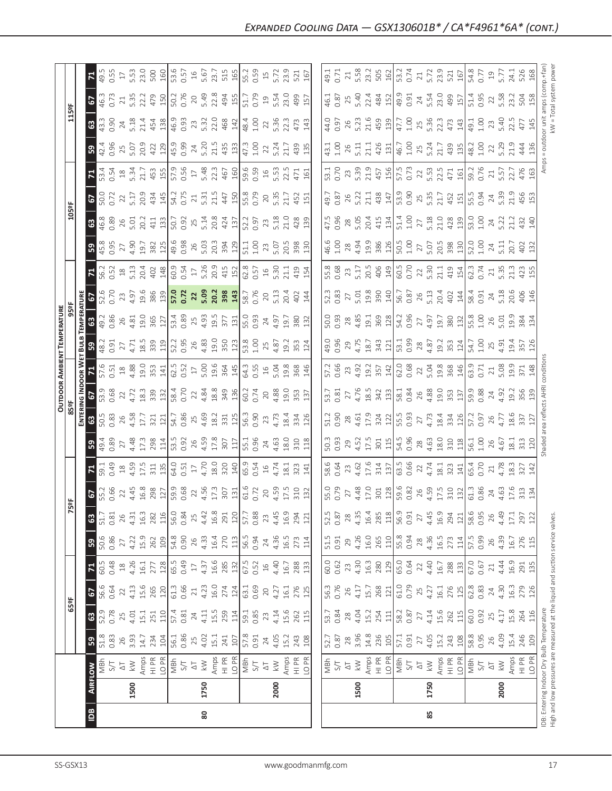|                                                      | $\overline{B}$                                                                                                                                                                                                                                                                                                                                                                                        | $\bf{80}$ |                                                                                                                                                                                                                                                                                                                                 |                                                                                                                                                                                                                                                                                                                                                                                                                                        | 85                                                                 |                                                                                                                                                           |                                       |
|------------------------------------------------------|-------------------------------------------------------------------------------------------------------------------------------------------------------------------------------------------------------------------------------------------------------------------------------------------------------------------------------------------------------------------------------------------------------|-----------|---------------------------------------------------------------------------------------------------------------------------------------------------------------------------------------------------------------------------------------------------------------------------------------------------------------------------------|----------------------------------------------------------------------------------------------------------------------------------------------------------------------------------------------------------------------------------------------------------------------------------------------------------------------------------------------------------------------------------------------------------------------------------------|--------------------------------------------------------------------|-----------------------------------------------------------------------------------------------------------------------------------------------------------|---------------------------------------|
|                                                      | 1500                                                                                                                                                                                                                                                                                                                                                                                                  | 1750      | 2000                                                                                                                                                                                                                                                                                                                            | 1500                                                                                                                                                                                                                                                                                                                                                                                                                                   | 1750                                                               | 2000                                                                                                                                                      | IDB: Entering Ind<br>High and low pre |
|                                                      | $\frac{1}{\sqrt{2}}\sum_{n=1}^{\infty}\sum_{n=1}^{\infty}\frac{1}{n}\sum_{n=1}^{\infty}\frac{1}{n}\sum_{n=1}^{\infty}\frac{1}{n}\sum_{n=1}^{\infty}\sum_{n=1}^{\infty}\frac{1}{n}\sum_{n=1}^{\infty}\frac{1}{n}\sum_{n=1}^{\infty}\frac{1}{n}\sum_{n=1}^{\infty}\frac{1}{n}\sum_{n=1}^{\infty}\frac{1}{n}\sum_{n=1}^{\infty}\frac{1}{n}\sum_{n=1}^{\infty}\frac{1}{n}\sum_{n=1}^{\infty}\frac{1}{n}\$ |           |                                                                                                                                                                                                                                                                                                                                 | $\boxed{\frac{\mathfrak{g}\mathfrak{g}}{\mathfrak{g}\mathfrak{g}}\mathfrak{g}}_{\mathfrak{g}}\mathfrak{g}}_{\mathfrak{g}}\mathfrak{g}}_{\mathfrak{g}}\mathfrak{g}}_{\mathfrak{g}}\mathfrak{g}}_{\mathfrak{g}}\mathfrak{g}}_{\mathfrak{g}}\mathfrak{g}}_{\mathfrak{g}}\mathfrak{g}}_{\mathfrak{g}}\mathfrak{g}}_{\mathfrak{g}}\mathfrak{g}}_{\mathfrak{g}}\mathfrak{g}}_{\mathfrak{g}}\mathfrak{g}}_{\mathfrak{g}}\mathfrak{g}}_{\math$ |                                                                    |                                                                                                                                                           |                                       |
|                                                      | $\mathbf{B}$                                                                                                                                                                                                                                                                                                                                                                                          |           |                                                                                                                                                                                                                                                                                                                                 |                                                                                                                                                                                                                                                                                                                                                                                                                                        |                                                                    |                                                                                                                                                           |                                       |
| $\frac{1}{25}$                                       | <b>829</b>                                                                                                                                                                                                                                                                                                                                                                                            |           | $\frac{1}{2}$ $\frac{1}{2}$ $\frac{1}{2}$ $\frac{1}{2}$ $\frac{1}{2}$ $\frac{1}{2}$ $\frac{1}{2}$ $\frac{1}{2}$ $\frac{1}{2}$ $\frac{1}{2}$ $\frac{1}{2}$ $\frac{1}{2}$ $\frac{1}{2}$ $\frac{1}{2}$ $\frac{1}{2}$ $\frac{1}{2}$ $\frac{1}{2}$ $\frac{1}{2}$ $\frac{1}{2}$ $\frac{1}{2}$ $\frac{1}{2}$ $\frac{1}{2}$             |                                                                                                                                                                                                                                                                                                                                                                                                                                        |                                                                    |                                                                                                                                                           |                                       |
|                                                      |                                                                                                                                                                                                                                                                                                                                                                                                       |           |                                                                                                                                                                                                                                                                                                                                 | $\begin{bmatrix} 65.68 & 0.76 & 0.76 \\ 0.76 & 0.76 & 0.76 \\ 0.76 & 0.76 & 0.76 \\ 0.76 & 0.76 & 0.76 \\ 0.76 & 0.76 & 0.76 \\ 0.76 & 0.76 & 0.76 \\ 0.76 & 0.76 & 0.76 \\ 0.76 & 0.76 & 0.76 \\ 0.76 & 0.76 & 0.76 \\ 0.76 & 0.76 & 0.76 \\ 0.76 & 0.76 & 0.76 \\ 0.76 & 0.76 & 0.$                                                                                                                                                  |                                                                    |                                                                                                                                                           |                                       |
|                                                      | $\mathbf{z}$                                                                                                                                                                                                                                                                                                                                                                                          |           |                                                                                                                                                                                                                                                                                                                                 |                                                                                                                                                                                                                                                                                                                                                                                                                                        |                                                                    |                                                                                                                                                           |                                       |
|                                                      | <b>50</b> 50.86<br>50.86<br>4.22<br>4.50 262<br>262                                                                                                                                                                                                                                                                                                                                                   |           |                                                                                                                                                                                                                                                                                                                                 |                                                                                                                                                                                                                                                                                                                                                                                                                                        |                                                                    |                                                                                                                                                           |                                       |
|                                                      |                                                                                                                                                                                                                                                                                                                                                                                                       |           |                                                                                                                                                                                                                                                                                                                                 |                                                                                                                                                                                                                                                                                                                                                                                                                                        |                                                                    |                                                                                                                                                           |                                       |
|                                                      | 0.66<br>$\sqrt{2}$                                                                                                                                                                                                                                                                                                                                                                                    |           |                                                                                                                                                                                                                                                                                                                                 |                                                                                                                                                                                                                                                                                                                                                                                                                                        |                                                                    | $\begin{array}{c} 61.3 \\ 0.86 \\ 24.63 \\ 4.63 \\ 17.6 \\ 313 \\ 134 \end{array}$                                                                        |                                       |
|                                                      | $\begin{array}{c} 18 \\ 4.59 \\ 17.5 \\ 311 \\ 135 \\ \end{array}$<br>0.49<br>치                                                                                                                                                                                                                                                                                                                       |           |                                                                                                                                                                                                                                                                                                                                 |                                                                                                                                                                                                                                                                                                                                                                                                                                        |                                                                    | $\begin{array}{c} 65.4 \\ 0.70 \\ 2.1 \\ 4.78 \\ 18.3 \\ 327 \\ 142 \\ \end{array}$                                                                       |                                       |
|                                                      | $0.89$<br>$27$<br>$4.48$<br>$17.38$<br>$293$<br>$5^{\circ}$                                                                                                                                                                                                                                                                                                                                           |           |                                                                                                                                                                                                                                                                                                                                 |                                                                                                                                                                                                                                                                                                                                                                                                                                        |                                                                    |                                                                                                                                                           |                                       |
|                                                      | အ                                                                                                                                                                                                                                                                                                                                                                                                     |           | $\frac{33}{25}$ $\frac{33}{25}$ $\frac{11}{27}$ $\frac{11}{27}$ $\frac{11}{27}$ $\frac{11}{27}$ $\frac{11}{27}$ $\frac{11}{27}$ $\frac{11}{27}$ $\frac{11}{27}$ $\frac{11}{27}$ $\frac{11}{27}$ $\frac{11}{27}$ $\frac{11}{27}$ $\frac{11}{27}$ $\frac{11}{27}$ $\frac{11}{27}$ $\frac{11}{27}$ $\frac{1$                       |                                                                                                                                                                                                                                                                                                                                                                                                                                        |                                                                    |                                                                                                                                                           |                                       |
|                                                      | $\frac{2}{9}$                                                                                                                                                                                                                                                                                                                                                                                         |           |                                                                                                                                                                                                                                                                                                                                 |                                                                                                                                                                                                                                                                                                                                                                                                                                        |                                                                    |                                                                                                                                                           |                                       |
| <b>OUTDOOR AMBIENT TEMPERATURE<br/>85ºF<br/>85ºF</b> | 6<br>ER.                                                                                                                                                                                                                                                                                                                                                                                              |           |                                                                                                                                                                                                                                                                                                                                 |                                                                                                                                                                                                                                                                                                                                                                                                                                        |                                                                    |                                                                                                                                                           |                                       |
|                                                      | $\begin{array}{c} 1.31 \\ 0.91 \\ 2.71 \\ 4.71 \\ 8.5 \\ 3.39 \\ 1.9 \end{array}$<br><u> ដ្ឋី  ន</u>                                                                                                                                                                                                                                                                                                  |           | $\begin{array}{c} 52.3 \\ 0.95 \\ 0.96 \\ 4.89 \\ 0.91 \\ 0.92 \\ 0.93 \\ 0.91 \\ 0.91 \\ 0.92 \\ 0.93 \\ 0.91 \\ 0.92 \\ 0.93 \\ 0.94 \\ 0.95 \\ 0.97 \\ 0.97 \\ 0.91 \\ 0.99 \\ 0.91 \\ 0.93 \\ 0.93 \\ 0.94 \\ 0.93 \\ 0.94 \\ 0.95 \\ 0.97 \\ 0.99 \\ 0.99 \\ 0.99 \\ 0.99 \\ 0.99 \\ 0.99 \\ 0.99 \\ 0.$                   | $\begin{bmatrix} 0.96 & 0.96 & 0.96 \\ 0.96 & 0.96 & 0.97 \\ 0.96 & 0.96 & 0.97 \\ 0.96 & 0.97 & 0.99 \\ 0.96 & 0.96 & 0.99 \\ 0.96 & 0.96 & 0.99 \\ 0.96 & 0.96 & 0.99 \\ 0.96 & 0.96 & 0.99 \\ 0.96 & 0.96 & 0.99 \\ 0.97 & 0.99 & 0.99 \\ 0.97 & 0.99 & 0.99 \\ 0.99 & 0.99 & 0.9$                                                                                                                                                  |                                                                    | $\frac{1}{3}$ $\frac{3}{4}$ $\frac{3}{4}$ $\frac{4}{9}$ $\frac{4}{3}$ $\frac{5}{3}$ $\frac{7}{10}$ $\frac{8}{10}$                                         |                                       |
|                                                      | $73$<br>$4.97$<br>$19.6$<br>$386$<br>$139$<br>0.70<br> 5 <br>$26$<br>$4.81$<br>$19.0$<br>$365$<br>$127$<br>0.86                                                                                                                                                                                                                                                                                       |           | $\left  \begin{array}{ccc} 5.72 & 8.30 & 3.30 & 3.00 & 3.00 & 3.00 & 3.00 & 3.00 & 3.00 & 3.00 & 3.00 & 3.00 & 3.00 & 3.00 & 3.00 & 3.00 & 3.00 & 3.00 & 3.00 & 3.00 & 3.00 & 3.00 & 3.00 & 3.00 & 3.00 & 3.00 & 3.00 & 3.00 & 3.00 & 3.00 & 3.00 & 3.00 & 3.00 & 3.00 & 3.00 &$                                                |                                                                                                                                                                                                                                                                                                                                                                                                                                        |                                                                    |                                                                                                                                                           |                                       |
|                                                      | $\begin{array}{c} 0.52 \\ 2.3 \\ 5.13 \\ 2.04 \\ 4.02 \\ \end{array}$<br>$\mathbf{z}$                                                                                                                                                                                                                                                                                                                 |           | $\begin{bmatrix} 0.54 & 0.56 & 0.56 & 0.56 & 0.56 & 0.56 & 0.56 & 0.56 & 0.56 & 0.56 & 0.56 & 0.56 & 0.56 & 0.56 & 0.56 & 0.56 & 0.56 & 0.56 & 0.56 & 0.56 & 0.56 & 0.56 & 0.56 & 0.56 & 0.56 & 0.56 & 0.56 & 0.56 & 0.56 & 0.56 & 0.56 & 0.56 & 0.56 & 0.56 & 0.56 & 0.5$                                                      |                                                                                                                                                                                                                                                                                                                                                                                                                                        |                                                                    | $\begin{array}{ l } \hline 62.3 \\ 0.74 \\ 2.1 \\ 5.35 \\ 4.23 \\ \hline \end{array}$                                                                     |                                       |
|                                                      | $27$<br>4.90<br>19.7<br>382<br>32<br>0.95<br>$3\frac{3}{4}$                                                                                                                                                                                                                                                                                                                                           |           |                                                                                                                                                                                                                                                                                                                                 | $\begin{array}{r} 6.66 \\ 4.61 \\ 2.84 \\ 4.94 \\ 3.86 \\ 5.01 \\ 5.01 \\ 5.01 \\ 5.01 \\ 5.01 \\ 5.01 \\ 5.01 \\ 5.02 \\ 5.03 \\ 5.03 \\ 5.04 \\ 5.00 \\ 5.00 \\ 5.00 \\ 5.00 \\ 5.00 \\ 5.00 \\ 5.00 \\ 5.00 \\ 5.00 \\ 5.00 \\ 5.00 \\ 5.00 \\ 5.00 \\ 5.00 \\ 5.00 \\ 5.00 \\ 5.00 \\ 5.00 \\ 5.00 \\ 5.$                                                                                                                          | $27$<br>5.07<br>20.5<br>398                                        |                                                                                                                                                           |                                       |
|                                                      | 0.89<br>26<br>5.01<br>413<br>413<br>$\mathbf{G}$                                                                                                                                                                                                                                                                                                                                                      |           | $\begin{bmatrix} .25 & 0.00 & 0.00 & 0.00 & 0.00 & 0.00 & 0.00 & 0.00 & 0.00 & 0.00 & 0.00 & 0.00 & 0.00 & 0.00 & 0.00 & 0.00 & 0.00 & 0.00 & 0.00 & 0.00 & 0.00 & 0.00 & 0.00 & 0.00 & 0.00 & 0.00 & 0.00 & 0.00 & 0.00 & 0.00 & 0.00 & 0.00 & 0.00 & 0.00 & 0.00 & 0.00 &$                                                    | $\begin{array}{ l l l l l }\n\hline\n47.90 & 0.80 & 0.01 & 0.01 & 0.01 & 0.01 & 0.01 & 0.01 & 0.01 & 0.01 & 0.01 & 0.01 & 0.01 & 0.01 & 0.01 & 0.01 & 0.01 & 0.01 & 0.01 & 0.01 & 0.01 & 0.01 & 0.01 & 0.01 & 0.01 & 0.01 & 0.01 & 0.01 & 0.01 & 0.01 & 0.01 & 0.01 & 0.01 &$                                                                                                                                                          | $\begin{array}{c} 27 \\ 5.18 \\ 21.0 \\ 428 \\ \hline \end{array}$ | $\begin{array}{c} 53.0 \\ 1.00 \\ 1.01 \\ 2.01 \\ 3.01 \\ 4.01 \\ 5.01 \\ 5.01 \\ 4.01 \\ 5.02 \\ 6.01 \\ 7.03 \\ 8.04 \\ 9.04 \\ 10.00 \\ 1 \end{array}$ |                                       |
| $\frac{105}{5}$                                      | $5\overline{)}$                                                                                                                                                                                                                                                                                                                                                                                       |           | $\begin{bmatrix} 1 & 1 & 1 & 1 \\ 1 & 1 & 1 & 1 \\ 1 & 1 & 1 & 1 \\ 1 & 1 & 1 & 1 \\ 1 & 1 & 1 & 1 \\ 1 & 1 & 1 & 1 \\ 1 & 1 & 1 & 1 \\ 1 & 1 & 1 & 1 \\ 1 & 1 & 1 & 1 \\ 1 & 1 & 1 & 1 \\ 1 & 1 & 1 & 1 \\ 1 & 1 & 1 & 1 \\ 1 & 1 & 1 & 1 \\ 1 & 1 & 1 & 1 \\ 1 & 1 & 1 & 1 \\ 1 & 1 & 1 & 1 \\ 1 & 1 & 1 & 1 \\ 1 & 1 & 1 & $ |                                                                                                                                                                                                                                                                                                                                                                                                                                        |                                                                    |                                                                                                                                                           |                                       |
|                                                      | $\mathbf{z}$                                                                                                                                                                                                                                                                                                                                                                                          |           | $\begin{bmatrix} 1 & 1 & 1 & 1 & 1 \\ 1 & 1 & 1 & 1 & 1 \\ 1 & 1 & 1 & 1 & 1 \\ 1 & 1 & 1 & 1 & 1 \\ 1 & 1 & 1 & 1 & 1 \\ 1 & 1 & 1 & 1 & 1 \\ 1 & 1 & 1 & 1 & 1 \\ 1 & 1 & 1 & 1 & 1 \\ 1 & 1 & 1 & 1 & 1 \\ 1 & 1 & 1 & 1 & 1 \\ 1 & 1 & 1 & 1 & 1 \\ 1 & 1 & 1 & 1 & 1 \\ 1 & 1 & 1 & 1 & 1 \\ 1 & 1 & 1 & 1 & 1 \\ 1 & $    |                                                                                                                                                                                                                                                                                                                                                                                                                                        |                                                                    |                                                                                                                                                           |                                       |
|                                                      | $\begin{array}{c c}\n 25 & 0 \\  5.07 & 421 \\  4.29 & 129\n\end{array}$<br>0.96<br>32 <sup>4</sup>                                                                                                                                                                                                                                                                                                   |           |                                                                                                                                                                                                                                                                                                                                 |                                                                                                                                                                                                                                                                                                                                                                                                                                        |                                                                    |                                                                                                                                                           |                                       |
|                                                      | $\begin{bmatrix} 0.90 & 24 & 0.71 & 0.71 & 0.71 & 0.71 & 0.71 & 0.71 & 0.71 & 0.71 & 0.71 & 0.71 & 0.71 & 0.71 & 0.71 & 0.71 & 0.71 & 0.71 & 0.71 & 0.71 & 0.71 & 0.71 & 0.71 & 0.71 & 0.71 & 0.71 & 0.71 & 0.71 & 0.71 & 0.71 & 0.71 & 0.71 & 0.71 & 0.71 & 0.71 & 0.71 &$<br><b>89</b>                                                                                                              |           |                                                                                                                                                                                                                                                                                                                                 |                                                                                                                                                                                                                                                                                                                                                                                                                                        |                                                                    |                                                                                                                                                           |                                       |
| 115°F                                                | 67<br>463<br>0.73                                                                                                                                                                                                                                                                                                                                                                                     |           |                                                                                                                                                                                                                                                                                                                                 |                                                                                                                                                                                                                                                                                                                                                                                                                                        |                                                                    |                                                                                                                                                           |                                       |
|                                                      |                                                                                                                                                                                                                                                                                                                                                                                                       |           |                                                                                                                                                                                                                                                                                                                                 |                                                                                                                                                                                                                                                                                                                                                                                                                                        |                                                                    |                                                                                                                                                           |                                       |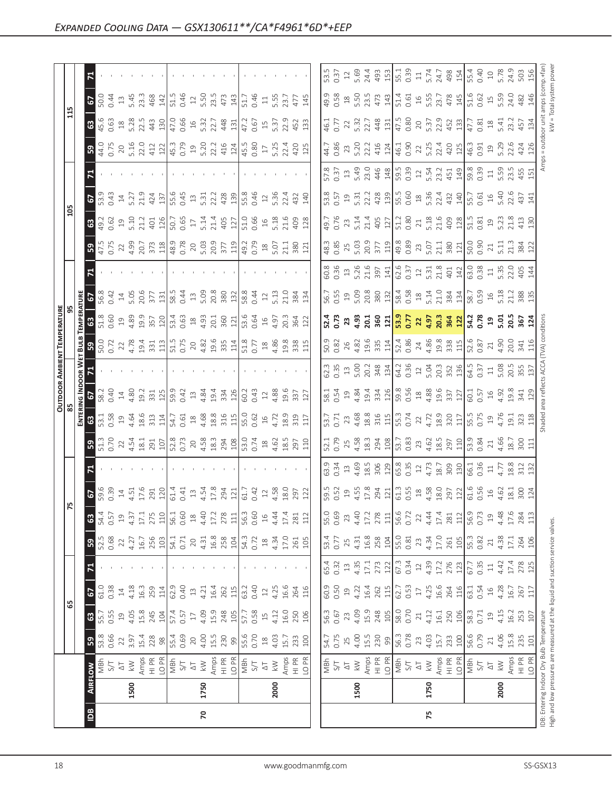|               | $\boxed{\underline{\mathbf{B}}}$                  | $\mathsf{R}$                                                                                                                                                                                                                                                                                                                                                                                                                                                                                                               |      |                                                                                                                                                                                                                                                                                                                                                                                                            | 75                            |                                                                                                                                                                                                                                                                                                                                           |
|---------------|---------------------------------------------------|----------------------------------------------------------------------------------------------------------------------------------------------------------------------------------------------------------------------------------------------------------------------------------------------------------------------------------------------------------------------------------------------------------------------------------------------------------------------------------------------------------------------------|------|------------------------------------------------------------------------------------------------------------------------------------------------------------------------------------------------------------------------------------------------------------------------------------------------------------------------------------------------------------------------------------------------------------|-------------------------------|-------------------------------------------------------------------------------------------------------------------------------------------------------------------------------------------------------------------------------------------------------------------------------------------------------------------------------------------|
|               | 1500                                              | 1750                                                                                                                                                                                                                                                                                                                                                                                                                                                                                                                       | 2000 | 1500                                                                                                                                                                                                                                                                                                                                                                                                       | 1750                          | 2000                                                                                                                                                                                                                                                                                                                                      |
|               | <b>IRFLOW</b>                                     | $\begin{array}{l} \mathbb{Z}\times\mathbb{Z}\times\mathbb{Z}\times\mathbb{Z}\times\mathbb{Z}\times\mathbb{Z}\times\mathbb{Z}\times\mathbb{Z}\times\mathbb{Z}\times\mathbb{Z}\times\mathbb{Z}\times\mathbb{Z}\times\mathbb{Z}\times\mathbb{Z}\times\mathbb{Z}\times\mathbb{Z}\times\mathbb{Z}\times\mathbb{Z}\times\mathbb{Z}\times\mathbb{Z}\times\mathbb{Z}\times\mathbb{Z}\times\mathbb{Z}\times\mathbb{Z}\times\mathbb{Z}\times\mathbb{Z}\times\mathbb{Z}\times\mathbb{Z}\times\mathbb{Z}\times\mathbb{Z}\times\mathbb$ |      | $\begin{array}{ l l l l }\hline \frac{1}{2} & \frac{1}{2} & \frac{1}{2} & \frac{1}{2} & \frac{1}{2} & \frac{1}{2} & \frac{1}{2} & \frac{1}{2} & \frac{1}{2} & \frac{1}{2} \\ \hline \frac{1}{2} & \frac{1}{2} & \frac{1}{2} & \frac{1}{2} & \frac{1}{2} & \frac{1}{2} & \frac{1}{2} & \frac{1}{2} & \frac{1}{2} & \frac{1}{2} & \frac{1}{2} & \frac{1}{2} & \frac{1}{2} \\ \hline \frac{1}{2} & \frac{1}{$ |                               |                                                                                                                                                                                                                                                                                                                                           |
|               | ြို့                                              | $\begin{array}{l} 33.66 \\ 35.67 \\ 36.7 \\ 37.9 \\ 38.1 \\ 39.8 \\ 39.8 \\ 30.8 \\ 30.8 \\ 31.8 \\ 32.8 \\ 33.8 \\ 34.8 \\ 35.8 \\ 36.8 \\ 37.8 \\ 38.8 \\ 39.8 \\ 39.8 \\ 30.8 \\ 31.8 \\ 32.8 \\ 33.8 \\ 34.8 \\ 35.8 \\ 36.8 \\ 37.8 \\ 38.8 \\ 39.8 \\ 39.8 \\ 39.8 \\ 39.8 \\ 39.8 \\ 39.8 \\ 39.8 \\ $                                                                                                                                                                                                              |      | $\begin{array}{ l } \hline 54.7 \\ 0.75 \\ 2.5 \\ 4.5 \\ 1.5 \\ 2.30 \\ \hline \end{array}$                                                                                                                                                                                                                                                                                                                | 56.3<br>0.78<br>$\frac{2}{3}$ | $\begin{array}{c c} 4.03 \\ 15.7 \\ 23.3 \\ 26.6 \\ 56.7 \\ 21 \\ 4.06 \\ 3.3 \\ 5.8 \\ 21 \\ 10 \\ 21 \\ 22 \\ 23 \\ 24 \\ 24 \\ 25 \\ 26 \\ 27 \\ 28 \\ 29 \\ 21 \\ 22 \\ 23 \\ 24 \\ 25 \\ 26 \\ 27 \\ 28 \\ 29 \\ 21 \\ 22 \\ 23 \\ 24 \\ 25 \\ 26 \\ 27 \\ 28 \\ 29 \\ 29 \\ 21 \\ 22 \\ 23 \\ 24 \\ 25 \\ 26 \\ 27 \\ 28 \\ 29 \\ $ |
| မ္ဘု          | 63   67                                           |                                                                                                                                                                                                                                                                                                                                                                                                                                                                                                                            |      |                                                                                                                                                                                                                                                                                                                                                                                                            |                               |                                                                                                                                                                                                                                                                                                                                           |
|               | $\begin{array}{c} 61.0 \\ 0.38 \\ 14 \end{array}$ |                                                                                                                                                                                                                                                                                                                                                                                                                                                                                                                            |      |                                                                                                                                                                                                                                                                                                                                                                                                            |                               |                                                                                                                                                                                                                                                                                                                                           |
|               | $\mathbf{z}$                                      |                                                                                                                                                                                                                                                                                                                                                                                                                                                                                                                            |      |                                                                                                                                                                                                                                                                                                                                                                                                            |                               |                                                                                                                                                                                                                                                                                                                                           |
|               | ြို့                                              |                                                                                                                                                                                                                                                                                                                                                                                                                                                                                                                            |      |                                                                                                                                                                                                                                                                                                                                                                                                            |                               |                                                                                                                                                                                                                                                                                                                                           |
| $ \kappa $    | 63                                                |                                                                                                                                                                                                                                                                                                                                                                                                                                                                                                                            |      |                                                                                                                                                                                                                                                                                                                                                                                                            |                               |                                                                                                                                                                                                                                                                                                                                           |
|               |                                                   |                                                                                                                                                                                                                                                                                                                                                                                                                                                                                                                            |      | $\begin{bmatrix} 65.8 & 20.7 & 20.7 & 20.7 & 20.7 & 20.7 & 20.7 & 20.7 & 20.7 & 20.7 & 20.7 & 20.7 & 20.7 & 20.7 & 20.7 & 20.7 & 20.7 & 20.7 & 20.7 & 20.7 & 20.7 & 20.7 & 20.7 & 20.7 & 20.7 & 20.7 & 20.7 & 20.7 & 20.7 & 20.7 & 20.7 & 20.7 & 20.7 & 20.7 & 20.7 & 20.$                                                                                                                                 |                               |                                                                                                                                                                                                                                                                                                                                           |
|               |                                                   |                                                                                                                                                                                                                                                                                                                                                                                                                                                                                                                            |      |                                                                                                                                                                                                                                                                                                                                                                                                            |                               |                                                                                                                                                                                                                                                                                                                                           |
|               | ခြွ                                               | $\begin{array}{l} 5.75 & 0.74 \\ 0.25 & 0.74 \\ 0.76 & 0.74 \\ 0.77 & 0.74 \\ 0.78 & 0.72 \\ 0.79 & 0.74 \\ 0.79 & 0.74 \\ 0.79 & 0.74 \\ 0.79 & 0.74 \\ 0.79 & 0.74 \\ 0.79 & 0.74 \\ 0.79 & 0.74 \\ 0.79 & 0.74 \\ 0.79 & 0.74 \\ 0.79 & 0.74 \\ 0.79 & 0.74 \\ 0.79 & 0.74 \\ 0.79 & 0.$                                                                                                                                                                                                                                |      |                                                                                                                                                                                                                                                                                                                                                                                                            |                               |                                                                                                                                                                                                                                                                                                                                           |
| $\frac{5}{8}$ | <b>EN</b><br>19                                   | $\begin{array}{c} 53.36 & 0.32 & 0.34 & 0.34 & 0.34 & 0.34 & 0.34 & 0.34 & 0.34 & 0.34 & 0.34 & 0.34 & 0.34 & 0.34 & 0.34 & 0.34 & 0.34 & 0.34 & 0.34 & 0.34 & 0.34 & 0.34 & 0.34 & 0.34 & 0.34 & 0.34 & 0.34 & 0.34 & 0.34 & 0.34 & 0.34 & 0.34 & 0.34 & 0.34 & 0.34 & 0$                                                                                                                                                                                                                                                 |      |                                                                                                                                                                                                                                                                                                                                                                                                            |                               |                                                                                                                                                                                                                                                                                                                                           |
|               | $\frac{1}{2}$                                     |                                                                                                                                                                                                                                                                                                                                                                                                                                                                                                                            |      |                                                                                                                                                                                                                                                                                                                                                                                                            |                               |                                                                                                                                                                                                                                                                                                                                           |
|               | <b>15</b>                                         |                                                                                                                                                                                                                                                                                                                                                                                                                                                                                                                            |      |                                                                                                                                                                                                                                                                                                                                                                                                            |                               |                                                                                                                                                                                                                                                                                                                                           |
|               | <u> ដ្ឋី  ន</u>                                   | $\begin{array}{l} 60.72 \times 24.78 \times 10^{-10} \times 10^{-10} \times 10^{-10} \times 10^{-10} \times 10^{-10} \times 10^{-10} \times 10^{-10} \times 10^{-10} \times 10^{-10} \times 10^{-10} \times 10^{-10} \times 10^{-10} \times 10^{-10} \times 10^{-10} \times 10^{-10} \times 10^{-10} \times 10^{-10} \times 10^{-10} \times 10^{-10} \times 10^{-10} \times 10^{-10} \times 10^{-10} \$                                                                                                                    |      | $\begin{bmatrix} 0.02 & 0.02 & 0.02 & 0.03 & 0.03 & 0.03 & 0.03 & 0.03 & 0.03 & 0.03 & 0.03 & 0.03 & 0.03 & 0.03 & 0.03 & 0.03 & 0.03 & 0.03 & 0.03 & 0.03 & 0.03 & 0.03 & 0.03 & 0.03 & 0.03 & 0.03 & 0.03 & 0.03 & 0.03 & 0.03 & 0.03 & 0.03 & 0.03 & 0.03 & 0.03 & 0.0$                                                                                                                                 |                               |                                                                                                                                                                                                                                                                                                                                           |
| ត្តិ <br>តំ   | ៀឺ៊ីឌ                                             | $\begin{array}{c} 3.66 \text{ m} \cdot 3.67 \text{ m} \cdot 2.67 \text{ m} \cdot 2.67 \text{ m} \cdot 2.67 \text{ m} \cdot 2.67 \text{ m} \cdot 2.67 \text{ m} \cdot 2.67 \text{ m} \cdot 2.67 \text{ m} \cdot 2.67 \text{ m} \cdot 2.67 \text{ m} \cdot 2.67 \text{ m} \cdot 2.67 \text{ m} \cdot 2.67 \text{ m} \cdot 2.67 \text{ m} \cdot 2.67 \text{ m} \cdot 2.67 \text{ m} \cdot 2.67 \text{ m$                                                                                                                      |      |                                                                                                                                                                                                                                                                                                                                                                                                            |                               |                                                                                                                                                                                                                                                                                                                                           |
|               | 립 2                                               | 18.3<br>0.4 4 5 6 6 5 7 1 1 8 4 5 7 6 8 8 8 7 1 8 5 6 7 7 7 8 7 8 7                                                                                                                                                                                                                                                                                                                                                                                                                                                        |      |                                                                                                                                                                                                                                                                                                                                                                                                            |                               |                                                                                                                                                                                                                                                                                                                                           |
|               | R                                                 |                                                                                                                                                                                                                                                                                                                                                                                                                                                                                                                            |      | $\begin{bmatrix} 8 & 8 & 8 & 8 & 8 & 8 & 7 & 7 & 8 & 7 & 8 & 7 & 8 & 7 & 8 & 7 & 8 & 7 & 8 & 7 & 8 & 7 & 8 & 7 & 8 & 7 & 8 & 7 & 8 & 7 & 8 & 7 & 8 & 7 & 8 & 7 & 8 & 7 & 8 & 7 & 8 & 7 & 8 & 7 & 8 & 7 & 8 & 7 & 8 & 7 & 8 & 7 & 8 & 7 & 8 & 7 & 8 & 7 & 8 & 7 & 8 & 7 & 8 & 7 & 8 & 7 & 8 & 7 & 8 & 7 & 8 & $                                                                                             |                               |                                                                                                                                                                                                                                                                                                                                           |
|               | ခြွ<br>$47.5$<br>0.75<br>22                       |                                                                                                                                                                                                                                                                                                                                                                                                                                                                                                                            |      |                                                                                                                                                                                                                                                                                                                                                                                                            |                               |                                                                                                                                                                                                                                                                                                                                           |
| පි            | 63                                                |                                                                                                                                                                                                                                                                                                                                                                                                                                                                                                                            |      |                                                                                                                                                                                                                                                                                                                                                                                                            |                               |                                                                                                                                                                                                                                                                                                                                           |
|               | ᄝ<br>5                                            |                                                                                                                                                                                                                                                                                                                                                                                                                                                                                                                            |      |                                                                                                                                                                                                                                                                                                                                                                                                            |                               |                                                                                                                                                                                                                                                                                                                                           |
|               |                                                   |                                                                                                                                                                                                                                                                                                                                                                                                                                                                                                                            |      |                                                                                                                                                                                                                                                                                                                                                                                                            |                               |                                                                                                                                                                                                                                                                                                                                           |
|               | ြို့                                              |                                                                                                                                                                                                                                                                                                                                                                                                                                                                                                                            |      |                                                                                                                                                                                                                                                                                                                                                                                                            |                               |                                                                                                                                                                                                                                                                                                                                           |
|               | 8                                                 | $45.63 \times 3.23 \times 1.33 \times 1.33 \times 1.33 \times 1.33 \times 1.33 \times 1.33 \times 1.33 \times 1.33 \times 1.33 \times 1.33 \times 1.33 \times 1.33 \times 1.33 \times 1.33 \times 1.33 \times 1.33 \times 1.33 \times 1.33 \times 1.33 \times 1.33 \times 1.33 \times 1.33 \times 1.33 \times 1.33 \times 1.33 \times 1.33 \times 1.33 \times 1.33 \times 1.33 \times 1.$                                                                                                                                  |      |                                                                                                                                                                                                                                                                                                                                                                                                            |                               |                                                                                                                                                                                                                                                                                                                                           |
|               | <b>67</b>                                         |                                                                                                                                                                                                                                                                                                                                                                                                                                                                                                                            |      |                                                                                                                                                                                                                                                                                                                                                                                                            |                               |                                                                                                                                                                                                                                                                                                                                           |
|               | ᄫ                                                 |                                                                                                                                                                                                                                                                                                                                                                                                                                                                                                                            |      |                                                                                                                                                                                                                                                                                                                                                                                                            |                               |                                                                                                                                                                                                                                                                                                                                           |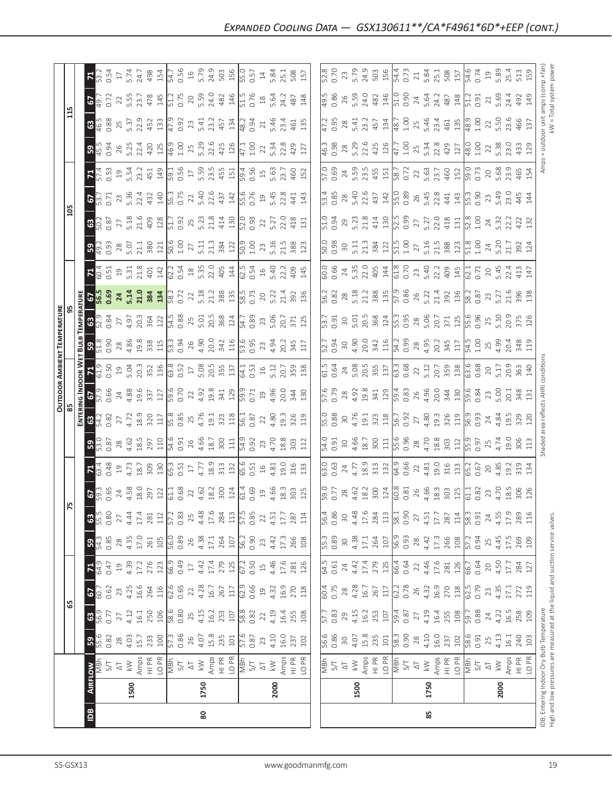|                                                                                        | $\mathbf{B}$                                                                                                        | 80                                                                                                                                                                                                                                                                                                                                                                                                                                                                                |                                                                                                                                                                                                                                |                                                                                                                                                                                                                                                                                                                                                                                                                                                                              | 85   |                                                                                                                                                                                                                                                                                                                         |                                         |
|----------------------------------------------------------------------------------------|---------------------------------------------------------------------------------------------------------------------|-----------------------------------------------------------------------------------------------------------------------------------------------------------------------------------------------------------------------------------------------------------------------------------------------------------------------------------------------------------------------------------------------------------------------------------------------------------------------------------|--------------------------------------------------------------------------------------------------------------------------------------------------------------------------------------------------------------------------------|------------------------------------------------------------------------------------------------------------------------------------------------------------------------------------------------------------------------------------------------------------------------------------------------------------------------------------------------------------------------------------------------------------------------------------------------------------------------------|------|-------------------------------------------------------------------------------------------------------------------------------------------------------------------------------------------------------------------------------------------------------------------------------------------------------------------------|-----------------------------------------|
|                                                                                        | 1500                                                                                                                | 1750                                                                                                                                                                                                                                                                                                                                                                                                                                                                              | 2000                                                                                                                                                                                                                           | 1500                                                                                                                                                                                                                                                                                                                                                                                                                                                                         | 1750 | 2000                                                                                                                                                                                                                                                                                                                    | IDB: Entering Indo<br>High and low pres |
|                                                                                        | <b>RFLOW</b>                                                                                                        |                                                                                                                                                                                                                                                                                                                                                                                                                                                                                   |                                                                                                                                                                                                                                | $\begin{array}{l} \n\frac{1}{2} & \text{for } 2 \leq x \leq 1\\ \n\frac{1}{2} & \text{for } 2 \leq x \leq 1\\ \n\frac{1}{2} & \text{for } 2 \leq x \leq 1\\ \n\frac{1}{2} & \text{for } 2 \leq x \leq 1\\ \n\frac{1}{2} & \text{for } 2 \leq x \leq 1\\ \n\frac{1}{2} & \text{for } 2 \leq x \leq 1\\ \n\frac{1}{2} & \text{for } 2 \leq x \leq 1\\ \n\frac{1}{2} & \text{for } 2 \leq x \leq$                                                                               |      |                                                                                                                                                                                                                                                                                                                         |                                         |
|                                                                                        |                                                                                                                     | $\frac{3}{2}$ a $\frac{3}{4}$ $\frac{1}{4}$ $\frac{1}{12}$ $\frac{3}{12}$ $\frac{3}{12}$ $\frac{3}{12}$ $\frac{3}{12}$ $\frac{3}{12}$ $\frac{3}{12}$ $\frac{3}{12}$ $\frac{3}{12}$ $\frac{3}{12}$ $\frac{3}{12}$ $\frac{3}{12}$ $\frac{3}{12}$ $\frac{3}{12}$ $\frac{3}{12}$ $\frac{3}{12}$ $\frac{3}{12}$ $\$                                                                                                                                                                    |                                                                                                                                                                                                                                |                                                                                                                                                                                                                                                                                                                                                                                                                                                                              |      |                                                                                                                                                                                                                                                                                                                         |                                         |
|                                                                                        |                                                                                                                     | $\frac{17}{27}$ 7<br>$\frac{17}{41}$ 5<br>$\frac{16}{50}$ 8<br>$\frac{16}{50}$ 8<br>$\frac{16}{50}$ 8<br>$\frac{17}{41}$ 5<br>$\frac{17}{41}$ 5<br>$\frac{18}{50}$ 8<br>$\frac{18}{50}$ 8<br>$\frac{17}{50}$ 8<br>$\frac{17}{50}$ 8<br>$\frac{17}{50}$ 8<br>$\frac{17}{50}$ 8<br>$\frac{17}{50}$ 8<br>$\frac{17}{50}$                                                                                                                                                             |                                                                                                                                                                                                                                |                                                                                                                                                                                                                                                                                                                                                                                                                                                                              |      |                                                                                                                                                                                                                                                                                                                         |                                         |
| 55                                                                                     | $\frac{1}{2}$                                                                                                       | $\begin{array}{l} 1636 & 1636 \\ 164 & 1646 \\ 165 & 1646 \\ 166 & 1656 \\ 166 & 1666 \\ 166 & 1666 \\ 166 & 1666 \\ 166 & 1666 \\ 166 & 1666 \\ 166 & 1666 \\ 166 & 1666 \\ 166 & 1666 \\ 167 & 1676 \\ 168 & 1686 \\ 169 & 1696 \\ 160 & 1696 \\ 161 & 1696 \\ 169 & 1696 \\ 160 & 1696 \\ 16$                                                                                                                                                                                  |                                                                                                                                                                                                                                | $\begin{array}{l} 60.78 \atop 0.75 \atop 0.75 \atop 0.86 \atop 0.75 \atop 0.75 \atop 0.75 \atop 0.75 \atop 0.75 \atop 0.75 \atop 0.75 \atop 0.75 \atop 0.75 \atop 0.75 \atop 0.75 \atop 0.75 \atop 0.75 \atop 0.75 \atop 0.75 \atop 0.75 \atop 0.75 \atop 0.75 \atop 0.75 \atop 0.75 \atop 0.75 \atop 0.75 \atop 0.7$                                                                                                                                                        |      |                                                                                                                                                                                                                                                                                                                         |                                         |
|                                                                                        | $ \Xi ^3$                                                                                                           | $G_1 \n  \begin{array}{c}\n 3 \\  2 \\  3 \\  4 \\  5\n \end{array} \n  \begin{array}{c}\n 2 \\  2 \\  3 \\  4 \\  5\n \end{array} \n  \end{array} \n  \begin{array}{c}\n 2 \\  2 \\  4 \\  5 \\  6 \\  7\n \end{array} \n  \begin{array}{c}\n 2 \\  2 \\  3 \\  4 \\  5\n \end{array} \n  \end{array} \n  \begin{array}{c}\n 2 \\  2 \\  4 \\  5 \\  6 \\  7\n \end{array} \n  \begin{array}{c}\n 2 \\  2 \\  3 \\  4 \\  5\n \end{array} \n  \begin{array}{c$                   |                                                                                                                                                                                                                                |                                                                                                                                                                                                                                                                                                                                                                                                                                                                              |      |                                                                                                                                                                                                                                                                                                                         |                                         |
|                                                                                        |                                                                                                                     | $\begin{array}{l} 0.8 & 8 \\ 2.8 & 4.3 \\ 4.3 & 1.7 \\ 2.6 & 1.8 \\ 5.6 & 1.8 \\ 6.8 & 1.8 \\ 7.7 & 8.9 \\ 8.9 & 1.7 \\ 1.7 & 1.8 \\ 1.9 & 1.9 \\ 1.0 & 1.9 \\ 1.0 & 1.9 \\ 1.0 & 1.9 \\ 1.0 & 1.9 \\ 1.0 & 1.9 \\ 1.0 & 1.9 \\ 1.0 & 1.9 \\ 1.0 & 1.9 \\ 1.0 & 1.9 \\ 1.0 & 1.9 \\ 1.0 & 1.9 \\ 1.0 &$                                                                                                                                                                           |                                                                                                                                                                                                                                |                                                                                                                                                                                                                                                                                                                                                                                                                                                                              |      |                                                                                                                                                                                                                                                                                                                         |                                         |
|                                                                                        | <b>8</b> နိ                                                                                                         | $\frac{88}{27} \times \frac{1}{4} \times \frac{1}{4} \times \frac{1}{4} \times \frac{1}{4} \times \frac{1}{4} \times \frac{1}{4} \times \frac{1}{4} \times \frac{1}{4} \times \frac{1}{4} \times \frac{1}{4} \times \frac{1}{4} \times \frac{1}{4} \times \frac{1}{4} \times \frac{1}{4} \times \frac{1}{4} \times \frac{1}{4} \times \frac{1}{4} \times \frac{1}{4} \times \frac{1}{4} \times \frac{1}{4} \times \frac{1}{4} \times \frac{1}{4} \times \frac{1}{4} \times \frac$ |                                                                                                                                                                                                                                |                                                                                                                                                                                                                                                                                                                                                                                                                                                                              |      |                                                                                                                                                                                                                                                                                                                         |                                         |
|                                                                                        | $\begin{array}{c} 0.65 \\ 2.4 \\ 4.58 \\ 2.97 \\ 2.0 \\ \hline \end{array}$<br>$ 2\rangle$                          |                                                                                                                                                                                                                                                                                                                                                                                                                                                                                   | $4.83$ $8.2$ $8.4$ $8.3$ $8.4$ $8.6$ $8.3$ $8.3$ $8.2$ $8.4$ $8.3$ $8.2$ $8.4$ $8.3$ $8.2$ $8.4$ $8.3$ $8.2$ $8.4$ $8.4$ $8.3$ $8.2$ $8.4$ $8.4$ $8.4$ $8.4$ $8.4$ $8.4$ $8.4$ $8.4$ $8.4$ $8.4$ $8.4$ $8.4$ $8.4$ $8.4$ $8.4$ | $\frac{6}{5}$<br>$\frac{7}{2}$<br>$\frac{8}{4}$<br>$\frac{6}{5}$<br>$\frac{2}{3}$<br>$\frac{6}{5}$<br>$\frac{1}{8}$<br>$\frac{8}{10}$<br>$\frac{8}{10}$<br>$\frac{1}{8}$<br>$\frac{1}{8}$                                                                                                                                                                                                                                                                                    | 26   | $4.83$ $\frac{3}{2}$ $\frac{25}{2}$ $\frac{11}{2}$ $\frac{13}{2}$ $\frac{25}{2}$ $\frac{3}{2}$ $\frac{3}{2}$ $\frac{3}{2}$ $\frac{3}{2}$ $\frac{3}{2}$ $\frac{3}{2}$ $\frac{3}{2}$ $\frac{3}{2}$ $\frac{3}{2}$ $\frac{3}{2}$ $\frac{3}{2}$ $\frac{3}{2}$ $\frac{3}{2}$ $\frac{3}{2}$ $\frac{3}{2}$ $\frac{3}{2}$        |                                         |
|                                                                                        | 0.48<br>$\mathbf{E}^{\star}_{\mathbf{z}}$                                                                           | $\begin{array}{c} 19 \\ 4.73 \\ 18.78 \\ 19.8 \\ 19.9 \\ 10.5 \\ 10.5 \\ 11.5 \\ 12.7 \\ 13.7 \\ 14.7 \\ 15.9 \\ 13.7 \\ 14.7 \\ 15.9 \\ 16.7 \\ 17.8 \\ 18.7 \\ 19.8 \\ 19.7 \\ 13.7 \\ 14.8 \\ 15.9 \\ 16.7 \\ 17.8 \\ 18.9 \\ 19.8 \\ 13.7 \\ 14.8 \\ 15.9 \\ 16.9 \\ 17.8 \\ 18.9 \\ 19.9 \\ 19.9 \\ 19.$                                                                                                                                                                     |                                                                                                                                                                                                                                | $\begin{array}{c} 63.03 \\ 0.63 \\ 2.4.77 \\ 4.73 \\ 1.8.9 \\ 1.31 \\ 1.31 \\ 64.9 \\ 66 \\ \hline \end{array}$                                                                                                                                                                                                                                                                                                                                                              |      | $\begin{array}{c} 22 \\ 4.81 \\ 19.0 \\ 19.0 \\ 13.0 \\ 13.0 \\ \hline \end{array}$                                                                                                                                                                                                                                     |                                         |
|                                                                                        | ခြင့်                                                                                                               | $\frac{28}{28}$ & $\frac{26}{25}$ & $\frac{26}{25}$ & $\frac{16}{25}$ & $\frac{16}{25}$ & $\frac{16}{25}$ & $\frac{16}{25}$ & $\frac{16}{25}$ & $\frac{16}{25}$ & $\frac{16}{25}$ & $\frac{16}{25}$ & $\frac{16}{25}$ & $\frac{16}{25}$ & $\frac{16}{25}$ & $\frac{16}{25}$ & $\frac{16}{25}$                                                                                                                                                                                     |                                                                                                                                                                                                                                |                                                                                                                                                                                                                                                                                                                                                                                                                                                                              |      |                                                                                                                                                                                                                                                                                                                         |                                         |
| <b>ES 35</b>                                                                           |                                                                                                                     | $\begin{array}{l} 0.87 \\ 0.77 \\ 0.77 \\ 0.81 \\ 0.83 \\ 0.77 \\ 0.84 \\ 0.77 \\ 0.77 \\ 0.77 \\ 0.77 \\ 0.77 \\ 0.77 \\ 0.77 \\ 0.77 \\ 0.77 \\ 0.77 \\ 0.77 \\ 0.77 \\ 0.77 \\ 0.77 \\ 0.77 \\ 0.77 \\ 0.77 \\ 0.77 \\ 0.77 \\ 0.77 \\ 0.77 \\ 0.77 \\ 0.77 \\ 0.77 \\ 0.77 \\ 0.77 \\ 0.77 \\ 0.77 \\ 0.$                                                                                                                                                                     |                                                                                                                                                                                                                                |                                                                                                                                                                                                                                                                                                                                                                                                                                                                              |      |                                                                                                                                                                                                                                                                                                                         |                                         |
| $\frac{\overline{\text{O} \cup \text{DOOR} } \text{AMBIEN}}{\text{85}}$<br>$rac{1}{2}$ | 0.66<br>24                                                                                                          |                                                                                                                                                                                                                                                                                                                                                                                                                                                                                   |                                                                                                                                                                                                                                |                                                                                                                                                                                                                                                                                                                                                                                                                                                                              |      |                                                                                                                                                                                                                                                                                                                         |                                         |
| $\frac{1}{\sqrt{1.5}}$                                                                 |                                                                                                                     | $15.993733888737285383838383$                                                                                                                                                                                                                                                                                                                                                                                                                                                     |                                                                                                                                                                                                                                | $[5.323]_{0.0000}^{0.00000}$ $[5.323]_{0.00000}^{0.00000}$ $[5.323]_{0.00000}^{0.00000}$ $[5.323]_{0.00000}^{0.00000}$ $[5.323]_{0.00000}^{0.00000}$ $[5.323]_{0.00000}^{0.00000}$ $[5.323]_{0.00000}$ $[5.323]_{0.0000}$                                                                                                                                                                                                                                                    |      |                                                                                                                                                                                                                                                                                                                         |                                         |
| ENT TEMPERATURE<br>95<br>$\frac{1}{3}$ ន $\frac{1}{3}$                                 | 0.90                                                                                                                |                                                                                                                                                                                                                                                                                                                                                                                                                                                                                   |                                                                                                                                                                                                                                |                                                                                                                                                                                                                                                                                                                                                                                                                                                                              |      |                                                                                                                                                                                                                                                                                                                         |                                         |
| <b>SOLUS</b><br><b>ENERG</b><br>ENGLIS                                                 | $4.97$<br>$7.03$<br>$3.64$<br>$7.03$<br>$7.03$<br>$7.03$<br>$7.03$<br>$7.03$<br>27                                  |                                                                                                                                                                                                                                                                                                                                                                                                                                                                                   |                                                                                                                                                                                                                                | $\begin{bmatrix} .51 \\ .53 \\ .54 \end{bmatrix} \begin{bmatrix} .51 \\ .52 \\ .53 \end{bmatrix} \begin{bmatrix} .51 \\ .53 \\ .54 \end{bmatrix} \begin{bmatrix} .51 \\ .51 \\ .53 \end{bmatrix} \begin{bmatrix} .51 \\ .53 \\ .55 \end{bmatrix} \begin{bmatrix} .51 \\ .51 \\ .51 \end{bmatrix} \begin{bmatrix} .51 \\ .51 \\ .51 \end{bmatrix} \begin{bmatrix} .51 \\ .51 \\ .51 \end{bmatrix} \begin{bmatrix} .51 \\ .51 \\ .51 \end{bmatrix} \begin{bmatrix} .51 \\ .51$ |      |                                                                                                                                                                                                                                                                                                                         |                                         |
|                                                                                        | $ \mathbf{z} _4$<br>$3.5384$<br>$5.7384$<br>$5.72$                                                                  |                                                                                                                                                                                                                                                                                                                                                                                                                                                                                   |                                                                                                                                                                                                                                |                                                                                                                                                                                                                                                                                                                                                                                                                                                                              |      |                                                                                                                                                                                                                                                                                                                         |                                         |
|                                                                                        | $\begin{array}{c}\n 28 \\  5.07 \\  21.1 \\  80 \\  121 \\  50.6 \\  1.00 \\  27\n \end{array}$<br>0.93<br>  အမြို့ | $\frac{11}{21.3}$ $\frac{381}{20.9}$                                                                                                                                                                                                                                                                                                                                                                                                                                              | $\begin{array}{c} 1.00 \\ 2.3 \\ 5.16 \\ 21.5 \\ 388 \\ 123 \end{array}$                                                                                                                                                       | $\begin{array}{ l } \hline 50.98 & 5.11 & 3.81 & 2.11 \\ \hline 0.98 & 5.11 & 3.81 & 2.11 \\ \hline 51.1 & 3.81 & 2.11 & 2.11 \\ \hline \end{array}$<br>$[0.687^{10}_{100} \times 0.77^{10}_{100}]$ and the contract of the contract of the contract of the contract of the contract of the contract of the contract of the contract of the contract of the contract of the contract of the contr                                                                            |      |                                                                                                                                                                                                                                                                                                                         |                                         |
|                                                                                        | ြို့ အ<br>0.87                                                                                                      | $\begin{array}{c} 27.816 \\ 27.116 \\ 27.176 \\ 28.116 \\ 29.116 \\ 20.116 \\ 21.176 \\ 22.187 \\ 23.116 \\ 24.116 \\ 25.116 \\ 26.116 \\ 27.116 \\ 28.116 \\ 29.116 \\ 20.116 \\ 21.167 \\ 22.167 \\ 23.176 \\ 24.176 \\ 25.176 \\ 26.176 \\ 27.176 \\ 28.176 \\ 29.176 \\ 21.176 \\ 23.1$                                                                                                                                                                                       |                                                                                                                                                                                                                                | $\begin{array}{ l }\n51.0 & 0.94 \\ 0.94 & 0.73 \\ 5.23 & 0.74 \\ 5.14 & 0.9 \\ 6.00 & 0.9\n\end{array}$                                                                                                                                                                                                                                                                                                                                                                     |      | $\begin{array}{c} 27 \\ 5.27 \\ 2.34 \\ 4.31 \\ \hline 4.31 \\ \hline 5.32 \\ 5.34 \\ \hline 6.34 \\ 7.34 \\ 8.34 \\ 1.32 \\ 1.34 \\ 2.43 \\ 1.34 \\ 2.43 \\ 1.34 \\ 2.43 \\ 2.43 \\ 2.43 \\ 2.43 \\ 2.43 \\ 2.43 \\ 2.43 \\ 2.43 \\ 2.43 \\ 2.43 \\ 2.43 \\ 2.43 \\ 2.43 \\ 2.43 \\ 2.43 \\ 2.43 \\ 2.43 \\ 2.43 \\ 2$ |                                         |
| $\frac{15}{2}$                                                                         | 0.71<br>$\mathbf{E}$                                                                                                | $\begin{array}{c} 23.874727 \\ 23.874727 \\ 24.32747 \\ 25.8747 \\ 26.8757 \\ 27.8747 \\ 28.8757 \\ 29.8757 \\ 20.8757 \\ 21.8757 \\ 22.8757 \\ 23.8757 \\ 24.8757 \\ 25.8757 \\ 26.8757 \\ 27.8757 \\ 28.8757 \\ 29.8757 \\ 21.8757 \\ 22.8757 \\ 23.8757 \\ 24.8757 \\ 25.8757 \\ $                                                                                                                                                                                             |                                                                                                                                                                                                                                |                                                                                                                                                                                                                                                                                                                                                                                                                                                                              |      |                                                                                                                                                                                                                                                                                                                         |                                         |
|                                                                                        | $\mathbf{E}_4$                                                                                                      | $\frac{13}{13}$ $\frac{13}{13}$ $\frac{13}{13}$ $\frac{11}{13}$ $\frac{13}{13}$ $\frac{15}{13}$ $\frac{15}{13}$ $\frac{13}{13}$ $\frac{13}{13}$ $\frac{11}{13}$ $\frac{13}{13}$ $\frac{13}{13}$ $\frac{13}{13}$ $\frac{13}{13}$ $\frac{13}{13}$ $\frac{13}{13}$ $\frac{13}{13}$ $\frac{13}{13}$ $\frac{1$                                                                                                                                                                         |                                                                                                                                                                                                                                | $\begin{bmatrix} 0.09 & 4 & 0.01 & 0.01 & 0.01 & 0.01 & 0.01 & 0.01 & 0.01 & 0.01 & 0.01 & 0.01 & 0.01 & 0.01 & 0.01 & 0.01 & 0.01 & 0.01 & 0.01 & 0.01 & 0.01 & 0.01 & 0.01 & 0.01 & 0.01 & 0.01 & 0.01 & 0.01 & 0.01 & 0.01 & 0.01 & 0.01 & 0.01 & 0.01 & 0.01 & 0.01 & $                                                                                                                                                                                                  |      |                                                                                                                                                                                                                                                                                                                         |                                         |
|                                                                                        | ဒု္ဒ္                                                                                                               | $\begin{array}{cccc}\n0.94 & 0.73 & 0.73 & 0.73 & 0.73 & 0.73 & 0.73 & 0.73 & 0.73 & 0.73 & 0.73 & 0.73 & 0.73 & 0.73 & 0.73 & 0.73 & 0.73 & 0.73 & 0.73 & 0.73 & 0.73 & 0.73 & 0.73 & 0.73 & 0.73 & 0.73 & 0.73 & 0.73 & 0.73 & 0.73 & 0.73 & 0.73 & 0.73 & 0.73 & 0.73 & 0.$                                                                                                                                                                                                    | $\begin{array}{c} 1.00 \\ 2.2 \\ 5.34 \\ 2.8 \\ 4.2 \\ 9 \end{array}$                                                                                                                                                          | $[45.38 \times 3.61 \times 10^{-10}]$ $(3.8 \times 3.61 \times 10^{-10})$ $(5.8 \times 3.61 \times 10^{-10})$ $(5.8 \times 3.61 \times 10^{-10})$ $(5.8 \times 3.61 \times 10^{-10})$ $(5.8 \times 3.61 \times 10^{-10})$                                                                                                                                                                                                                                                    |      |                                                                                                                                                                                                                                                                                                                         | 5.38<br>23.0<br>433<br>129              |
|                                                                                        | 0.88                                                                                                                |                                                                                                                                                                                                                                                                                                                                                                                                                                                                                   |                                                                                                                                                                                                                                |                                                                                                                                                                                                                                                                                                                                                                                                                                                                              |      |                                                                                                                                                                                                                                                                                                                         | 5.50<br>23.6<br>466<br>137              |
|                                                                                        | <b>67</b><br>549.72                                                                                                 |                                                                                                                                                                                                                                                                                                                                                                                                                                                                                   | 24.2<br>487<br>148                                                                                                                                                                                                             |                                                                                                                                                                                                                                                                                                                                                                                                                                                                              |      |                                                                                                                                                                                                                                                                                                                         |                                         |
|                                                                                        |                                                                                                                     |                                                                                                                                                                                                                                                                                                                                                                                                                                                                                   |                                                                                                                                                                                                                                |                                                                                                                                                                                                                                                                                                                                                                                                                                                                              |      |                                                                                                                                                                                                                                                                                                                         |                                         |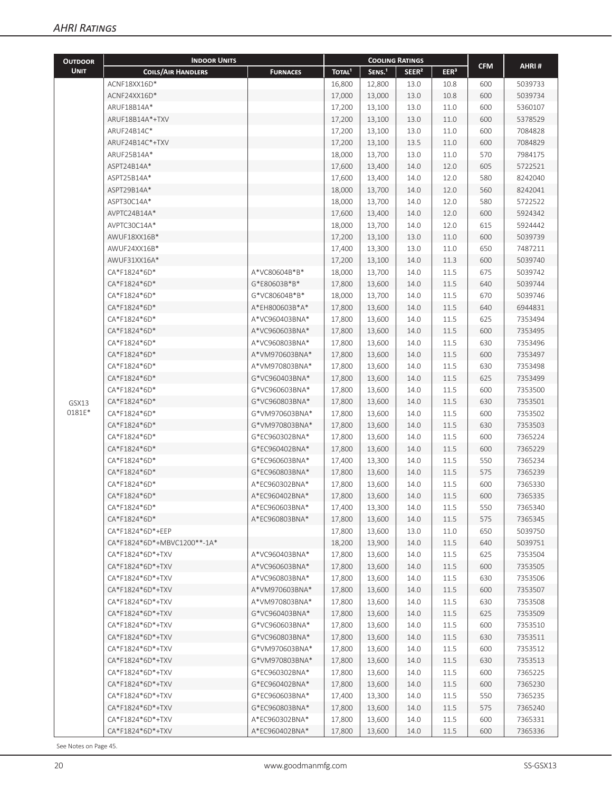| <b>OUTDOOR</b> | <b>INDOOR UNITS</b>         |                 |                    | <b>COOLING RATINGS</b> |                   |                  |            |         |
|----------------|-----------------------------|-----------------|--------------------|------------------------|-------------------|------------------|------------|---------|
| <b>UNIT</b>    | <b>COILS/AIR HANDLERS</b>   | <b>FURNACES</b> | TOTAL <sup>1</sup> | SENS. <sup>1</sup>     | SEER <sup>2</sup> | EER <sup>3</sup> | <b>CFM</b> | AHRI#   |
|                | ACNF18XX16D*                |                 | 16,800             | 12,800                 | 13.0              | 10.8             | 600        | 5039733 |
|                | ACNF24XX16D*                |                 | 17,000             | 13,000                 | 13.0              | 10.8             | 600        | 5039734 |
|                | ARUF18B14A*                 |                 | 17,200             | 13,100                 | 13.0              | 11.0             | 600        | 5360107 |
|                | ARUF18B14A*+TXV             |                 | 17,200             | 13,100                 | 13.0              | 11.0             | 600        | 5378529 |
|                | ARUF24B14C*                 |                 | 17,200             | 13,100                 | 13.0              | 11.0             | 600        | 7084828 |
|                | ARUF24B14C*+TXV             |                 | 17,200             | 13,100                 | 13.5              | 11.0             | 600        | 7084829 |
|                | ARUF25B14A*                 |                 | 18,000             | 13,700                 | 13.0              | 11.0             | 570        | 7984175 |
|                | ASPT24B14A*                 |                 | 17,600             | 13,400                 | 14.0              | 12.0             | 605        | 5722521 |
|                | ASPT25B14A*                 |                 | 17,600             | 13,400                 | 14.0              | 12.0             | 580        | 8242040 |
|                | ASPT29B14A*                 |                 | 18,000             | 13,700                 | 14.0              | 12.0             | 560        | 8242041 |
|                | ASPT30C14A*                 |                 | 18,000             | 13,700                 | 14.0              | 12.0             | 580        | 5722522 |
|                | AVPTC24B14A*                |                 | 17,600             | 13,400                 | 14.0              | 12.0             | 600        | 5924342 |
|                | AVPTC30C14A*                |                 | 18,000             | 13,700                 | 14.0              | 12.0             | 615        | 5924442 |
|                | AWUF18XX16B*                |                 | 17,200             | 13,100                 | 13.0              | 11.0             | 600        | 5039739 |
|                | AWUF24XX16B*                |                 | 17,400             | 13,300                 | 13.0              | 11.0             | 650        | 7487211 |
|                | AWUF31XX16A*                |                 | 17,200             | 13,100                 | 14.0              | 11.3             | 600        | 5039740 |
|                | CA*F1824*6D*                | A*VC80604B*B*   | 18,000             | 13,700                 | 14.0              | 11.5             | 675        | 5039742 |
|                | CA*F1824*6D*                | G*E80603B*B*    | 17,800             | 13,600                 | 14.0              | 11.5             | 640        | 5039744 |
|                | CA*F1824*6D*                | G*VC80604B*B*   | 18,000             | 13,700                 | 14.0              | 11.5             | 670        | 5039746 |
|                | CA*F1824*6D*                | A*EH800603B*A*  | 17,800             | 13,600                 | 14.0              | 11.5             | 640        | 6944831 |
|                | CA*F1824*6D*                | A*VC960403BNA*  | 17,800             | 13,600                 | 14.0              | 11.5             | 625        | 7353494 |
|                | CA*F1824*6D*                | A*VC960603BNA*  | 17,800             | 13,600                 | 14.0              | 11.5             | 600        | 7353495 |
|                | CA*F1824*6D*                | A*VC960803BNA*  | 17,800             | 13,600                 | 14.0              | 11.5             | 630        | 7353496 |
|                | CA*F1824*6D*                | A*VM970603BNA*  | 17,800             | 13,600                 | 14.0              | 11.5             | 600        | 7353497 |
|                | CA*F1824*6D*                | A*VM970803BNA*  | 17,800             | 13,600                 | 14.0              | 11.5             | 630        | 7353498 |
|                | CA*F1824*6D*                | G*VC960403BNA*  | 17,800             | 13,600                 | 14.0              | 11.5             | 625        | 7353499 |
|                | CA*F1824*6D*                | G*VC960603BNA*  | 17,800             | 13,600                 | 14.0              | 11.5             | 600        | 7353500 |
| GSX13          | CA*F1824*6D*                | G*VC960803BNA*  | 17,800             | 13,600                 | 14.0              | 11.5             | 630        | 7353501 |
| 0181E*         | CA*F1824*6D*                | G*VM970603BNA*  | 17,800             | 13,600                 | 14.0              | 11.5             | 600        | 7353502 |
|                | CA*F1824*6D*                | G*VM970803BNA*  | 17,800             | 13,600                 | 14.0              | 11.5             | 630        | 7353503 |
|                | CA*F1824*6D*                | G*EC960302BNA*  | 17,800             | 13,600                 | 14.0              | 11.5             | 600        | 7365224 |
|                | CA*F1824*6D*                | G*EC960402BNA*  | 17,800             | 13,600                 | 14.0              | 11.5             | 600        | 7365229 |
|                | CA*F1824*6D*                | G*EC960603BNA*  | 17,400             | 13,300                 | 14.0              | 11.5             | 550        | 7365234 |
|                | CA*F1824*6D*                | G*EC960803BNA*  | 17,800             | 13,600                 | 14.0              | 11.5             | 575        | 7365239 |
|                | CA*F1824*6D*                | A*EC960302BNA*  | 17,800             | 13,600                 | 14.0              | 11.5             | 600        | 7365330 |
|                | CA*F1824*6D*                | A*EC960402BNA*  | 17,800             | 13,600                 | 14.0              | 11.5             | 600        | 7365335 |
|                | CA*F1824*6D*                | A*EC960603BNA*  | 17,400             | 13,300                 | 14.0              | 11.5             | 550        | 7365340 |
|                | CA*F1824*6D*                | A*EC960803BNA*  | 17,800             | 13,600                 | 14.0              | 11.5             | 575        | 7365345 |
|                | CA*F1824*6D*+EEP            |                 | 17,800             | 13,600                 | 13.0              | 11.0             | 650        | 5039750 |
|                | CA*F1824*6D*+MBVC1200**-1A* |                 | 18,200             | 13,900                 | 14.0              | 11.5             | 640        | 5039751 |
|                | CA*F1824*6D*+TXV            | A*VC960403BNA*  | 17,800             | 13,600                 | 14.0              | 11.5             | 625        | 7353504 |
|                | CA*F1824*6D*+TXV            | A*VC960603BNA*  | 17,800             | 13,600                 | 14.0              | 11.5             | 600        | 7353505 |
|                | CA*F1824*6D*+TXV            | A*VC960803BNA*  | 17,800             | 13,600                 | 14.0              | 11.5             | 630        | 7353506 |
|                | CA*F1824*6D*+TXV            | A*VM970603BNA*  | 17,800             | 13,600                 | 14.0              | 11.5             | 600        | 7353507 |
|                | CA*F1824*6D*+TXV            | A*VM970803BNA*  | 17,800             | 13,600                 | 14.0              | 11.5             | 630        | 7353508 |
|                | CA*F1824*6D*+TXV            | G*VC960403BNA*  | 17,800             | 13,600                 | 14.0              | 11.5             | 625        | 7353509 |
|                | CA*F1824*6D*+TXV            | G*VC960603BNA*  | 17,800             | 13,600                 | 14.0              | 11.5             | 600        | 7353510 |
|                | CA*F1824*6D*+TXV            | G*VC960803BNA*  | 17,800             | 13,600                 | 14.0              | 11.5             | 630        | 7353511 |
|                | CA*F1824*6D*+TXV            | G*VM970603BNA*  | 17,800             | 13,600                 | 14.0              | 11.5             | 600        | 7353512 |
|                | CA*F1824*6D*+TXV            | G*VM970803BNA*  | 17,800             | 13,600                 | 14.0              | 11.5             | 630        | 7353513 |
|                | CA*F1824*6D*+TXV            | G*EC960302BNA*  | 17,800             | 13,600                 | 14.0              | 11.5             | 600        | 7365225 |
|                | CA*F1824*6D*+TXV            | G*EC960402BNA*  | 17,800             | 13,600                 | 14.0              | 11.5             | 600        | 7365230 |
|                | CA*F1824*6D*+TXV            | G*EC960603BNA*  | 17,400             | 13,300                 | 14.0              | 11.5             | 550        | 7365235 |
|                | CA*F1824*6D*+TXV            | G*EC960803BNA*  | 17,800             | 13,600                 | 14.0              | 11.5             | 575        | 7365240 |
|                | CA*F1824*6D*+TXV            | A*EC960302BNA*  | 17,800             | 13,600                 | 14.0              | 11.5             | 600        | 7365331 |
|                | CA*F1824*6D*+TXV            | A*EC960402BNA*  | 17,800             | 13,600                 | 14.0              | 11.5             | 600        | 7365336 |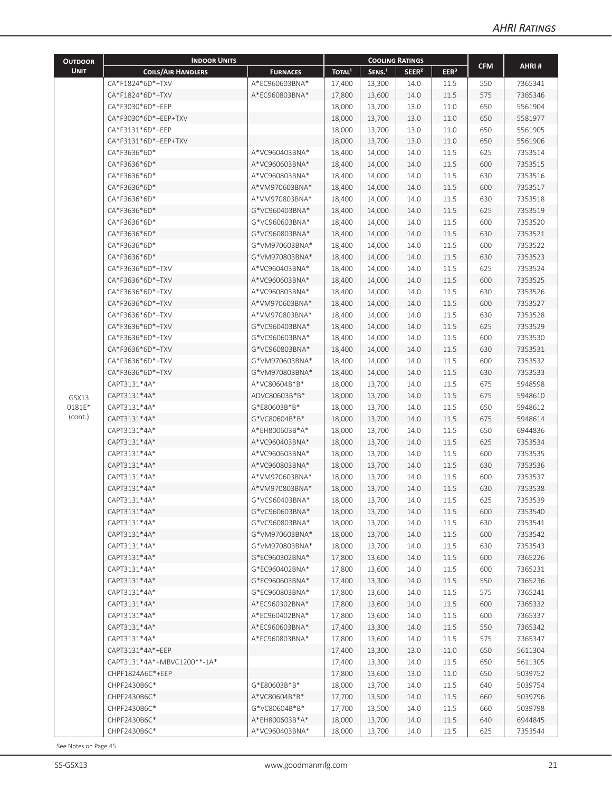| <b>OUTDOOR</b>  | <b>INDOOR UNITS</b>         |                 |                    |                    | <b>COOLING RATINGS</b> |                  |            |         |
|-----------------|-----------------------------|-----------------|--------------------|--------------------|------------------------|------------------|------------|---------|
| <b>UNIT</b>     | <b>COILS/AIR HANDLERS</b>   | <b>FURNACES</b> | TOTAL <sup>1</sup> | SENS. <sup>1</sup> | SEER <sup>2</sup>      | EER <sup>3</sup> | <b>CFM</b> | AHRI#   |
|                 | CA*F1824*6D*+TXV            | A*EC960603BNA*  | 17,400             | 13,300             | 14.0                   | 11.5             | 550        | 7365341 |
|                 | CA*F1824*6D*+TXV            | A*EC960803BNA*  | 17,800             | 13,600             | 14.0                   | 11.5             | 575        | 7365346 |
|                 | CA*F3030*6D*+EEP            |                 | 18,000             | 13,700             | 13.0                   | 11.0             | 650        | 5561904 |
|                 | CA*F3030*6D*+EEP+TXV        |                 | 18,000             | 13,700             | 13.0                   | 11.0             | 650        | 5581977 |
|                 | CA*F3131*6D*+EEP            |                 | 18,000             | 13,700             | 13.0                   | 11.0             | 650        | 5561905 |
|                 | CA*F3131*6D*+EEP+TXV        |                 | 18,000             | 13,700             | 13.0                   | 11.0             | 650        | 5561906 |
|                 | CA*F3636*6D*                | A*VC960403BNA*  | 18,400             | 14,000             | 14.0                   | 11.5             | 625        | 7353514 |
|                 | CA*F3636*6D*                | A*VC960603BNA*  | 18,400             | 14,000             | 14.0                   | 11.5             | 600        | 7353515 |
|                 | CA*F3636*6D*                | A*VC960803BNA*  | 18,400             | 14,000             | 14.0                   | 11.5             | 630        | 7353516 |
|                 | CA*F3636*6D*                | A*VM970603BNA*  | 18,400             | 14,000             | 14.0                   | 11.5             | 600        | 7353517 |
|                 | CA*F3636*6D*                | A*VM970803BNA*  | 18,400             | 14,000             | 14.0                   | 11.5             | 630        | 7353518 |
|                 | CA*F3636*6D*                | G*VC960403BNA*  | 18,400             | 14,000             | 14.0                   | 11.5             | 625        | 7353519 |
|                 | CA*F3636*6D*                | G*VC960603BNA*  | 18,400             | 14,000             | 14.0                   | 11.5             | 600        | 7353520 |
|                 | CA*F3636*6D*                | G*VC960803BNA*  | 18,400             | 14,000             | 14.0                   | 11.5             | 630        | 7353521 |
|                 | CA*F3636*6D*                | G*VM970603BNA*  | 18,400             | 14,000             | 14.0                   | 11.5             | 600        | 7353522 |
|                 | CA*F3636*6D*                | G*VM970803BNA*  | 18,400             | 14,000             | 14.0                   | 11.5             | 630        | 7353523 |
|                 | CA*F3636*6D*+TXV            | A*VC960403BNA*  | 18,400             | 14,000             | 14.0                   | 11.5             | 625        | 7353524 |
|                 | CA*F3636*6D*+TXV            | A*VC960603BNA*  | 18,400             | 14,000             | 14.0                   | 11.5             | 600        | 7353525 |
|                 | CA*F3636*6D*+TXV            | A*VC960803BNA*  | 18,400             | 14,000             | 14.0                   | 11.5             | 630        | 7353526 |
|                 | CA*F3636*6D*+TXV            | A*VM970603BNA*  | 18,400             | 14,000             | 14.0                   | 11.5             | 600        | 7353527 |
|                 | CA*F3636*6D*+TXV            | A*VM970803BNA*  | 18,400             | 14,000             | 14.0                   | 11.5             | 630        | 7353528 |
|                 | CA*F3636*6D*+TXV            | G*VC960403BNA*  | 18,400             | 14,000             | 14.0                   | 11.5             | 625        | 7353529 |
|                 | CA*F3636*6D*+TXV            | G*VC960603BNA*  | 18,400             | 14,000             | 14.0                   | 11.5             | 600        | 7353530 |
|                 | CA*F3636*6D*+TXV            | G*VC960803BNA*  | 18,400             | 14,000             | 14.0                   | 11.5             | 630        | 7353531 |
|                 | CA*F3636*6D*+TXV            | G*VM970603BNA*  | 18,400             | 14,000             | 14.0                   | 11.5             | 600        | 7353532 |
|                 | CA*F3636*6D*+TXV            | G*VM970803BNA*  | 18,400             | 14,000             | 14.0                   | 11.5             | 630        | 7353533 |
|                 | CAPT3131*4A*                | A*VC80604B*B*   | 18,000             | 13,700             | 14.0                   | 11.5             | 675        | 5948598 |
|                 | CAPT3131*4A*                | ADVC80603B*B*   | 18,000             | 13,700             | 14.0                   | 11.5             | 675        | 5948610 |
| GSX13<br>0181E* | CAPT3131*4A*                | G*E80603B*B*    | 18,000             | 13,700             | 14.0                   | 11.5             | 650        | 5948612 |
| (cont.)         | CAPT3131*4A*                | G*VC80604B*B*   | 18,000             | 13,700             | 14.0                   | 11.5             | 675        | 5948614 |
|                 | CAPT3131*4A*                | A*EH800603B*A*  | 18,000             | 13,700             | 14.0                   | 11.5             | 650        | 6944836 |
|                 | CAPT3131*4A*                | A*VC960403BNA*  | 18,000             | 13,700             | 14.0                   | 11.5             | 625        | 7353534 |
|                 | CAPT3131*4A*                | A*VC960603BNA*  | 18,000             | 13,700             | 14.0                   | 11.5             | 600        | 7353535 |
|                 | CAPT3131*4A*                | A*VC960803BNA*  | 18,000             | 13,700             | 14.0                   | 11.5             | 630        | 7353536 |
|                 | CAPT3131*4A*                | A*VM970603BNA*  | 18,000             | 13,700             | 14.0                   | 11.5             | 600        | 7353537 |
|                 | CAPT3131*4A*                | A*VM970803BNA*  | 18,000             | 13,700             | 14.0                   | 11.5             | 630        | 7353538 |
|                 | CAPT3131*4A*                | G*VC960403BNA*  | 18,000             | 13,700             | 14.0                   | 11.5             | 625        | 7353539 |
|                 | CAPT3131*4A*                | G*VC960603BNA*  | 18,000             | 13,700             | 14.0                   | 11.5             | 600        | 7353540 |
|                 | CAPT3131*4A*                | G*VC960803BNA*  | 18,000             | 13,700             | 14.0                   | 11.5             | 630        | 7353541 |
|                 | CAPT3131*4A*                | G*VM970603BNA*  | 18,000             | 13,700             | 14.0                   | 11.5             | 600        | 7353542 |
|                 | CAPT3131*4A*                | G*VM970803BNA*  | 18,000             | 13,700             | 14.0                   | 11.5             | 630        | 7353543 |
|                 | CAPT3131*4A*                | G*EC960302BNA*  | 17,800             | 13,600             | 14.0                   | 11.5             | 600        | 7365226 |
|                 | CAPT3131*4A*                | G*EC960402BNA*  | 17,800             | 13,600             | 14.0                   | 11.5             | 600        | 7365231 |
|                 | CAPT3131*4A*                | G*EC960603BNA*  | 17,400             | 13,300             | 14.0                   | 11.5             | 550        | 7365236 |
|                 | CAPT3131*4A*                | G*EC960803BNA*  | 17,800             | 13,600             | 14.0                   | 11.5             | 575        | 7365241 |
|                 | CAPT3131*4A*                | A*EC960302BNA*  | 17,800             | 13,600             | 14.0                   | 11.5             | 600        | 7365332 |
|                 | CAPT3131*4A*                | A*EC960402BNA*  | 17,800             | 13,600             | 14.0                   | 11.5             | 600        | 7365337 |
|                 | CAPT3131*4A*                | A*EC960603BNA*  | 17,400             | 13,300             | 14.0                   | 11.5             | 550        | 7365342 |
|                 | CAPT3131*4A*                | A*EC960803BNA*  | 17,800             | 13,600             | 14.0                   | 11.5             | 575        | 7365347 |
|                 | CAPT3131*4A*+EEP            |                 | 17,400             | 13,300             | 13.0                   | 11.0             | 650        | 5611304 |
|                 | CAPT3131*4A*+MBVC1200**-1A* |                 | 17,400             | 13,300             | 14.0                   | 11.5             | 650        | 5611305 |
|                 | CHPF1824A6C*+EEP            |                 | 17,800             | 13,600             | 13.0                   | 11.0             | 650        | 5039752 |
|                 | CHPF2430B6C*                | G*E80603B*B*    | 18,000             | 13,700             | 14.0                   | 11.5             | 640        | 5039754 |
|                 | CHPF2430B6C*                | A*VC80604B*B*   | 17,700             | 13,500             | 14.0                   | 11.5             | 660        | 5039796 |
|                 | CHPF2430B6C*                | G*VC80604B*B*   | 17,700             | 13,500             | 14.0                   | 11.5             | 660        | 5039798 |
|                 | CHPF2430B6C*                | A*EH800603B*A*  | 18,000             | 13,700             | 14.0                   | 11.5             | 640        | 6944845 |
|                 | CHPF2430B6C*                | A*VC960403BNA*  | 18,000             | 13,700             | 14.0                   | 11.5             | 625        | 7353544 |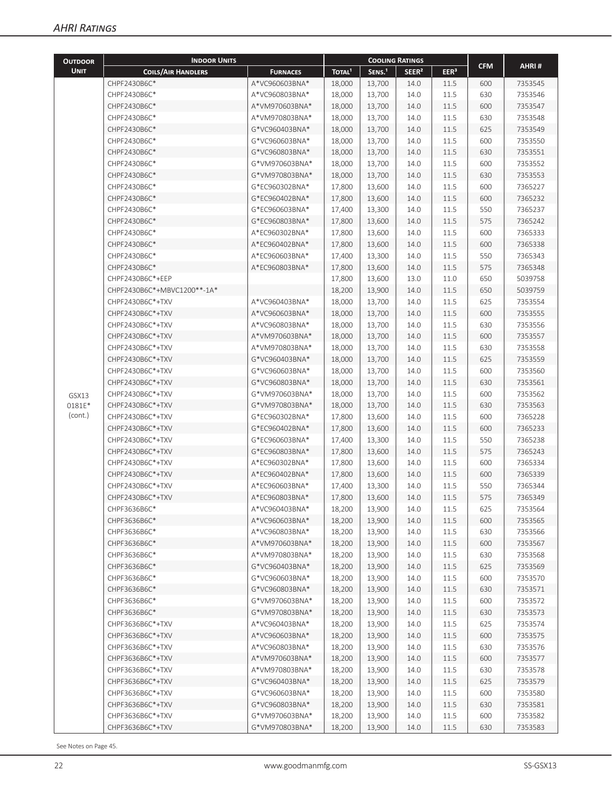| <b>OUTDOOR</b> | <b>INDOOR UNITS</b>         |                 |                    | <b>COOLING RATINGS</b> |                   |                  |            |         |
|----------------|-----------------------------|-----------------|--------------------|------------------------|-------------------|------------------|------------|---------|
| <b>UNIT</b>    | <b>COILS/AIR HANDLERS</b>   | <b>FURNACES</b> | TOTAL <sup>1</sup> | SENS. <sup>1</sup>     | SEER <sup>2</sup> | EER <sup>3</sup> | <b>CFM</b> | AHRI#   |
|                | CHPF2430B6C*                | A*VC960603BNA*  | 18,000             | 13,700                 | 14.0              | 11.5             | 600        | 7353545 |
|                | CHPF2430B6C*                | A*VC960803BNA*  | 18,000             | 13,700                 | 14.0              | 11.5             | 630        | 7353546 |
|                | CHPF2430B6C*                | A*VM970603BNA*  | 18,000             | 13,700                 | 14.0              | 11.5             | 600        | 7353547 |
|                | CHPF2430B6C*                | A*VM970803BNA*  | 18,000             | 13,700                 | 14.0              | 11.5             | 630        | 7353548 |
|                | CHPF2430B6C*                | G*VC960403BNA*  | 18,000             | 13,700                 | 14.0              | 11.5             | 625        | 7353549 |
|                | CHPF2430B6C*                | G*VC960603BNA*  | 18,000             | 13,700                 | 14.0              | 11.5             | 600        | 7353550 |
|                | CHPF2430B6C*                | G*VC960803BNA*  | 18,000             | 13,700                 | 14.0              | 11.5             | 630        | 7353551 |
|                | CHPF2430B6C*                | G*VM970603BNA*  | 18,000             | 13,700                 | 14.0              | 11.5             | 600        | 7353552 |
|                | CHPF2430B6C*                | G*VM970803BNA*  | 18,000             | 13,700                 | 14.0              | 11.5             | 630        | 7353553 |
|                | CHPF2430B6C*                | G*EC960302BNA*  | 17,800             | 13,600                 | 14.0              | 11.5             | 600        | 7365227 |
|                | CHPF2430B6C*                | G*EC960402BNA*  | 17,800             | 13,600                 | 14.0              | 11.5             | 600        | 7365232 |
|                | CHPF2430B6C*                | G*EC960603BNA*  | 17,400             | 13,300                 | 14.0              | 11.5             | 550        | 7365237 |
|                | CHPF2430B6C*                | G*EC960803BNA*  | 17,800             | 13,600                 | 14.0              | 11.5             | 575        | 7365242 |
|                | CHPF2430B6C*                | A*EC960302BNA*  | 17,800             | 13,600                 | 14.0              | 11.5             | 600        | 7365333 |
|                | CHPF2430B6C*                | A*EC960402BNA*  | 17,800             | 13,600                 | 14.0              | 11.5             | 600        | 7365338 |
|                | CHPF2430B6C*                | A*EC960603BNA*  | 17,400             | 13,300                 | 14.0              | 11.5             | 550        | 7365343 |
|                | CHPF2430B6C*                | A*EC960803BNA*  | 17,800             | 13,600                 | 14.0              | 11.5             | 575        | 7365348 |
|                | CHPF2430B6C*+EEP            |                 | 17,800             | 13,600                 | 13.0              | 11.0             | 650        | 5039758 |
|                | CHPF2430B6C*+MBVC1200**-1A* |                 | 18,200             | 13,900                 | 14.0              | 11.5             | 650        | 5039759 |
|                | CHPF2430B6C*+TXV            | A*VC960403BNA*  | 18,000             | 13,700                 | 14.0              | 11.5             | 625        | 7353554 |
|                | CHPF2430B6C*+TXV            | A*VC960603BNA*  | 18,000             | 13,700                 | 14.0              | 11.5             | 600        | 7353555 |
|                | CHPF2430B6C*+TXV            | A*VC960803BNA*  | 18,000             | 13,700                 | 14.0              | 11.5             | 630        | 7353556 |
|                | CHPF2430B6C*+TXV            | A*VM970603BNA*  | 18,000             | 13,700                 | 14.0              | 11.5             | 600        | 7353557 |
|                | CHPF2430B6C*+TXV            | A*VM970803BNA*  | 18,000             | 13,700                 | 14.0              | 11.5             | 630        | 7353558 |
|                | CHPF2430B6C*+TXV            | G*VC960403BNA*  | 18,000             | 13,700                 | 14.0              | 11.5             | 625        | 7353559 |
|                | CHPF2430B6C*+TXV            | G*VC960603BNA*  | 18,000             | 13,700                 | 14.0              | 11.5             | 600        | 7353560 |
|                | CHPF2430B6C*+TXV            | G*VC960803BNA*  | 18,000             | 13,700                 | 14.0              | 11.5             | 630        | 7353561 |
| GSX13          | CHPF2430B6C*+TXV            | G*VM970603BNA*  | 18,000             | 13,700                 | 14.0              | 11.5             | 600        | 7353562 |
| 0181E*         | CHPF2430B6C*+TXV            | G*VM970803BNA*  | 18,000             | 13,700                 | 14.0              | 11.5             | 630        | 7353563 |
| (cont.)        | CHPF2430B6C*+TXV            | G*EC960302BNA*  | 17,800             | 13,600                 | 14.0              | 11.5             | 600        | 7365228 |
|                | CHPF2430B6C*+TXV            | G*EC960402BNA*  | 17,800             | 13,600                 | 14.0              | 11.5             | 600        | 7365233 |
|                | CHPF2430B6C*+TXV            | G*EC960603BNA*  | 17,400             | 13,300                 | 14.0              | 11.5             | 550        | 7365238 |
|                | CHPF2430B6C*+TXV            | G*EC960803BNA*  | 17,800             | 13,600                 | 14.0              | 11.5             | 575        | 7365243 |
|                | CHPF2430B6C*+TXV            | A*EC960302BNA*  | 17,800             | 13,600                 | 14.0              | 11.5             | 600        | 7365334 |
|                | CHPF2430B6C*+TXV            | A*EC960402BNA*  | 17,800             | 13,600                 | 14.0              | 11.5             | 600        | 7365339 |
|                | CHPF2430B6C*+TXV            | A*EC960603BNA*  | 17,400             | 13,300                 | 14.0              | 11.5             | 550        | 7365344 |
|                | CHPF2430B6C*+TXV            | A*EC960803BNA*  | 17,800             | 13,600                 | 14.0              | $11.5\,$         | 575        | 7365349 |
|                | CHPF3636B6C*                | A*VC960403BNA*  | 18,200             | 13,900                 | 14.0              | 11.5             | 625        | 7353564 |
|                | CHPF3636B6C*                | A*VC960603BNA*  | 18,200             | 13,900                 | 14.0              | 11.5             | 600        | 7353565 |
|                | CHPF3636B6C*                | A*VC960803BNA*  | 18,200             | 13,900                 | 14.0              | 11.5             | 630        | 7353566 |
|                | CHPF3636B6C*                | A*VM970603BNA*  | 18,200             | 13,900                 | 14.0              | 11.5             | 600        | 7353567 |
|                | CHPF3636B6C*                | A*VM970803BNA*  | 18,200             | 13,900                 | 14.0              | 11.5             | 630        | 7353568 |
|                | CHPF3636B6C*                | G*VC960403BNA*  | 18,200             | 13,900                 | 14.0              | 11.5             | 625        | 7353569 |
|                | CHPF3636B6C*                | G*VC960603BNA*  | 18,200             | 13,900                 | 14.0              | 11.5             | 600        | 7353570 |
|                | CHPF3636B6C*                | G*VC960803BNA*  | 18,200             | 13,900                 | 14.0              | 11.5             | 630        | 7353571 |
|                | CHPF3636B6C*                | G*VM970603BNA*  | 18,200             | 13,900                 | 14.0              | 11.5             | 600        | 7353572 |
|                | CHPF3636B6C*                | G*VM970803BNA*  | 18,200             | 13,900                 | 14.0              | 11.5             | 630        | 7353573 |
|                | CHPF3636B6C*+TXV            | A*VC960403BNA*  | 18,200             | 13,900                 | 14.0              | 11.5             | 625        | 7353574 |
|                | CHPF3636B6C*+TXV            | A*VC960603BNA*  | 18,200             | 13,900                 | 14.0              | 11.5             | 600        | 7353575 |
|                | CHPF3636B6C*+TXV            | A*VC960803BNA*  | 18,200             | 13,900                 | 14.0              | 11.5             | 630        | 7353576 |
|                | CHPF3636B6C*+TXV            | A*VM970603BNA*  | 18,200             | 13,900                 | 14.0              | 11.5             | 600        | 7353577 |
|                | CHPF3636B6C*+TXV            | A*VM970803BNA*  | 18,200             | 13,900                 | 14.0              | 11.5             | 630        | 7353578 |
|                | CHPF3636B6C*+TXV            | G*VC960403BNA*  | 18,200             | 13,900                 | 14.0              | 11.5             | 625        | 7353579 |
|                | CHPF3636B6C*+TXV            | G*VC960603BNA*  | 18,200             | 13,900                 | 14.0              | 11.5             | 600        | 7353580 |
|                | CHPF3636B6C*+TXV            | G*VC960803BNA*  | 18,200             | 13,900                 | 14.0              | 11.5             | 630        | 7353581 |
|                | CHPF3636B6C*+TXV            | G*VM970603BNA*  | 18,200             | 13,900                 | 14.0              | 11.5             | 600        | 7353582 |
|                | CHPF3636B6C*+TXV            | G*VM970803BNA*  | 18,200             | 13,900                 | 14.0              | 11.5             | 630        | 7353583 |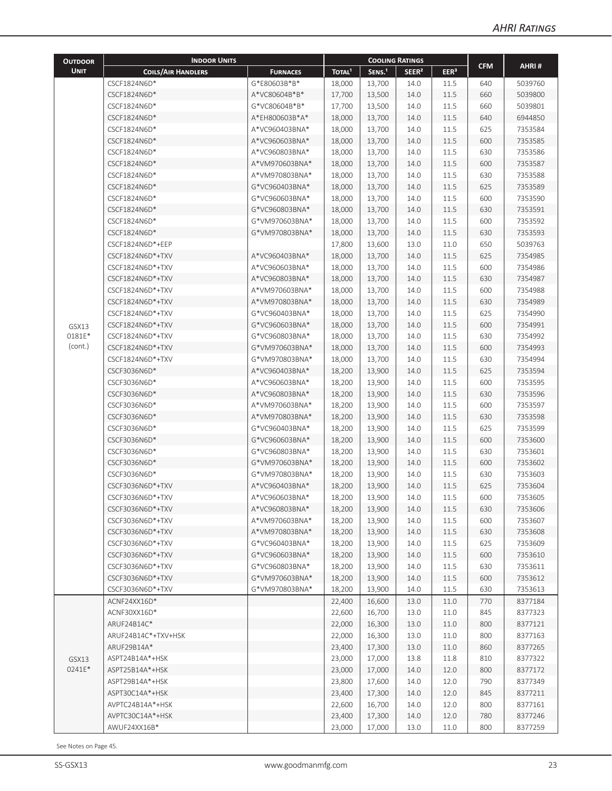| <b>UNIT</b><br>TOTAL <sup>1</sup><br>SENS. <sup>1</sup><br>SEER <sup>2</sup><br>EER <sup>3</sup><br><b>COILS/AIR HANDLERS</b><br><b>FURNACES</b><br>CSCF1824N6D*<br>G*E80603B*B*<br>640<br>5039760<br>18,000<br>13,700<br>14.0<br>11.5<br>14.0<br>11.5<br>660<br>CSCF1824N6D*<br>A*VC80604B*B*<br>17,700<br>13,500<br>5039800<br>G*VC80604B*B*<br>14.0<br>11.5<br>660<br>5039801<br>CSCF1824N6D*<br>17,700<br>13,500<br>CSCF1824N6D*<br>A*EH800603B*A*<br>14.0<br>11.5<br>6944850<br>18,000<br>13,700<br>640<br>CSCF1824N6D*<br>14.0<br>11.5<br>7353584<br>A*VC960403BNA*<br>18,000<br>13,700<br>625<br>CSCF1824N6D*<br>14.0<br>11.5<br>600<br>7353585<br>A*VC960603BNA*<br>18,000<br>13,700<br>CSCF1824N6D*<br>A*VC960803BNA*<br>14.0<br>11.5<br>7353586<br>18,000<br>13,700<br>630<br>A*VM970603BNA*<br>13,700<br>11.5<br>7353587<br>CSCF1824N6D*<br>18,000<br>14.0<br>600<br>CSCF1824N6D*<br>A*VM970803BNA*<br>14.0<br>11.5<br>630<br>7353588<br>18,000<br>13,700<br>CSCF1824N6D*<br>G*VC960403BNA*<br>13,700<br>14.0<br>11.5<br>625<br>7353589<br>18,000<br>CSCF1824N6D*<br>G*VC960603BNA*<br>13,700<br>14.0<br>11.5<br>600<br>7353590<br>18,000<br>CSCF1824N6D*<br>14.0<br>11.5<br>630<br>7353591<br>G*VC960803BNA*<br>18,000<br>13,700<br>CSCF1824N6D*<br>G*VM970603BNA*<br>14.0<br>11.5<br>7353592<br>18,000<br>13,700<br>600<br>14.0<br>11.5<br>7353593<br>CSCF1824N6D*<br>G*VM970803BNA*<br>18,000<br>13,700<br>630<br>CSCF1824N6D*+EEP<br>13.0<br>11.0<br>5039763<br>17,800<br>13,600<br>650<br>A*VC960403BNA*<br>11.5<br>7354985<br>CSCF1824N6D*+TXV<br>18,000<br>13,700<br>14.0<br>625<br>11.5<br>CSCF1824N6D*+TXV<br>A*VC960603BNA*<br>18,000<br>13,700<br>14.0<br>600<br>7354986<br>11.5<br>7354987<br>CSCF1824N6D*+TXV<br>A*VC960803BNA*<br>18,000<br>13,700<br>14.0<br>630<br>11.5<br>CSCF1824N6D*+TXV<br>A*VM970603BNA*<br>18,000<br>13,700<br>14.0<br>600<br>7354988<br>11.5<br>CSCF1824N6D*+TXV<br>A*VM970803BNA*<br>18,000<br>13,700<br>14.0<br>630<br>7354989<br>CSCF1824N6D*+TXV<br>G*VC960403BNA*<br>14.0<br>11.5<br>7354990<br>18,000<br>13,700<br>625<br>CSCF1824N6D*+TXV<br>G*VC960603BNA*<br>13,700<br>14.0<br>11.5<br>600<br>7354991<br>18,000<br>GSX13<br>0181E*<br>14.0<br>11.5<br>7354992<br>CSCF1824N6D*+TXV<br>G*VC960803BNA*<br>18,000<br>13,700<br>630<br>(cont.)<br>CSCF1824N6D*+TXV<br>G*VM970603BNA*<br>18,000<br>13,700<br>14.0<br>11.5<br>600<br>7354993<br>CSCF1824N6D*+TXV<br>G*VM970803BNA*<br>18,000<br>13,700<br>14.0<br>11.5<br>630<br>7354994<br>14.0<br>11.5<br>CSCF3036N6D*<br>A*VC960403BNA*<br>18,200<br>13,900<br>625<br>7353594<br>14.0<br>11.5<br>600<br>7353595<br>CSCF3036N6D*<br>A*VC960603BNA*<br>18,200<br>13,900<br>CSCF3036N6D*<br>A*VC960803BNA*<br>14.0<br>11.5<br>630<br>7353596<br>18,200<br>13,900<br>CSCF3036N6D*<br>A*VM970603BNA*<br>14.0<br>11.5<br>600<br>7353597<br>18,200<br>13,900<br>A*VM970803BNA*<br>14.0<br>11.5<br>CSCF3036N6D*<br>18,200<br>13,900<br>630<br>7353598<br>CSCF3036N6D*<br>G*VC960403BNA*<br>14.0<br>11.5<br>625<br>7353599<br>18,200<br>13,900<br>CSCF3036N6D*<br>11.5<br>7353600<br>G*VC960603BNA*<br>18,200<br>13,900<br>14.0<br>600<br>14.0<br>11.5<br>7353601<br>CSCF3036N6D*<br>G*VC960803BNA*<br>18,200<br>13,900<br>630<br>CSCF3036N6D*<br>G*VM970603BNA*<br>14.0<br>11.5<br>600<br>7353602<br>18,200<br>13,900<br>CSCF3036N6D*<br>G*VM970803BNA*<br>11.5<br>7353603<br>18,200<br>13,900<br>14.0<br>630<br>CSCF3036N6D*+TXV<br>14.0<br>11.5<br>625<br>7353604<br>A*VC960403BNA*<br>18,200<br>13,900<br>11.5<br>600<br>CSCF3036N6D*+TXV<br>A*VC960603BNA*<br>18,200<br>13,900<br>14.0<br>7353605<br>A*VC960803BNA*<br>18,200<br>13,900<br>14.0<br>11.5<br>630<br>7353606<br>CSCF3036N6D*+TXV<br>A*VM970603BNA*<br>18,200<br>13,900<br>14.0<br>11.5<br>600<br>7353607<br>CSCF3036N6D*+TXV<br>CSCF3036N6D*+TXV<br>A*VM970803BNA*<br>18,200<br>13,900<br>14.0<br>11.5<br>630<br>7353608<br>CSCF3036N6D*+TXV<br>G*VC960403BNA*<br>14.0<br>11.5<br>7353609<br>18,200<br>13,900<br>625<br>G*VC960603BNA*<br>18,200<br>13,900<br>11.5<br>7353610<br>CSCF3036N6D*+TXV<br>14.0<br>600<br>CSCF3036N6D*+TXV<br>G*VC960803BNA*<br>18,200<br>13,900<br>14.0<br>11.5<br>630<br>7353611<br>CSCF3036N6D*+TXV<br>G*VM970603BNA*<br>18,200<br>13,900<br>11.5<br>7353612<br>14.0<br>600<br>G*VM970803BNA*<br>13,900<br>14.0<br>11.5<br>630<br>7353613<br>CSCF3036N6D*+TXV<br>18,200<br>8377184<br>ACNF24XX16D*<br>13.0<br>11.0<br>770<br>22,400<br>16,600<br>ACNF30XX16D*<br>22,600<br>16,700<br>13.0<br>11.0<br>845<br>8377323<br>ARUF24B14C*<br>22,000<br>16,300<br>13.0<br>11.0<br>800<br>8377121<br>8377163<br>ARUF24B14C*+TXV+HSK<br>22,000<br>16,300<br>13.0<br>11.0<br>800<br>ARUF29B14A*<br>23,400<br>17,300<br>13.0<br>11.0<br>860<br>8377265<br>8377322<br>ASPT24B14A*+HSK<br>23,000<br>17,000<br>13.8<br>11.8<br>810<br>GSX13<br>0241E*<br>14.0<br>12.0<br>800<br>8377172<br>ASPT25B14A*+HSK<br>23,000<br>17,000<br>ASPT29B14A*+HSK<br>17,600<br>12.0<br>790<br>8377349<br>23,800<br>14.0<br>ASPT30C14A*+HSK<br>23,400<br>17,300<br>12.0<br>845<br>8377211<br>14.0<br>AVPTC24B14A*+HSK<br>22,600<br>16,700<br>14.0<br>12.0<br>800<br>8377161<br>AVPTC30C14A*+HSK<br>23,400<br>17,300<br>12.0<br>8377246<br>14.0<br>780<br>AWUF24XX16B*<br>17,000<br>13.0<br>11.0<br>800<br>8377259<br>23,000 | <b>OUTDOOR</b> | <b>INDOOR UNITS</b> |  | <b>COOLING RATINGS</b> |  |            |       |
|------------------------------------------------------------------------------------------------------------------------------------------------------------------------------------------------------------------------------------------------------------------------------------------------------------------------------------------------------------------------------------------------------------------------------------------------------------------------------------------------------------------------------------------------------------------------------------------------------------------------------------------------------------------------------------------------------------------------------------------------------------------------------------------------------------------------------------------------------------------------------------------------------------------------------------------------------------------------------------------------------------------------------------------------------------------------------------------------------------------------------------------------------------------------------------------------------------------------------------------------------------------------------------------------------------------------------------------------------------------------------------------------------------------------------------------------------------------------------------------------------------------------------------------------------------------------------------------------------------------------------------------------------------------------------------------------------------------------------------------------------------------------------------------------------------------------------------------------------------------------------------------------------------------------------------------------------------------------------------------------------------------------------------------------------------------------------------------------------------------------------------------------------------------------------------------------------------------------------------------------------------------------------------------------------------------------------------------------------------------------------------------------------------------------------------------------------------------------------------------------------------------------------------------------------------------------------------------------------------------------------------------------------------------------------------------------------------------------------------------------------------------------------------------------------------------------------------------------------------------------------------------------------------------------------------------------------------------------------------------------------------------------------------------------------------------------------------------------------------------------------------------------------------------------------------------------------------------------------------------------------------------------------------------------------------------------------------------------------------------------------------------------------------------------------------------------------------------------------------------------------------------------------------------------------------------------------------------------------------------------------------------------------------------------------------------------------------------------------------------------------------------------------------------------------------------------------------------------------------------------------------------------------------------------------------------------------------------------------------------------------------------------------------------------------------------------------------------------------------------------------------------------------------------------------------------------------------------------------------------------------------------------------------------------------------------------------------------------------------------------------------------------------------------------------------------------------------------------------------------------------------------------------------------------------------------------------------------------------------------------------------------------------------------------------------------------------------------------------------------------------------------------------------------------------------------------------------------------------------------------------------------------------------------------------------------------------------------------------------------------------------------------------------------------------------------------------------------------------------------------------------------------------------------------------------------------------------------------------------------------------------------------------------------|----------------|---------------------|--|------------------------|--|------------|-------|
|                                                                                                                                                                                                                                                                                                                                                                                                                                                                                                                                                                                                                                                                                                                                                                                                                                                                                                                                                                                                                                                                                                                                                                                                                                                                                                                                                                                                                                                                                                                                                                                                                                                                                                                                                                                                                                                                                                                                                                                                                                                                                                                                                                                                                                                                                                                                                                                                                                                                                                                                                                                                                                                                                                                                                                                                                                                                                                                                                                                                                                                                                                                                                                                                                                                                                                                                                                                                                                                                                                                                                                                                                                                                                                                                                                                                                                                                                                                                                                                                                                                                                                                                                                                                                                                                                                                                                                                                                                                                                                                                                                                                                                                                                                                                                                                                                                                                                                                                                                                                                                                                                                                                                                                                                                                                                          |                |                     |  |                        |  | <b>CFM</b> | AHRI# |
|                                                                                                                                                                                                                                                                                                                                                                                                                                                                                                                                                                                                                                                                                                                                                                                                                                                                                                                                                                                                                                                                                                                                                                                                                                                                                                                                                                                                                                                                                                                                                                                                                                                                                                                                                                                                                                                                                                                                                                                                                                                                                                                                                                                                                                                                                                                                                                                                                                                                                                                                                                                                                                                                                                                                                                                                                                                                                                                                                                                                                                                                                                                                                                                                                                                                                                                                                                                                                                                                                                                                                                                                                                                                                                                                                                                                                                                                                                                                                                                                                                                                                                                                                                                                                                                                                                                                                                                                                                                                                                                                                                                                                                                                                                                                                                                                                                                                                                                                                                                                                                                                                                                                                                                                                                                                                          |                |                     |  |                        |  |            |       |
|                                                                                                                                                                                                                                                                                                                                                                                                                                                                                                                                                                                                                                                                                                                                                                                                                                                                                                                                                                                                                                                                                                                                                                                                                                                                                                                                                                                                                                                                                                                                                                                                                                                                                                                                                                                                                                                                                                                                                                                                                                                                                                                                                                                                                                                                                                                                                                                                                                                                                                                                                                                                                                                                                                                                                                                                                                                                                                                                                                                                                                                                                                                                                                                                                                                                                                                                                                                                                                                                                                                                                                                                                                                                                                                                                                                                                                                                                                                                                                                                                                                                                                                                                                                                                                                                                                                                                                                                                                                                                                                                                                                                                                                                                                                                                                                                                                                                                                                                                                                                                                                                                                                                                                                                                                                                                          |                |                     |  |                        |  |            |       |
|                                                                                                                                                                                                                                                                                                                                                                                                                                                                                                                                                                                                                                                                                                                                                                                                                                                                                                                                                                                                                                                                                                                                                                                                                                                                                                                                                                                                                                                                                                                                                                                                                                                                                                                                                                                                                                                                                                                                                                                                                                                                                                                                                                                                                                                                                                                                                                                                                                                                                                                                                                                                                                                                                                                                                                                                                                                                                                                                                                                                                                                                                                                                                                                                                                                                                                                                                                                                                                                                                                                                                                                                                                                                                                                                                                                                                                                                                                                                                                                                                                                                                                                                                                                                                                                                                                                                                                                                                                                                                                                                                                                                                                                                                                                                                                                                                                                                                                                                                                                                                                                                                                                                                                                                                                                                                          |                |                     |  |                        |  |            |       |
|                                                                                                                                                                                                                                                                                                                                                                                                                                                                                                                                                                                                                                                                                                                                                                                                                                                                                                                                                                                                                                                                                                                                                                                                                                                                                                                                                                                                                                                                                                                                                                                                                                                                                                                                                                                                                                                                                                                                                                                                                                                                                                                                                                                                                                                                                                                                                                                                                                                                                                                                                                                                                                                                                                                                                                                                                                                                                                                                                                                                                                                                                                                                                                                                                                                                                                                                                                                                                                                                                                                                                                                                                                                                                                                                                                                                                                                                                                                                                                                                                                                                                                                                                                                                                                                                                                                                                                                                                                                                                                                                                                                                                                                                                                                                                                                                                                                                                                                                                                                                                                                                                                                                                                                                                                                                                          |                |                     |  |                        |  |            |       |
|                                                                                                                                                                                                                                                                                                                                                                                                                                                                                                                                                                                                                                                                                                                                                                                                                                                                                                                                                                                                                                                                                                                                                                                                                                                                                                                                                                                                                                                                                                                                                                                                                                                                                                                                                                                                                                                                                                                                                                                                                                                                                                                                                                                                                                                                                                                                                                                                                                                                                                                                                                                                                                                                                                                                                                                                                                                                                                                                                                                                                                                                                                                                                                                                                                                                                                                                                                                                                                                                                                                                                                                                                                                                                                                                                                                                                                                                                                                                                                                                                                                                                                                                                                                                                                                                                                                                                                                                                                                                                                                                                                                                                                                                                                                                                                                                                                                                                                                                                                                                                                                                                                                                                                                                                                                                                          |                |                     |  |                        |  |            |       |
|                                                                                                                                                                                                                                                                                                                                                                                                                                                                                                                                                                                                                                                                                                                                                                                                                                                                                                                                                                                                                                                                                                                                                                                                                                                                                                                                                                                                                                                                                                                                                                                                                                                                                                                                                                                                                                                                                                                                                                                                                                                                                                                                                                                                                                                                                                                                                                                                                                                                                                                                                                                                                                                                                                                                                                                                                                                                                                                                                                                                                                                                                                                                                                                                                                                                                                                                                                                                                                                                                                                                                                                                                                                                                                                                                                                                                                                                                                                                                                                                                                                                                                                                                                                                                                                                                                                                                                                                                                                                                                                                                                                                                                                                                                                                                                                                                                                                                                                                                                                                                                                                                                                                                                                                                                                                                          |                |                     |  |                        |  |            |       |
|                                                                                                                                                                                                                                                                                                                                                                                                                                                                                                                                                                                                                                                                                                                                                                                                                                                                                                                                                                                                                                                                                                                                                                                                                                                                                                                                                                                                                                                                                                                                                                                                                                                                                                                                                                                                                                                                                                                                                                                                                                                                                                                                                                                                                                                                                                                                                                                                                                                                                                                                                                                                                                                                                                                                                                                                                                                                                                                                                                                                                                                                                                                                                                                                                                                                                                                                                                                                                                                                                                                                                                                                                                                                                                                                                                                                                                                                                                                                                                                                                                                                                                                                                                                                                                                                                                                                                                                                                                                                                                                                                                                                                                                                                                                                                                                                                                                                                                                                                                                                                                                                                                                                                                                                                                                                                          |                |                     |  |                        |  |            |       |
|                                                                                                                                                                                                                                                                                                                                                                                                                                                                                                                                                                                                                                                                                                                                                                                                                                                                                                                                                                                                                                                                                                                                                                                                                                                                                                                                                                                                                                                                                                                                                                                                                                                                                                                                                                                                                                                                                                                                                                                                                                                                                                                                                                                                                                                                                                                                                                                                                                                                                                                                                                                                                                                                                                                                                                                                                                                                                                                                                                                                                                                                                                                                                                                                                                                                                                                                                                                                                                                                                                                                                                                                                                                                                                                                                                                                                                                                                                                                                                                                                                                                                                                                                                                                                                                                                                                                                                                                                                                                                                                                                                                                                                                                                                                                                                                                                                                                                                                                                                                                                                                                                                                                                                                                                                                                                          |                |                     |  |                        |  |            |       |
|                                                                                                                                                                                                                                                                                                                                                                                                                                                                                                                                                                                                                                                                                                                                                                                                                                                                                                                                                                                                                                                                                                                                                                                                                                                                                                                                                                                                                                                                                                                                                                                                                                                                                                                                                                                                                                                                                                                                                                                                                                                                                                                                                                                                                                                                                                                                                                                                                                                                                                                                                                                                                                                                                                                                                                                                                                                                                                                                                                                                                                                                                                                                                                                                                                                                                                                                                                                                                                                                                                                                                                                                                                                                                                                                                                                                                                                                                                                                                                                                                                                                                                                                                                                                                                                                                                                                                                                                                                                                                                                                                                                                                                                                                                                                                                                                                                                                                                                                                                                                                                                                                                                                                                                                                                                                                          |                |                     |  |                        |  |            |       |
|                                                                                                                                                                                                                                                                                                                                                                                                                                                                                                                                                                                                                                                                                                                                                                                                                                                                                                                                                                                                                                                                                                                                                                                                                                                                                                                                                                                                                                                                                                                                                                                                                                                                                                                                                                                                                                                                                                                                                                                                                                                                                                                                                                                                                                                                                                                                                                                                                                                                                                                                                                                                                                                                                                                                                                                                                                                                                                                                                                                                                                                                                                                                                                                                                                                                                                                                                                                                                                                                                                                                                                                                                                                                                                                                                                                                                                                                                                                                                                                                                                                                                                                                                                                                                                                                                                                                                                                                                                                                                                                                                                                                                                                                                                                                                                                                                                                                                                                                                                                                                                                                                                                                                                                                                                                                                          |                |                     |  |                        |  |            |       |
|                                                                                                                                                                                                                                                                                                                                                                                                                                                                                                                                                                                                                                                                                                                                                                                                                                                                                                                                                                                                                                                                                                                                                                                                                                                                                                                                                                                                                                                                                                                                                                                                                                                                                                                                                                                                                                                                                                                                                                                                                                                                                                                                                                                                                                                                                                                                                                                                                                                                                                                                                                                                                                                                                                                                                                                                                                                                                                                                                                                                                                                                                                                                                                                                                                                                                                                                                                                                                                                                                                                                                                                                                                                                                                                                                                                                                                                                                                                                                                                                                                                                                                                                                                                                                                                                                                                                                                                                                                                                                                                                                                                                                                                                                                                                                                                                                                                                                                                                                                                                                                                                                                                                                                                                                                                                                          |                |                     |  |                        |  |            |       |
|                                                                                                                                                                                                                                                                                                                                                                                                                                                                                                                                                                                                                                                                                                                                                                                                                                                                                                                                                                                                                                                                                                                                                                                                                                                                                                                                                                                                                                                                                                                                                                                                                                                                                                                                                                                                                                                                                                                                                                                                                                                                                                                                                                                                                                                                                                                                                                                                                                                                                                                                                                                                                                                                                                                                                                                                                                                                                                                                                                                                                                                                                                                                                                                                                                                                                                                                                                                                                                                                                                                                                                                                                                                                                                                                                                                                                                                                                                                                                                                                                                                                                                                                                                                                                                                                                                                                                                                                                                                                                                                                                                                                                                                                                                                                                                                                                                                                                                                                                                                                                                                                                                                                                                                                                                                                                          |                |                     |  |                        |  |            |       |
|                                                                                                                                                                                                                                                                                                                                                                                                                                                                                                                                                                                                                                                                                                                                                                                                                                                                                                                                                                                                                                                                                                                                                                                                                                                                                                                                                                                                                                                                                                                                                                                                                                                                                                                                                                                                                                                                                                                                                                                                                                                                                                                                                                                                                                                                                                                                                                                                                                                                                                                                                                                                                                                                                                                                                                                                                                                                                                                                                                                                                                                                                                                                                                                                                                                                                                                                                                                                                                                                                                                                                                                                                                                                                                                                                                                                                                                                                                                                                                                                                                                                                                                                                                                                                                                                                                                                                                                                                                                                                                                                                                                                                                                                                                                                                                                                                                                                                                                                                                                                                                                                                                                                                                                                                                                                                          |                |                     |  |                        |  |            |       |
|                                                                                                                                                                                                                                                                                                                                                                                                                                                                                                                                                                                                                                                                                                                                                                                                                                                                                                                                                                                                                                                                                                                                                                                                                                                                                                                                                                                                                                                                                                                                                                                                                                                                                                                                                                                                                                                                                                                                                                                                                                                                                                                                                                                                                                                                                                                                                                                                                                                                                                                                                                                                                                                                                                                                                                                                                                                                                                                                                                                                                                                                                                                                                                                                                                                                                                                                                                                                                                                                                                                                                                                                                                                                                                                                                                                                                                                                                                                                                                                                                                                                                                                                                                                                                                                                                                                                                                                                                                                                                                                                                                                                                                                                                                                                                                                                                                                                                                                                                                                                                                                                                                                                                                                                                                                                                          |                |                     |  |                        |  |            |       |
|                                                                                                                                                                                                                                                                                                                                                                                                                                                                                                                                                                                                                                                                                                                                                                                                                                                                                                                                                                                                                                                                                                                                                                                                                                                                                                                                                                                                                                                                                                                                                                                                                                                                                                                                                                                                                                                                                                                                                                                                                                                                                                                                                                                                                                                                                                                                                                                                                                                                                                                                                                                                                                                                                                                                                                                                                                                                                                                                                                                                                                                                                                                                                                                                                                                                                                                                                                                                                                                                                                                                                                                                                                                                                                                                                                                                                                                                                                                                                                                                                                                                                                                                                                                                                                                                                                                                                                                                                                                                                                                                                                                                                                                                                                                                                                                                                                                                                                                                                                                                                                                                                                                                                                                                                                                                                          |                |                     |  |                        |  |            |       |
|                                                                                                                                                                                                                                                                                                                                                                                                                                                                                                                                                                                                                                                                                                                                                                                                                                                                                                                                                                                                                                                                                                                                                                                                                                                                                                                                                                                                                                                                                                                                                                                                                                                                                                                                                                                                                                                                                                                                                                                                                                                                                                                                                                                                                                                                                                                                                                                                                                                                                                                                                                                                                                                                                                                                                                                                                                                                                                                                                                                                                                                                                                                                                                                                                                                                                                                                                                                                                                                                                                                                                                                                                                                                                                                                                                                                                                                                                                                                                                                                                                                                                                                                                                                                                                                                                                                                                                                                                                                                                                                                                                                                                                                                                                                                                                                                                                                                                                                                                                                                                                                                                                                                                                                                                                                                                          |                |                     |  |                        |  |            |       |
|                                                                                                                                                                                                                                                                                                                                                                                                                                                                                                                                                                                                                                                                                                                                                                                                                                                                                                                                                                                                                                                                                                                                                                                                                                                                                                                                                                                                                                                                                                                                                                                                                                                                                                                                                                                                                                                                                                                                                                                                                                                                                                                                                                                                                                                                                                                                                                                                                                                                                                                                                                                                                                                                                                                                                                                                                                                                                                                                                                                                                                                                                                                                                                                                                                                                                                                                                                                                                                                                                                                                                                                                                                                                                                                                                                                                                                                                                                                                                                                                                                                                                                                                                                                                                                                                                                                                                                                                                                                                                                                                                                                                                                                                                                                                                                                                                                                                                                                                                                                                                                                                                                                                                                                                                                                                                          |                |                     |  |                        |  |            |       |
|                                                                                                                                                                                                                                                                                                                                                                                                                                                                                                                                                                                                                                                                                                                                                                                                                                                                                                                                                                                                                                                                                                                                                                                                                                                                                                                                                                                                                                                                                                                                                                                                                                                                                                                                                                                                                                                                                                                                                                                                                                                                                                                                                                                                                                                                                                                                                                                                                                                                                                                                                                                                                                                                                                                                                                                                                                                                                                                                                                                                                                                                                                                                                                                                                                                                                                                                                                                                                                                                                                                                                                                                                                                                                                                                                                                                                                                                                                                                                                                                                                                                                                                                                                                                                                                                                                                                                                                                                                                                                                                                                                                                                                                                                                                                                                                                                                                                                                                                                                                                                                                                                                                                                                                                                                                                                          |                |                     |  |                        |  |            |       |
|                                                                                                                                                                                                                                                                                                                                                                                                                                                                                                                                                                                                                                                                                                                                                                                                                                                                                                                                                                                                                                                                                                                                                                                                                                                                                                                                                                                                                                                                                                                                                                                                                                                                                                                                                                                                                                                                                                                                                                                                                                                                                                                                                                                                                                                                                                                                                                                                                                                                                                                                                                                                                                                                                                                                                                                                                                                                                                                                                                                                                                                                                                                                                                                                                                                                                                                                                                                                                                                                                                                                                                                                                                                                                                                                                                                                                                                                                                                                                                                                                                                                                                                                                                                                                                                                                                                                                                                                                                                                                                                                                                                                                                                                                                                                                                                                                                                                                                                                                                                                                                                                                                                                                                                                                                                                                          |                |                     |  |                        |  |            |       |
|                                                                                                                                                                                                                                                                                                                                                                                                                                                                                                                                                                                                                                                                                                                                                                                                                                                                                                                                                                                                                                                                                                                                                                                                                                                                                                                                                                                                                                                                                                                                                                                                                                                                                                                                                                                                                                                                                                                                                                                                                                                                                                                                                                                                                                                                                                                                                                                                                                                                                                                                                                                                                                                                                                                                                                                                                                                                                                                                                                                                                                                                                                                                                                                                                                                                                                                                                                                                                                                                                                                                                                                                                                                                                                                                                                                                                                                                                                                                                                                                                                                                                                                                                                                                                                                                                                                                                                                                                                                                                                                                                                                                                                                                                                                                                                                                                                                                                                                                                                                                                                                                                                                                                                                                                                                                                          |                |                     |  |                        |  |            |       |
|                                                                                                                                                                                                                                                                                                                                                                                                                                                                                                                                                                                                                                                                                                                                                                                                                                                                                                                                                                                                                                                                                                                                                                                                                                                                                                                                                                                                                                                                                                                                                                                                                                                                                                                                                                                                                                                                                                                                                                                                                                                                                                                                                                                                                                                                                                                                                                                                                                                                                                                                                                                                                                                                                                                                                                                                                                                                                                                                                                                                                                                                                                                                                                                                                                                                                                                                                                                                                                                                                                                                                                                                                                                                                                                                                                                                                                                                                                                                                                                                                                                                                                                                                                                                                                                                                                                                                                                                                                                                                                                                                                                                                                                                                                                                                                                                                                                                                                                                                                                                                                                                                                                                                                                                                                                                                          |                |                     |  |                        |  |            |       |
|                                                                                                                                                                                                                                                                                                                                                                                                                                                                                                                                                                                                                                                                                                                                                                                                                                                                                                                                                                                                                                                                                                                                                                                                                                                                                                                                                                                                                                                                                                                                                                                                                                                                                                                                                                                                                                                                                                                                                                                                                                                                                                                                                                                                                                                                                                                                                                                                                                                                                                                                                                                                                                                                                                                                                                                                                                                                                                                                                                                                                                                                                                                                                                                                                                                                                                                                                                                                                                                                                                                                                                                                                                                                                                                                                                                                                                                                                                                                                                                                                                                                                                                                                                                                                                                                                                                                                                                                                                                                                                                                                                                                                                                                                                                                                                                                                                                                                                                                                                                                                                                                                                                                                                                                                                                                                          |                |                     |  |                        |  |            |       |
|                                                                                                                                                                                                                                                                                                                                                                                                                                                                                                                                                                                                                                                                                                                                                                                                                                                                                                                                                                                                                                                                                                                                                                                                                                                                                                                                                                                                                                                                                                                                                                                                                                                                                                                                                                                                                                                                                                                                                                                                                                                                                                                                                                                                                                                                                                                                                                                                                                                                                                                                                                                                                                                                                                                                                                                                                                                                                                                                                                                                                                                                                                                                                                                                                                                                                                                                                                                                                                                                                                                                                                                                                                                                                                                                                                                                                                                                                                                                                                                                                                                                                                                                                                                                                                                                                                                                                                                                                                                                                                                                                                                                                                                                                                                                                                                                                                                                                                                                                                                                                                                                                                                                                                                                                                                                                          |                |                     |  |                        |  |            |       |
|                                                                                                                                                                                                                                                                                                                                                                                                                                                                                                                                                                                                                                                                                                                                                                                                                                                                                                                                                                                                                                                                                                                                                                                                                                                                                                                                                                                                                                                                                                                                                                                                                                                                                                                                                                                                                                                                                                                                                                                                                                                                                                                                                                                                                                                                                                                                                                                                                                                                                                                                                                                                                                                                                                                                                                                                                                                                                                                                                                                                                                                                                                                                                                                                                                                                                                                                                                                                                                                                                                                                                                                                                                                                                                                                                                                                                                                                                                                                                                                                                                                                                                                                                                                                                                                                                                                                                                                                                                                                                                                                                                                                                                                                                                                                                                                                                                                                                                                                                                                                                                                                                                                                                                                                                                                                                          |                |                     |  |                        |  |            |       |
|                                                                                                                                                                                                                                                                                                                                                                                                                                                                                                                                                                                                                                                                                                                                                                                                                                                                                                                                                                                                                                                                                                                                                                                                                                                                                                                                                                                                                                                                                                                                                                                                                                                                                                                                                                                                                                                                                                                                                                                                                                                                                                                                                                                                                                                                                                                                                                                                                                                                                                                                                                                                                                                                                                                                                                                                                                                                                                                                                                                                                                                                                                                                                                                                                                                                                                                                                                                                                                                                                                                                                                                                                                                                                                                                                                                                                                                                                                                                                                                                                                                                                                                                                                                                                                                                                                                                                                                                                                                                                                                                                                                                                                                                                                                                                                                                                                                                                                                                                                                                                                                                                                                                                                                                                                                                                          |                |                     |  |                        |  |            |       |
|                                                                                                                                                                                                                                                                                                                                                                                                                                                                                                                                                                                                                                                                                                                                                                                                                                                                                                                                                                                                                                                                                                                                                                                                                                                                                                                                                                                                                                                                                                                                                                                                                                                                                                                                                                                                                                                                                                                                                                                                                                                                                                                                                                                                                                                                                                                                                                                                                                                                                                                                                                                                                                                                                                                                                                                                                                                                                                                                                                                                                                                                                                                                                                                                                                                                                                                                                                                                                                                                                                                                                                                                                                                                                                                                                                                                                                                                                                                                                                                                                                                                                                                                                                                                                                                                                                                                                                                                                                                                                                                                                                                                                                                                                                                                                                                                                                                                                                                                                                                                                                                                                                                                                                                                                                                                                          |                |                     |  |                        |  |            |       |
|                                                                                                                                                                                                                                                                                                                                                                                                                                                                                                                                                                                                                                                                                                                                                                                                                                                                                                                                                                                                                                                                                                                                                                                                                                                                                                                                                                                                                                                                                                                                                                                                                                                                                                                                                                                                                                                                                                                                                                                                                                                                                                                                                                                                                                                                                                                                                                                                                                                                                                                                                                                                                                                                                                                                                                                                                                                                                                                                                                                                                                                                                                                                                                                                                                                                                                                                                                                                                                                                                                                                                                                                                                                                                                                                                                                                                                                                                                                                                                                                                                                                                                                                                                                                                                                                                                                                                                                                                                                                                                                                                                                                                                                                                                                                                                                                                                                                                                                                                                                                                                                                                                                                                                                                                                                                                          |                |                     |  |                        |  |            |       |
|                                                                                                                                                                                                                                                                                                                                                                                                                                                                                                                                                                                                                                                                                                                                                                                                                                                                                                                                                                                                                                                                                                                                                                                                                                                                                                                                                                                                                                                                                                                                                                                                                                                                                                                                                                                                                                                                                                                                                                                                                                                                                                                                                                                                                                                                                                                                                                                                                                                                                                                                                                                                                                                                                                                                                                                                                                                                                                                                                                                                                                                                                                                                                                                                                                                                                                                                                                                                                                                                                                                                                                                                                                                                                                                                                                                                                                                                                                                                                                                                                                                                                                                                                                                                                                                                                                                                                                                                                                                                                                                                                                                                                                                                                                                                                                                                                                                                                                                                                                                                                                                                                                                                                                                                                                                                                          |                |                     |  |                        |  |            |       |
|                                                                                                                                                                                                                                                                                                                                                                                                                                                                                                                                                                                                                                                                                                                                                                                                                                                                                                                                                                                                                                                                                                                                                                                                                                                                                                                                                                                                                                                                                                                                                                                                                                                                                                                                                                                                                                                                                                                                                                                                                                                                                                                                                                                                                                                                                                                                                                                                                                                                                                                                                                                                                                                                                                                                                                                                                                                                                                                                                                                                                                                                                                                                                                                                                                                                                                                                                                                                                                                                                                                                                                                                                                                                                                                                                                                                                                                                                                                                                                                                                                                                                                                                                                                                                                                                                                                                                                                                                                                                                                                                                                                                                                                                                                                                                                                                                                                                                                                                                                                                                                                                                                                                                                                                                                                                                          |                |                     |  |                        |  |            |       |
|                                                                                                                                                                                                                                                                                                                                                                                                                                                                                                                                                                                                                                                                                                                                                                                                                                                                                                                                                                                                                                                                                                                                                                                                                                                                                                                                                                                                                                                                                                                                                                                                                                                                                                                                                                                                                                                                                                                                                                                                                                                                                                                                                                                                                                                                                                                                                                                                                                                                                                                                                                                                                                                                                                                                                                                                                                                                                                                                                                                                                                                                                                                                                                                                                                                                                                                                                                                                                                                                                                                                                                                                                                                                                                                                                                                                                                                                                                                                                                                                                                                                                                                                                                                                                                                                                                                                                                                                                                                                                                                                                                                                                                                                                                                                                                                                                                                                                                                                                                                                                                                                                                                                                                                                                                                                                          |                |                     |  |                        |  |            |       |
|                                                                                                                                                                                                                                                                                                                                                                                                                                                                                                                                                                                                                                                                                                                                                                                                                                                                                                                                                                                                                                                                                                                                                                                                                                                                                                                                                                                                                                                                                                                                                                                                                                                                                                                                                                                                                                                                                                                                                                                                                                                                                                                                                                                                                                                                                                                                                                                                                                                                                                                                                                                                                                                                                                                                                                                                                                                                                                                                                                                                                                                                                                                                                                                                                                                                                                                                                                                                                                                                                                                                                                                                                                                                                                                                                                                                                                                                                                                                                                                                                                                                                                                                                                                                                                                                                                                                                                                                                                                                                                                                                                                                                                                                                                                                                                                                                                                                                                                                                                                                                                                                                                                                                                                                                                                                                          |                |                     |  |                        |  |            |       |
|                                                                                                                                                                                                                                                                                                                                                                                                                                                                                                                                                                                                                                                                                                                                                                                                                                                                                                                                                                                                                                                                                                                                                                                                                                                                                                                                                                                                                                                                                                                                                                                                                                                                                                                                                                                                                                                                                                                                                                                                                                                                                                                                                                                                                                                                                                                                                                                                                                                                                                                                                                                                                                                                                                                                                                                                                                                                                                                                                                                                                                                                                                                                                                                                                                                                                                                                                                                                                                                                                                                                                                                                                                                                                                                                                                                                                                                                                                                                                                                                                                                                                                                                                                                                                                                                                                                                                                                                                                                                                                                                                                                                                                                                                                                                                                                                                                                                                                                                                                                                                                                                                                                                                                                                                                                                                          |                |                     |  |                        |  |            |       |
|                                                                                                                                                                                                                                                                                                                                                                                                                                                                                                                                                                                                                                                                                                                                                                                                                                                                                                                                                                                                                                                                                                                                                                                                                                                                                                                                                                                                                                                                                                                                                                                                                                                                                                                                                                                                                                                                                                                                                                                                                                                                                                                                                                                                                                                                                                                                                                                                                                                                                                                                                                                                                                                                                                                                                                                                                                                                                                                                                                                                                                                                                                                                                                                                                                                                                                                                                                                                                                                                                                                                                                                                                                                                                                                                                                                                                                                                                                                                                                                                                                                                                                                                                                                                                                                                                                                                                                                                                                                                                                                                                                                                                                                                                                                                                                                                                                                                                                                                                                                                                                                                                                                                                                                                                                                                                          |                |                     |  |                        |  |            |       |
|                                                                                                                                                                                                                                                                                                                                                                                                                                                                                                                                                                                                                                                                                                                                                                                                                                                                                                                                                                                                                                                                                                                                                                                                                                                                                                                                                                                                                                                                                                                                                                                                                                                                                                                                                                                                                                                                                                                                                                                                                                                                                                                                                                                                                                                                                                                                                                                                                                                                                                                                                                                                                                                                                                                                                                                                                                                                                                                                                                                                                                                                                                                                                                                                                                                                                                                                                                                                                                                                                                                                                                                                                                                                                                                                                                                                                                                                                                                                                                                                                                                                                                                                                                                                                                                                                                                                                                                                                                                                                                                                                                                                                                                                                                                                                                                                                                                                                                                                                                                                                                                                                                                                                                                                                                                                                          |                |                     |  |                        |  |            |       |
|                                                                                                                                                                                                                                                                                                                                                                                                                                                                                                                                                                                                                                                                                                                                                                                                                                                                                                                                                                                                                                                                                                                                                                                                                                                                                                                                                                                                                                                                                                                                                                                                                                                                                                                                                                                                                                                                                                                                                                                                                                                                                                                                                                                                                                                                                                                                                                                                                                                                                                                                                                                                                                                                                                                                                                                                                                                                                                                                                                                                                                                                                                                                                                                                                                                                                                                                                                                                                                                                                                                                                                                                                                                                                                                                                                                                                                                                                                                                                                                                                                                                                                                                                                                                                                                                                                                                                                                                                                                                                                                                                                                                                                                                                                                                                                                                                                                                                                                                                                                                                                                                                                                                                                                                                                                                                          |                |                     |  |                        |  |            |       |
|                                                                                                                                                                                                                                                                                                                                                                                                                                                                                                                                                                                                                                                                                                                                                                                                                                                                                                                                                                                                                                                                                                                                                                                                                                                                                                                                                                                                                                                                                                                                                                                                                                                                                                                                                                                                                                                                                                                                                                                                                                                                                                                                                                                                                                                                                                                                                                                                                                                                                                                                                                                                                                                                                                                                                                                                                                                                                                                                                                                                                                                                                                                                                                                                                                                                                                                                                                                                                                                                                                                                                                                                                                                                                                                                                                                                                                                                                                                                                                                                                                                                                                                                                                                                                                                                                                                                                                                                                                                                                                                                                                                                                                                                                                                                                                                                                                                                                                                                                                                                                                                                                                                                                                                                                                                                                          |                |                     |  |                        |  |            |       |
|                                                                                                                                                                                                                                                                                                                                                                                                                                                                                                                                                                                                                                                                                                                                                                                                                                                                                                                                                                                                                                                                                                                                                                                                                                                                                                                                                                                                                                                                                                                                                                                                                                                                                                                                                                                                                                                                                                                                                                                                                                                                                                                                                                                                                                                                                                                                                                                                                                                                                                                                                                                                                                                                                                                                                                                                                                                                                                                                                                                                                                                                                                                                                                                                                                                                                                                                                                                                                                                                                                                                                                                                                                                                                                                                                                                                                                                                                                                                                                                                                                                                                                                                                                                                                                                                                                                                                                                                                                                                                                                                                                                                                                                                                                                                                                                                                                                                                                                                                                                                                                                                                                                                                                                                                                                                                          |                |                     |  |                        |  |            |       |
|                                                                                                                                                                                                                                                                                                                                                                                                                                                                                                                                                                                                                                                                                                                                                                                                                                                                                                                                                                                                                                                                                                                                                                                                                                                                                                                                                                                                                                                                                                                                                                                                                                                                                                                                                                                                                                                                                                                                                                                                                                                                                                                                                                                                                                                                                                                                                                                                                                                                                                                                                                                                                                                                                                                                                                                                                                                                                                                                                                                                                                                                                                                                                                                                                                                                                                                                                                                                                                                                                                                                                                                                                                                                                                                                                                                                                                                                                                                                                                                                                                                                                                                                                                                                                                                                                                                                                                                                                                                                                                                                                                                                                                                                                                                                                                                                                                                                                                                                                                                                                                                                                                                                                                                                                                                                                          |                |                     |  |                        |  |            |       |
|                                                                                                                                                                                                                                                                                                                                                                                                                                                                                                                                                                                                                                                                                                                                                                                                                                                                                                                                                                                                                                                                                                                                                                                                                                                                                                                                                                                                                                                                                                                                                                                                                                                                                                                                                                                                                                                                                                                                                                                                                                                                                                                                                                                                                                                                                                                                                                                                                                                                                                                                                                                                                                                                                                                                                                                                                                                                                                                                                                                                                                                                                                                                                                                                                                                                                                                                                                                                                                                                                                                                                                                                                                                                                                                                                                                                                                                                                                                                                                                                                                                                                                                                                                                                                                                                                                                                                                                                                                                                                                                                                                                                                                                                                                                                                                                                                                                                                                                                                                                                                                                                                                                                                                                                                                                                                          |                |                     |  |                        |  |            |       |
|                                                                                                                                                                                                                                                                                                                                                                                                                                                                                                                                                                                                                                                                                                                                                                                                                                                                                                                                                                                                                                                                                                                                                                                                                                                                                                                                                                                                                                                                                                                                                                                                                                                                                                                                                                                                                                                                                                                                                                                                                                                                                                                                                                                                                                                                                                                                                                                                                                                                                                                                                                                                                                                                                                                                                                                                                                                                                                                                                                                                                                                                                                                                                                                                                                                                                                                                                                                                                                                                                                                                                                                                                                                                                                                                                                                                                                                                                                                                                                                                                                                                                                                                                                                                                                                                                                                                                                                                                                                                                                                                                                                                                                                                                                                                                                                                                                                                                                                                                                                                                                                                                                                                                                                                                                                                                          |                |                     |  |                        |  |            |       |
|                                                                                                                                                                                                                                                                                                                                                                                                                                                                                                                                                                                                                                                                                                                                                                                                                                                                                                                                                                                                                                                                                                                                                                                                                                                                                                                                                                                                                                                                                                                                                                                                                                                                                                                                                                                                                                                                                                                                                                                                                                                                                                                                                                                                                                                                                                                                                                                                                                                                                                                                                                                                                                                                                                                                                                                                                                                                                                                                                                                                                                                                                                                                                                                                                                                                                                                                                                                                                                                                                                                                                                                                                                                                                                                                                                                                                                                                                                                                                                                                                                                                                                                                                                                                                                                                                                                                                                                                                                                                                                                                                                                                                                                                                                                                                                                                                                                                                                                                                                                                                                                                                                                                                                                                                                                                                          |                |                     |  |                        |  |            |       |
|                                                                                                                                                                                                                                                                                                                                                                                                                                                                                                                                                                                                                                                                                                                                                                                                                                                                                                                                                                                                                                                                                                                                                                                                                                                                                                                                                                                                                                                                                                                                                                                                                                                                                                                                                                                                                                                                                                                                                                                                                                                                                                                                                                                                                                                                                                                                                                                                                                                                                                                                                                                                                                                                                                                                                                                                                                                                                                                                                                                                                                                                                                                                                                                                                                                                                                                                                                                                                                                                                                                                                                                                                                                                                                                                                                                                                                                                                                                                                                                                                                                                                                                                                                                                                                                                                                                                                                                                                                                                                                                                                                                                                                                                                                                                                                                                                                                                                                                                                                                                                                                                                                                                                                                                                                                                                          |                |                     |  |                        |  |            |       |
|                                                                                                                                                                                                                                                                                                                                                                                                                                                                                                                                                                                                                                                                                                                                                                                                                                                                                                                                                                                                                                                                                                                                                                                                                                                                                                                                                                                                                                                                                                                                                                                                                                                                                                                                                                                                                                                                                                                                                                                                                                                                                                                                                                                                                                                                                                                                                                                                                                                                                                                                                                                                                                                                                                                                                                                                                                                                                                                                                                                                                                                                                                                                                                                                                                                                                                                                                                                                                                                                                                                                                                                                                                                                                                                                                                                                                                                                                                                                                                                                                                                                                                                                                                                                                                                                                                                                                                                                                                                                                                                                                                                                                                                                                                                                                                                                                                                                                                                                                                                                                                                                                                                                                                                                                                                                                          |                |                     |  |                        |  |            |       |
|                                                                                                                                                                                                                                                                                                                                                                                                                                                                                                                                                                                                                                                                                                                                                                                                                                                                                                                                                                                                                                                                                                                                                                                                                                                                                                                                                                                                                                                                                                                                                                                                                                                                                                                                                                                                                                                                                                                                                                                                                                                                                                                                                                                                                                                                                                                                                                                                                                                                                                                                                                                                                                                                                                                                                                                                                                                                                                                                                                                                                                                                                                                                                                                                                                                                                                                                                                                                                                                                                                                                                                                                                                                                                                                                                                                                                                                                                                                                                                                                                                                                                                                                                                                                                                                                                                                                                                                                                                                                                                                                                                                                                                                                                                                                                                                                                                                                                                                                                                                                                                                                                                                                                                                                                                                                                          |                |                     |  |                        |  |            |       |
|                                                                                                                                                                                                                                                                                                                                                                                                                                                                                                                                                                                                                                                                                                                                                                                                                                                                                                                                                                                                                                                                                                                                                                                                                                                                                                                                                                                                                                                                                                                                                                                                                                                                                                                                                                                                                                                                                                                                                                                                                                                                                                                                                                                                                                                                                                                                                                                                                                                                                                                                                                                                                                                                                                                                                                                                                                                                                                                                                                                                                                                                                                                                                                                                                                                                                                                                                                                                                                                                                                                                                                                                                                                                                                                                                                                                                                                                                                                                                                                                                                                                                                                                                                                                                                                                                                                                                                                                                                                                                                                                                                                                                                                                                                                                                                                                                                                                                                                                                                                                                                                                                                                                                                                                                                                                                          |                |                     |  |                        |  |            |       |
|                                                                                                                                                                                                                                                                                                                                                                                                                                                                                                                                                                                                                                                                                                                                                                                                                                                                                                                                                                                                                                                                                                                                                                                                                                                                                                                                                                                                                                                                                                                                                                                                                                                                                                                                                                                                                                                                                                                                                                                                                                                                                                                                                                                                                                                                                                                                                                                                                                                                                                                                                                                                                                                                                                                                                                                                                                                                                                                                                                                                                                                                                                                                                                                                                                                                                                                                                                                                                                                                                                                                                                                                                                                                                                                                                                                                                                                                                                                                                                                                                                                                                                                                                                                                                                                                                                                                                                                                                                                                                                                                                                                                                                                                                                                                                                                                                                                                                                                                                                                                                                                                                                                                                                                                                                                                                          |                |                     |  |                        |  |            |       |
|                                                                                                                                                                                                                                                                                                                                                                                                                                                                                                                                                                                                                                                                                                                                                                                                                                                                                                                                                                                                                                                                                                                                                                                                                                                                                                                                                                                                                                                                                                                                                                                                                                                                                                                                                                                                                                                                                                                                                                                                                                                                                                                                                                                                                                                                                                                                                                                                                                                                                                                                                                                                                                                                                                                                                                                                                                                                                                                                                                                                                                                                                                                                                                                                                                                                                                                                                                                                                                                                                                                                                                                                                                                                                                                                                                                                                                                                                                                                                                                                                                                                                                                                                                                                                                                                                                                                                                                                                                                                                                                                                                                                                                                                                                                                                                                                                                                                                                                                                                                                                                                                                                                                                                                                                                                                                          |                |                     |  |                        |  |            |       |
|                                                                                                                                                                                                                                                                                                                                                                                                                                                                                                                                                                                                                                                                                                                                                                                                                                                                                                                                                                                                                                                                                                                                                                                                                                                                                                                                                                                                                                                                                                                                                                                                                                                                                                                                                                                                                                                                                                                                                                                                                                                                                                                                                                                                                                                                                                                                                                                                                                                                                                                                                                                                                                                                                                                                                                                                                                                                                                                                                                                                                                                                                                                                                                                                                                                                                                                                                                                                                                                                                                                                                                                                                                                                                                                                                                                                                                                                                                                                                                                                                                                                                                                                                                                                                                                                                                                                                                                                                                                                                                                                                                                                                                                                                                                                                                                                                                                                                                                                                                                                                                                                                                                                                                                                                                                                                          |                |                     |  |                        |  |            |       |
|                                                                                                                                                                                                                                                                                                                                                                                                                                                                                                                                                                                                                                                                                                                                                                                                                                                                                                                                                                                                                                                                                                                                                                                                                                                                                                                                                                                                                                                                                                                                                                                                                                                                                                                                                                                                                                                                                                                                                                                                                                                                                                                                                                                                                                                                                                                                                                                                                                                                                                                                                                                                                                                                                                                                                                                                                                                                                                                                                                                                                                                                                                                                                                                                                                                                                                                                                                                                                                                                                                                                                                                                                                                                                                                                                                                                                                                                                                                                                                                                                                                                                                                                                                                                                                                                                                                                                                                                                                                                                                                                                                                                                                                                                                                                                                                                                                                                                                                                                                                                                                                                                                                                                                                                                                                                                          |                |                     |  |                        |  |            |       |
|                                                                                                                                                                                                                                                                                                                                                                                                                                                                                                                                                                                                                                                                                                                                                                                                                                                                                                                                                                                                                                                                                                                                                                                                                                                                                                                                                                                                                                                                                                                                                                                                                                                                                                                                                                                                                                                                                                                                                                                                                                                                                                                                                                                                                                                                                                                                                                                                                                                                                                                                                                                                                                                                                                                                                                                                                                                                                                                                                                                                                                                                                                                                                                                                                                                                                                                                                                                                                                                                                                                                                                                                                                                                                                                                                                                                                                                                                                                                                                                                                                                                                                                                                                                                                                                                                                                                                                                                                                                                                                                                                                                                                                                                                                                                                                                                                                                                                                                                                                                                                                                                                                                                                                                                                                                                                          |                |                     |  |                        |  |            |       |
|                                                                                                                                                                                                                                                                                                                                                                                                                                                                                                                                                                                                                                                                                                                                                                                                                                                                                                                                                                                                                                                                                                                                                                                                                                                                                                                                                                                                                                                                                                                                                                                                                                                                                                                                                                                                                                                                                                                                                                                                                                                                                                                                                                                                                                                                                                                                                                                                                                                                                                                                                                                                                                                                                                                                                                                                                                                                                                                                                                                                                                                                                                                                                                                                                                                                                                                                                                                                                                                                                                                                                                                                                                                                                                                                                                                                                                                                                                                                                                                                                                                                                                                                                                                                                                                                                                                                                                                                                                                                                                                                                                                                                                                                                                                                                                                                                                                                                                                                                                                                                                                                                                                                                                                                                                                                                          |                |                     |  |                        |  |            |       |
|                                                                                                                                                                                                                                                                                                                                                                                                                                                                                                                                                                                                                                                                                                                                                                                                                                                                                                                                                                                                                                                                                                                                                                                                                                                                                                                                                                                                                                                                                                                                                                                                                                                                                                                                                                                                                                                                                                                                                                                                                                                                                                                                                                                                                                                                                                                                                                                                                                                                                                                                                                                                                                                                                                                                                                                                                                                                                                                                                                                                                                                                                                                                                                                                                                                                                                                                                                                                                                                                                                                                                                                                                                                                                                                                                                                                                                                                                                                                                                                                                                                                                                                                                                                                                                                                                                                                                                                                                                                                                                                                                                                                                                                                                                                                                                                                                                                                                                                                                                                                                                                                                                                                                                                                                                                                                          |                |                     |  |                        |  |            |       |
|                                                                                                                                                                                                                                                                                                                                                                                                                                                                                                                                                                                                                                                                                                                                                                                                                                                                                                                                                                                                                                                                                                                                                                                                                                                                                                                                                                                                                                                                                                                                                                                                                                                                                                                                                                                                                                                                                                                                                                                                                                                                                                                                                                                                                                                                                                                                                                                                                                                                                                                                                                                                                                                                                                                                                                                                                                                                                                                                                                                                                                                                                                                                                                                                                                                                                                                                                                                                                                                                                                                                                                                                                                                                                                                                                                                                                                                                                                                                                                                                                                                                                                                                                                                                                                                                                                                                                                                                                                                                                                                                                                                                                                                                                                                                                                                                                                                                                                                                                                                                                                                                                                                                                                                                                                                                                          |                |                     |  |                        |  |            |       |
|                                                                                                                                                                                                                                                                                                                                                                                                                                                                                                                                                                                                                                                                                                                                                                                                                                                                                                                                                                                                                                                                                                                                                                                                                                                                                                                                                                                                                                                                                                                                                                                                                                                                                                                                                                                                                                                                                                                                                                                                                                                                                                                                                                                                                                                                                                                                                                                                                                                                                                                                                                                                                                                                                                                                                                                                                                                                                                                                                                                                                                                                                                                                                                                                                                                                                                                                                                                                                                                                                                                                                                                                                                                                                                                                                                                                                                                                                                                                                                                                                                                                                                                                                                                                                                                                                                                                                                                                                                                                                                                                                                                                                                                                                                                                                                                                                                                                                                                                                                                                                                                                                                                                                                                                                                                                                          |                |                     |  |                        |  |            |       |
|                                                                                                                                                                                                                                                                                                                                                                                                                                                                                                                                                                                                                                                                                                                                                                                                                                                                                                                                                                                                                                                                                                                                                                                                                                                                                                                                                                                                                                                                                                                                                                                                                                                                                                                                                                                                                                                                                                                                                                                                                                                                                                                                                                                                                                                                                                                                                                                                                                                                                                                                                                                                                                                                                                                                                                                                                                                                                                                                                                                                                                                                                                                                                                                                                                                                                                                                                                                                                                                                                                                                                                                                                                                                                                                                                                                                                                                                                                                                                                                                                                                                                                                                                                                                                                                                                                                                                                                                                                                                                                                                                                                                                                                                                                                                                                                                                                                                                                                                                                                                                                                                                                                                                                                                                                                                                          |                |                     |  |                        |  |            |       |
|                                                                                                                                                                                                                                                                                                                                                                                                                                                                                                                                                                                                                                                                                                                                                                                                                                                                                                                                                                                                                                                                                                                                                                                                                                                                                                                                                                                                                                                                                                                                                                                                                                                                                                                                                                                                                                                                                                                                                                                                                                                                                                                                                                                                                                                                                                                                                                                                                                                                                                                                                                                                                                                                                                                                                                                                                                                                                                                                                                                                                                                                                                                                                                                                                                                                                                                                                                                                                                                                                                                                                                                                                                                                                                                                                                                                                                                                                                                                                                                                                                                                                                                                                                                                                                                                                                                                                                                                                                                                                                                                                                                                                                                                                                                                                                                                                                                                                                                                                                                                                                                                                                                                                                                                                                                                                          |                |                     |  |                        |  |            |       |
|                                                                                                                                                                                                                                                                                                                                                                                                                                                                                                                                                                                                                                                                                                                                                                                                                                                                                                                                                                                                                                                                                                                                                                                                                                                                                                                                                                                                                                                                                                                                                                                                                                                                                                                                                                                                                                                                                                                                                                                                                                                                                                                                                                                                                                                                                                                                                                                                                                                                                                                                                                                                                                                                                                                                                                                                                                                                                                                                                                                                                                                                                                                                                                                                                                                                                                                                                                                                                                                                                                                                                                                                                                                                                                                                                                                                                                                                                                                                                                                                                                                                                                                                                                                                                                                                                                                                                                                                                                                                                                                                                                                                                                                                                                                                                                                                                                                                                                                                                                                                                                                                                                                                                                                                                                                                                          |                |                     |  |                        |  |            |       |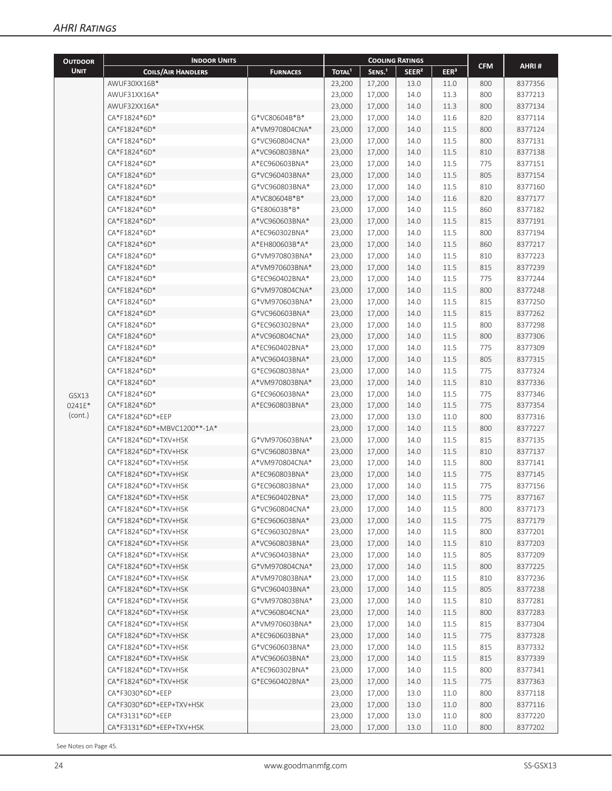| <b>OUTDOOR</b> | <b>INDOOR UNITS</b>         |                 |                    | <b>COOLING RATINGS</b> |                   |                  |            |         |
|----------------|-----------------------------|-----------------|--------------------|------------------------|-------------------|------------------|------------|---------|
| <b>UNIT</b>    | <b>COILS/AIR HANDLERS</b>   | <b>FURNACES</b> | TOTAL <sup>1</sup> | SENS. <sup>1</sup>     | SEER <sup>2</sup> | EER <sup>3</sup> | <b>CFM</b> | AHRI#   |
|                | AWUF30XX16B*                |                 | 23,200             | 17,200                 | 13.0              | 11.0             | 800        | 8377356 |
|                | AWUF31XX16A*                |                 | 23,000             | 17,000                 | 14.0              | 11.3             | 800        | 8377213 |
|                | AWUF32XX16A*                |                 | 23,000             | 17,000                 | 14.0              | 11.3             | 800        | 8377134 |
|                | CA*F1824*6D*                | G*VC80604B*B*   | 23,000             | 17,000                 | 14.0              | 11.6             | 820        | 8377114 |
|                | CA*F1824*6D*                | A*VM970804CNA*  | 23,000             | 17,000                 | 14.0              | 11.5             | 800        | 8377124 |
|                | CA*F1824*6D*                | G*VC960804CNA*  | 23,000             | 17,000                 | 14.0              | 11.5             | 800        | 8377131 |
|                | CA*F1824*6D*                | A*VC960803BNA*  | 23,000             | 17,000                 | 14.0              | 11.5             | 810        | 8377138 |
|                | CA*F1824*6D*                | A*EC960603BNA*  | 23,000             | 17,000                 | 14.0              | 11.5             | 775        | 8377151 |
|                | CA*F1824*6D*                | G*VC960403BNA*  | 23,000             | 17,000                 | 14.0              | 11.5             | 805        | 8377154 |
|                | CA*F1824*6D*                | G*VC960803BNA*  | 23,000             | 17,000                 | 14.0              | 11.5             | 810        | 8377160 |
|                | CA*F1824*6D*                | A*VC80604B*B*   | 23,000             | 17,000                 | 14.0              | 11.6             | 820        | 8377177 |
|                | CA*F1824*6D*                | G*E80603B*B*    | 23,000             | 17,000                 | 14.0              | 11.5             | 860        | 8377182 |
|                | CA*F1824*6D*                | A*VC960603BNA*  | 23,000             | 17,000                 | 14.0              | 11.5             | 815        | 8377191 |
|                | CA*F1824*6D*                | A*EC960302BNA*  | 23,000             | 17,000                 | 14.0              | 11.5             | 800        | 8377194 |
|                | CA*F1824*6D*                | A*EH800603B*A*  | 23,000             | 17,000                 | 14.0              | 11.5             | 860        | 8377217 |
|                | CA*F1824*6D*                | G*VM970803BNA*  | 23,000             | 17,000                 | 14.0              | 11.5             | 810        | 8377223 |
|                | CA*F1824*6D*                | A*VM970603BNA*  | 23,000             | 17,000                 | 14.0              | 11.5             | 815        | 8377239 |
|                | CA*F1824*6D*                | G*EC960402BNA*  | 23,000             | 17,000                 | 14.0              | 11.5             | 775        | 8377244 |
|                | CA*F1824*6D*                | G*VM970804CNA*  | 23,000             | 17,000                 | 14.0              | 11.5             | 800        | 8377248 |
|                | CA*F1824*6D*                | G*VM970603BNA*  | 23,000             | 17,000                 | 14.0              | 11.5             | 815        | 8377250 |
|                | CA*F1824*6D*                | G*VC960603BNA*  | 23,000             | 17,000                 | 14.0              | 11.5             | 815        | 8377262 |
|                | CA*F1824*6D*                | G*EC960302BNA*  | 23,000             | 17,000                 | 14.0              | 11.5             | 800        | 8377298 |
|                | CA*F1824*6D*                | A*VC960804CNA*  | 23,000             | 17,000                 | 14.0              | 11.5             | 800        | 8377306 |
|                | CA*F1824*6D*                | A*EC960402BNA*  | 23,000             | 17,000                 | 14.0              | 11.5             | 775        | 8377309 |
|                | CA*F1824*6D*                | A*VC960403BNA*  | 23,000             | 17,000                 | 14.0              | 11.5             | 805        | 8377315 |
|                | CA*F1824*6D*                | G*EC960803BNA*  | 23,000             | 17,000                 | 14.0              | 11.5             | 775        | 8377324 |
|                | CA*F1824*6D*                | A*VM970803BNA*  | 23,000             | 17,000                 | 14.0              | 11.5             | 810        | 8377336 |
| GSX13          | CA*F1824*6D*                | G*EC960603BNA*  | 23,000             | 17,000                 | 14.0              | 11.5             | 775        | 8377346 |
| 0241E*         | CA*F1824*6D*                | A*EC960803BNA*  | 23,000             | 17,000                 | 14.0              | 11.5             | 775        | 8377354 |
| (cont.)        | CA*F1824*6D*+EEP            |                 | 23,000             | 17,000                 | 13.0              | 11.0             | 800        | 8377316 |
|                | CA*F1824*6D*+MBVC1200**-1A* |                 | 23,000             | 17,000                 | 14.0              | 11.5             | 800        | 8377227 |
|                | CA*F1824*6D*+TXV+HSK        | G*VM970603BNA*  | 23,000             | 17,000                 | 14.0              | 11.5             | 815        | 8377135 |
|                | CA*F1824*6D*+TXV+HSK        | G*VC960803BNA*  | 23,000             | 17,000                 | 14.0              | 11.5             | 810        | 8377137 |
|                | CA*F1824*6D*+TXV+HSK        | A*VM970804CNA*  | 23,000             | 17,000                 | 14.0              | 11.5             | 800        | 8377141 |
|                | CA*F1824*6D*+TXV+HSK        | A*EC960803BNA*  | 23,000             | 17,000                 | 14.0              | 11.5             | 775        | 8377145 |
|                | CA*F1824*6D*+TXV+HSK        | G*EC960803BNA*  | 23,000             | 17,000                 | 14.0              | 11.5             | 775        | 8377156 |
|                | CA*F1824*6D*+TXV+HSK        | A*EC960402BNA*  | 23,000             | 17,000                 | 14.0              | 11.5             | 775        | 8377167 |
|                | CA*F1824*6D*+TXV+HSK        | G*VC960804CNA*  | 23,000             | 17,000                 | 14.0              | 11.5             | 800        | 8377173 |
|                | CA*F1824*6D*+TXV+HSK        | G*EC960603BNA*  | 23,000             | 17,000                 | 14.0              | 11.5             | 775        | 8377179 |
|                | CA*F1824*6D*+TXV+HSK        | G*EC960302BNA*  | 23,000             | 17,000                 | 14.0              | 11.5             | 800        | 8377201 |
|                | CA*F1824*6D*+TXV+HSK        | A*VC960803BNA*  | 23,000             | 17,000                 | 14.0              | 11.5             | 810        | 8377203 |
|                | CA*F1824*6D*+TXV+HSK        | A*VC960403BNA*  | 23,000             | 17,000                 | 14.0              | 11.5             | 805        | 8377209 |
|                | CA*F1824*6D*+TXV+HSK        | G*VM970804CNA*  | 23,000             | 17,000                 | 14.0              | 11.5             | 800        | 8377225 |
|                | CA*F1824*6D*+TXV+HSK        | A*VM970803BNA*  | 23,000             | 17,000                 | 14.0              | 11.5             | 810        | 8377236 |
|                | CA*F1824*6D*+TXV+HSK        | G*VC960403BNA*  | 23,000             | 17,000                 | 14.0              | 11.5             | 805        | 8377238 |
|                | CA*F1824*6D*+TXV+HSK        | G*VM970803BNA*  | 23,000             | 17,000                 | 14.0              | 11.5             | 810        | 8377281 |
|                | CA*F1824*6D*+TXV+HSK        | A*VC960804CNA*  | 23,000             | 17,000                 | 14.0              | 11.5             | 800        | 8377283 |
|                | CA*F1824*6D*+TXV+HSK        | A*VM970603BNA*  | 23,000             | 17,000                 | 14.0              | 11.5             | 815        | 8377304 |
|                | CA*F1824*6D*+TXV+HSK        | A*EC960603BNA*  | 23,000             | 17,000                 | 14.0              | 11.5             | 775        | 8377328 |
|                | CA*F1824*6D*+TXV+HSK        | G*VC960603BNA*  | 23,000             | 17,000                 | 14.0              | 11.5             | 815        | 8377332 |
|                | CA*F1824*6D*+TXV+HSK        | A*VC960603BNA*  | 23,000             | 17,000                 | 14.0              | 11.5             | 815        | 8377339 |
|                | CA*F1824*6D*+TXV+HSK        | A*EC960302BNA*  | 23,000             | 17,000                 | 14.0              | 11.5             | 800        | 8377341 |
|                | CA*F1824*6D*+TXV+HSK        | G*EC960402BNA*  | 23,000             | 17,000                 | 14.0              | 11.5             | 775        | 8377363 |
|                | CA*F3030*6D*+EEP            |                 | 23,000             | 17,000                 | 13.0              | 11.0             | 800        | 8377118 |
|                | CA*F3030*6D*+EEP+TXV+HSK    |                 | 23,000             | 17,000                 | 13.0              | 11.0             | 800        | 8377116 |
|                | CA*F3131*6D*+EEP            |                 | 23,000             | 17,000                 | 13.0              | 11.0             | 800        | 8377220 |
|                | CA*F3131*6D*+EEP+TXV+HSK    |                 | 23,000             | 17,000                 | 13.0              | 11.0             | 800        | 8377202 |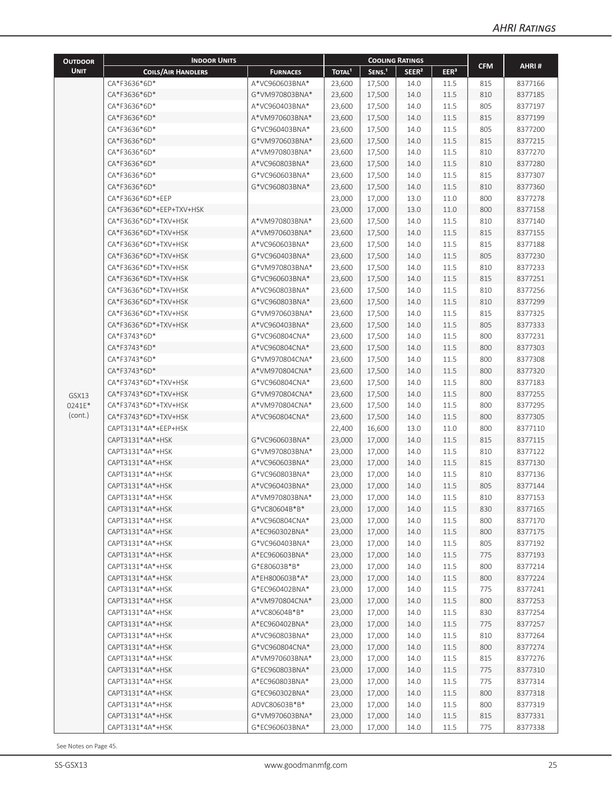| <b>OUTDOOR</b> | <b>INDOOR UNITS</b>       |                 |                    | <b>COOLING RATINGS</b> |                   |                  |            |         |
|----------------|---------------------------|-----------------|--------------------|------------------------|-------------------|------------------|------------|---------|
| <b>UNIT</b>    | <b>COILS/AIR HANDLERS</b> | <b>FURNACES</b> | TOTAL <sup>1</sup> | SENS. <sup>1</sup>     | SEER <sup>2</sup> | EER <sup>3</sup> | <b>CFM</b> | AHRI#   |
|                | CA*F3636*6D*              | A*VC960603BNA*  | 23,600             | 17,500                 | 14.0              | 11.5             | 815        | 8377166 |
|                | CA*F3636*6D*              | G*VM970803BNA*  | 23,600             | 17,500                 | 14.0              | 11.5             | 810        | 8377185 |
|                | CA*F3636*6D*              | A*VC960403BNA*  | 23,600             | 17,500                 | 14.0              | 11.5             | 805        | 8377197 |
|                | CA*F3636*6D*              | A*VM970603BNA*  | 23,600             | 17,500                 | 14.0              | 11.5             | 815        | 8377199 |
|                | CA*F3636*6D*              | G*VC960403BNA*  | 23,600             | 17,500                 | 14.0              | 11.5             | 805        | 8377200 |
|                | CA*F3636*6D*              | G*VM970603BNA*  | 23,600             | 17,500                 | 14.0              | 11.5             | 815        | 8377215 |
|                | CA*F3636*6D*              | A*VM970803BNA*  | 23,600             | 17,500                 | 14.0              | 11.5             | 810        | 8377270 |
|                | CA*F3636*6D*              | A*VC960803BNA*  | 23,600             | 17,500                 | 14.0              | 11.5             | 810        | 8377280 |
|                | CA*F3636*6D*              | G*VC960603BNA*  | 23,600             | 17,500                 | 14.0              | 11.5             | 815        | 8377307 |
|                | CA*F3636*6D*              | G*VC960803BNA*  | 23,600             | 17,500                 | 14.0              | 11.5             | 810        | 8377360 |
|                | CA*F3636*6D*+EEP          |                 | 23,000             | 17,000                 | 13.0              | 11.0             | 800        | 8377278 |
|                | CA*F3636*6D*+EEP+TXV+HSK  |                 | 23,000             | 17,000                 | 13.0              | 11.0             | 800        | 8377158 |
|                | CA*F3636*6D*+TXV+HSK      | A*VM970803BNA*  | 23,600             | 17,500                 | 14.0              | 11.5             | 810        | 8377140 |
|                | CA*F3636*6D*+TXV+HSK      | A*VM970603BNA*  | 23,600             | 17,500                 | 14.0              | 11.5             | 815        | 8377155 |
|                | CA*F3636*6D*+TXV+HSK      | A*VC960603BNA*  | 23,600             | 17,500                 | 14.0              | 11.5             | 815        | 8377188 |
|                | CA*F3636*6D*+TXV+HSK      | G*VC960403BNA*  | 23,600             | 17,500                 | 14.0              | 11.5             | 805        | 8377230 |
|                | CA*F3636*6D*+TXV+HSK      | G*VM970803BNA*  | 23,600             | 17,500                 | 14.0              | 11.5             | 810        | 8377233 |
|                | CA*F3636*6D*+TXV+HSK      | G*VC960603BNA*  | 23,600             | 17,500                 | 14.0              | 11.5             | 815        | 8377251 |
|                | CA*F3636*6D*+TXV+HSK      | A*VC960803BNA*  | 23,600             | 17,500                 | 14.0              | 11.5             | 810        | 8377256 |
|                | CA*F3636*6D*+TXV+HSK      | G*VC960803BNA*  | 23,600             | 17,500                 | 14.0              | 11.5             | 810        | 8377299 |
|                | CA*F3636*6D*+TXV+HSK      | G*VM970603BNA*  | 23,600             | 17,500                 | 14.0              | 11.5             | 815        | 8377325 |
|                | CA*F3636*6D*+TXV+HSK      | A*VC960403BNA*  | 23,600             | 17,500                 | 14.0              | 11.5             | 805        | 8377333 |
|                | CA*F3743*6D*              | G*VC960804CNA*  | 23,600             | 17,500                 | 14.0              | 11.5             | 800        | 8377231 |
|                | CA*F3743*6D*              | A*VC960804CNA*  | 23,600             | 17,500                 | 14.0              | 11.5             | 800        | 8377303 |
|                | CA*F3743*6D*              | G*VM970804CNA*  | 23,600             | 17,500                 | 14.0              | 11.5             | 800        | 8377308 |
|                | CA*F3743*6D*              | A*VM970804CNA*  | 23,600             | 17,500                 | 14.0              | 11.5             | 800        | 8377320 |
|                | CA*F3743*6D*+TXV+HSK      | G*VC960804CNA*  | 23,600             | 17,500                 | 14.0              | 11.5             | 800        | 8377183 |
| GSX13          | CA*F3743*6D*+TXV+HSK      | G*VM970804CNA*  | 23,600             | 17,500                 | 14.0              | 11.5             | 800        | 8377255 |
| 0241E*         | CA*F3743*6D*+TXV+HSK      | A*VM970804CNA*  | 23,600             | 17,500                 | 14.0              | 11.5             | 800        | 8377295 |
| (cont.)        | CA*F3743*6D*+TXV+HSK      | A*VC960804CNA*  | 23,600             | 17,500                 | 14.0              | 11.5             | 800        | 8377305 |
|                | CAPT3131*4A*+EEP+HSK      |                 | 22,400             | 16,600                 | 13.0              | 11.0             | 800        | 8377110 |
|                | CAPT3131*4A*+HSK          | G*VC960603BNA*  | 23,000             | 17,000                 | 14.0              | 11.5             | 815        | 8377115 |
|                | CAPT3131*4A*+HSK          | G*VM970803BNA*  | 23,000             | 17,000                 | 14.0              | 11.5             | 810        | 8377122 |
|                | CAPT3131*4A*+HSK          | A*VC960603BNA*  | 23,000             | 17,000                 | 14.0              | 11.5             | 815        | 8377130 |
|                | CAPT3131*4A*+HSK          | G*VC960803BNA*  | 23,000             | 17,000                 | 14.0              | 11.5             | 810        | 8377136 |
|                | CAPT3131*4A*+HSK          | A*VC960403BNA*  | 23,000             | 17,000                 | 14.0              | 11.5             | 805        | 8377144 |
|                | CAPT3131*4A*+HSK          | A*VM970803BNA*  | 23,000             | 17,000                 | 14.0              | 11.5             | 810        | 8377153 |
|                | CAPT3131*4A*+HSK          | G*VC80604B*B*   | 23,000             | 17,000                 | 14.0              | 11.5             | 830        | 8377165 |
|                | CAPT3131*4A*+HSK          | A*VC960804CNA*  | 23,000             | 17,000                 | 14.0              | 11.5             | 800        | 8377170 |
|                | CAPT3131*4A*+HSK          | A*EC960302BNA*  | 23,000             | 17,000                 | 14.0              | 11.5             | 800        | 8377175 |
|                | CAPT3131*4A*+HSK          | G*VC960403BNA*  | 23,000             | 17,000                 | 14.0              | 11.5             | 805        | 8377192 |
|                | CAPT3131*4A*+HSK          | A*EC960603BNA*  | 23,000             | 17,000                 | 14.0              | 11.5             | 775        | 8377193 |
|                | CAPT3131*4A*+HSK          | G*E80603B*B*    | 23,000             | 17,000                 | 14.0              | 11.5             | 800        | 8377214 |
|                | CAPT3131*4A*+HSK          | A*EH800603B*A*  | 23,000             | 17,000                 | 14.0              | 11.5             | 800        | 8377224 |
|                | CAPT3131*4A*+HSK          | G*EC960402BNA*  | 23,000             | 17,000                 | 14.0              | 11.5             | 775        | 8377241 |
|                | CAPT3131*4A*+HSK          | A*VM970804CNA*  | 23,000             | 17,000                 | 14.0              | 11.5             | 800        | 8377253 |
|                | CAPT3131*4A*+HSK          | A*VC80604B*B*   | 23,000             | 17,000                 | 14.0              | 11.5             | 830        | 8377254 |
|                | CAPT3131*4A*+HSK          | A*EC960402BNA*  | 23,000             | 17,000                 | 14.0              | 11.5             | 775        | 8377257 |
|                | CAPT3131*4A*+HSK          | A*VC960803BNA*  | 23,000             | 17,000                 | 14.0              | 11.5             | 810        | 8377264 |
|                | CAPT3131*4A*+HSK          | G*VC960804CNA*  | 23,000             | 17,000                 | 14.0              | 11.5             | 800        | 8377274 |
|                | CAPT3131*4A*+HSK          | A*VM970603BNA*  | 23,000             | 17,000                 | 14.0              | 11.5             | 815        | 8377276 |
|                | CAPT3131*4A*+HSK          | G*EC960803BNA*  | 23,000             | 17,000                 | 14.0              | 11.5             | 775        | 8377310 |
|                | CAPT3131*4A*+HSK          | A*EC960803BNA*  | 23,000             | 17,000                 | 14.0              | 11.5             | 775        | 8377314 |
|                | CAPT3131*4A*+HSK          | G*EC960302BNA*  | 23,000             | 17,000                 | 14.0              | 11.5             | 800        | 8377318 |
|                | CAPT3131*4A*+HSK          | ADVC80603B*B*   | 23,000             | 17,000                 | 14.0              | 11.5             | 800        | 8377319 |
|                | CAPT3131*4A*+HSK          | G*VM970603BNA*  | 23,000             | 17,000                 | 14.0              | 11.5             | 815        | 8377331 |
|                | CAPT3131*4A*+HSK          | G*EC960603BNA*  | 23,000             | 17,000                 | 14.0              | 11.5             | 775        | 8377338 |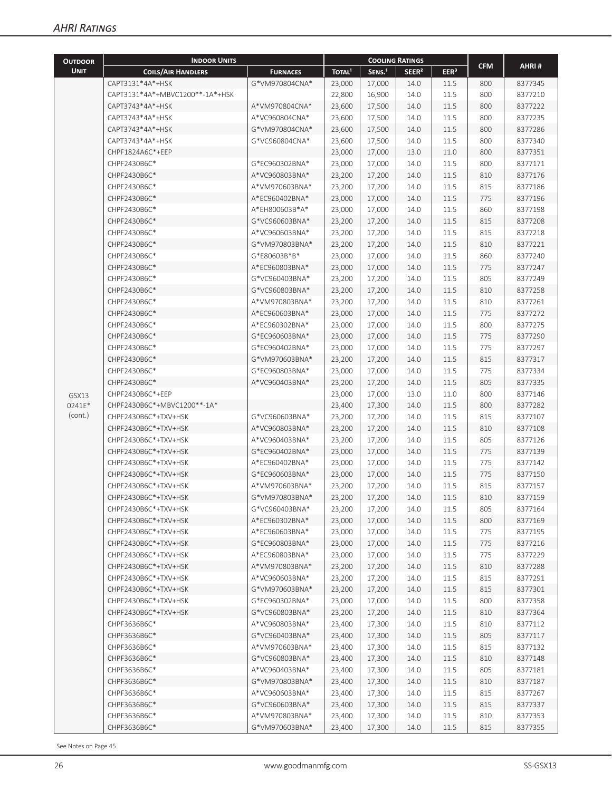| <b>OUTDOOR</b> | <b>INDOOR UNITS</b>             |                                  |                    |                    | <b>COOLING RATINGS</b> |                  |            |         |
|----------------|---------------------------------|----------------------------------|--------------------|--------------------|------------------------|------------------|------------|---------|
| <b>UNIT</b>    | <b>COILS/AIR HANDLERS</b>       | <b>FURNACES</b>                  | TOTAL <sup>1</sup> | SENS. <sup>1</sup> | SEER <sup>2</sup>      | EER <sup>3</sup> | <b>CFM</b> | AHRI#   |
|                | CAPT3131*4A*+HSK                | G*VM970804CNA*                   | 23,000             | 17,000             | 14.0                   | 11.5             | 800        | 8377345 |
|                | CAPT3131*4A*+MBVC1200**-1A*+HSK |                                  | 22,800             | 16,900             | 14.0                   | 11.5             | 800        | 8377210 |
|                | CAPT3743*4A*+HSK                | A*VM970804CNA*                   | 23,600             | 17,500             | 14.0                   | 11.5             | 800        | 8377222 |
|                | CAPT3743*4A*+HSK                | A*VC960804CNA*                   | 23,600             | 17,500             | 14.0                   | 11.5             | 800        | 8377235 |
|                | CAPT3743*4A*+HSK                | G*VM970804CNA*                   | 23,600             | 17,500             | 14.0                   | 11.5             | 800        | 8377286 |
|                | CAPT3743*4A*+HSK                | G*VC960804CNA*                   | 23,600             | 17,500             | 14.0                   | 11.5             | 800        | 8377340 |
|                | CHPF1824A6C*+EEP                |                                  | 23,000             | 17,000             | 13.0                   | 11.0             | 800        | 8377351 |
|                | CHPF2430B6C*                    | G*EC960302BNA*                   | 23,000             | 17,000             | 14.0                   | 11.5             | 800        | 8377171 |
|                | CHPF2430B6C*                    | A*VC960803BNA*                   | 23,200             | 17,200             | 14.0                   | 11.5             | 810        | 8377176 |
|                | CHPF2430B6C*                    | A*VM970603BNA*                   | 23,200             | 17,200             | 14.0                   | 11.5             | 815        | 8377186 |
|                | CHPF2430B6C*                    | A*EC960402BNA*                   | 23,000             | 17,000             | 14.0                   | 11.5             | 775        | 8377196 |
|                | CHPF2430B6C*                    | A*EH800603B*A*                   | 23,000             | 17,000             | 14.0                   | 11.5             | 860        | 8377198 |
|                | CHPF2430B6C*                    | G*VC960603BNA*                   | 23,200             | 17,200             | 14.0                   | 11.5             | 815        | 8377208 |
|                | CHPF2430B6C*                    | A*VC960603BNA*                   | 23,200             | 17,200             | 14.0                   | 11.5             | 815        | 8377218 |
|                | CHPF2430B6C*                    | G*VM970803BNA*                   | 23,200             | 17,200             | 14.0                   | 11.5             | 810        | 8377221 |
|                | CHPF2430B6C*                    | G*E80603B*B*                     | 23,000             | 17,000             | 14.0                   | 11.5             | 860        | 8377240 |
|                | CHPF2430B6C*                    | A*EC960803BNA*                   | 23,000             | 17,000             | 14.0                   | 11.5             | 775        | 8377247 |
|                | CHPF2430B6C*                    | G*VC960403BNA*                   | 23,200             | 17,200             | 14.0                   | 11.5             | 805        | 8377249 |
|                | CHPF2430B6C*                    | G*VC960803BNA*                   | 23,200             | 17,200             | 14.0                   | 11.5             | 810        | 8377258 |
|                | CHPF2430B6C*                    | A*VM970803BNA*                   | 23,200             | 17,200             | 14.0                   | 11.5             | 810        | 8377261 |
|                | CHPF2430B6C*                    | A*EC960603BNA*                   | 23,000             | 17,000             | 14.0                   | 11.5             | 775        | 8377272 |
|                | CHPF2430B6C*                    | A*EC960302BNA*                   | 23,000             | 17,000             | 14.0                   | 11.5             | 800        | 8377275 |
|                | CHPF2430B6C*                    | G*EC960603BNA*                   | 23,000             | 17,000             | 14.0                   | 11.5             | 775        | 8377290 |
|                | CHPF2430B6C*                    | G*EC960402BNA*                   | 23,000             | 17,000             | 14.0                   | 11.5             | 775        | 8377297 |
|                | CHPF2430B6C*                    | G*VM970603BNA*                   | 23,200             | 17,200             | 14.0                   | 11.5             | 815        | 8377317 |
|                | CHPF2430B6C*                    | G*EC960803BNA*                   | 23,000             | 17,000             | 14.0                   | 11.5             | 775        | 8377334 |
|                | CHPF2430B6C*                    | A*VC960403BNA*                   | 23,200             | 17,200             | 14.0                   | 11.5             | 805        | 8377335 |
| GSX13          | CHPF2430B6C*+EEP                |                                  | 23,000             | 17,000             | 13.0                   | 11.0             | 800        | 8377146 |
| 0241E*         | CHPF2430B6C*+MBVC1200**-1A*     |                                  | 23,400             | 17,300             | 14.0                   | 11.5             | 800        | 8377282 |
| (cont.)        | CHPF2430B6C*+TXV+HSK            | G*VC960603BNA*                   | 23,200             | 17,200             | 14.0                   | 11.5             | 815        | 8377107 |
|                | CHPF2430B6C*+TXV+HSK            | A*VC960803BNA*                   | 23,200             | 17,200             | 14.0                   | 11.5             | 810        | 8377108 |
|                | CHPF2430B6C*+TXV+HSK            | A*VC960403BNA*                   | 23,200             | 17,200             | 14.0                   | 11.5             | 805        | 8377126 |
|                | CHPF2430B6C*+TXV+HSK            | G*EC960402BNA*                   | 23,000             | 17,000             | 14.0                   | 11.5             | 775        | 8377139 |
|                | CHPF2430B6C*+TXV+HSK            | A*EC960402BNA*                   | 23,000             | 17,000             | 14.0                   | 11.5             | 775        | 8377142 |
|                | CHPF2430B6C*+TXV+HSK            | G*EC960603BNA*                   | 23,000             | 17,000             | 14.0                   | 11.5             | 775        | 8377150 |
|                | CHPF2430B6C*+TXV+HSK            | A*VM970603BNA*                   | 23,200             | 17,200             | 14.0                   | 11.5             | 815        | 8377157 |
|                | CHPF2430B6C*+TXV+HSK            | G*VM970803BNA*                   | 23,200             | 17,200             | 14.0                   | $11.5\,$         | 810        | 8377159 |
|                | CHPF2430B6C*+TXV+HSK            | G*VC960403BNA*                   | 23,200             | 17,200             | 14.0                   | 11.5             | 805        | 8377164 |
|                | CHPF2430B6C*+TXV+HSK            | A*EC960302BNA*                   | 23,000             | 17,000             | 14.0                   | 11.5             | 800        | 8377169 |
|                | CHPF2430B6C*+TXV+HSK            | A*EC960603BNA*                   | 23,000             | 17,000             | 14.0                   | 11.5             | 775        | 8377195 |
|                | CHPF2430B6C*+TXV+HSK            | G*EC960803BNA*                   | 23,000             | 17,000             | 14.0                   | 11.5             | 775        | 8377216 |
|                | CHPF2430B6C*+TXV+HSK            | A*EC960803BNA*                   | 23,000             | 17,000             | 14.0                   | 11.5             | 775        | 8377229 |
|                | CHPF2430B6C*+TXV+HSK            | A*VM970803BNA*                   | 23,200             | 17,200             | 14.0                   | 11.5             | 810        | 8377288 |
|                | CHPF2430B6C*+TXV+HSK            | A*VC960603BNA*                   | 23,200             | 17,200             | 14.0                   | 11.5             | 815        | 8377291 |
|                | CHPF2430B6C*+TXV+HSK            | G*VM970603BNA*                   | 23,200             | 17,200             | 14.0                   | 11.5             | 815        | 8377301 |
|                | CHPF2430B6C*+TXV+HSK            | G*EC960302BNA*                   | 23,000             | 17,000             | 14.0                   | 11.5             | 800        | 8377358 |
|                | CHPF2430B6C*+TXV+HSK            | G*VC960803BNA*                   | 23,200             | 17,200             | 14.0                   | 11.5             | 810        | 8377364 |
|                | CHPF3636B6C*                    | A*VC960803BNA*                   | 23,400             | 17,300             | 14.0                   | 11.5             | 810        | 8377112 |
|                | CHPF3636B6C*                    | G*VC960403BNA*                   | 23,400             | 17,300             | 14.0                   | 11.5             | 805        | 8377117 |
|                | CHPF3636B6C*                    | A*VM970603BNA*                   | 23,400             | 17,300             | 14.0                   | 11.5             | 815        | 8377132 |
|                | CHPF3636B6C*                    | G*VC960803BNA*                   | 23,400             | 17,300             | 14.0                   | 11.5             | 810        | 8377148 |
|                | CHPF3636B6C*                    | A*VC960403BNA*                   | 23,400             | 17,300             | 14.0                   | 11.5             | 805        | 8377181 |
|                | CHPF3636B6C*                    | G*VM970803BNA*                   | 23,400             | 17,300             | 14.0                   | 11.5             | 810        | 8377187 |
|                | CHPF3636B6C*                    | A*VC960603BNA*                   | 23,400             | 17,300             | 14.0                   | 11.5             | 815        | 8377267 |
|                | CHPF3636B6C*                    | G*VC960603BNA*                   | 23,400             | 17,300             | 14.0                   | 11.5             | 815        | 8377337 |
|                | CHPF3636B6C*<br>CHPF3636B6C*    | A*VM970803BNA*<br>G*VM970603BNA* | 23,400             | 17,300             | 14.0                   | 11.5             | 810        | 8377353 |
|                |                                 |                                  | 23,400             | 17,300             | 14.0                   | 11.5             | 815        | 8377355 |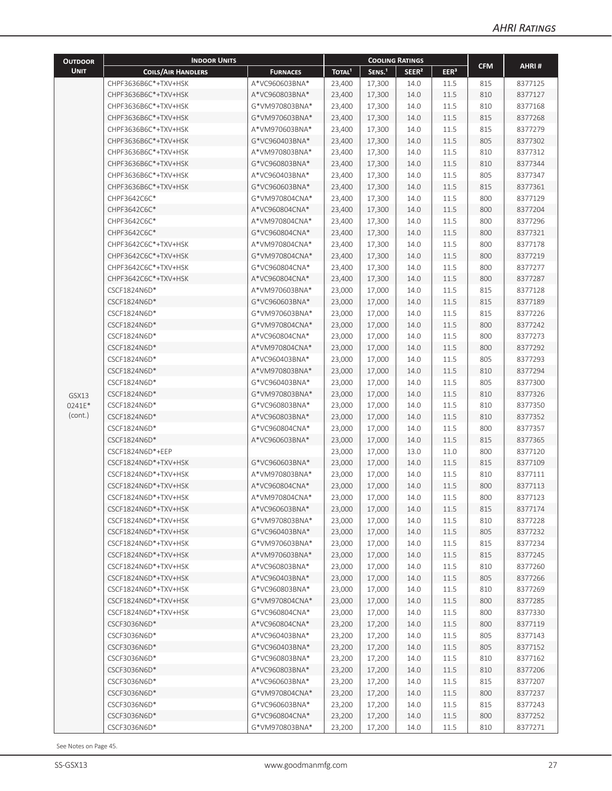| <b>OUTDOOR</b> | <b>INDOOR UNITS</b>       |                 |                    | <b>COOLING RATINGS</b> |                   |                  |            |         |
|----------------|---------------------------|-----------------|--------------------|------------------------|-------------------|------------------|------------|---------|
| <b>UNIT</b>    | <b>COILS/AIR HANDLERS</b> | <b>FURNACES</b> | TOTAL <sup>1</sup> | SENS. <sup>1</sup>     | SEER <sup>2</sup> | EER <sup>3</sup> | <b>CFM</b> | AHRI#   |
|                | CHPF3636B6C*+TXV+HSK      | A*VC960603BNA*  | 23,400             | 17,300                 | 14.0              | 11.5             | 815        | 8377125 |
|                | CHPF3636B6C*+TXV+HSK      | A*VC960803BNA*  | 23,400             | 17,300                 | 14.0              | 11.5             | 810        | 8377127 |
|                | CHPF3636B6C*+TXV+HSK      | G*VM970803BNA*  | 23,400             | 17,300                 | 14.0              | 11.5             | 810        | 8377168 |
|                | CHPF3636B6C*+TXV+HSK      | G*VM970603BNA*  | 23,400             | 17,300                 | 14.0              | 11.5             | 815        | 8377268 |
|                | CHPF3636B6C*+TXV+HSK      | A*VM970603BNA*  | 23,400             | 17,300                 | 14.0              | 11.5             | 815        | 8377279 |
|                | CHPF3636B6C*+TXV+HSK      | G*VC960403BNA*  | 23,400             | 17,300                 | 14.0              | 11.5             | 805        | 8377302 |
|                | CHPF3636B6C*+TXV+HSK      | A*VM970803BNA*  | 23,400             | 17,300                 | 14.0              | 11.5             | 810        | 8377312 |
|                | CHPF3636B6C*+TXV+HSK      | G*VC960803BNA*  | 23,400             | 17,300                 | 14.0              | 11.5             | 810        | 8377344 |
|                | CHPF3636B6C*+TXV+HSK      | A*VC960403BNA*  | 23,400             | 17,300                 | 14.0              | 11.5             | 805        | 8377347 |
|                | CHPF3636B6C*+TXV+HSK      | G*VC960603BNA*  | 23,400             | 17,300                 | 14.0              | 11.5             | 815        | 8377361 |
|                | CHPF3642C6C*              | G*VM970804CNA*  | 23,400             | 17,300                 | 14.0              | 11.5             | 800        | 8377129 |
|                | CHPF3642C6C*              | A*VC960804CNA*  | 23,400             | 17,300                 | 14.0              | 11.5             | 800        | 8377204 |
|                | CHPF3642C6C*              | A*VM970804CNA*  | 23,400             | 17,300                 | 14.0              | 11.5             | 800        | 8377296 |
|                | CHPF3642C6C*              | G*VC960804CNA*  | 23,400             | 17,300                 | 14.0              | 11.5             | 800        | 8377321 |
|                | CHPF3642C6C*+TXV+HSK      | A*VM970804CNA*  | 23,400             | 17,300                 | 14.0              | 11.5             | 800        | 8377178 |
|                | CHPF3642C6C*+TXV+HSK      | G*VM970804CNA*  | 23,400             | 17,300                 | 14.0              | 11.5             | 800        | 8377219 |
|                | CHPF3642C6C*+TXV+HSK      | G*VC960804CNA*  | 23,400             | 17,300                 | 14.0              | 11.5             | 800        | 8377277 |
|                | CHPF3642C6C*+TXV+HSK      | A*VC960804CNA*  | 23,400             | 17,300                 | 14.0              | 11.5             | 800        | 8377287 |
|                | CSCF1824N6D*              | A*VM970603BNA*  | 23,000             | 17,000                 | 14.0              | 11.5             | 815        | 8377128 |
|                | CSCF1824N6D*              | G*VC960603BNA*  | 23,000             | 17,000                 | 14.0              | 11.5             | 815        | 8377189 |
|                | CSCF1824N6D*              | G*VM970603BNA*  | 23,000             | 17,000                 | 14.0              | 11.5             | 815        | 8377226 |
|                | CSCF1824N6D*              | G*VM970804CNA*  | 23,000             | 17,000                 | 14.0              | 11.5             | 800        | 8377242 |
|                | CSCF1824N6D*              | A*VC960804CNA*  | 23,000             | 17,000                 | 14.0              | 11.5             | 800        | 8377273 |
|                | CSCF1824N6D*              | A*VM970804CNA*  | 23,000             | 17,000                 | 14.0              | 11.5             | 800        | 8377292 |
|                | CSCF1824N6D*              | A*VC960403BNA*  | 23,000             | 17,000                 | 14.0              | 11.5             | 805        | 8377293 |
|                | CSCF1824N6D*              | A*VM970803BNA*  | 23,000             | 17,000                 | 14.0              | 11.5             | 810        | 8377294 |
|                | CSCF1824N6D*              | G*VC960403BNA*  | 23,000             | 17,000                 | 14.0              | 11.5             | 805        | 8377300 |
| GSX13          | CSCF1824N6D*              | G*VM970803BNA*  | 23,000             | 17,000                 | 14.0              | 11.5             | 810        | 8377326 |
| 0241E*         | CSCF1824N6D*              | G*VC960803BNA*  | 23,000             | 17,000                 | 14.0              | 11.5             | 810        | 8377350 |
| (cont.)        | CSCF1824N6D*              | A*VC960803BNA*  | 23,000             | 17,000                 | 14.0              | 11.5             | 810        | 8377352 |
|                | CSCF1824N6D*              | G*VC960804CNA*  | 23,000             | 17,000                 | 14.0              | 11.5             | 800        | 8377357 |
|                | CSCF1824N6D*              | A*VC960603BNA*  | 23,000             | 17,000                 | 14.0              | 11.5             | 815        | 8377365 |
|                | CSCF1824N6D*+EEP          |                 | 23,000             | 17,000                 | 13.0              | 11.0             | 800        | 8377120 |
|                | CSCF1824N6D*+TXV+HSK      | G*VC960603BNA*  | 23,000             | 17,000                 | 14.0              | 11.5             | 815        | 8377109 |
|                | CSCF1824N6D*+TXV+HSK      | A*VM970803BNA*  | 23,000             | 17,000                 | 14.0              | 11.5             | 810        | 8377111 |
|                | CSCF1824N6D*+TXV+HSK      | A*VC960804CNA*  | 23,000             | 17,000                 | 14.0              | 11.5             | 800        | 8377113 |
|                | CSCF1824N6D*+TXV+HSK      | A*VM970804CNA*  | 23,000             | 17,000                 | 14.0              | 11.5             | 800        | 8377123 |
|                | CSCF1824N6D*+TXV+HSK      | A*VC960603BNA*  | 23,000             | 17,000                 | 14.0              | 11.5             | 815        | 8377174 |
|                | CSCF1824N6D*+TXV+HSK      | G*VM970803BNA*  | 23,000             | 17,000                 | 14.0              | 11.5             | 810        | 8377228 |
|                | CSCF1824N6D*+TXV+HSK      | G*VC960403BNA*  | 23,000             | 17,000                 | 14.0              | 11.5             | 805        | 8377232 |
|                | CSCF1824N6D*+TXV+HSK      | G*VM970603BNA*  | 23,000             | 17,000                 | 14.0              | 11.5             | 815        | 8377234 |
|                | CSCF1824N6D*+TXV+HSK      | A*VM970603BNA*  | 23,000             | 17,000                 | 14.0              | 11.5             | 815        | 8377245 |
|                | CSCF1824N6D*+TXV+HSK      | A*VC960803BNA*  | 23,000             | 17,000                 | 14.0              | 11.5             | 810        | 8377260 |
|                | CSCF1824N6D*+TXV+HSK      | A*VC960403BNA*  | 23,000             | 17,000                 | 14.0              | 11.5             | 805        | 8377266 |
|                | CSCF1824N6D*+TXV+HSK      | G*VC960803BNA*  | 23,000             | 17,000                 | 14.0              | 11.5             | 810        | 8377269 |
|                | CSCF1824N6D*+TXV+HSK      | G*VM970804CNA*  | 23,000             | 17,000                 | 14.0              | 11.5             | 800        | 8377285 |
|                | CSCF1824N6D*+TXV+HSK      | G*VC960804CNA*  | 23,000             | 17,000                 | 14.0              | 11.5             | 800        | 8377330 |
|                | CSCF3036N6D*              | A*VC960804CNA*  | 23,200             | 17,200                 | 14.0              | 11.5             | 800        | 8377119 |
|                | CSCF3036N6D*              | A*VC960403BNA*  | 23,200             | 17,200                 | 14.0              | 11.5             | 805        | 8377143 |
|                | CSCF3036N6D*              | G*VC960403BNA*  | 23,200             | 17,200                 | 14.0              | 11.5             | 805        | 8377152 |
|                | CSCF3036N6D*              | G*VC960803BNA*  | 23,200             | 17,200                 | 14.0              | 11.5             | 810        | 8377162 |
|                | CSCF3036N6D*              | A*VC960803BNA*  | 23,200             | 17,200                 | 14.0              | 11.5             | 810        | 8377206 |
|                | CSCF3036N6D*              | A*VC960603BNA*  | 23,200             | 17,200                 | 14.0              | 11.5             | 815        | 8377207 |
|                | CSCF3036N6D*              | G*VM970804CNA*  | 23,200             | 17,200                 | 14.0              | 11.5             | 800        | 8377237 |
|                | CSCF3036N6D*              | G*VC960603BNA*  | 23,200             | 17,200                 | 14.0              | 11.5             | 815        | 8377243 |
|                | CSCF3036N6D*              | G*VC960804CNA*  | 23,200             | 17,200                 | 14.0              | 11.5             | 800        | 8377252 |
|                | CSCF3036N6D*              | G*VM970803BNA*  | 23,200             | 17,200                 | 14.0              | 11.5             | 810        | 8377271 |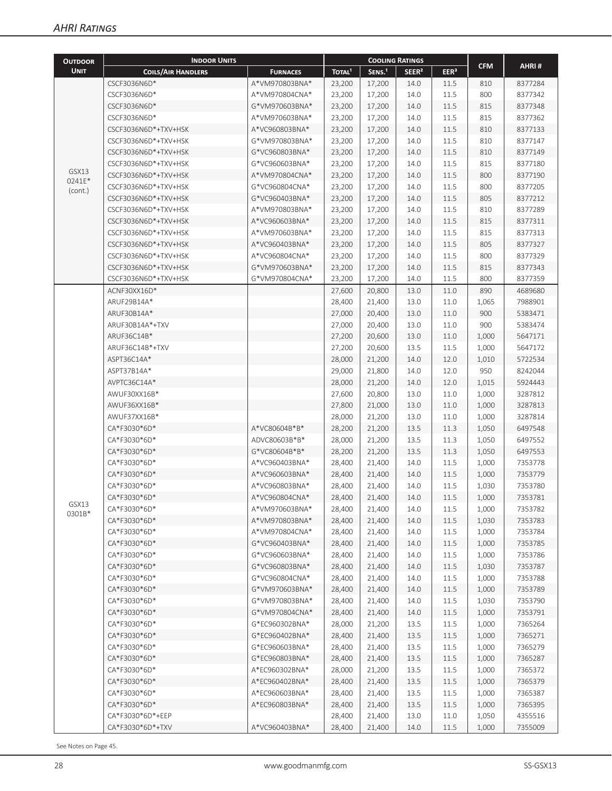| <b>OUTDOOR</b>  | <b>INDOOR UNITS</b>       |                 |                    | <b>COOLING RATINGS</b> |                   |                  |            |         |
|-----------------|---------------------------|-----------------|--------------------|------------------------|-------------------|------------------|------------|---------|
| <b>UNIT</b>     | <b>COILS/AIR HANDLERS</b> | <b>FURNACES</b> | TOTAL <sup>1</sup> | SENS. <sup>1</sup>     | SEER <sup>2</sup> | EER <sup>3</sup> | <b>CFM</b> | AHRI#   |
|                 | CSCF3036N6D*              | A*VM970803BNA*  | 23,200             | 17,200                 | 14.0              | 11.5             | 810        | 8377284 |
|                 | CSCF3036N6D*              | A*VM970804CNA*  | 23,200             | 17,200                 | 14.0              | 11.5             | 800        | 8377342 |
|                 | CSCF3036N6D*              | G*VM970603BNA*  | 23,200             | 17,200                 | 14.0              | 11.5             | 815        | 8377348 |
|                 | CSCF3036N6D*              | A*VM970603BNA*  | 23,200             | 17,200                 | 14.0              | 11.5             | 815        | 8377362 |
|                 | CSCF3036N6D*+TXV+HSK      | A*VC960803BNA*  | 23,200             | 17,200                 | 14.0              | 11.5             | 810        | 8377133 |
|                 | CSCF3036N6D*+TXV+HSK      | G*VM970803BNA*  | 23,200             | 17,200                 | 14.0              | 11.5             | 810        | 8377147 |
|                 | CSCF3036N6D*+TXV+HSK      | G*VC960803BNA*  | 23,200             | 17,200                 | 14.0              | 11.5             | 810        | 8377149 |
|                 | CSCF3036N6D*+TXV+HSK      | G*VC960603BNA*  |                    |                        |                   |                  | 815        | 8377180 |
| GSX13           | CSCF3036N6D*+TXV+HSK      | A*VM970804CNA*  | 23,200<br>23,200   | 17,200                 | 14.0<br>14.0      | 11.5<br>11.5     | 800        | 8377190 |
| 0241E*          | CSCF3036N6D*+TXV+HSK      | G*VC960804CNA*  |                    | 17,200                 | 14.0              | 11.5             | 800        | 8377205 |
| (cont.)         |                           |                 | 23,200             | 17,200                 |                   |                  |            |         |
|                 | CSCF3036N6D*+TXV+HSK      | G*VC960403BNA*  | 23,200             | 17,200                 | 14.0              | 11.5             | 805        | 8377212 |
|                 | CSCF3036N6D*+TXV+HSK      | A*VM970803BNA*  | 23,200             | 17,200                 | 14.0              | 11.5             | 810        | 8377289 |
|                 | CSCF3036N6D*+TXV+HSK      | A*VC960603BNA*  | 23,200             | 17,200                 | 14.0              | 11.5             | 815        | 8377311 |
|                 | CSCF3036N6D*+TXV+HSK      | A*VM970603BNA*  | 23,200             | 17,200                 | 14.0              | 11.5             | 815        | 8377313 |
|                 | CSCF3036N6D*+TXV+HSK      | A*VC960403BNA*  | 23,200             | 17,200                 | 14.0              | 11.5             | 805        | 8377327 |
|                 | CSCF3036N6D*+TXV+HSK      | A*VC960804CNA*  | 23,200             | 17,200                 | 14.0              | 11.5             | 800        | 8377329 |
|                 | CSCF3036N6D*+TXV+HSK      | G*VM970603BNA*  | 23,200             | 17,200                 | 14.0              | 11.5             | 815        | 8377343 |
|                 | CSCF3036N6D*+TXV+HSK      | G*VM970804CNA*  | 23,200             | 17,200                 | 14.0              | 11.5             | 800        | 8377359 |
|                 | ACNF30XX16D*              |                 | 27,600             | 20,800                 | 13.0              | 11.0             | 890        | 4689680 |
|                 | ARUF29B14A*               |                 | 28,400             | 21,400                 | 13.0              | 11.0             | 1,065      | 7988901 |
|                 | ARUF30B14A*               |                 | 27,000             | 20,400                 | 13.0              | 11.0             | 900        | 5383471 |
|                 | ARUF30B14A*+TXV           |                 | 27,000             | 20,400                 | 13.0              | 11.0             | 900        | 5383474 |
|                 | ARUF36C14B*               |                 | 27,200             | 20,600                 | 13.0              | 11.0             | 1,000      | 5647171 |
|                 | ARUF36C14B*+TXV           |                 | 27,200             | 20,600                 | 13.5              | 11.5             | 1,000      | 5647172 |
|                 | ASPT36C14A*               |                 | 28,000             | 21,200                 | 14.0              | 12.0             | 1,010      | 5722534 |
|                 | ASPT37B14A*               |                 | 29,000             | 21,800                 | 14.0              | 12.0             | 950        | 8242044 |
|                 | AVPTC36C14A*              |                 | 28,000             | 21,200                 | 14.0              | 12.0             | 1,015      | 5924443 |
|                 | AWUF30XX16B*              |                 | 27,600             | 20,800                 | 13.0              | 11.0             | 1,000      | 3287812 |
|                 | AWUF36XX16B*              |                 | 27,800             | 21,000                 | 13.0              | 11.0             | 1,000      | 3287813 |
|                 | AWUF37XX16B*              |                 | 28,000             | 21,200                 | 13.0              | 11.0             | 1,000      | 3287814 |
|                 | CA*F3030*6D*              | A*VC80604B*B*   | 28,200             | 21,200                 | 13.5              | 11.3             | 1,050      | 6497548 |
|                 | CA*F3030*6D*              | ADVC80603B*B*   | 28,000             | 21,200                 | 13.5              | 11.3             | 1,050      | 6497552 |
|                 | CA*F3030*6D*              | G*VC80604B*B*   | 28,200             | 21,200                 | 13.5              | 11.3             | 1,050      | 6497553 |
|                 | CA*F3030*6D*              | A*VC960403BNA*  | 28,400             | 21,400                 | 14.0              | 11.5             | 1,000      | 7353778 |
|                 | CA*F3030*6D*              | A*VC960603BNA*  | 28,400             | 21,400                 | 14.0              | 11.5             | 1,000      | 7353779 |
|                 | CA*F3030*6D*              | A*VC960803BNA*  | 28,400             | 21,400                 | 14.0              | 11.5             | 1,030      | 7353780 |
|                 | CA*F3030*6D*              | A*VC960804CNA*  | 28,400             | 21,400                 | 14.0              | $11.5\,$         | 1,000      | 7353781 |
| GSX13<br>0301B* | CA*F3030*6D*              | A*VM970603BNA*  | 28,400             | 21,400                 | 14.0              | 11.5             | 1,000      | 7353782 |
|                 | CA*F3030*6D*              | A*VM970803BNA*  | 28,400             | 21,400                 | 14.0              | 11.5             | 1,030      | 7353783 |
|                 | CA*F3030*6D*              | A*VM970804CNA*  | 28,400             | 21,400                 | 14.0              | 11.5             | 1,000      | 7353784 |
|                 | CA*F3030*6D*              | G*VC960403BNA*  | 28,400             | 21,400                 | 14.0              | 11.5             | 1,000      | 7353785 |
|                 | CA*F3030*6D*              | G*VC960603BNA*  | 28,400             | 21,400                 | 14.0              | 11.5             | 1,000      | 7353786 |
|                 | CA*F3030*6D*              | G*VC960803BNA*  | 28,400             | 21,400                 | 14.0              | 11.5             | 1,030      | 7353787 |
|                 | CA*F3030*6D*              | G*VC960804CNA*  | 28,400             | 21,400                 | 14.0              | 11.5             | 1,000      | 7353788 |
|                 | CA*F3030*6D*              | G*VM970603BNA*  | 28,400             | 21,400                 | 14.0              | 11.5             | 1,000      | 7353789 |
|                 | CA*F3030*6D*              | G*VM970803BNA*  | 28,400             | 21,400                 | 14.0              | 11.5             | 1,030      | 7353790 |
|                 | CA*F3030*6D*              | G*VM970804CNA*  | 28,400             | 21,400                 | 14.0              | 11.5             | 1,000      | 7353791 |
|                 | CA*F3030*6D*              | G*EC960302BNA*  | 28,000             | 21,200                 | 13.5              | 11.5             | 1,000      | 7365264 |
|                 | CA*F3030*6D*              | G*EC960402BNA*  | 28,400             | 21,400                 | 13.5              | 11.5             | 1,000      | 7365271 |
|                 | CA*F3030*6D*              | G*EC960603BNA*  | 28,400             | 21,400                 | 13.5              | 11.5             | 1,000      | 7365279 |
|                 | CA*F3030*6D*              | G*EC960803BNA*  | 28,400             | 21,400                 | 13.5              | 11.5             | 1,000      | 7365287 |
|                 | CA*F3030*6D*              | A*EC960302BNA*  | 28,000             | 21,200                 | 13.5              | 11.5             | 1,000      | 7365372 |
|                 | CA*F3030*6D*              | A*EC960402BNA*  | 28,400             | 21,400                 | 13.5              | 11.5             | 1,000      | 7365379 |
|                 | CA*F3030*6D*              | A*EC960603BNA*  | 28,400             | 21,400                 | 13.5              | 11.5             | 1,000      | 7365387 |
|                 | CA*F3030*6D*              | A*EC960803BNA*  | 28,400             | 21,400                 | 13.5              | 11.5             | 1,000      | 7365395 |
|                 | CA*F3030*6D*+EEP          |                 | 28,400             | 21,400                 | 13.0              | 11.0             | 1,050      | 4355516 |
|                 | CA*F3030*6D*+TXV          | A*VC960403BNA*  | 28,400             | 21,400                 | 14.0              | 11.5             | 1,000      | 7355009 |
|                 |                           |                 |                    |                        |                   |                  |            |         |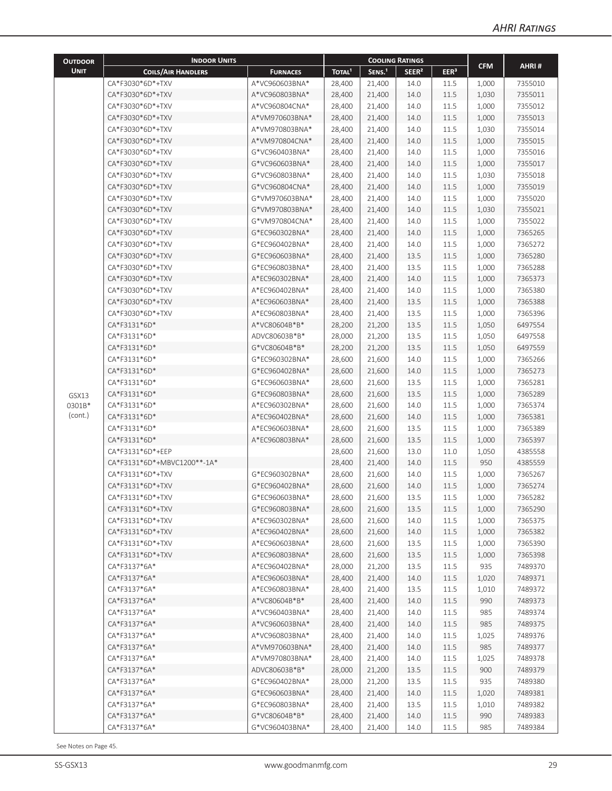| <b>OUTDOOR</b>  | <b>INDOOR UNITS</b>         |                 |                    | <b>COOLING RATINGS</b> |                   |                  |                |         |
|-----------------|-----------------------------|-----------------|--------------------|------------------------|-------------------|------------------|----------------|---------|
| <b>UNIT</b>     | <b>COILS/AIR HANDLERS</b>   | <b>FURNACES</b> | TOTAL <sup>1</sup> | SENS. <sup>1</sup>     | SEER <sup>2</sup> | EER <sup>3</sup> | <b>CFM</b>     | AHRI#   |
|                 | CA*F3030*6D*+TXV            | A*VC960603BNA*  | 28,400             | 21,400                 | 14.0              | 11.5             | 1,000          | 7355010 |
|                 | CA*F3030*6D*+TXV            | A*VC960803BNA*  | 28,400             | 21,400                 | 14.0              | 11.5             | 1,030          | 7355011 |
|                 | CA*F3030*6D*+TXV            | A*VC960804CNA*  | 28,400             | 21,400                 | 14.0              | 11.5             | 1,000          | 7355012 |
|                 | CA*F3030*6D*+TXV            | A*VM970603BNA*  | 28,400             | 21,400                 | 14.0              | 11.5             | 1,000          | 7355013 |
|                 | CA*F3030*6D*+TXV            | A*VM970803BNA*  | 28,400             | 21,400                 | 14.0              | 11.5             | 1,030          | 7355014 |
|                 | CA*F3030*6D*+TXV            | A*VM970804CNA*  | 28,400             | 21,400                 | 14.0              | 11.5             | 1,000          | 7355015 |
|                 | CA*F3030*6D*+TXV            | G*VC960403BNA*  | 28,400             | 21,400                 | 14.0              | 11.5             | 1,000          | 7355016 |
|                 | CA*F3030*6D*+TXV            | G*VC960603BNA*  | 28,400             | 21,400                 | 14.0              | 11.5             | 1,000          | 7355017 |
|                 | CA*F3030*6D*+TXV            | G*VC960803BNA*  | 28,400             | 21,400                 | 14.0              | 11.5             | 1,030          | 7355018 |
|                 | CA*F3030*6D*+TXV            | G*VC960804CNA*  | 28,400             | 21,400                 | 14.0              | 11.5             | 1,000          | 7355019 |
|                 | CA*F3030*6D*+TXV            | G*VM970603BNA*  | 28,400             | 21,400                 | 14.0              | 11.5             | 1,000          | 7355020 |
|                 | CA*F3030*6D*+TXV            | G*VM970803BNA*  | 28,400             | 21,400                 | 14.0              | 11.5             | 1,030          | 7355021 |
|                 | CA*F3030*6D*+TXV            | G*VM970804CNA*  | 28,400             | 21,400                 | 14.0              | 11.5             | 1,000          | 7355022 |
|                 | CA*F3030*6D*+TXV            | G*EC960302BNA*  | 28,400             | 21,400                 | 14.0              | 11.5             | 1,000          | 7365265 |
|                 | CA*F3030*6D*+TXV            | G*EC960402BNA*  | 28,400             | 21,400                 | 14.0              | 11.5             | 1,000          | 7365272 |
|                 | CA*F3030*6D*+TXV            | G*EC960603BNA*  | 28,400             | 21,400                 | 13.5              | 11.5             | 1,000          | 7365280 |
|                 | CA*F3030*6D*+TXV            | G*EC960803BNA*  | 28,400             | 21,400                 | 13.5              | 11.5             | 1,000          | 7365288 |
|                 | CA*F3030*6D*+TXV            | A*EC960302BNA*  | 28,400             | 21,400                 | 14.0              | 11.5             | 1,000          | 7365373 |
|                 | CA*F3030*6D*+TXV            | A*EC960402BNA*  | 28,400             | 21,400                 | 14.0              | 11.5             | 1,000          | 7365380 |
|                 | CA*F3030*6D*+TXV            | A*EC960603BNA*  | 28,400             | 21,400                 | 13.5              | 11.5             | 1,000          | 7365388 |
|                 | CA*F3030*6D*+TXV            | A*EC960803BNA*  |                    |                        | 13.5              | 11.5             |                | 7365396 |
|                 | CA*F3131*6D*                | A*VC80604B*B*   | 28,400             | 21,400                 |                   | 11.5             | 1,000          | 6497554 |
|                 | CA*F3131*6D*                | ADVC80603B*B*   | 28,200<br>28,000   | 21,200<br>21,200       | 13.5<br>13.5      | 11.5             | 1,050<br>1,050 | 6497558 |
|                 | CA*F3131*6D*                | G*VC80604B*B*   | 28,200             | 21,200                 | 13.5              | 11.5             | 1,050          | 6497559 |
|                 | CA*F3131*6D*                | G*EC960302BNA*  | 28,600             | 21,600                 | 14.0              | 11.5             | 1,000          | 7365266 |
|                 | CA*F3131*6D*                | G*EC960402BNA*  | 28,600             | 21,600                 | 14.0              | 11.5             | 1,000          | 7365273 |
|                 | CA*F3131*6D*                | G*EC960603BNA*  | 28,600             | 21,600                 | 13.5              | 11.5             | 1,000          | 7365281 |
|                 | CA*F3131*6D*                | G*EC960803BNA*  | 28,600             | 21,600                 | 13.5              | 11.5             | 1,000          | 7365289 |
| GSX13<br>0301B* | CA*F3131*6D*                | A*EC960302BNA*  | 28,600             | 21,600                 | 14.0              | 11.5             | 1,000          | 7365374 |
| (cont.)         | CA*F3131*6D*                | A*EC960402BNA*  | 28,600             | 21,600                 | 14.0              | 11.5             | 1,000          | 7365381 |
|                 | CA*F3131*6D*                | A*EC960603BNA*  | 28,600             | 21,600                 | 13.5              | 11.5             | 1,000          | 7365389 |
|                 | CA*F3131*6D*                | A*EC960803BNA*  | 28,600             | 21,600                 | 13.5              | 11.5             | 1,000          | 7365397 |
|                 | CA*F3131*6D*+EEP            |                 | 28,600             | 21,600                 | 13.0              | 11.0             | 1,050          | 4385558 |
|                 | CA*F3131*6D*+MBVC1200**-1A* |                 | 28,400             | 21,400                 | 14.0              | 11.5             | 950            | 4385559 |
|                 | CA*F3131*6D*+TXV            | G*EC960302BNA*  | 28,600             | 21,600                 | 14.0              | 11.5             | 1,000          | 7365267 |
|                 | CA*F3131*6D*+TXV            | G*EC960402BNA*  | 28,600             | 21,600                 | 14.0              | 11.5             | 1,000          | 7365274 |
|                 | CA*F3131*6D*+TXV            | G*EC960603BNA*  | 28,600             | 21,600                 | 13.5              | 11.5             | 1,000          | 7365282 |
|                 | CA*F3131*6D*+TXV            | G*EC960803BNA*  | 28,600             | 21,600                 | 13.5              | 11.5             | 1,000          | 7365290 |
|                 | CA*F3131*6D*+TXV            | A*EC960302BNA*  | 28,600             | 21,600                 | 14.0              | 11.5             | 1,000          | 7365375 |
|                 | CA*F3131*6D*+TXV            | A*EC960402BNA*  | 28,600             | 21,600                 | 14.0              | 11.5             | 1,000          | 7365382 |
|                 | CA*F3131*6D*+TXV            | A*EC960603BNA*  | 28,600             | 21,600                 | 13.5              | 11.5             | 1,000          | 7365390 |
|                 | CA*F3131*6D*+TXV            | A*EC960803BNA*  | 28,600             | 21,600                 | 13.5              | 11.5             | 1,000          | 7365398 |
|                 | CA*F3137*6A*                | A*EC960402BNA*  | 28,000             | 21,200                 | 13.5              | 11.5             | 935            | 7489370 |
|                 | CA*F3137*6A*                | A*EC960603BNA*  | 28,400             | 21,400                 | 14.0              | 11.5             | 1,020          | 7489371 |
|                 | CA*F3137*6A*                | A*EC960803BNA*  | 28,400             | 21,400                 | 13.5              | 11.5             | 1,010          | 7489372 |
|                 | CA*F3137*6A*                | A*VC80604B*B*   | 28,400             | 21,400                 | 14.0              | 11.5             | 990            | 7489373 |
|                 | CA*F3137*6A*                | A*VC960403BNA*  | 28,400             | 21,400                 | 14.0              | 11.5             | 985            | 7489374 |
|                 | CA*F3137*6A*                | A*VC960603BNA*  | 28,400             | 21,400                 | 14.0              | 11.5             | 985            | 7489375 |
|                 | CA*F3137*6A*                | A*VC960803BNA*  | 28,400             | 21,400                 | 14.0              | 11.5             | 1,025          | 7489376 |
|                 | CA*F3137*6A*                | A*VM970603BNA*  | 28,400             | 21,400                 | 14.0              | 11.5             | 985            | 7489377 |
|                 | CA*F3137*6A*                | A*VM970803BNA*  | 28,400             | 21,400                 | 14.0              | 11.5             | 1,025          | 7489378 |
|                 | CA*F3137*6A*                | ADVC80603B*B*   | 28,000             | 21,200                 | 13.5              | 11.5             | 900            | 7489379 |
|                 | CA*F3137*6A*                | G*EC960402BNA*  | 28,000             | 21,200                 | 13.5              | 11.5             | 935            | 7489380 |
|                 | CA*F3137*6A*                | G*EC960603BNA*  | 28,400             | 21,400                 | 14.0              | 11.5             | 1,020          | 7489381 |
|                 | CA*F3137*6A*                | G*EC960803BNA*  | 28,400             | 21,400                 | 13.5              | 11.5             | 1,010          | 7489382 |
|                 | CA*F3137*6A*                | G*VC80604B*B*   | 28,400             | 21,400                 | 14.0              | 11.5             | 990            | 7489383 |
|                 | CA*F3137*6A*                | G*VC960403BNA*  | 28,400             | 21,400                 | 14.0              | 11.5             | 985            | 7489384 |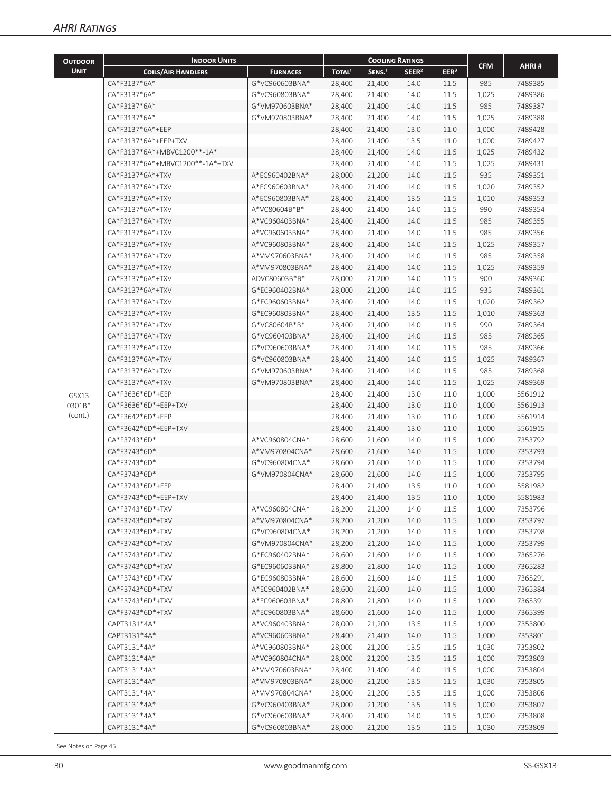| <b>OUTDOOR</b> | <b>INDOOR UNITS</b>             |                                  |                    | <b>COOLING RATINGS</b> |                   |                  |                |                    |
|----------------|---------------------------------|----------------------------------|--------------------|------------------------|-------------------|------------------|----------------|--------------------|
| <b>UNIT</b>    | <b>COILS/AIR HANDLERS</b>       | <b>FURNACES</b>                  | TOTAL <sup>1</sup> | SENS. <sup>1</sup>     | SEER <sup>2</sup> | EER <sup>3</sup> | <b>CFM</b>     | AHRI#              |
|                | CA*F3137*6A*                    | G*VC960603BNA*                   | 28,400             | 21,400                 | 14.0              | 11.5             | 985            | 7489385            |
|                | CA*F3137*6A*                    | G*VC960803BNA*                   | 28,400             | 21,400                 | 14.0              | 11.5             | 1,025          | 7489386            |
|                | CA*F3137*6A*                    | G*VM970603BNA*                   | 28,400             | 21,400                 | 14.0              | 11.5             | 985            | 7489387            |
|                | CA*F3137*6A*                    | G*VM970803BNA*                   | 28,400             | 21,400                 | 14.0              | 11.5             | 1,025          | 7489388            |
|                | CA*F3137*6A*+EEP                |                                  | 28,400             | 21,400                 | 13.0              | 11.0             | 1,000          | 7489428            |
|                | CA*F3137*6A*+EEP+TXV            |                                  | 28,400             | 21,400                 | 13.5              | 11.0             | 1,000          | 7489427            |
|                | CA*F3137*6A*+MBVC1200**-1A*     |                                  | 28,400             | 21,400                 | 14.0              | 11.5             | 1,025          | 7489432            |
|                | CA*F3137*6A*+MBVC1200**-1A*+TXV |                                  | 28,400             | 21,400                 | 14.0              | 11.5             | 1,025          | 7489431            |
|                | CA*F3137*6A*+TXV                | A*EC960402BNA*                   | 28,000             | 21,200                 | 14.0              | 11.5             | 935            | 7489351            |
|                | CA*F3137*6A*+TXV                | A*EC960603BNA*                   | 28,400             | 21,400                 | 14.0              | 11.5             | 1,020          | 7489352            |
|                | CA*F3137*6A*+TXV                | A*EC960803BNA*                   | 28,400             | 21,400                 | 13.5              | 11.5             | 1,010          | 7489353            |
|                | CA*F3137*6A*+TXV                | A*VC80604B*B*                    | 28,400             | 21,400                 | 14.0              | 11.5             | 990            | 7489354            |
|                | CA*F3137*6A*+TXV                | A*VC960403BNA*                   | 28,400             | 21,400                 | 14.0              | 11.5             | 985            | 7489355            |
|                | CA*F3137*6A*+TXV                | A*VC960603BNA*                   | 28,400             | 21,400                 | 14.0              | 11.5             | 985            | 7489356            |
|                | CA*F3137*6A*+TXV                | A*VC960803BNA*                   | 28,400             | 21,400                 | 14.0              | 11.5             | 1,025          | 7489357            |
|                | CA*F3137*6A*+TXV                | A*VM970603BNA*                   | 28,400             | 21,400                 | 14.0              | 11.5             | 985            | 7489358            |
|                | CA*F3137*6A*+TXV                | A*VM970803BNA*                   | 28,400             | 21,400                 | 14.0              | 11.5             | 1,025          | 7489359            |
|                | CA*F3137*6A*+TXV                | ADVC80603B*B*                    | 28,000             | 21,200                 | 14.0              | 11.5             | 900            | 7489360            |
|                | CA*F3137*6A*+TXV                | G*EC960402BNA*                   | 28,000             | 21,200                 | 14.0              | 11.5             | 935            | 7489361            |
|                | CA*F3137*6A*+TXV                | G*EC960603BNA*                   | 28,400             | 21,400                 | 14.0              | 11.5             | 1,020          | 7489362            |
|                | CA*F3137*6A*+TXV                | G*EC960803BNA*                   | 28,400             | 21,400                 | 13.5              | 11.5             | 1,010          | 7489363            |
|                | CA*F3137*6A*+TXV                | G*VC80604B*B*                    | 28,400             | 21,400                 | 14.0              | 11.5             | 990            | 7489364            |
|                | CA*F3137*6A*+TXV                | G*VC960403BNA*                   | 28,400             | 21,400                 | 14.0              | 11.5             | 985            | 7489365            |
|                | CA*F3137*6A*+TXV                | G*VC960603BNA*                   | 28,400             | 21,400                 | 14.0              | 11.5             | 985            | 7489366            |
|                | CA*F3137*6A*+TXV                | G*VC960803BNA*                   | 28,400             | 21,400                 | 14.0              | 11.5             | 1,025          | 7489367            |
|                | CA*F3137*6A*+TXV                | G*VM970603BNA*                   | 28,400             | 21,400                 | 14.0              | 11.5             | 985            | 7489368            |
|                | CA*F3137*6A*+TXV                | G*VM970803BNA*                   | 28,400             | 21,400                 | 14.0              | 11.5             | 1,025          | 7489369            |
| GSX13          | CA*F3636*6D*+EEP                |                                  | 28,400             | 21,400                 | 13.0              | 11.0             | 1,000          | 5561912            |
| 0301B*         | CA*F3636*6D*+EEP+TXV            |                                  | 28,400             | 21,400                 | 13.0              | 11.0             | 1,000          | 5561913            |
| (cont.)        | CA*F3642*6D*+EEP                |                                  | 28,400             | 21,400                 | 13.0              | 11.0             | 1,000          | 5561914            |
|                | CA*F3642*6D*+EEP+TXV            |                                  | 28,400             | 21,400                 | 13.0              | 11.0             | 1,000          | 5561915            |
|                | CA*F3743*6D*                    | A*VC960804CNA*                   | 28,600             | 21,600                 | 14.0              | 11.5             | 1,000          | 7353792            |
|                | CA*F3743*6D*                    | A*VM970804CNA*                   | 28,600             | 21,600                 | 14.0              | 11.5             | 1,000          | 7353793            |
|                | CA*F3743*6D*                    | G*VC960804CNA*                   | 28,600             | 21,600                 | 14.0              | 11.5             | 1,000          | 7353794            |
|                | CA*F3743*6D*                    | G*VM970804CNA*                   | 28,600             | 21,600                 | 14.0              | 11.5             | 1,000          | 7353795            |
|                | CA*F3743*6D*+EEP                |                                  | 28,400             | 21,400                 | 13.5              | 11.0             | 1,000          | 5581982            |
|                | CA*F3743*6D*+EEP+TXV            |                                  | 28,400             | 21,400                 | 13.5              | 11.0             | 1,000          | 5581983            |
|                | CA*F3743*6D*+TXV                | A*VC960804CNA*                   | 28,200             | 21,200                 | 14.0              | 11.5             | 1,000          | 7353796            |
|                | CA*F3743*6D*+TXV                | A*VM970804CNA*                   | 28,200             | 21,200                 | 14.0              | 11.5             | 1,000          | 7353797            |
|                | CA*F3743*6D*+TXV                | G*VC960804CNA*                   | 28,200             | 21,200                 | 14.0              | 11.5             | 1,000          | 7353798            |
|                | CA*F3743*6D*+TXV                | G*VM970804CNA*                   | 28,200             | 21,200                 | 14.0              | 11.5             | 1,000          | 7353799            |
|                | CA*F3743*6D*+TXV                | G*EC960402BNA*                   | 28,600             | 21,600                 | 14.0              | 11.5             | 1,000          | 7365276            |
|                | CA*F3743*6D*+TXV                | G*EC960603BNA*                   | 28,800             | 21,800                 | 14.0              | 11.5             | 1,000          | 7365283            |
|                | CA*F3743*6D*+TXV                | G*EC960803BNA*                   | 28,600             | 21,600                 | 14.0              | 11.5             | 1,000          | 7365291            |
|                | CA*F3743*6D*+TXV                | A*EC960402BNA*                   | 28,600             | 21,600                 | 14.0              | 11.5             | 1,000          | 7365384            |
|                | CA*F3743*6D*+TXV                | A*EC960603BNA*                   | 28,800             | 21,800                 | 14.0              | 11.5             | 1,000          | 7365391            |
|                | CA*F3743*6D*+TXV                | A*EC960803BNA*                   | 28,600             | 21,600                 | 14.0              | 11.5             | 1,000          | 7365399            |
|                | CAPT3131*4A*                    | A*VC960403BNA*                   | 28,000             | 21,200                 | 13.5              | 11.5             | 1,000          | 7353800            |
|                | CAPT3131*4A*                    | A*VC960603BNA*                   | 28,400             | 21,400                 | 14.0              | 11.5             | 1,000          | 7353801            |
|                | CAPT3131*4A*                    | A*VC960803BNA*                   | 28,000             | 21,200                 | 13.5              | 11.5             | 1,030          | 7353802            |
|                | CAPT3131*4A*                    | A*VC960804CNA*                   | 28,000             | 21,200                 | 13.5              | 11.5             | 1,000          | 7353803            |
|                | CAPT3131*4A*                    | A*VM970603BNA*                   | 28,400             | 21,400                 | 14.0              | 11.5             | 1,000          | 7353804            |
|                | CAPT3131*4A*                    | A*VM970803BNA*                   | 28,000             | 21,200                 | 13.5              | 11.5             | 1,030          | 7353805            |
|                | CAPT3131*4A*                    | A*VM970804CNA*                   | 28,000             | 21,200                 |                   |                  |                | 7353806            |
|                | CAPT3131*4A*                    |                                  |                    | 21,200                 | 13.5<br>13.5      | 11.5             | 1,000          |                    |
|                | CAPT3131*4A*                    | G*VC960403BNA*<br>G*VC960603BNA* | 28,000             |                        |                   | 11.5             | 1,000          | 7353807            |
|                | CAPT3131*4A*                    | G*VC960803BNA*                   | 28,400<br>28,000   | 21,400<br>21,200       | 14.0<br>13.5      | 11.5<br>11.5     | 1,000<br>1,030 | 7353808<br>7353809 |
|                |                                 |                                  |                    |                        |                   |                  |                |                    |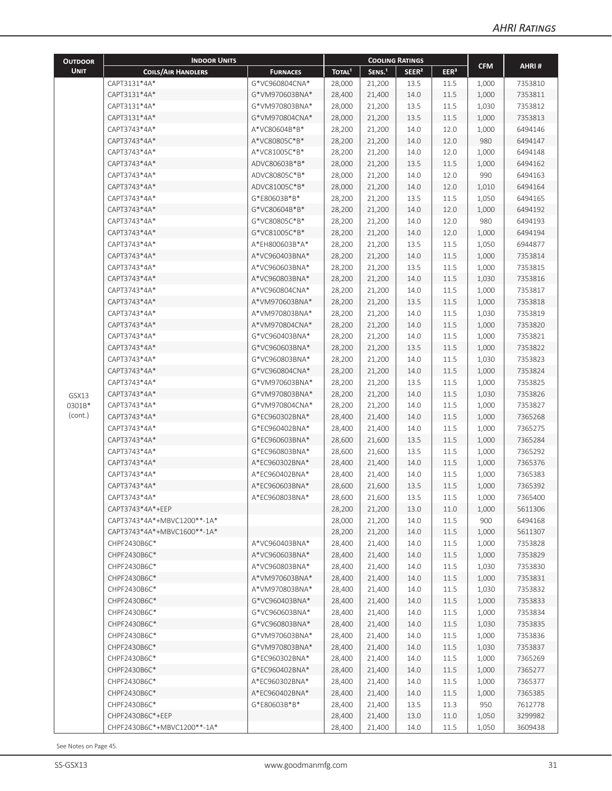| <b>OUTDOOR</b> | <b>INDOOR UNITS</b>         |                 | <b>COOLING RATINGS</b> |                    |                   |                  |            |         |
|----------------|-----------------------------|-----------------|------------------------|--------------------|-------------------|------------------|------------|---------|
| <b>UNIT</b>    | <b>COILS/AIR HANDLERS</b>   | <b>FURNACES</b> | TOTAL <sup>1</sup>     | SENS. <sup>1</sup> | SEER <sup>2</sup> | EER <sup>3</sup> | <b>CFM</b> | AHRI#   |
|                | CAPT3131*4A*                | G*VC960804CNA*  | 28,000                 | 21,200             | 13.5              | 11.5             | 1,000      | 7353810 |
|                | CAPT3131*4A*                | G*VM970603BNA*  | 28,400                 | 21,400             | 14.0              | 11.5             | 1,000      | 7353811 |
|                | CAPT3131*4A*                | G*VM970803BNA*  | 28,000                 | 21,200             | 13.5              | 11.5             | 1,030      | 7353812 |
|                | CAPT3131*4A*                | G*VM970804CNA*  | 28,000                 | 21,200             | 13.5              | 11.5             | 1,000      | 7353813 |
|                | CAPT3743*4A*                | A*VC80604B*B*   | 28,200                 | 21,200             | 14.0              | 12.0             | 1,000      | 6494146 |
|                | CAPT3743*4A*                | A*VC80805C*B*   | 28,200                 | 21,200             | 14.0              | 12.0             | 980        | 6494147 |
|                | CAPT3743*4A*                | A*VC81005C*B*   | 28,200                 | 21,200             | 14.0              | 12.0             | 1,000      | 6494148 |
|                | CAPT3743*4A*                | ADVC80603B*B*   | 28,000                 | 21,200             | 13.5              | 11.5             | 1,000      | 6494162 |
|                | CAPT3743*4A*                | ADVC80805C*B*   | 28,000                 | 21,200             | 14.0              | 12.0             | 990        | 6494163 |
|                | CAPT3743*4A*                | ADVC81005C*B*   | 28,000                 | 21,200             | 14.0              | 12.0             | 1,010      | 6494164 |
|                | CAPT3743*4A*                | G*E80603B*B*    | 28,200                 | 21,200             | 13.5              | 11.5             | 1,050      | 6494165 |
|                | CAPT3743*4A*                | G*VC80604B*B*   | 28,200                 | 21,200             | 14.0              | 12.0             | 1,000      | 6494192 |
|                | CAPT3743*4A*                | G*VC80805C*B*   | 28,200                 | 21,200             | 14.0              | 12.0             | 980        | 6494193 |
|                | CAPT3743*4A*                | G*VC81005C*B*   | 28,200                 | 21,200             | 14.0              | 12.0             | 1,000      | 6494194 |
|                | CAPT3743*4A*                | A*EH800603B*A*  | 28,200                 | 21,200             | 13.5              | 11.5             | 1,050      | 6944877 |
|                | CAPT3743*4A*                | A*VC960403BNA*  | 28,200                 | 21,200             | 14.0              | 11.5             | 1,000      | 7353814 |
|                | CAPT3743*4A*                | A*VC960603BNA*  | 28,200                 | 21,200             | 13.5              | 11.5             | 1,000      | 7353815 |
|                | CAPT3743*4A*                | A*VC960803BNA*  | 28,200                 | 21,200             | 14.0              | 11.5             | 1,030      | 7353816 |
|                | CAPT3743*4A*                | A*VC960804CNA*  |                        |                    | 14.0              | 11.5             |            | 7353817 |
|                |                             |                 | 28,200                 | 21,200             |                   |                  | 1,000      |         |
|                | CAPT3743*4A*                | A*VM970603BNA*  | 28,200                 | 21,200             | 13.5              | 11.5             | 1,000      | 7353818 |
|                | CAPT3743*4A*                | A*VM970803BNA*  | 28,200                 | 21,200             | 14.0              | 11.5             | 1,030      | 7353819 |
|                | CAPT3743*4A*                | A*VM970804CNA*  | 28,200                 | 21,200             | 14.0              | 11.5             | 1,000      | 7353820 |
|                | CAPT3743*4A*                | G*VC960403BNA*  | 28,200                 | 21,200             | 14.0              | 11.5             | 1,000      | 7353821 |
|                | CAPT3743*4A*                | G*VC960603BNA*  | 28,200                 | 21,200             | 13.5              | 11.5             | 1,000      | 7353822 |
|                | CAPT3743*4A*                | G*VC960803BNA*  | 28,200                 | 21,200             | 14.0              | 11.5             | 1,030      | 7353823 |
|                | CAPT3743*4A*                | G*VC960804CNA*  | 28,200                 | 21,200             | 14.0              | 11.5             | 1,000      | 7353824 |
|                | CAPT3743*4A*                | G*VM970603BNA*  | 28,200                 | 21,200             | 13.5              | 11.5             | 1,000      | 7353825 |
| GSX13          | CAPT3743*4A*                | G*VM970803BNA*  | 28,200                 | 21,200             | 14.0              | 11.5             | 1,030      | 7353826 |
| 0301B*         | CAPT3743*4A*                | G*VM970804CNA*  | 28,200                 | 21,200             | 14.0              | 11.5             | 1,000      | 7353827 |
| (cont.)        | CAPT3743*4A*                | G*EC960302BNA*  | 28,400                 | 21,400             | 14.0              | 11.5             | 1,000      | 7365268 |
|                | CAPT3743*4A*                | G*EC960402BNA*  | 28,400                 | 21,400             | 14.0              | 11.5             | 1,000      | 7365275 |
|                | CAPT3743*4A*                | G*EC960603BNA*  | 28,600                 | 21,600             | 13.5              | 11.5             | 1,000      | 7365284 |
|                | CAPT3743*4A*                | G*EC960803BNA*  | 28,600                 | 21,600             | 13.5              | 11.5             | 1,000      | 7365292 |
|                | CAPT3743*4A*                | A*EC960302BNA*  | 28,400                 | 21,400             | 14.0              | 11.5             | 1,000      | 7365376 |
|                | CAPT3743*4A*                | A*EC960402BNA*  | 28,400                 | 21,400             | 14.0              | 11.5             | 1,000      | 7365383 |
|                | CAPT3743*4A*                | A*EC960603BNA*  | 28,600                 | 21,600             | 13.5              | 11.5             | 1,000      | 7365392 |
|                | CAPT3743*4A*                | A*EC960803BNA*  | 28,600                 | 21,600             | 13.5              | 11.5             | 1,000      | 7365400 |
|                | CAPT3743*4A*+EEP            |                 | 28,200                 | 21,200             | 13.0              | 11.0             | 1,000      | 5611306 |
|                | CAPT3743*4A*+MBVC1200**-1A* |                 | 28,000                 | 21,200             | 14.0              | 11.5             | 900        | 6494168 |
|                | CAPT3743*4A*+MBVC1600**-1A* |                 | 28,200                 | 21,200             | 14.0              | 11.5             | 1,000      | 5611307 |
|                | CHPF2430B6C*                | A*VC960403BNA*  | 28,400                 | 21,400             | 14.0              | 11.5             | 1,000      | 7353828 |
|                | CHPF2430B6C*                | A*VC960603BNA*  | 28,400                 | 21,400             | 14.0              | 11.5             | 1,000      | 7353829 |
|                | CHPF2430B6C*                | A*VC960803BNA*  | 28,400                 | 21,400             | 14.0              | 11.5             | 1,030      | 7353830 |
|                | CHPF2430B6C*                | A*VM970603BNA*  | 28,400                 | 21,400             | 14.0              | 11.5             | 1,000      | 7353831 |
|                | CHPF2430B6C*                | A*VM970803BNA*  | 28,400                 | 21,400             | 14.0              | 11.5             | 1,030      | 7353832 |
|                | CHPF2430B6C*                | G*VC960403BNA*  | 28,400                 | 21,400             | 14.0              | 11.5             | 1,000      | 7353833 |
|                | CHPF2430B6C*                | G*VC960603BNA*  | 28,400                 | 21,400             | 14.0              | 11.5             | 1,000      | 7353834 |
|                | CHPF2430B6C*                | G*VC960803BNA*  | 28,400                 | 21,400             | 14.0              | 11.5             | 1,030      | 7353835 |
|                | CHPF2430B6C*                | G*VM970603BNA*  | 28,400                 | 21,400             | 14.0              | 11.5             | 1,000      | 7353836 |
|                | CHPF2430B6C*                | G*VM970803BNA*  | 28,400                 | 21,400             | 14.0              | 11.5             | 1,030      | 7353837 |
|                | CHPF2430B6C*                | G*EC960302BNA*  | 28,400                 | 21,400             | 14.0              | 11.5             | 1,000      | 7365269 |
|                | CHPF2430B6C*                | G*EC960402BNA*  | 28,400                 | 21,400             | 14.0              | 11.5             | 1,000      | 7365277 |
|                | CHPF2430B6C*                | A*EC960302BNA*  | 28,400                 | 21,400             | 14.0              | 11.5             | 1,000      | 7365377 |
|                | CHPF2430B6C*                | A*EC960402BNA*  | 28,400                 | 21,400             | 14.0              | 11.5             | 1,000      | 7365385 |
|                | CHPF2430B6C*                | G*E80603B*B*    | 28,400                 | 21,400             | 13.5              | 11.3             | 950        | 7612778 |
|                |                             |                 |                        |                    |                   |                  |            |         |
|                | CHPF2430B6C*+EEP            |                 | 28,400                 | 21,400             | 13.0              | 11.0             | 1,050      | 3299982 |
|                | CHPF2430B6C*+MBVC1200**-1A* |                 | 28,400                 | 21,400             | 14.0              | 11.5             | 1,050      | 3609438 |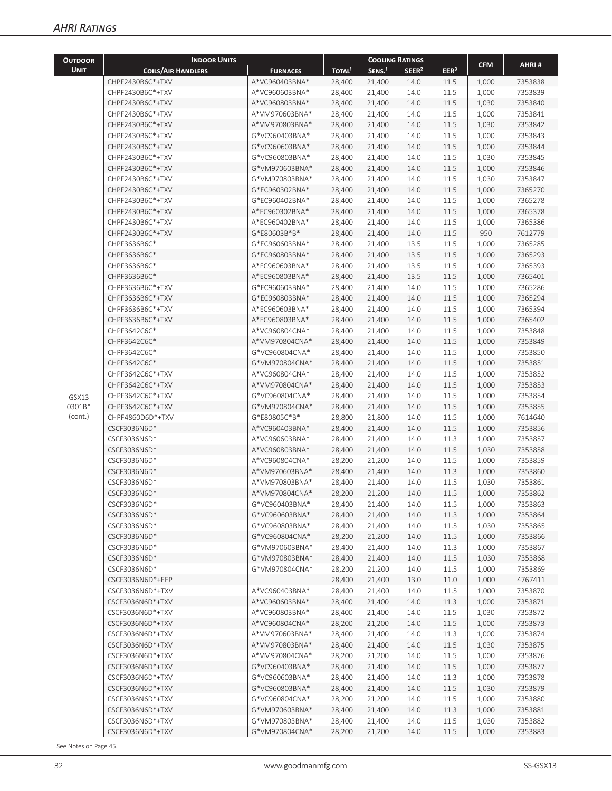|                                              | <b>INDOOR UNITS</b>          |                                |                    |                    | <b>COOLING RATINGS</b> |                  |                |                    |
|----------------------------------------------|------------------------------|--------------------------------|--------------------|--------------------|------------------------|------------------|----------------|--------------------|
| <b>UNIT</b>                                  | <b>COILS/AIR HANDLERS</b>    | <b>FURNACES</b>                | TOTAL <sup>1</sup> | SENS. <sup>1</sup> | SEER <sup>2</sup>      | EER <sup>3</sup> | <b>CFM</b>     | AHRI#              |
|                                              | CHPF2430B6C*+TXV             | A*VC960403BNA*                 | 28,400             | 21,400             | 14.0                   | 11.5             | 1,000          | 7353838            |
| <b>OUTDOOR</b><br>GSX13<br>0301B*<br>(cont.) | CHPF2430B6C*+TXV             | A*VC960603BNA*                 | 28,400             | 21,400             | 14.0                   | 11.5             | 1,000          | 7353839            |
|                                              | CHPF2430B6C*+TXV             | A*VC960803BNA*                 | 28,400             | 21,400             | 14.0                   | 11.5             | 1,030          | 7353840            |
|                                              | CHPF2430B6C*+TXV             | A*VM970603BNA*                 | 28,400             | 21,400             | 14.0                   | 11.5             | 1,000          | 7353841            |
|                                              | CHPF2430B6C*+TXV             | A*VM970803BNA*                 | 28,400             | 21,400             | 14.0                   | 11.5             | 1,030          | 7353842            |
|                                              | CHPF2430B6C*+TXV             | G*VC960403BNA*                 | 28,400             | 21,400             | 14.0                   | 11.5             | 1,000          | 7353843            |
|                                              | CHPF2430B6C*+TXV             | G*VC960603BNA*                 | 28,400             | 21,400             | 14.0                   | 11.5             | 1,000          | 7353844            |
|                                              | CHPF2430B6C*+TXV             | G*VC960803BNA*                 | 28,400             | 21,400             | 14.0                   | 11.5             | 1,030          | 7353845            |
|                                              | CHPF2430B6C*+TXV             | G*VM970603BNA*                 | 28,400             | 21,400             | 14.0                   | 11.5             | 1,000          | 7353846            |
|                                              | CHPF2430B6C*+TXV             | G*VM970803BNA*                 | 28,400             | 21,400             | 14.0                   | 11.5             | 1,030          | 7353847            |
|                                              | CHPF2430B6C*+TXV             | G*EC960302BNA*                 | 28,400             | 21,400             | 14.0                   | 11.5             | 1,000          | 7365270            |
|                                              | CHPF2430B6C*+TXV             | G*EC960402BNA*                 | 28,400             | 21,400             | 14.0                   | 11.5             | 1,000          | 7365278            |
|                                              | CHPF2430B6C*+TXV             | A*EC960302BNA*                 | 28,400             | 21,400             | 14.0                   | 11.5             | 1,000          | 7365378            |
|                                              | CHPF2430B6C*+TXV             | A*EC960402BNA*                 | 28,400             | 21,400             | 14.0                   | 11.5             | 1,000          | 7365386            |
|                                              | CHPF2430B6C*+TXV             | G*E80603B*B*                   | 28,400             | 21,400             | 14.0                   | 11.5             | 950            | 7612779            |
|                                              | CHPF3636B6C*                 | G*EC960603BNA*                 | 28,400             | 21,400             | 13.5                   | 11.5             | 1,000          | 7365285            |
|                                              | CHPF3636B6C*                 | G*EC960803BNA*                 | 28,400             | 21,400             | 13.5                   | 11.5             | 1,000          | 7365293            |
|                                              | CHPF3636B6C*                 | A*EC960603BNA*                 | 28,400             | 21,400             | 13.5                   | 11.5             | 1,000          | 7365393            |
|                                              | CHPF3636B6C*                 | A*EC960803BNA*                 | 28,400             | 21,400             | 13.5                   | 11.5             | 1,000          | 7365401            |
|                                              | CHPF3636B6C*+TXV             | G*EC960603BNA*                 | 28,400             | 21,400             | 14.0                   | 11.5             | 1,000          | 7365286            |
|                                              | CHPF3636B6C*+TXV             | G*EC960803BNA*                 | 28,400             | 21,400             | 14.0                   | 11.5             | 1,000          | 7365294            |
|                                              | CHPF3636B6C*+TXV             | A*EC960603BNA*                 | 28,400             | 21,400             | 14.0                   | 11.5             | 1,000          | 7365394            |
|                                              | CHPF3636B6C*+TXV             | A*EC960803BNA*                 | 28,400             | 21,400             | 14.0                   | 11.5             | 1,000          | 7365402            |
|                                              | CHPF3642C6C*                 | A*VC960804CNA*                 | 28,400             | 21,400             | 14.0                   | 11.5             | 1,000          | 7353848            |
|                                              | CHPF3642C6C*                 | A*VM970804CNA*                 | 28,400             | 21,400             | 14.0                   | 11.5             | 1,000          | 7353849            |
|                                              | CHPF3642C6C*                 | G*VC960804CNA*                 | 28,400             | 21,400             | 14.0                   | 11.5             | 1,000          | 7353850            |
|                                              | CHPF3642C6C*                 | G*VM970804CNA*                 | 28,400             | 21,400             | 14.0                   | 11.5             | 1,000          | 7353851            |
|                                              | CHPF3642C6C*+TXV             | A*VC960804CNA*                 | 28,400             | 21,400             | 14.0                   | 11.5             | 1,000          | 7353852            |
|                                              | CHPF3642C6C*+TXV             | A*VM970804CNA*                 | 28,400             | 21,400             | 14.0                   | 11.5             | 1,000          | 7353853            |
|                                              | CHPF3642C6C*+TXV             | G*VC960804CNA*                 | 28,400             | 21,400             | 14.0                   | 11.5             | 1,000          | 7353854            |
|                                              | CHPF3642C6C*+TXV             | G*VM970804CNA*<br>G*E80805C*B* | 28,400             | 21,400             | 14.0                   | 11.5             | 1,000          | 7353855            |
|                                              | CHPF4860D6D*+TXV             | A*VC960403BNA*                 | 28,800<br>28,400   | 21,800             | 14.0<br>14.0           | 11.5<br>11.5     | 1,000<br>1,000 | 7614640<br>7353856 |
|                                              | CSCF3036N6D*<br>CSCF3036N6D* | A*VC960603BNA*                 | 28,400             | 21,400<br>21,400   | 14.0                   | 11.3             |                | 7353857            |
|                                              | CSCF3036N6D*                 | A*VC960803BNA*                 | 28,400             | 21,400             | 14.0                   | 11.5             | 1,000<br>1,030 | 7353858            |
|                                              | CSCF3036N6D*                 | A*VC960804CNA*                 | 28,200             | 21,200             | 14.0                   | 11.5             | 1,000          | 7353859            |
|                                              | CSCF3036N6D*                 | A*VM970603BNA*                 | 28,400             | 21,400             | 14.0                   | 11.3             | 1,000          | 7353860            |
|                                              | CSCF3036N6D*                 | A*VM970803BNA*                 | 28,400             | 21,400             | 14.0                   | 11.5             | 1,030          | 7353861            |
|                                              | CSCF3036N6D*                 | A*VM970804CNA*                 | 28,200             | 21,200             | 14.0                   | 11.5             | 1,000          | 7353862            |
|                                              | CSCF3036N6D*                 | G*VC960403BNA*                 | 28,400             | 21,400             | 14.0                   | 11.5             | 1,000          | 7353863            |
|                                              | CSCF3036N6D*                 | G*VC960603BNA*                 | 28,400             | 21,400             | 14.0                   | 11.3             | 1,000          | 7353864            |
|                                              | CSCF3036N6D*                 | G*VC960803BNA*                 | 28,400             | 21,400             | 14.0                   | 11.5             | 1,030          | 7353865            |
|                                              | CSCF3036N6D*                 | G*VC960804CNA*                 | 28,200             | 21,200             | 14.0                   | 11.5             | 1,000          | 7353866            |
|                                              | CSCF3036N6D*                 | G*VM970603BNA*                 | 28,400             | 21,400             | 14.0                   | 11.3             | 1,000          | 7353867            |
|                                              | CSCF3036N6D*                 | G*VM970803BNA*                 | 28,400             | 21,400             | 14.0                   | 11.5             | 1,030          | 7353868            |
|                                              | CSCF3036N6D*                 | G*VM970804CNA*                 | 28,200             | 21,200             | 14.0                   | 11.5             | 1,000          | 7353869            |
|                                              | CSCF3036N6D*+EEP             |                                | 28,400             | 21,400             | 13.0                   | 11.0             | 1,000          | 4767411            |
|                                              | CSCF3036N6D*+TXV             | A*VC960403BNA*                 | 28,400             | 21,400             | 14.0                   | 11.5             | 1,000          | 7353870            |
|                                              | CSCF3036N6D*+TXV             | A*VC960603BNA*                 | 28,400             | 21,400             | 14.0                   | 11.3             | 1,000          | 7353871            |
|                                              | CSCF3036N6D*+TXV             | A*VC960803BNA*                 | 28,400             | 21,400             | 14.0                   | 11.5             | 1,030          | 7353872            |
|                                              | CSCF3036N6D*+TXV             | A*VC960804CNA*                 | 28,200             | 21,200             | 14.0                   | 11.5             | 1,000          | 7353873            |
|                                              | CSCF3036N6D*+TXV             | A*VM970603BNA*                 | 28,400             | 21,400             | 14.0                   | 11.3             | 1,000          | 7353874            |
|                                              | CSCF3036N6D*+TXV             | A*VM970803BNA*                 | 28,400             | 21,400             | 14.0                   | 11.5             | 1,030          | 7353875            |
|                                              | CSCF3036N6D*+TXV             | A*VM970804CNA*                 | 28,200             | 21,200             | 14.0                   | 11.5             | 1,000          | 7353876            |
|                                              | CSCF3036N6D*+TXV             | G*VC960403BNA*                 | 28,400             | 21,400             | 14.0                   | 11.5             | 1,000          | 7353877            |
|                                              | CSCF3036N6D*+TXV             | G*VC960603BNA*                 | 28,400             | 21,400             | 14.0                   | 11.3             | 1,000          | 7353878            |
|                                              | CSCF3036N6D*+TXV             | G*VC960803BNA*                 | 28,400             | 21,400             | 14.0                   | 11.5             | 1,030          | 7353879            |
|                                              | CSCF3036N6D*+TXV             | G*VC960804CNA*                 | 28,200             | 21,200             | 14.0                   | 11.5             | 1,000          | 7353880            |
|                                              | CSCF3036N6D*+TXV             | G*VM970603BNA*                 | 28,400             | 21,400             | 14.0                   | 11.3             | 1,000          | 7353881            |
|                                              | CSCF3036N6D*+TXV             | G*VM970803BNA*                 | 28,400             | 21,400             | 14.0                   | 11.5             | 1,030          | 7353882            |
|                                              | CSCF3036N6D*+TXV             | G*VM970804CNA*                 | 28,200             | 21,200             | 14.0                   | 11.5             | 1,000          | 7353883            |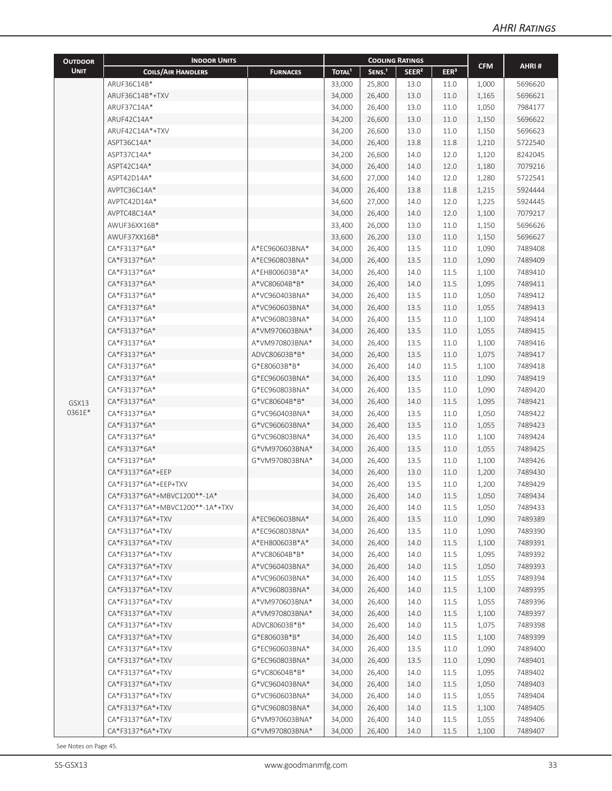| <b>OUTDOOR</b> | <b>INDOOR UNITS</b>             |                 | <b>COOLING RATINGS</b> |                    |                   |                  |            |         |
|----------------|---------------------------------|-----------------|------------------------|--------------------|-------------------|------------------|------------|---------|
| <b>UNIT</b>    | <b>COILS/AIR HANDLERS</b>       | <b>FURNACES</b> | TOTAL <sup>1</sup>     | SENS. <sup>1</sup> | SEER <sup>2</sup> | EER <sup>3</sup> | <b>CFM</b> | AHRI#   |
|                | ARUF36C14B*                     |                 | 33,000                 | 25,800             | 13.0              | 11.0             | 1,000      | 5696620 |
|                | ARUF36C14B*+TXV                 |                 | 34,000                 | 26,400             | 13.0              | 11.0             | 1,165      | 5696621 |
|                | ARUF37C14A*                     |                 | 34,000                 | 26,400             | 13.0              | 11.0             | 1,050      | 7984177 |
|                | ARUF42C14A*                     |                 | 34,200                 | 26,600             | 13.0              | 11.0             | 1,150      | 5696622 |
|                | ARUF42C14A*+TXV                 |                 | 34,200                 | 26,600             | 13.0              | 11.0             | 1,150      | 5696623 |
|                | ASPT36C14A*                     |                 | 34,000                 | 26,400             | 13.8              | 11.8             | 1,210      | 5722540 |
|                | ASPT37C14A*                     |                 | 34,200                 | 26,600             | 14.0              | 12.0             | 1,120      | 8242045 |
|                | ASPT42C14A*                     |                 | 34,000                 | 26,400             | 14.0              | 12.0             | 1,180      | 7079216 |
|                | ASPT42D14A*                     |                 | 34,600                 | 27,000             | 14.0              | 12.0             | 1,280      | 5722541 |
|                | AVPTC36C14A*                    |                 | 34,000                 | 26,400             | 13.8              | 11.8             | 1,215      | 5924444 |
|                | AVPTC42D14A*                    |                 | 34,600                 | 27,000             | 14.0              | 12.0             | 1,225      | 5924445 |
|                | AVPTC48C14A*                    |                 | 34,000                 | 26,400             | 14.0              | 12.0             | 1,100      | 7079217 |
|                | AWUF36XX16B*                    |                 | 33,400                 | 26,000             | 13.0              | 11.0             | 1,150      | 5696626 |
|                | AWUF37XX16B*                    |                 | 33,600                 | 26,200             | 13.0              | 11.0             | 1,150      | 5696627 |
|                | CA*F3137*6A*                    | A*EC960603BNA*  | 34,000                 | 26,400             | 13.5              | 11.0             | 1,090      | 7489408 |
|                | CA*F3137*6A*                    | A*EC960803BNA*  | 34,000                 | 26,400             | 13.5              | 11.0             | 1,090      | 7489409 |
|                | CA*F3137*6A*                    | A*EH800603B*A*  | 34,000                 | 26,400             | 14.0              | 11.5             | 1,100      | 7489410 |
|                | CA*F3137*6A*                    | A*VC80604B*B*   | 34,000                 | 26,400             | 14.0              | 11.5             | 1,095      | 7489411 |
|                | CA*F3137*6A*                    | A*VC960403BNA*  | 34,000                 | 26,400             | 13.5              | 11.0             | 1,050      | 7489412 |
|                | CA*F3137*6A*                    | A*VC960603BNA*  | 34,000                 | 26,400             | 13.5              | 11.0             | 1,055      | 7489413 |
|                | CA*F3137*6A*                    | A*VC960803BNA*  | 34,000                 | 26,400             | 13.5              | 11.0             | 1,100      | 7489414 |
|                | CA*F3137*6A*                    | A*VM970603BNA*  | 34,000                 | 26,400             | 13.5              | 11.0             | 1,055      | 7489415 |
|                | CA*F3137*6A*                    | A*VM970803BNA*  | 34,000                 | 26,400             | 13.5              | 11.0             | 1,100      | 7489416 |
|                | CA*F3137*6A*                    | ADVC80603B*B*   | 34,000                 | 26,400             | 13.5              | 11.0             | 1,075      | 7489417 |
|                | CA*F3137*6A*                    | G*E80603B*B*    | 34,000                 | 26,400             | 14.0              | 11.5             | 1,100      | 7489418 |
|                | CA*F3137*6A*                    | G*EC960603BNA*  | 34,000                 | 26,400             | 13.5              | 11.0             | 1,090      | 7489419 |
|                | CA*F3137*6A*                    | G*EC960803BNA*  | 34,000                 | 26,400             | 13.5              | 11.0             | 1,090      | 7489420 |
| GSX13          | CA*F3137*6A*                    | G*VC80604B*B*   | 34,000                 | 26,400             | 14.0              | 11.5             | 1,095      | 7489421 |
| 0361E*         | CA*F3137*6A*                    | G*VC960403BNA*  | 34,000                 | 26,400             | 13.5              | 11.0             | 1,050      | 7489422 |
|                | CA*F3137*6A*                    | G*VC960603BNA*  | 34,000                 | 26,400             | 13.5              | 11.0             | 1,055      | 7489423 |
|                | CA*F3137*6A*                    | G*VC960803BNA*  | 34,000                 | 26,400             | 13.5              | 11.0             | 1,100      | 7489424 |
|                | CA*F3137*6A*                    | G*VM970603BNA*  | 34,000                 | 26,400             | 13.5              | 11.0             | 1,055      | 7489425 |
|                | CA*F3137*6A*                    | G*VM970803BNA*  | 34,000                 | 26,400             | 13.5              | 11.0             | 1,100      | 7489426 |
|                | CA*F3137*6A*+EEP                |                 | 34,000                 | 26,400             | 13.0              | 11.0             | 1,200      | 7489430 |
|                | CA*F3137*6A*+EEP+TXV            |                 | 34,000                 | 26,400             | 13.5              | 11.0             | 1,200      | 7489429 |
|                | CA*F3137*6A*+MBVC1200**-1A*     |                 | 34,000                 | 26,400             | 14.0              | 11.5             | 1,050      | 7489434 |
|                | CA*F3137*6A*+MBVC1200**-1A*+TXV |                 | 34,000                 | 26,400             | 14.0              | 11.5             | 1,050      | 7489433 |
|                | CA*F3137*6A*+TXV                | A*EC960603BNA*  | 34,000                 | 26,400             | 13.5              | 11.0             | 1,090      | 7489389 |
|                | CA*F3137*6A*+TXV                | A*EC960803BNA*  | 34,000                 | 26,400             | 13.5              | 11.0             | 1,090      | 7489390 |
|                | CA*F3137*6A*+TXV                | A*EH800603B*A*  | 34,000                 | 26,400             | 14.0              | 11.5             | 1,100      | 7489391 |
|                | CA*F3137*6A*+TXV                | A*VC80604B*B*   | 34,000                 | 26,400             | 14.0              | 11.5             | 1,095      | 7489392 |
|                | CA*F3137*6A*+TXV                | A*VC960403BNA*  | 34,000                 | 26,400             | 14.0              | 11.5             | 1,050      | 7489393 |
|                | CA*F3137*6A*+TXV                | A*VC960603BNA*  | 34,000                 | 26,400             | 14.0              | 11.5             | 1,055      | 7489394 |
|                | CA*F3137*6A*+TXV                | A*VC960803BNA*  | 34,000                 | 26,400             | 14.0              | 11.5             | 1,100      | 7489395 |
|                | CA*F3137*6A*+TXV                | A*VM970603BNA*  | 34,000                 | 26,400             | 14.0              | 11.5             | 1,055      | 7489396 |
|                | CA*F3137*6A*+TXV                | A*VM970803BNA*  | 34,000                 | 26,400             | 14.0              | 11.5             | 1,100      | 7489397 |
|                | CA*F3137*6A*+TXV                | ADVC80603B*B*   | 34,000                 | 26,400             | 14.0              | 11.5             | 1,075      | 7489398 |
|                | CA*F3137*6A*+TXV                | G*E80603B*B*    | 34,000                 | 26,400             | 14.0              | 11.5             | 1,100      | 7489399 |
|                | CA*F3137*6A*+TXV                | G*EC960603BNA*  | 34,000                 | 26,400             | 13.5              | 11.0             | 1,090      | 7489400 |
|                | CA*F3137*6A*+TXV                | G*EC960803BNA*  | 34,000                 | 26,400             | 13.5              | 11.0             | 1,090      | 7489401 |
|                | CA*F3137*6A*+TXV                | G*VC80604B*B*   | 34,000                 | 26,400             | 14.0              | 11.5             | 1,095      | 7489402 |
|                | CA*F3137*6A*+TXV                | G*VC960403BNA*  | 34,000                 | 26,400             | 14.0              | 11.5             | 1,050      | 7489403 |
|                | CA*F3137*6A*+TXV                | G*VC960603BNA*  | 34,000                 | 26,400             | 14.0              | 11.5             | 1,055      | 7489404 |
|                | CA*F3137*6A*+TXV                | G*VC960803BNA*  | 34,000                 | 26,400             | 14.0              | 11.5             | 1,100      | 7489405 |
|                | CA*F3137*6A*+TXV                | G*VM970603BNA*  | 34,000                 | 26,400             | 14.0              | 11.5             | 1,055      | 7489406 |
|                | CA*F3137*6A*+TXV                | G*VM970803BNA*  | 34,000                 | 26,400             | 14.0              | 11.5             | 1,100      | 7489407 |
|                |                                 |                 |                        |                    |                   |                  |            |         |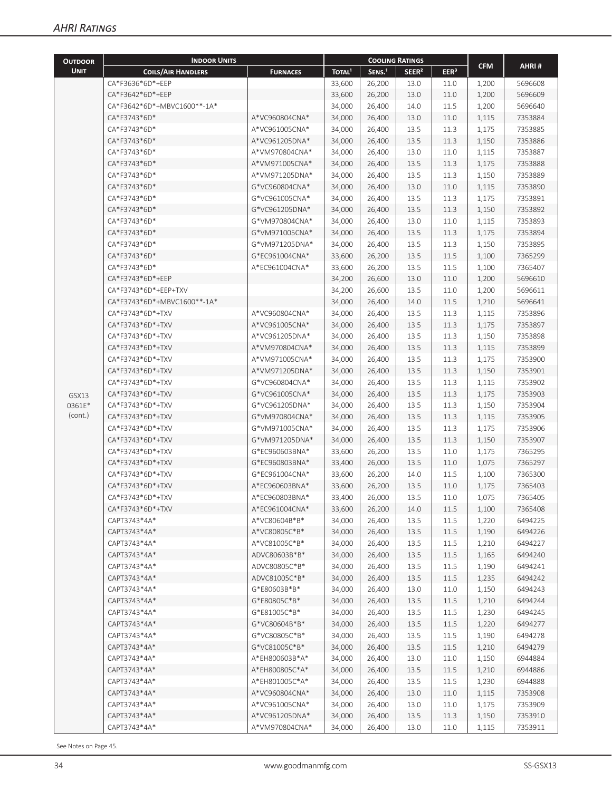| <b>OUTDOOR</b>  | <b>INDOOR UNITS</b>         |                 |                    | <b>COOLING RATINGS</b> |                   |                  |                |                    |
|-----------------|-----------------------------|-----------------|--------------------|------------------------|-------------------|------------------|----------------|--------------------|
| <b>UNIT</b>     | <b>COILS/AIR HANDLERS</b>   | <b>FURNACES</b> | TOTAL <sup>1</sup> | SENS. <sup>1</sup>     | SEER <sup>2</sup> | EER <sup>3</sup> | <b>CFM</b>     | AHRI#              |
|                 | CA*F3636*6D*+EEP            |                 | 33,600             | 26,200                 | 13.0              | 11.0             | 1,200          | 5696608            |
|                 | CA*F3642*6D*+EEP            |                 | 33,600             | 26,200                 | 13.0              | 11.0             | 1,200          | 5696609            |
|                 | CA*F3642*6D*+MBVC1600**-1A* |                 | 34,000             | 26,400                 | 14.0              | 11.5             | 1,200          | 5696640            |
|                 | CA*F3743*6D*                | A*VC960804CNA*  | 34,000             | 26,400                 | 13.0              | 11.0             | 1,115          | 7353884            |
|                 | CA*F3743*6D*                | A*VC961005CNA*  | 34,000             | 26,400                 | 13.5              | 11.3             | 1,175          | 7353885            |
|                 | CA*F3743*6D*                | A*VC961205DNA*  | 34,000             | 26,400                 | 13.5              | 11.3             | 1,150          | 7353886            |
|                 | CA*F3743*6D*                | A*VM970804CNA*  | 34,000             | 26,400                 | 13.0              | 11.0             | 1,115          | 7353887            |
|                 | CA*F3743*6D*                | A*VM971005CNA*  | 34,000             | 26,400                 | 13.5              | 11.3             | 1,175          | 7353888            |
|                 | CA*F3743*6D*                | A*VM971205DNA*  | 34,000             | 26,400                 | 13.5              | 11.3             | 1,150          | 7353889            |
|                 | CA*F3743*6D*                | G*VC960804CNA*  | 34,000             | 26,400                 | 13.0              | 11.0             | 1,115          | 7353890            |
|                 | CA*F3743*6D*                | G*VC961005CNA*  | 34,000             | 26,400                 | 13.5              | 11.3             | 1,175          | 7353891            |
|                 | CA*F3743*6D*                | G*VC961205DNA*  | 34,000             | 26,400                 | 13.5              | 11.3             | 1,150          | 7353892            |
|                 | CA*F3743*6D*                | G*VM970804CNA*  | 34,000             | 26,400                 | 13.0              | 11.0             | 1,115          | 7353893            |
|                 | CA*F3743*6D*                | G*VM971005CNA*  | 34,000             | 26,400                 | 13.5              | 11.3             | 1,175          | 7353894            |
|                 | CA*F3743*6D*                | G*VM971205DNA*  | 34,000             | 26,400                 | 13.5              | 11.3             | 1,150          | 7353895            |
|                 | CA*F3743*6D*                | G*EC961004CNA*  | 33,600             | 26,200                 | 13.5              | 11.5             | 1,100          | 7365299            |
|                 | CA*F3743*6D*                | A*EC961004CNA*  | 33,600             | 26,200                 | 13.5              | 11.5             | 1,100          | 7365407            |
|                 | CA*F3743*6D*+EEP            |                 | 34,200             | 26,600                 | 13.0              | 11.0             | 1,200          | 5696610            |
|                 | CA*F3743*6D*+EEP+TXV        |                 | 34,200             | 26,600                 | 13.5              | 11.0             | 1,200          | 5696611            |
|                 | CA*F3743*6D*+MBVC1600**-1A* |                 | 34,000             | 26,400                 | 14.0              | 11.5             | 1,210          | 5696641            |
|                 | CA*F3743*6D*+TXV            | A*VC960804CNA*  |                    | 26,400                 | 13.5              | 11.3             | 1,115          | 7353896            |
|                 | CA*F3743*6D*+TXV            | A*VC961005CNA*  | 34,000             |                        |                   |                  |                |                    |
|                 | CA*F3743*6D*+TXV            | A*VC961205DNA*  | 34,000             | 26,400                 | 13.5<br>13.5      | 11.3<br>11.3     | 1,175          | 7353897<br>7353898 |
|                 | CA*F3743*6D*+TXV            | A*VM970804CNA*  | 34,000             | 26,400                 |                   |                  | 1,150          | 7353899            |
|                 | CA*F3743*6D*+TXV            | A*VM971005CNA*  | 34,000             | 26,400                 | 13.5              | 11.3             | 1,115          |                    |
|                 | CA*F3743*6D*+TXV            | A*VM971205DNA*  | 34,000<br>34,000   | 26,400                 | 13.5<br>13.5      | 11.3<br>11.3     | 1,175          | 7353900<br>7353901 |
|                 | CA*F3743*6D*+TXV            | G*VC960804CNA*  |                    | 26,400                 | 13.5              | 11.3             | 1,150          | 7353902            |
|                 | CA*F3743*6D*+TXV            | G*VC961005CNA*  | 34,000             | 26,400<br>26,400       | 13.5              | 11.3             | 1,115          | 7353903            |
| GSX13<br>0361E* | CA*F3743*6D*+TXV            | G*VC961205DNA*  | 34,000<br>34,000   | 26,400                 | 13.5              | 11.3             | 1,175<br>1,150 | 7353904            |
| (cont.)         | CA*F3743*6D*+TXV            | G*VM970804CNA*  | 34,000             | 26,400                 | 13.5              | 11.3             | 1,115          | 7353905            |
|                 | CA*F3743*6D*+TXV            | G*VM971005CNA*  | 34,000             | 26,400                 | 13.5              | 11.3             | 1,175          | 7353906            |
|                 | CA*F3743*6D*+TXV            | G*VM971205DNA*  | 34,000             | 26,400                 | 13.5              | 11.3             | 1,150          | 7353907            |
|                 | CA*F3743*6D*+TXV            | G*EC960603BNA*  | 33,600             | 26,200                 | 13.5              | 11.0             | 1,175          | 7365295            |
|                 | CA*F3743*6D*+TXV            | G*EC960803BNA*  | 33,400             | 26,000                 | 13.5              | 11.0             | 1,075          | 7365297            |
|                 | CA*F3743*6D*+TXV            | G*EC961004CNA*  | 33,600             | 26,200                 | 14.0              | 11.5             | 1,100          | 7365300            |
|                 | CA*F3743*6D*+TXV            | A*EC960603BNA*  | 33,600             | 26,200                 | 13.5              | 11.0             | 1,175          | 7365403            |
|                 | CA*F3743*6D*+TXV            | A*EC960803BNA*  | 33,400             | 26,000                 | 13.5              | 11.0             | 1,075          | 7365405            |
|                 | CA*F3743*6D*+TXV            | A*EC961004CNA*  | 33,600             | 26,200                 | 14.0              | 11.5             | 1,100          | 7365408            |
|                 | CAPT3743*4A*                | A*VC80604B*B*   | 34,000             | 26,400                 | 13.5              | 11.5             | 1,220          | 6494225            |
|                 | CAPT3743*4A*                | A*VC80805C*B*   | 34,000             | 26,400                 | 13.5              | 11.5             | 1,190          | 6494226            |
|                 | CAPT3743*4A*                | A*VC81005C*B*   | 34,000             | 26,400                 | 13.5              | 11.5             | 1,210          | 6494227            |
|                 | CAPT3743*4A*                | ADVC80603B*B*   | 34,000             | 26,400                 | 13.5              | 11.5             | 1,165          | 6494240            |
|                 | CAPT3743*4A*                | ADVC80805C*B*   | 34,000             | 26,400                 | 13.5              | 11.5             | 1,190          | 6494241            |
|                 | CAPT3743*4A*                | ADVC81005C*B*   | 34,000             | 26,400                 | 13.5              | 11.5             | 1,235          | 6494242            |
|                 | CAPT3743*4A*                | G*E80603B*B*    | 34,000             | 26,400                 | 13.0              | 11.0             | 1,150          | 6494243            |
|                 | CAPT3743*4A*                | G*E80805C*B*    | 34,000             | 26,400                 | 13.5              | 11.5             | 1,210          | 6494244            |
|                 | CAPT3743*4A*                | G*E81005C*B*    | 34,000             | 26,400                 | 13.5              | 11.5             | 1,230          | 6494245            |
|                 | CAPT3743*4A*                | G*VC80604B*B*   | 34,000             | 26,400                 | 13.5              | 11.5             | 1,220          | 6494277            |
|                 | CAPT3743*4A*                | G*VC80805C*B*   | 34,000             | 26,400                 | 13.5              | 11.5             | 1,190          | 6494278            |
|                 | CAPT3743*4A*                | G*VC81005C*B*   | 34,000             | 26,400                 | 13.5              | 11.5             | 1,210          | 6494279            |
|                 | CAPT3743*4A*                | A*EH800603B*A*  | 34,000             | 26,400                 | 13.0              | 11.0             | 1,150          | 6944884            |
|                 | CAPT3743*4A*                | A*EH800805C*A*  | 34,000             | 26,400                 | 13.5              | 11.5             | 1,210          | 6944886            |
|                 | CAPT3743*4A*                | A*EH801005C*A*  | 34,000             | 26,400                 | 13.5              | 11.5             | 1,230          | 6944888            |
|                 | CAPT3743*4A*                | A*VC960804CNA*  | 34,000             | 26,400                 | 13.0              | 11.0             | 1,115          | 7353908            |
|                 | CAPT3743*4A*                | A*VC961005CNA*  | 34,000             | 26,400                 | 13.0              | 11.0             | 1,175          | 7353909            |
|                 | CAPT3743*4A*                | A*VC961205DNA*  | 34,000             | 26,400                 | 13.5              | 11.3             | 1,150          | 7353910            |
|                 | CAPT3743*4A*                | A*VM970804CNA*  | 34,000             | 26,400                 | 13.0              | 11.0             | 1,115          | 7353911            |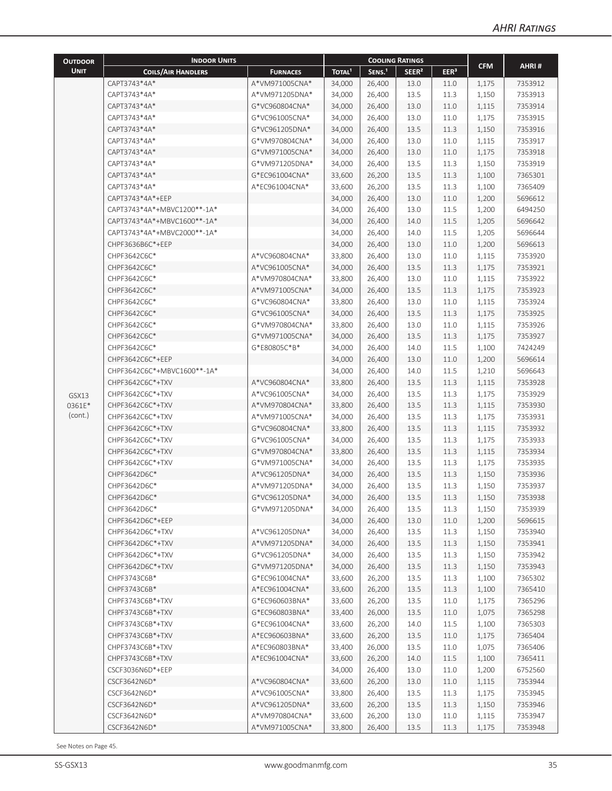|                                              | <b>INDOOR UNITS</b>         |                 |                    | <b>COOLING RATINGS</b> |                   |                  |            |         |
|----------------------------------------------|-----------------------------|-----------------|--------------------|------------------------|-------------------|------------------|------------|---------|
| <b>UNIT</b>                                  | <b>COILS/AIR HANDLERS</b>   | <b>FURNACES</b> | TOTAL <sup>1</sup> | SENS. <sup>1</sup>     | SEER <sup>2</sup> | EER <sup>3</sup> | <b>CFM</b> | AHRI#   |
|                                              | CAPT3743*4A*                | A*VM971005CNA*  | 34,000             | 26,400                 | 13.0              | 11.0             | 1,175      | 7353912 |
| <b>OUTDOOR</b><br>GSX13<br>0361E*<br>(cont.) | CAPT3743*4A*                | A*VM971205DNA*  | 34,000             | 26,400                 | 13.5              | 11.3             | 1,150      | 7353913 |
|                                              | CAPT3743*4A*                | G*VC960804CNA*  | 34,000             | 26,400                 | 13.0              | 11.0             | 1,115      | 7353914 |
|                                              | CAPT3743*4A*                | G*VC961005CNA*  | 34,000             | 26,400                 | 13.0              | 11.0             | 1,175      | 7353915 |
|                                              | CAPT3743*4A*                | G*VC961205DNA*  | 34,000             | 26,400                 | 13.5              | 11.3             | 1,150      | 7353916 |
|                                              | CAPT3743*4A*                | G*VM970804CNA*  | 34,000             | 26,400                 | 13.0              | 11.0             | 1,115      | 7353917 |
|                                              | CAPT3743*4A*                | G*VM971005CNA*  | 34,000             | 26,400                 | 13.0              | 11.0             | 1,175      | 7353918 |
|                                              | CAPT3743*4A*                | G*VM971205DNA*  | 34,000             | 26,400                 | 13.5              | 11.3             | 1,150      | 7353919 |
|                                              | CAPT3743*4A*                | G*EC961004CNA*  | 33,600             | 26,200                 | 13.5              | 11.3             | 1,100      | 7365301 |
|                                              | CAPT3743*4A*                | A*EC961004CNA*  | 33,600             | 26,200                 | 13.5              | 11.3             | 1,100      | 7365409 |
|                                              | CAPT3743*4A*+EEP            |                 | 34,000             | 26,400                 | 13.0              | 11.0             | 1,200      | 5696612 |
|                                              | CAPT3743*4A*+MBVC1200**-1A* |                 | 34,000             | 26,400                 | 13.0              | 11.5             | 1,200      | 6494250 |
|                                              | CAPT3743*4A*+MBVC1600**-1A* |                 | 34,000             | 26,400                 | 14.0              | 11.5             | 1,205      | 5696642 |
|                                              | CAPT3743*4A*+MBVC2000**-1A* |                 | 34,000             | 26,400                 | 14.0              | 11.5             | 1,205      | 5696644 |
|                                              | CHPF3636B6C*+EEP            |                 | 34,000             | 26,400                 | 13.0              | 11.0             | 1,200      | 5696613 |
|                                              | CHPF3642C6C*                | A*VC960804CNA*  | 33,800             | 26,400                 | 13.0              | 11.0             | 1,115      | 7353920 |
|                                              | CHPF3642C6C*                | A*VC961005CNA*  | 34,000             | 26,400                 | 13.5              | 11.3             | 1,175      | 7353921 |
|                                              | CHPF3642C6C*                | A*VM970804CNA*  | 33,800             | 26,400                 | 13.0              | 11.0             | 1,115      | 7353922 |
|                                              | CHPF3642C6C*                | A*VM971005CNA*  | 34,000             | 26,400                 | 13.5              | 11.3             | 1,175      | 7353923 |
|                                              | CHPF3642C6C*                | G*VC960804CNA*  | 33,800             | 26,400                 | 13.0              | 11.0             | 1,115      | 7353924 |
|                                              | CHPF3642C6C*                | G*VC961005CNA*  | 34,000             | 26,400                 | 13.5              | 11.3             | 1,175      | 7353925 |
|                                              | CHPF3642C6C*                | G*VM970804CNA*  | 33,800             | 26,400                 | 13.0              | 11.0             | 1,115      | 7353926 |
|                                              | CHPF3642C6C*                | G*VM971005CNA*  | 34,000             | 26,400                 | 13.5              | 11.3             | 1,175      | 7353927 |
|                                              | CHPF3642C6C*                | G*E80805C*B*    | 34,000             | 26,400                 | 14.0              | 11.5             | 1,100      | 7424249 |
|                                              | CHPF3642C6C*+EEP            |                 | 34,000             | 26,400                 | 13.0              | 11.0             | 1,200      | 5696614 |
|                                              | CHPF3642C6C*+MBVC1600**-1A* |                 | 34,000             | 26,400                 | 14.0              | 11.5             | 1,210      | 5696643 |
|                                              | CHPF3642C6C*+TXV            | A*VC960804CNA*  | 33,800             | 26,400                 | 13.5              | 11.3             | 1,115      | 7353928 |
|                                              | CHPF3642C6C*+TXV            | A*VC961005CNA*  | 34,000             | 26,400                 | 13.5              | 11.3             | 1,175      | 7353929 |
|                                              | CHPF3642C6C*+TXV            | A*VM970804CNA*  | 33,800             | 26,400                 | 13.5              | 11.3             | 1,115      | 7353930 |
|                                              | CHPF3642C6C*+TXV            | A*VM971005CNA*  | 34,000             | 26,400                 | 13.5              | 11.3             | 1,175      | 7353931 |
|                                              | CHPF3642C6C*+TXV            | G*VC960804CNA*  | 33,800             | 26,400                 | 13.5              | 11.3             | 1,115      | 7353932 |
|                                              | CHPF3642C6C*+TXV            | G*VC961005CNA*  | 34,000             | 26,400                 | 13.5              | 11.3             | 1,175      | 7353933 |
|                                              | CHPF3642C6C*+TXV            | G*VM970804CNA*  | 33,800             | 26,400                 | 13.5              | 11.3             | 1,115      | 7353934 |
|                                              | CHPF3642C6C*+TXV            | G*VM971005CNA*  | 34,000             | 26,400                 | 13.5              | 11.3             | 1,175      | 7353935 |
|                                              | CHPF3642D6C*                | A*VC961205DNA*  | 34,000             | 26,400                 | 13.5              | 11.3             | 1,150      | 7353936 |
|                                              | CHPF3642D6C*                | A*VM971205DNA*  | 34,000             | 26,400                 | 13.5              | 11.3             | 1,150      | 7353937 |
|                                              | CHPF3642D6C*                | G*VC961205DNA*  | 34,000             | 26,400                 | 13.5              | 11.3             | 1,150      | 7353938 |
|                                              | CHPF3642D6C*                | G*VM971205DNA*  | 34,000             | 26,400                 | 13.5              | 11.3             | 1,150      | 7353939 |
|                                              | CHPF3642D6C*+EEP            |                 | 34,000             | 26,400                 | 13.0              | 11.0             | 1,200      | 5696615 |
|                                              | CHPF3642D6C*+TXV            | A*VC961205DNA*  | 34,000             | 26,400                 | 13.5              | 11.3             | 1,150      | 7353940 |
|                                              | CHPF3642D6C*+TXV            | A*VM971205DNA*  | 34,000             | 26,400                 | 13.5              | 11.3             | 1,150      | 7353941 |
|                                              | CHPF3642D6C*+TXV            | G*VC961205DNA*  | 34,000             | 26,400                 | 13.5              | 11.3             | 1,150      | 7353942 |
|                                              | CHPF3642D6C*+TXV            | G*VM971205DNA*  | 34,000             | 26,400                 | 13.5              | 11.3             | 1,150      | 7353943 |
|                                              | CHPF3743C6B*                | G*EC961004CNA*  | 33,600             | 26,200                 | 13.5              | 11.3             | 1,100      | 7365302 |
|                                              | CHPF3743C6B*                | A*EC961004CNA*  | 33,600             | 26,200                 | 13.5              | 11.3             | 1,100      | 7365410 |
|                                              | CHPF3743C6B*+TXV            | G*EC960603BNA*  | 33,600             | 26,200                 | 13.5              | 11.0             | 1,175      | 7365296 |
|                                              | CHPF3743C6B*+TXV            | G*EC960803BNA*  | 33,400             | 26,000                 | 13.5              | 11.0             | 1,075      | 7365298 |
|                                              | CHPF3743C6B*+TXV            | G*EC961004CNA*  | 33,600             | 26,200                 | 14.0              | 11.5             | 1,100      | 7365303 |
|                                              | CHPF3743C6B*+TXV            | A*EC960603BNA*  | 33,600             | 26,200                 | 13.5              | 11.0             | 1,175      | 7365404 |
|                                              | CHPF3743C6B*+TXV            | A*EC960803BNA*  | 33,400             | 26,000                 | 13.5              | 11.0             | 1,075      | 7365406 |
|                                              | CHPF3743C6B*+TXV            | A*EC961004CNA*  | 33,600             | 26,200                 | 14.0              | 11.5             | 1,100      | 7365411 |
|                                              | CSCF3036N6D*+EEP            |                 | 34,000             | 26,400                 | 13.0              | 11.0             | 1,200      | 6752560 |
|                                              | CSCF3642N6D*                | A*VC960804CNA*  | 33,600             | 26,200                 | 13.0              | 11.0             | 1,115      | 7353944 |
|                                              | CSCF3642N6D*                | A*VC961005CNA*  | 33,800             | 26,400                 | 13.5              | 11.3             | 1,175      | 7353945 |
|                                              | CSCF3642N6D*                | A*VC961205DNA*  | 33,600             | 26,200                 | 13.5              | 11.3             | 1,150      | 7353946 |
|                                              | CSCF3642N6D*                | A*VM970804CNA*  | 33,600             | 26,200                 | 13.0              | 11.0             | 1,115      | 7353947 |
|                                              | CSCF3642N6D*                | A*VM971005CNA*  | 33,800             | 26,400                 | 13.5              | 11.3             | 1,175      | 7353948 |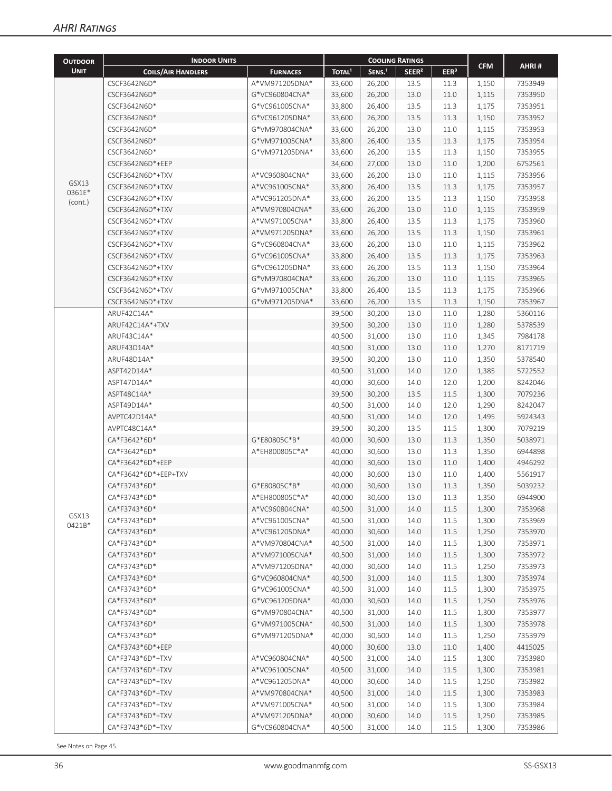| <b>OUTDOOR</b> | <b>INDOOR UNITS</b>       |                 | <b>COOLING RATINGS</b> |                    |                   |                  |            |         |
|----------------|---------------------------|-----------------|------------------------|--------------------|-------------------|------------------|------------|---------|
| <b>UNIT</b>    | <b>COILS/AIR HANDLERS</b> | <b>FURNACES</b> | TOTAL <sup>1</sup>     | SENS. <sup>1</sup> | SEER <sup>2</sup> | EER <sup>3</sup> | <b>CFM</b> | AHRI#   |
|                | CSCF3642N6D*              | A*VM971205DNA*  | 33,600                 | 26,200             | 13.5              | 11.3             | 1,150      | 7353949 |
|                | CSCF3642N6D*              | G*VC960804CNA*  | 33,600                 | 26,200             | 13.0              | 11.0             | 1,115      | 7353950 |
|                | CSCF3642N6D*              | G*VC961005CNA*  | 33,800                 | 26,400             | 13.5              | 11.3             | 1,175      | 7353951 |
|                | CSCF3642N6D*              | G*VC961205DNA*  | 33,600                 | 26,200             | 13.5              | 11.3             | 1,150      | 7353952 |
|                | CSCF3642N6D*              | G*VM970804CNA*  | 33,600                 | 26,200             | 13.0              | 11.0             | 1,115      | 7353953 |
|                | CSCF3642N6D*              | G*VM971005CNA*  | 33,800                 | 26,400             | 13.5              | 11.3             | 1,175      | 7353954 |
|                | CSCF3642N6D*              | G*VM971205DNA*  | 33,600                 | 26,200             | 13.5              | 11.3             | 1,150      | 7353955 |
|                | CSCF3642N6D*+EEP          |                 | 34,600                 | 27,000             | 13.0              | 11.0             | 1,200      | 6752561 |
|                | CSCF3642N6D*+TXV          | A*VC960804CNA*  | 33,600                 | 26,200             | 13.0              | 11.0             | 1,115      | 7353956 |
| GSX13          | CSCF3642N6D*+TXV          | A*VC961005CNA*  | 33,800                 | 26,400             | 13.5              | 11.3             | 1,175      | 7353957 |
| 0361E*         | CSCF3642N6D*+TXV          | A*VC961205DNA*  | 33,600                 | 26,200             | 13.5              | 11.3             | 1,150      | 7353958 |
| (cont.)        | CSCF3642N6D*+TXV          | A*VM970804CNA*  | 33,600                 | 26,200             | 13.0              | 11.0             | 1,115      | 7353959 |
|                | CSCF3642N6D*+TXV          | A*VM971005CNA*  | 33,800                 | 26,400             | 13.5              | 11.3             | 1,175      | 7353960 |
|                | CSCF3642N6D*+TXV          | A*VM971205DNA*  | 33,600                 | 26,200             | 13.5              | 11.3             | 1,150      | 7353961 |
|                | CSCF3642N6D*+TXV          | G*VC960804CNA*  | 33,600                 | 26,200             | 13.0              | 11.0             | 1,115      | 7353962 |
|                | CSCF3642N6D*+TXV          | G*VC961005CNA*  | 33,800                 | 26,400             | 13.5              | 11.3             | 1,175      | 7353963 |
|                | CSCF3642N6D*+TXV          | G*VC961205DNA*  | 33,600                 | 26,200             | 13.5              | 11.3             | 1,150      | 7353964 |
|                | CSCF3642N6D*+TXV          | G*VM970804CNA*  | 33,600                 | 26,200             | 13.0              | 11.0             | 1,115      | 7353965 |
|                | CSCF3642N6D*+TXV          | G*VM971005CNA*  | 33,800                 | 26,400             | 13.5              | 11.3             | 1,175      | 7353966 |
|                | CSCF3642N6D*+TXV          | G*VM971205DNA*  | 33,600                 | 26,200             | 13.5              | 11.3             | 1,150      | 7353967 |
|                | ARUF42C14A*               |                 | 39,500                 | 30,200             | 13.0              | 11.0             | 1,280      | 5360116 |
|                | ARUF42C14A*+TXV           |                 | 39,500                 | 30,200             | 13.0              | 11.0             | 1,280      | 5378539 |
|                | ARUF43C14A*               |                 | 40,500                 | 31,000             | 13.0              | 11.0             | 1,345      | 7984178 |
|                | ARUF43D14A*               |                 | 40,500                 | 31,000             | 13.0              | 11.0             | 1,270      | 8171719 |
|                | ARUF48D14A*               |                 | 39,500                 | 30,200             | 13.0              | 11.0             | 1,350      | 5378540 |
|                | ASPT42D14A*               |                 | 40,500                 | 31,000             | 14.0              | 12.0             | 1,385      | 5722552 |
|                | ASPT47D14A*               |                 | 40,000                 | 30,600             | 14.0              | 12.0             | 1,200      | 8242046 |
|                | ASPT48C14A*               |                 | 39,500                 | 30,200             | 13.5              | 11.5             | 1,300      | 7079236 |
|                | ASPT49D14A*               |                 | 40,500                 | 31,000             | 14.0              | 12.0             | 1,290      | 8242047 |
|                | AVPTC42D14A*              |                 | 40,500                 | 31,000             | 14.0              | 12.0             | 1,495      | 5924343 |
|                | AVPTC48C14A*              |                 | 39,500                 | 30,200             | 13.5              | 11.5             | 1,300      | 7079219 |
|                | CA*F3642*6D*              | G*E80805C*B*    | 40,000                 | 30,600             | 13.0              | 11.3             | 1,350      | 5038971 |
|                | CA*F3642*6D*              | A*EH800805C*A*  | 40,000                 | 30,600             | 13.0              | 11.3             | 1,350      | 6944898 |
|                | CA*F3642*6D*+EEP          |                 | 40,000                 | 30,600             | 13.0              | 11.0             | 1,400      | 4946292 |
|                | CA*F3642*6D*+EEP+TXV      |                 | 40,000                 | 30,600             | 13.0              | 11.0             | 1,400      | 5561917 |
|                | CA*F3743*6D*              | G*E80805C*B*    | 40,000                 | 30,600             | 13.0              | 11.3             | 1,350      | 5039232 |
|                | CA*F3743*6D*              | A*EH800805C*A*  | 40,000                 | 30,600             | 13.0              | 11.3             | 1,350      | 6944900 |
|                | CA*F3743*6D*              | A*VC960804CNA*  | 40,500                 | 31,000             | 14.0              | 11.5             | 1,300      | 7353968 |
| GSX13          | CA*F3743*6D*              | A*VC961005CNA*  | 40,500                 | 31,000             | 14.0              | 11.5             | 1,300      | 7353969 |
| 0421B*         | CA*F3743*6D*              | A*VC961205DNA*  | 40,000                 | 30,600             | 14.0              | 11.5             | 1,250      | 7353970 |
|                | CA*F3743*6D*              | A*VM970804CNA*  | 40,500                 | 31,000             | 14.0              | 11.5             | 1,300      | 7353971 |
|                | CA*F3743*6D*              | A*VM971005CNA*  | 40,500                 | 31,000             | 14.0              | 11.5             | 1,300      | 7353972 |
|                | CA*F3743*6D*              | A*VM971205DNA*  | 40,000                 | 30,600             | 14.0              | 11.5             | 1,250      | 7353973 |
|                | CA*F3743*6D*              | G*VC960804CNA*  | 40,500                 | 31,000             | 14.0              | 11.5             | 1,300      | 7353974 |
|                | CA*F3743*6D*              | G*VC961005CNA*  | 40,500                 | 31,000             | 14.0              | 11.5             | 1,300      | 7353975 |
|                | CA*F3743*6D*              | G*VC961205DNA*  | 40,000                 | 30,600             | 14.0              | 11.5             |            | 7353976 |
|                | CA*F3743*6D*              | G*VM970804CNA*  |                        |                    |                   |                  | 1,250      |         |
|                | CA*F3743*6D*              | G*VM971005CNA*  | 40,500<br>40,500       | 31,000             | 14.0              | 11.5             | 1,300      | 7353977 |
|                |                           |                 |                        | 31,000             | 14.0              | 11.5             | 1,300      | 7353978 |
|                | CA*F3743*6D*              | G*VM971205DNA*  | 40,000                 | 30,600             | 14.0              | 11.5             | 1,250      | 7353979 |
|                | CA*F3743*6D*+EEP          |                 | 40,000                 | 30,600             | 13.0              | 11.0             | 1,400      | 4415025 |
|                | CA*F3743*6D*+TXV          | A*VC960804CNA*  | 40,500                 | 31,000             | 14.0              | 11.5             | 1,300      | 7353980 |
|                | CA*F3743*6D*+TXV          | A*VC961005CNA*  | 40,500                 | 31,000             | 14.0              | 11.5             | 1,300      | 7353981 |
|                | CA*F3743*6D*+TXV          | A*VC961205DNA*  | 40,000                 | 30,600             | 14.0              | 11.5             | 1,250      | 7353982 |
|                | CA*F3743*6D*+TXV          | A*VM970804CNA*  | 40,500                 | 31,000             | 14.0              | 11.5             | 1,300      | 7353983 |
|                | CA*F3743*6D*+TXV          | A*VM971005CNA*  | 40,500                 | 31,000             | 14.0              | 11.5             | 1,300      | 7353984 |
|                | CA*F3743*6D*+TXV          | A*VM971205DNA*  | 40,000                 | 30,600             | 14.0              | 11.5             | 1,250      | 7353985 |
|                | CA*F3743*6D*+TXV          | G*VC960804CNA*  | 40,500                 | 31,000             | 14.0              | 11.5             | 1,300      | 7353986 |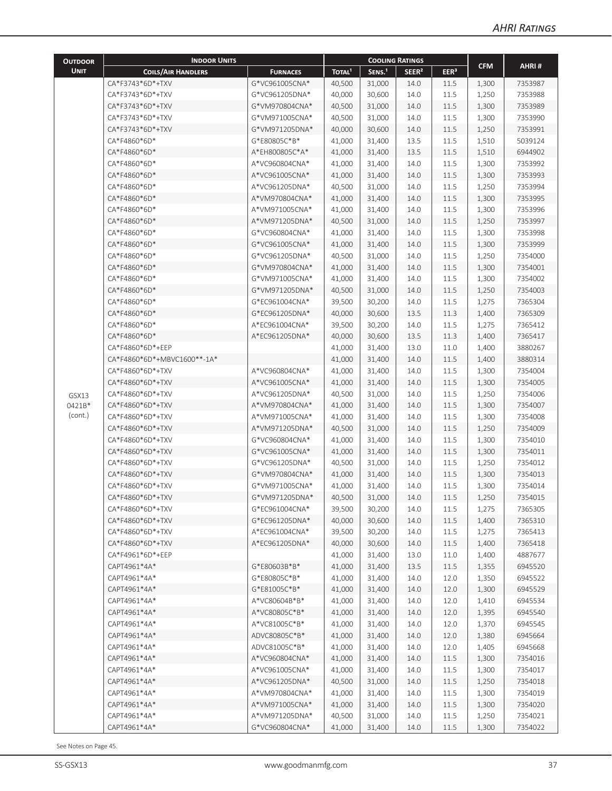| <b>OUTDOOR</b> | <b>INDOOR UNITS</b>         |                 | <b>COOLING RATINGS</b> |                    |                   |                  |            |         |
|----------------|-----------------------------|-----------------|------------------------|--------------------|-------------------|------------------|------------|---------|
| <b>UNIT</b>    | <b>COILS/AIR HANDLERS</b>   | <b>FURNACES</b> | TOTAL <sup>1</sup>     | SENS. <sup>1</sup> | SEER <sup>2</sup> | EER <sup>3</sup> | <b>CFM</b> | AHRI#   |
|                | CA*F3743*6D*+TXV            | G*VC961005CNA*  | 40,500                 | 31,000             | 14.0              | 11.5             | 1,300      | 7353987 |
|                | CA*F3743*6D*+TXV            | G*VC961205DNA*  | 40,000                 | 30,600             | 14.0              | 11.5             | 1,250      | 7353988 |
|                | CA*F3743*6D*+TXV            | G*VM970804CNA*  | 40,500                 | 31,000             | 14.0              | 11.5             | 1,300      | 7353989 |
|                | CA*F3743*6D*+TXV            | G*VM971005CNA*  | 40,500                 | 31,000             | 14.0              | 11.5             | 1,300      | 7353990 |
|                | CA*F3743*6D*+TXV            | G*VM971205DNA*  | 40,000                 | 30,600             | 14.0              | 11.5             | 1,250      | 7353991 |
|                | CA*F4860*6D*                | G*E80805C*B*    | 41,000                 | 31,400             | 13.5              | 11.5             | 1,510      | 5039124 |
|                | CA*F4860*6D*                | A*EH800805C*A*  | 41,000                 | 31,400             | 13.5              | 11.5             | 1,510      | 6944902 |
|                | CA*F4860*6D*                | A*VC960804CNA*  | 41,000                 | 31,400             | 14.0              | 11.5             | 1,300      | 7353992 |
|                | CA*F4860*6D*                | A*VC961005CNA*  | 41,000                 | 31,400             | 14.0              | 11.5             | 1,300      | 7353993 |
|                | CA*F4860*6D*                | A*VC961205DNA*  | 40,500                 | 31,000             | 14.0              | 11.5             | 1,250      | 7353994 |
|                | CA*F4860*6D*                | A*VM970804CNA*  | 41,000                 | 31,400             | 14.0              | 11.5             | 1,300      | 7353995 |
|                | CA*F4860*6D*                | A*VM971005CNA*  | 41,000                 | 31,400             | 14.0              | 11.5             | 1,300      | 7353996 |
|                | CA*F4860*6D*                | A*VM971205DNA*  | 40,500                 | 31,000             | 14.0              | 11.5             | 1,250      | 7353997 |
|                | CA*F4860*6D*                | G*VC960804CNA*  | 41,000                 | 31,400             | 14.0              | 11.5             | 1,300      | 7353998 |
|                | CA*F4860*6D*                | G*VC961005CNA*  | 41,000                 | 31,400             | 14.0              | 11.5             | 1,300      | 7353999 |
|                | CA*F4860*6D*                | G*VC961205DNA*  | 40,500                 | 31,000             | 14.0              | 11.5             | 1,250      | 7354000 |
|                | CA*F4860*6D*                | G*VM970804CNA*  | 41,000                 | 31,400             | 14.0              | 11.5             | 1,300      | 7354001 |
|                | CA*F4860*6D*                | G*VM971005CNA*  | 41,000                 | 31,400             | 14.0              | 11.5             | 1,300      | 7354002 |
|                | CA*F4860*6D*                | G*VM971205DNA*  | 40,500                 | 31,000             | 14.0              | 11.5             | 1,250      | 7354003 |
|                | CA*F4860*6D*                | G*EC961004CNA*  | 39,500                 | 30,200             | 14.0              | 11.5             | 1,275      | 7365304 |
|                | CA*F4860*6D*                | G*EC961205DNA*  | 40,000                 | 30,600             | 13.5              | 11.3             | 1,400      | 7365309 |
|                | CA*F4860*6D*                | A*EC961004CNA*  | 39,500                 | 30,200             | 14.0              | 11.5             | 1,275      | 7365412 |
|                | CA*F4860*6D*                | A*EC961205DNA*  | 40,000                 | 30,600             | 13.5              | 11.3             | 1,400      | 7365417 |
|                | CA*F4860*6D*+EEP            |                 | 41,000                 | 31,400             | 13.0              | 11.0             | 1,400      | 3880267 |
|                | CA*F4860*6D*+MBVC1600**-1A* |                 | 41,000                 | 31,400             | 14.0              | 11.5             | 1,400      | 3880314 |
|                | CA*F4860*6D*+TXV            | A*VC960804CNA*  | 41,000                 | 31,400             | 14.0              | 11.5             | 1,300      | 7354004 |
|                | CA*F4860*6D*+TXV            | A*VC961005CNA*  | 41,000                 | 31,400             | 14.0              | 11.5             | 1,300      | 7354005 |
| GSX13          | CA*F4860*6D*+TXV            | A*VC961205DNA*  | 40,500                 | 31,000             | 14.0              | 11.5             | 1,250      | 7354006 |
| 0421B*         | CA*F4860*6D*+TXV            | A*VM970804CNA*  | 41,000                 | 31,400             | 14.0              | 11.5             | 1,300      | 7354007 |
| (cont.)        | CA*F4860*6D*+TXV            | A*VM971005CNA*  | 41,000                 | 31,400             | 14.0              | 11.5             | 1,300      | 7354008 |
|                | CA*F4860*6D*+TXV            | A*VM971205DNA*  | 40,500                 | 31,000             | 14.0              | 11.5             | 1,250      | 7354009 |
|                | CA*F4860*6D*+TXV            | G*VC960804CNA*  | 41,000                 | 31,400             | 14.0              | 11.5             | 1,300      | 7354010 |
|                | CA*F4860*6D*+TXV            | G*VC961005CNA*  | 41,000                 | 31,400             | 14.0              | 11.5             | 1,300      | 7354011 |
|                | CA*F4860*6D*+TXV            | G*VC961205DNA*  | 40,500                 | 31,000             | 14.0              | 11.5             | 1,250      | 7354012 |
|                | CA*F4860*6D*+TXV            | G*VM970804CNA*  | 41,000                 | 31,400             | 14.0              | 11.5             | 1,300      | 7354013 |
|                | CA*F4860*6D*+TXV            | G*VM971005CNA*  | 41,000                 | 31,400             | 14.0              | 11.5             | 1,300      | 7354014 |
|                | CA*F4860*6D*+TXV            | G*VM971205DNA*  | 40,500                 | 31,000             | 14.0              | 11.5             | 1,250      | 7354015 |
|                | CA*F4860*6D*+TXV            | G*EC961004CNA*  | 39,500                 | 30,200             | 14.0              | 11.5             | 1,275      | 7365305 |
|                | CA*F4860*6D*+TXV            | G*EC961205DNA*  | 40,000                 | 30,600             | 14.0              | 11.5             | 1,400      | 7365310 |
|                | CA*F4860*6D*+TXV            | A*EC961004CNA*  | 39,500                 | 30,200             | 14.0              | 11.5             | 1,275      | 7365413 |
|                | CA*F4860*6D*+TXV            | A*EC961205DNA*  | 40,000                 | 30,600             | 14.0              | 11.5             | 1,400      | 7365418 |
|                | CA*F4961*6D*+EEP            |                 | 41,000                 | 31,400             | 13.0              | 11.0             | 1,400      | 4887677 |
|                | CAPT4961*4A*                | G*E80603B*B*    | 41,000                 | 31,400             | 13.5              | 11.5             | 1,355      | 6945520 |
|                | CAPT4961*4A*                | G*E80805C*B*    | 41,000                 | 31,400             | 14.0              | 12.0             | 1,350      | 6945522 |
|                | CAPT4961*4A*                | G*E81005C*B*    | 41,000                 | 31,400             | 14.0              | 12.0             | 1,300      | 6945529 |
|                | CAPT4961*4A*                | A*VC80604B*B*   | 41,000                 | 31,400             | 14.0              | 12.0             | 1,410      | 6945534 |
|                | CAPT4961*4A*                | A*VC80805C*B*   | 41,000                 | 31,400             | 14.0              | 12.0             | 1,395      | 6945540 |
|                | CAPT4961*4A*                | A*VC81005C*B*   | 41,000                 | 31,400             | 14.0              | 12.0             | 1,370      | 6945545 |
|                | CAPT4961*4A*                | ADVC80805C*B*   | 41,000                 | 31,400             | 14.0              | 12.0             | 1,380      | 6945664 |
|                | CAPT4961*4A*                | ADVC81005C*B*   | 41,000                 | 31,400             | 14.0              | 12.0             | 1,405      | 6945668 |
|                | CAPT4961*4A*                | A*VC960804CNA*  | 41,000                 | 31,400             | 14.0              | 11.5             | 1,300      | 7354016 |
|                | CAPT4961*4A*                | A*VC961005CNA*  | 41,000                 | 31,400             | 14.0              | 11.5             | 1,300      | 7354017 |
|                | CAPT4961*4A*                | A*VC961205DNA*  | 40,500                 | 31,000             | 14.0              | 11.5             | 1,250      | 7354018 |
|                | CAPT4961*4A*                | A*VM970804CNA*  | 41,000                 | 31,400             | 14.0              | 11.5             | 1,300      | 7354019 |
|                | CAPT4961*4A*                | A*VM971005CNA*  | 41,000                 | 31,400             | 14.0              | 11.5             | 1,300      | 7354020 |
|                | CAPT4961*4A*                | A*VM971205DNA*  | 40,500                 | 31,000             | 14.0              | 11.5             | 1,250      | 7354021 |
|                | CAPT4961*4A*                | G*VC960804CNA*  | 41,000                 | 31,400             | 14.0              | 11.5             | 1,300      | 7354022 |
|                |                             |                 |                        |                    |                   |                  |            |         |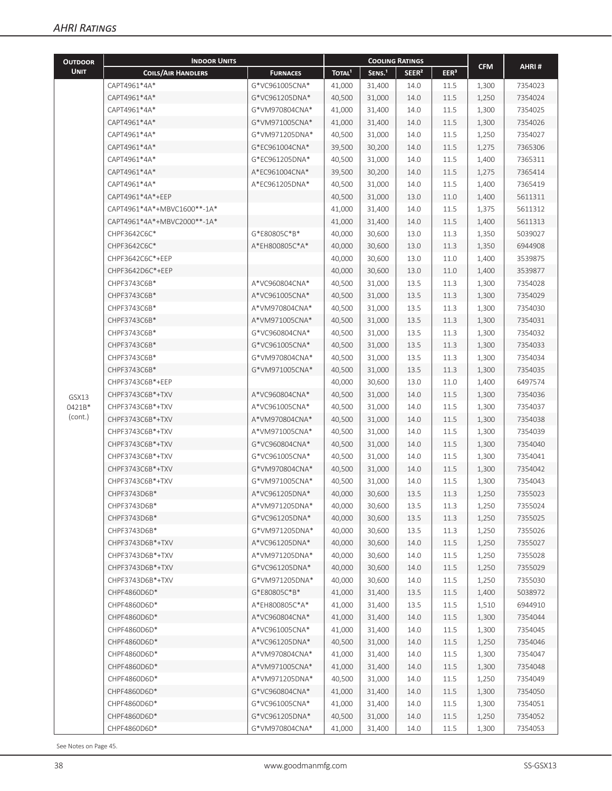| <b>OUTDOOR</b>    | <b>INDOOR UNITS</b>         |                 |                                                                                          | <b>COOLING RATINGS</b> |                   |                                                                  |                                                                                                                                                       |         |
|-------------------|-----------------------------|-----------------|------------------------------------------------------------------------------------------|------------------------|-------------------|------------------------------------------------------------------|-------------------------------------------------------------------------------------------------------------------------------------------------------|---------|
| <b>UNIT</b>       | <b>COILS/AIR HANDLERS</b>   | <b>FURNACES</b> | TOTAL <sup>1</sup>                                                                       | SENS. <sup>1</sup>     | SEER <sup>2</sup> | EER <sup>3</sup>                                                 | <b>CFM</b>                                                                                                                                            | AHRI#   |
|                   | CAPT4961*4A*                | G*VC961005CNA*  | 41,000                                                                                   | 31,400                 | 14.0              | 11.5                                                             | 1,300                                                                                                                                                 | 7354023 |
|                   | CAPT4961*4A*                | G*VC961205DNA*  | 40,500                                                                                   | 31,000                 | 14.0              | 11.5<br>1,250<br>11.5<br>1,300<br>11.5<br>1,300<br>11.5<br>1,250 | 7354024                                                                                                                                               |         |
|                   | CAPT4961*4A*                | G*VM970804CNA*  | 41,000                                                                                   | 31,400                 | 14.0              |                                                                  |                                                                                                                                                       | 7354025 |
|                   | CAPT4961*4A*                | G*VM971005CNA*  | 41,000                                                                                   | 31,400                 | 14.0              |                                                                  |                                                                                                                                                       | 7354026 |
|                   | CAPT4961*4A*                | G*VM971205DNA*  | 40,500                                                                                   | 31,000                 | 14.0              |                                                                  |                                                                                                                                                       | 7354027 |
|                   | CAPT4961*4A*                | G*EC961004CNA*  | 39,500                                                                                   | 30,200                 | 14.0              | 11.5                                                             | 1,275                                                                                                                                                 | 7365306 |
|                   | CAPT4961*4A*                | G*EC961205DNA*  | 40,500                                                                                   | 31,000                 | 14.0              | 11.5                                                             | 1,400                                                                                                                                                 | 7365311 |
|                   | CAPT4961*4A*                | A*EC961004CNA*  | 39,500                                                                                   | 30,200                 | 14.0              | 11.5                                                             | 1,275                                                                                                                                                 | 7365414 |
|                   | CAPT4961*4A*                | A*EC961205DNA*  | 40,500                                                                                   | 31,000                 | 14.0              | 11.5                                                             | 1,400                                                                                                                                                 | 7365419 |
|                   | CAPT4961*4A*+EEP            |                 | 40,500                                                                                   | 31,000                 | 13.0              | 11.0                                                             | 1,400                                                                                                                                                 | 5611311 |
|                   | CAPT4961*4A*+MBVC1600**-1A* |                 | 41,000                                                                                   | 31,400                 | 14.0              | 11.5                                                             | 1,375                                                                                                                                                 | 5611312 |
|                   | CAPT4961*4A*+MBVC2000**-1A* |                 | 41,000                                                                                   | 31,400                 | 14.0              | 11.5                                                             | 1,400                                                                                                                                                 | 5611313 |
|                   | CHPF3642C6C*                | G*E80805C*B*    | 40,000                                                                                   | 30,600                 | 13.0              | 11.3                                                             | 1,350                                                                                                                                                 | 5039027 |
|                   | CHPF3642C6C*                | A*EH800805C*A*  | 40,000                                                                                   | 30,600                 | 13.0              | 11.3                                                             | 1,350                                                                                                                                                 | 6944908 |
|                   | CHPF3642C6C*+EEP            |                 | 40,000                                                                                   | 30,600                 | 13.0              | 11.0                                                             | 1,400                                                                                                                                                 | 3539875 |
|                   | CHPF3642D6C*+EEP            |                 | 40,000                                                                                   | 30,600                 | 13.0              | 11.0                                                             | 1,400                                                                                                                                                 | 3539877 |
|                   | CHPF3743C6B*                | A*VC960804CNA*  | 40,500                                                                                   | 31,000                 | 13.5              | 11.3                                                             | 1,300                                                                                                                                                 | 7354028 |
|                   | CHPF3743C6B*                | A*VC961005CNA*  | 40,500                                                                                   | 31,000                 | 13.5              | 11.3                                                             | 1,300                                                                                                                                                 | 7354029 |
|                   | CHPF3743C6B*                | A*VM970804CNA*  | 40,500                                                                                   | 31,000                 | 13.5              |                                                                  |                                                                                                                                                       | 7354030 |
|                   | CHPF3743C6B*                | A*VM971005CNA*  |                                                                                          |                        |                   |                                                                  | 11.3<br>1,300<br>11.3<br>1,300                                                                                                                        |         |
|                   | CHPF3743C6B*                | G*VC960804CNA*  | 40,500<br>13.5<br>31,000<br>40,500<br>31,000<br>13.5<br>40,500<br>13.5<br>31,000<br>11.3 |                        | 11.3              | 1,300                                                            | 7354031<br>7354032                                                                                                                                    |         |
|                   | CHPF3743C6B*                | G*VC961005CNA*  |                                                                                          |                        |                   |                                                                  | 1,300                                                                                                                                                 | 7354033 |
|                   | CHPF3743C6B*                | G*VM970804CNA*  | 40,500                                                                                   | 31,000                 | 13.5              | 11.3                                                             | 1,300                                                                                                                                                 | 7354034 |
|                   | CHPF3743C6B*                | G*VM971005CNA*  | 40,500                                                                                   | 31,000                 | 13.5              | 11.3                                                             | 1,300                                                                                                                                                 | 7354035 |
|                   | CHPF3743C6B*+EEP            |                 | 40,000                                                                                   | 30,600                 | 13.0              |                                                                  |                                                                                                                                                       | 6497574 |
|                   | CHPF3743C6B*+TXV            | A*VC960804CNA*  | 40,500                                                                                   | 31,000                 | 14.0              |                                                                  |                                                                                                                                                       | 7354036 |
| GSX13             | CHPF3743C6B*+TXV            | A*VC961005CNA*  | 40,500                                                                                   | 31,000                 | 14.0              |                                                                  |                                                                                                                                                       | 7354037 |
| 0421B*<br>(cont.) | CHPF3743C6B*+TXV            | A*VM970804CNA*  | 40,500                                                                                   | 31,000                 | 14.0              |                                                                  |                                                                                                                                                       | 7354038 |
|                   | CHPF3743C6B*+TXV            | A*VM971005CNA*  | 40,500                                                                                   | 31,000                 | 14.0              |                                                                  |                                                                                                                                                       | 7354039 |
|                   | CHPF3743C6B*+TXV            | G*VC960804CNA*  | 40,500                                                                                   | 31,000                 | 14.0              |                                                                  |                                                                                                                                                       | 7354040 |
|                   | CHPF3743C6B*+TXV            | G*VC961005CNA*  | 40,500                                                                                   | 31,000                 | 14.0              |                                                                  |                                                                                                                                                       | 7354041 |
|                   | CHPF3743C6B*+TXV            | G*VM970804CNA*  | 40,500                                                                                   | 31,000                 | 14.0              |                                                                  | 11.0<br>1,400<br>11.5<br>1,300<br>11.5<br>1,300<br>11.5<br>1,300<br>11.5<br>1,300<br>11.5<br>1,300<br>11.5<br>1,300<br>11.5<br>1,300<br>11.5<br>1,300 | 7354042 |
|                   | CHPF3743C6B*+TXV            | G*VM971005CNA*  | 40,500                                                                                   | 31,000                 | 14.0              |                                                                  |                                                                                                                                                       | 7354043 |
|                   | CHPF3743D6B*                | A*VC961205DNA*  | 40,000                                                                                   | 30,600                 | 13.5              | 11.3                                                             | 1,250                                                                                                                                                 | 7355023 |
|                   | CHPF3743D6B*                | A*VM971205DNA*  | 40,000                                                                                   | 30,600                 | 13.5              | 11.3                                                             | 1,250                                                                                                                                                 | 7355024 |
|                   | CHPF3743D6B*                | G*VC961205DNA*  | 40,000                                                                                   | 30,600                 | 13.5              | 11.3                                                             | 1,250                                                                                                                                                 | 7355025 |
|                   | CHPF3743D6B*                | G*VM971205DNA*  | 40,000                                                                                   | 30,600                 | 13.5              | 11.3                                                             | 1,250                                                                                                                                                 | 7355026 |
|                   | CHPF3743D6B*+TXV            | A*VC961205DNA*  | 40,000                                                                                   | 30,600                 | 14.0              | 11.5                                                             | 1,250                                                                                                                                                 | 7355027 |
|                   | CHPF3743D6B*+TXV            | A*VM971205DNA*  | 40,000                                                                                   | 30,600                 | 14.0              | 11.5                                                             | 1,250                                                                                                                                                 | 7355028 |
|                   | CHPF3743D6B*+TXV            | G*VC961205DNA*  | 40,000                                                                                   | 30,600                 | 14.0              | 11.5                                                             | 1,250                                                                                                                                                 | 7355029 |
|                   | CHPF3743D6B*+TXV            | G*VM971205DNA*  | 40,000                                                                                   | 30,600                 | 14.0              | 11.5                                                             | 1,250                                                                                                                                                 | 7355030 |
|                   | CHPF4860D6D*                | G*E80805C*B*    | 41,000                                                                                   | 31,400                 | 13.5              | 11.5                                                             | 1,400                                                                                                                                                 | 5038972 |
|                   | CHPF4860D6D*                | A*EH800805C*A*  | 41,000                                                                                   | 31,400                 | 13.5              | 11.5                                                             | 1,510                                                                                                                                                 | 6944910 |
|                   | CHPF4860D6D*                | A*VC960804CNA*  | 41,000                                                                                   | 31,400                 | 14.0              | 11.5                                                             | 1,300                                                                                                                                                 | 7354044 |
|                   | CHPF4860D6D*                | A*VC961005CNA*  | 41,000                                                                                   | 31,400                 | 14.0              | 11.5                                                             | 1,300                                                                                                                                                 | 7354045 |
|                   | CHPF4860D6D*                | A*VC961205DNA*  | 40,500                                                                                   | 31,000                 | 14.0              | 11.5                                                             | 1,250                                                                                                                                                 | 7354046 |
|                   | CHPF4860D6D*                | A*VM970804CNA*  | 41,000                                                                                   | 31,400                 | 14.0              | 11.5                                                             | 1,300                                                                                                                                                 | 7354047 |
|                   | CHPF4860D6D*                | A*VM971005CNA*  | 41,000                                                                                   | 31,400                 | 14.0              | 11.5                                                             | 1,300                                                                                                                                                 | 7354048 |
|                   | CHPF4860D6D*                | A*VM971205DNA*  | 40,500                                                                                   | 31,000                 | 14.0              | 11.5                                                             | 1,250                                                                                                                                                 | 7354049 |
|                   | CHPF4860D6D*                | G*VC960804CNA*  | 41,000                                                                                   | 31,400                 | 14.0              | 11.5                                                             | 1,300                                                                                                                                                 | 7354050 |
|                   | CHPF4860D6D*                | G*VC961005CNA*  | 41,000                                                                                   | 31,400                 | 14.0              | 11.5                                                             | 1,300                                                                                                                                                 | 7354051 |
|                   | CHPF4860D6D*                | G*VC961205DNA*  | 40,500                                                                                   | 31,000                 | 14.0              | 11.5                                                             | 1,250                                                                                                                                                 | 7354052 |
|                   | CHPF4860D6D*                | G*VM970804CNA*  | 41,000                                                                                   | 31,400                 | 14.0              | 11.5                                                             | 1,300                                                                                                                                                 | 7354053 |
|                   |                             |                 |                                                                                          |                        |                   |                                                                  |                                                                                                                                                       |         |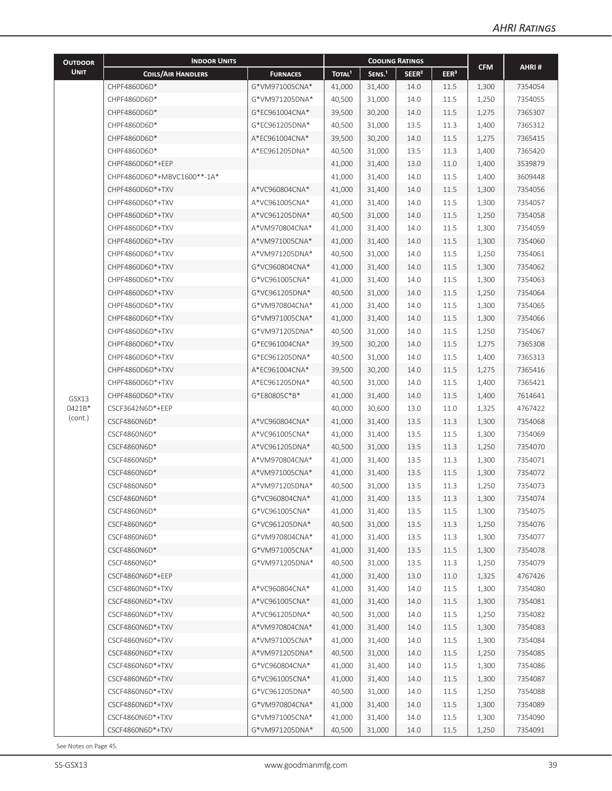| <b>OUTDOOR</b>             | <b>INDOOR UNITS</b>         |                 |                    | <b>COOLING RATINGS</b> |                   |                  |            |                    |
|----------------------------|-----------------------------|-----------------|--------------------|------------------------|-------------------|------------------|------------|--------------------|
| <b>UNIT</b>                | <b>COILS/AIR HANDLERS</b>   | <b>FURNACES</b> | TOTAL <sup>1</sup> | SENS. <sup>1</sup>     | SEER <sup>2</sup> | EER <sup>3</sup> | <b>CFM</b> | AHRI#              |
|                            | CHPF4860D6D*                | G*VM971005CNA*  | 41,000             | 31,400                 | 14.0              | 11.5             | 1,300      | 7354054            |
|                            | CHPF4860D6D*                | G*VM971205DNA*  | 40,500             | 31,000                 | 14.0              | 11.5             | 1,250      | 7354055            |
|                            | CHPF4860D6D*                | G*EC961004CNA*  | 39,500             | 30,200                 | 14.0              | 11.5             | 1,275      | 7365307            |
|                            | CHPF4860D6D*                | G*EC961205DNA*  | 40,500             | 31,000                 | 13.5              | 11.3             | 1,400      | 7365312            |
|                            | CHPF4860D6D*                | A*EC961004CNA*  | 39,500             | 30,200                 | 14.0              | 11.5             | 1,275      | 7365415            |
|                            | CHPF4860D6D*                | A*EC961205DNA*  | 40,500             | 31,000                 | 13.5              | 11.3             | 1,400      | 7365420            |
|                            | CHPF4860D6D*+EEP            |                 | 41,000             | 31,400                 | 13.0              | 11.0             | 1,400      | 3539879            |
|                            | CHPF4860D6D*+MBVC1600**-1A* |                 | 41,000             | 31,400                 | 14.0              | 11.5             | 1,400      | 3609448            |
|                            | CHPF4860D6D*+TXV            | A*VC960804CNA*  | 41,000             | 31,400                 | 14.0              | 11.5             | 1,300      | 7354056            |
|                            | CHPF4860D6D*+TXV            | A*VC961005CNA*  | 41,000             | 31,400                 | 14.0              | 11.5             | 1,300      | 7354057            |
|                            | CHPF4860D6D*+TXV            | A*VC961205DNA*  | 40,500             | 31,000                 | 14.0              | 11.5             | 1,250      | 7354058            |
|                            | CHPF4860D6D*+TXV            | A*VM970804CNA*  | 41,000             | 31,400                 | 14.0              | 11.5             | 1,300      | 7354059            |
|                            | CHPF4860D6D*+TXV            | A*VM971005CNA*  | 41,000             | 31,400                 | 14.0              | 11.5             | 1,300      | 7354060            |
|                            | CHPF4860D6D*+TXV            | A*VM971205DNA*  | 40,500             | 31,000                 | 14.0              | 11.5             | 1,250      | 7354061            |
|                            | CHPF4860D6D*+TXV            | G*VC960804CNA*  | 41,000             | 31,400                 | 14.0              | 11.5             | 1,300      | 7354062            |
|                            | CHPF4860D6D*+TXV            | G*VC961005CNA*  | 41,000             | 31,400                 | 14.0              | 11.5             | 1,300      | 7354063            |
|                            | CHPF4860D6D*+TXV            | G*VC961205DNA*  | 40,500             | 31,000                 | 14.0              | 11.5             | 1,250      | 7354064            |
|                            | CHPF4860D6D*+TXV            | G*VM970804CNA*  | 41,000             | 31,400                 | 14.0              | 11.5             | 1,300      | 7354065            |
|                            | CHPF4860D6D*+TXV            | G*VM971005CNA*  | 41,000             | 31,400                 | 14.0              | 11.5             | 1,300      | 7354066            |
|                            | CHPF4860D6D*+TXV            | G*VM971205DNA*  | 40,500             | 31,000                 | 14.0              | 11.5             | 1,250      | 7354067            |
|                            | CHPF4860D6D*+TXV            | G*EC961004CNA*  | 39,500             | 30,200                 | 14.0              | 11.5             | 1,275      | 7365308            |
|                            | CHPF4860D6D*+TXV            | G*EC961205DNA*  | 40,500             | 31,000                 | 14.0              | 11.5             | 1,400      | 7365313            |
|                            | CHPF4860D6D*+TXV            | A*EC961004CNA*  | 39,500             | 30,200                 | 14.0              | 11.5             | 1,275      | 7365416            |
|                            | CHPF4860D6D*+TXV            | A*EC961205DNA*  | 40,500             | 31,000                 | 14.0              | 11.5             | 1,400      | 7365421            |
|                            | CHPF4860D6D*+TXV            | G*E80805C*B*    | 41,000             | 31,400                 | 14.0              | 11.5             | 1,400      | 7614641            |
| GSX13<br>0421B*<br>(cont.) | CSCF3642N6D*+EEP            |                 | 40,000             | 30,600                 | 13.0              | 11.0             | 1,325      | 4767422            |
|                            | CSCF4860N6D*                | A*VC960804CNA*  | 41,000             | 31,400                 | 13.5              | 11.3             | 1,300      | 7354068            |
|                            | CSCF4860N6D*                | A*VC961005CNA*  | 41,000             | 31,400                 | 13.5              | 11.5             | 1,300      | 7354069            |
|                            | CSCF4860N6D*                | A*VC961205DNA*  | 40,500             | 31,000                 | 13.5              | 11.3             | 1,250      | 7354070            |
|                            | CSCF4860N6D*                | A*VM970804CNA*  | 41,000             | 31,400                 | 13.5              | 11.3             | 1,300      | 7354071            |
|                            | CSCF4860N6D*                | A*VM971005CNA*  | 41,000             | 31,400                 | 13.5              | 11.5             | 1,300      | 7354072            |
|                            | CSCF4860N6D*                | A*VM971205DNA*  | 40,500             | 31,000                 | 13.5              | 11.3             | 1,250      | 7354073            |
|                            | CSCF4860N6D*                | G*VC960804CNA*  | 41,000             | 31,400                 | 13.5              | 11.3             | 1,300      | 7354074            |
|                            | CSCF4860N6D*                | G*VC961005CNA*  | 41,000             | 31,400                 | 13.5              | 11.5             | 1,300      | 7354075            |
|                            | CSCF4860N6D*                | G*VC961205DNA*  | 40,500             | 31,000                 | 13.5              | 11.3             | 1,250      | 7354076            |
|                            | CSCF4860N6D*                | G*VM970804CNA*  | 41,000             | 31,400                 | 13.5              | 11.3             | 1,300      | 7354077            |
|                            | CSCF4860N6D*                | G*VM971005CNA*  | 41,000             | 31,400                 | 13.5              | 11.5             | 1,300      | 7354078            |
|                            | CSCF4860N6D*                | G*VM971205DNA*  | 40,500             | 31,000                 | 13.5              | 11.3             | 1,250      | 7354079            |
|                            | CSCF4860N6D*+EEP            |                 | 41,000             | 31,400                 | 13.0              | 11.0             | 1,325      | 4767426            |
|                            | CSCF4860N6D*+TXV            | A*VC960804CNA*  | 41,000             | 31,400                 | 14.0              | 11.5             | 1,300      | 7354080            |
|                            | CSCF4860N6D*+TXV            | A*VC961005CNA*  | 41,000             | 31,400                 | 14.0              | 11.5             |            | 7354081            |
|                            | CSCF4860N6D*+TXV            | A*VC961205DNA*  |                    |                        |                   |                  | 1,300      |                    |
|                            | CSCF4860N6D*+TXV            | A*VM970804CNA*  | 40,500             | 31,000                 | 14.0              | 11.5             | 1,250      | 7354082<br>7354083 |
|                            | CSCF4860N6D*+TXV            | A*VM971005CNA*  | 41,000             | 31,400                 | 14.0              | 11.5             | 1,300      | 7354084            |
|                            |                             |                 | 41,000             | 31,400                 | 14.0              | 11.5             | 1,300      |                    |
|                            | CSCF4860N6D*+TXV            | A*VM971205DNA*  | 40,500             | 31,000                 | 14.0              | 11.5             | 1,250      | 7354085            |
|                            | CSCF4860N6D*+TXV            | G*VC960804CNA*  | 41,000             | 31,400                 | 14.0              | 11.5             | 1,300      | 7354086            |
|                            | CSCF4860N6D*+TXV            | G*VC961005CNA*  | 41,000             | 31,400                 | 14.0              | 11.5             | 1,300      | 7354087            |
|                            | CSCF4860N6D*+TXV            | G*VC961205DNA*  | 40,500             | 31,000                 | 14.0              | 11.5             | 1,250      | 7354088            |
|                            | CSCF4860N6D*+TXV            | G*VM970804CNA*  | 41,000             | 31,400                 | 14.0              | 11.5             | 1,300      | 7354089            |
|                            | CSCF4860N6D*+TXV            | G*VM971005CNA*  | 41,000             | 31,400                 | 14.0              | 11.5             | 1,300      | 7354090            |
|                            | CSCF4860N6D*+TXV            | G*VM971205DNA*  | 40,500             | 31,000                 | 14.0              | 11.5             | 1,250      | 7354091            |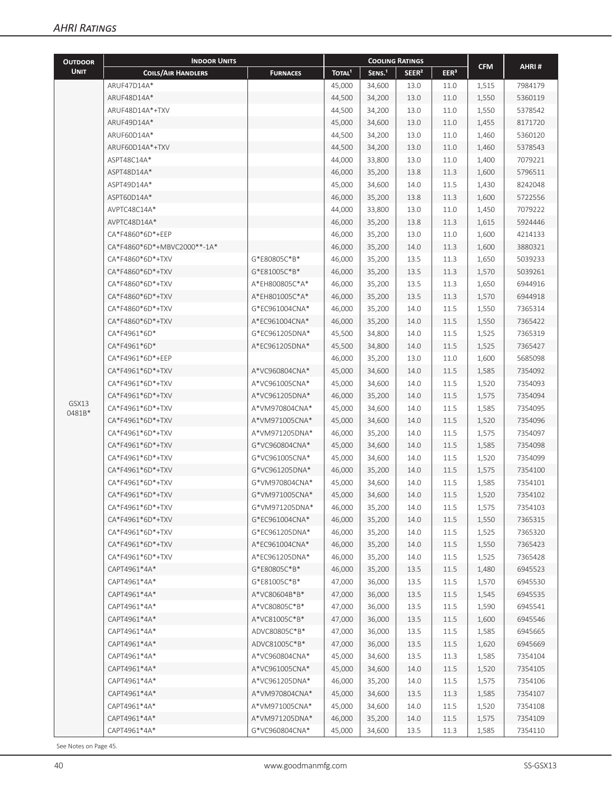| <b>OUTDOOR</b>                                   | <b>INDOOR UNITS</b>                  |                                                                          |                                                                                                                                                                                                                                                                                                                              |                    |                                                                                                                                                                                                                                                                                 |                                                                                                                                                                                                                                                                                                                                                                                                                                                                                                                                                                                                                                                                                                                                                                                                                                                                                                         |            |                    |
|--------------------------------------------------|--------------------------------------|--------------------------------------------------------------------------|------------------------------------------------------------------------------------------------------------------------------------------------------------------------------------------------------------------------------------------------------------------------------------------------------------------------------|--------------------|---------------------------------------------------------------------------------------------------------------------------------------------------------------------------------------------------------------------------------------------------------------------------------|---------------------------------------------------------------------------------------------------------------------------------------------------------------------------------------------------------------------------------------------------------------------------------------------------------------------------------------------------------------------------------------------------------------------------------------------------------------------------------------------------------------------------------------------------------------------------------------------------------------------------------------------------------------------------------------------------------------------------------------------------------------------------------------------------------------------------------------------------------------------------------------------------------|------------|--------------------|
| <b>UNIT</b>                                      | <b>COILS/AIR HANDLERS</b>            | <b>FURNACES</b>                                                          | TOTAL <sup>1</sup>                                                                                                                                                                                                                                                                                                           | SENS. <sup>1</sup> | SEER <sup>2</sup>                                                                                                                                                                                                                                                               | EER <sup>3</sup>                                                                                                                                                                                                                                                                                                                                                                                                                                                                                                                                                                                                                                                                                                                                                                                                                                                                                        | <b>CFM</b> | AHRI#              |
|                                                  | ARUF47D14A*                          |                                                                          | 45,000                                                                                                                                                                                                                                                                                                                       | 34.600             |                                                                                                                                                                                                                                                                                 |                                                                                                                                                                                                                                                                                                                                                                                                                                                                                                                                                                                                                                                                                                                                                                                                                                                                                                         |            | 7984179            |
|                                                  | ARUF48D14A*                          |                                                                          | 44,500                                                                                                                                                                                                                                                                                                                       | 34,200             |                                                                                                                                                                                                                                                                                 |                                                                                                                                                                                                                                                                                                                                                                                                                                                                                                                                                                                                                                                                                                                                                                                                                                                                                                         |            | 5360119            |
|                                                  | ARUF48D14A*+TXV                      |                                                                          | 44,500                                                                                                                                                                                                                                                                                                                       | 34,200             |                                                                                                                                                                                                                                                                                 |                                                                                                                                                                                                                                                                                                                                                                                                                                                                                                                                                                                                                                                                                                                                                                                                                                                                                                         |            | 5378542            |
|                                                  | ARUF49D14A*                          |                                                                          | 45,000                                                                                                                                                                                                                                                                                                                       | 34,600             |                                                                                                                                                                                                                                                                                 |                                                                                                                                                                                                                                                                                                                                                                                                                                                                                                                                                                                                                                                                                                                                                                                                                                                                                                         |            | 8171720            |
|                                                  | ARUF60D14A*                          |                                                                          | 44,500                                                                                                                                                                                                                                                                                                                       | 34,200             |                                                                                                                                                                                                                                                                                 |                                                                                                                                                                                                                                                                                                                                                                                                                                                                                                                                                                                                                                                                                                                                                                                                                                                                                                         |            | 5360120            |
|                                                  | ARUF60D14A*+TXV                      |                                                                          | 44,500                                                                                                                                                                                                                                                                                                                       | 34,200             | 13.0<br>11.0<br>1,460<br>13.0<br>11.0<br>1,460<br>13.0<br>11.0<br>1,400<br>13.8<br>11.3<br>1,600<br>14.0<br>11.5<br>1,430<br>13.8<br>11.3<br>1,600<br>13.0<br>11.0<br>1,450<br>13.8<br>11.3<br>1,615<br>13.0<br>11.0<br>1,600<br>14.0<br>11.3<br>1,600<br>13.5<br>11.3<br>1,650 | 5378543                                                                                                                                                                                                                                                                                                                                                                                                                                                                                                                                                                                                                                                                                                                                                                                                                                                                                                 |            |                    |
|                                                  | ASPT48C14A*                          |                                                                          | 44,000                                                                                                                                                                                                                                                                                                                       | 33,800             |                                                                                                                                                                                                                                                                                 | 13.0<br>11.0<br>1,515<br>1,550<br>13.0<br>11.0<br>13.0<br>11.0<br>1,550<br>13.0<br>11.0<br>1,455<br>13.5<br>11.3<br>1,570<br>13.5<br>11.3<br>1,650<br>13.5<br>11.3<br>1,570<br>14.0<br>11.5<br>1,550<br>14.0<br>11.5<br>1,550<br>14.0<br>11.5<br>1,525<br>14.0<br>11.5<br>1,525<br>13.0<br>11.0<br>1,600<br>14.0<br>11.5<br>1,585<br>14.0<br>11.5<br>1,520<br>11.5<br>14.0<br>1,575<br>11.5<br>14.0<br>1,585<br>14.0<br>11.5<br>1,520<br>14.0<br>11.5<br>1,575<br>14.0<br>11.5<br>1,585<br>14.0<br>11.5<br>1,520<br>14.0<br>11.5<br>1,575<br>14.0<br>11.5<br>1,585<br>14.0<br>11.5<br>1,520<br>14.0<br>11.5<br>1,575<br>14.0<br>11.5<br>1,550<br>14.0<br>11.5<br>1,525<br>14.0<br>11.5<br>1,550<br>11.5<br>14.0<br>1,525<br>13.5<br>11.5<br>1,480<br>13.5<br>11.5<br>1,570<br>13.5<br>11.5<br>1,545<br>13.5<br>11.5<br>1,590<br>13.5<br>11.5<br>1,600<br>13.5<br>11.5<br>1,585<br>13.5<br>11.5<br>1,620 | 7079221    |                    |
|                                                  | ASPT48D14A*                          |                                                                          | 46,000                                                                                                                                                                                                                                                                                                                       | 35,200             | <b>COOLING RATINGS</b><br>13.5<br>11.3<br>1,585<br>14.0<br>11.5                                                                                                                                                                                                                 | 5796511                                                                                                                                                                                                                                                                                                                                                                                                                                                                                                                                                                                                                                                                                                                                                                                                                                                                                                 |            |                    |
|                                                  | ASPT49D14A*                          |                                                                          | 45,000                                                                                                                                                                                                                                                                                                                       | 34,600             |                                                                                                                                                                                                                                                                                 |                                                                                                                                                                                                                                                                                                                                                                                                                                                                                                                                                                                                                                                                                                                                                                                                                                                                                                         |            | 8242048            |
|                                                  | ASPT60D14A*                          |                                                                          | 46,000                                                                                                                                                                                                                                                                                                                       | 35,200             |                                                                                                                                                                                                                                                                                 |                                                                                                                                                                                                                                                                                                                                                                                                                                                                                                                                                                                                                                                                                                                                                                                                                                                                                                         |            | 5722556            |
|                                                  | AVPTC48C14A*                         |                                                                          | 44,000                                                                                                                                                                                                                                                                                                                       | 33,800             |                                                                                                                                                                                                                                                                                 |                                                                                                                                                                                                                                                                                                                                                                                                                                                                                                                                                                                                                                                                                                                                                                                                                                                                                                         |            | 7079222            |
|                                                  | AVPTC48D14A*                         |                                                                          | 46,000                                                                                                                                                                                                                                                                                                                       | 35,200             |                                                                                                                                                                                                                                                                                 |                                                                                                                                                                                                                                                                                                                                                                                                                                                                                                                                                                                                                                                                                                                                                                                                                                                                                                         |            | 5924446            |
|                                                  | CA*F4860*6D*+EEP                     |                                                                          | 46,000                                                                                                                                                                                                                                                                                                                       | 35,200             |                                                                                                                                                                                                                                                                                 |                                                                                                                                                                                                                                                                                                                                                                                                                                                                                                                                                                                                                                                                                                                                                                                                                                                                                                         |            | 4214133            |
|                                                  | CA*F4860*6D*+MBVC2000**-1A*          |                                                                          | 46,000                                                                                                                                                                                                                                                                                                                       | 35,200             |                                                                                                                                                                                                                                                                                 |                                                                                                                                                                                                                                                                                                                                                                                                                                                                                                                                                                                                                                                                                                                                                                                                                                                                                                         |            | 3880321            |
|                                                  | CA*F4860*6D*+TXV                     | G*E80805C*B*                                                             | 46,000                                                                                                                                                                                                                                                                                                                       | 35,200             |                                                                                                                                                                                                                                                                                 |                                                                                                                                                                                                                                                                                                                                                                                                                                                                                                                                                                                                                                                                                                                                                                                                                                                                                                         |            | 5039233            |
|                                                  | CA*F4860*6D*+TXV                     | G*E81005C*B*                                                             | 46,000                                                                                                                                                                                                                                                                                                                       | 35,200             |                                                                                                                                                                                                                                                                                 |                                                                                                                                                                                                                                                                                                                                                                                                                                                                                                                                                                                                                                                                                                                                                                                                                                                                                                         |            | 5039261            |
|                                                  | CA*F4860*6D*+TXV                     | A*EH800805C*A*                                                           | 46,000                                                                                                                                                                                                                                                                                                                       | 35,200             |                                                                                                                                                                                                                                                                                 |                                                                                                                                                                                                                                                                                                                                                                                                                                                                                                                                                                                                                                                                                                                                                                                                                                                                                                         |            | 6944916            |
|                                                  | CA*F4860*6D*+TXV                     | A*EH801005C*A*                                                           | 46,000                                                                                                                                                                                                                                                                                                                       | 35,200             |                                                                                                                                                                                                                                                                                 |                                                                                                                                                                                                                                                                                                                                                                                                                                                                                                                                                                                                                                                                                                                                                                                                                                                                                                         |            | 6944918            |
|                                                  | CA*F4860*6D*+TXV                     |                                                                          |                                                                                                                                                                                                                                                                                                                              |                    |                                                                                                                                                                                                                                                                                 |                                                                                                                                                                                                                                                                                                                                                                                                                                                                                                                                                                                                                                                                                                                                                                                                                                                                                                         |            | 7365314            |
|                                                  |                                      | G*EC961004CNA*<br>46,000<br>35,200<br>A*EC961004CNA*<br>46,000<br>35,200 |                                                                                                                                                                                                                                                                                                                              | 7365422            |                                                                                                                                                                                                                                                                                 |                                                                                                                                                                                                                                                                                                                                                                                                                                                                                                                                                                                                                                                                                                                                                                                                                                                                                                         |            |                    |
| CA*F4860*6D*+TXV<br>CA*F4961*6D*<br>CA*F4961*6D* | G*EC961205DNA*                       |                                                                          |                                                                                                                                                                                                                                                                                                                              |                    |                                                                                                                                                                                                                                                                                 |                                                                                                                                                                                                                                                                                                                                                                                                                                                                                                                                                                                                                                                                                                                                                                                                                                                                                                         | 7365319    |                    |
|                                                  |                                      | A*EC961205DNA*                                                           |                                                                                                                                                                                                                                                                                                                              |                    |                                                                                                                                                                                                                                                                                 |                                                                                                                                                                                                                                                                                                                                                                                                                                                                                                                                                                                                                                                                                                                                                                                                                                                                                                         |            | 7365427            |
|                                                  | CA*F4961*6D*+EEP                     |                                                                          |                                                                                                                                                                                                                                                                                                                              |                    |                                                                                                                                                                                                                                                                                 |                                                                                                                                                                                                                                                                                                                                                                                                                                                                                                                                                                                                                                                                                                                                                                                                                                                                                                         |            | 5685098            |
|                                                  | CA*F4961*6D*+TXV                     | A*VC960804CNA*<br>A*VC961005CNA*                                         |                                                                                                                                                                                                                                                                                                                              |                    |                                                                                                                                                                                                                                                                                 |                                                                                                                                                                                                                                                                                                                                                                                                                                                                                                                                                                                                                                                                                                                                                                                                                                                                                                         |            | 7354092            |
|                                                  | CA*F4961*6D*+TXV                     |                                                                          |                                                                                                                                                                                                                                                                                                                              |                    |                                                                                                                                                                                                                                                                                 |                                                                                                                                                                                                                                                                                                                                                                                                                                                                                                                                                                                                                                                                                                                                                                                                                                                                                                         |            | 7354093            |
|                                                  | CA*F4961*6D*+TXV                     |                                                                          |                                                                                                                                                                                                                                                                                                                              |                    |                                                                                                                                                                                                                                                                                 |                                                                                                                                                                                                                                                                                                                                                                                                                                                                                                                                                                                                                                                                                                                                                                                                                                                                                                         |            |                    |
| GSX13<br>0481B*                                  | CA*F4961*6D*+TXV                     | A*VC961205DNA*<br>A*VM970804CNA*                                         |                                                                                                                                                                                                                                                                                                                              |                    |                                                                                                                                                                                                                                                                                 |                                                                                                                                                                                                                                                                                                                                                                                                                                                                                                                                                                                                                                                                                                                                                                                                                                                                                                         |            | 7354094<br>7354095 |
|                                                  | CA*F4961*6D*+TXV                     | A*VM971005CNA*                                                           |                                                                                                                                                                                                                                                                                                                              |                    |                                                                                                                                                                                                                                                                                 |                                                                                                                                                                                                                                                                                                                                                                                                                                                                                                                                                                                                                                                                                                                                                                                                                                                                                                         |            | 7354096            |
|                                                  | CA*F4961*6D*+TXV                     | A*VM971205DNA*                                                           |                                                                                                                                                                                                                                                                                                                              |                    |                                                                                                                                                                                                                                                                                 |                                                                                                                                                                                                                                                                                                                                                                                                                                                                                                                                                                                                                                                                                                                                                                                                                                                                                                         |            | 7354097            |
|                                                  | CA*F4961*6D*+TXV                     | G*VC960804CNA*                                                           | 45,500<br>34,800<br>45,500<br>34,800<br>46,000<br>35,200<br>45,000<br>34,600<br>45,000<br>34,600<br>46,000<br>35,200<br>45,000<br>34,600<br>45,000<br>34,600<br>46,000<br>35,200<br>45,000<br>34,600<br>45,000<br>34,600<br>46,000<br>35,200<br>45,000<br>34,600<br>45,000<br>34,600<br>46,000<br>35,200<br>46,000<br>35,200 |                    |                                                                                                                                                                                                                                                                                 |                                                                                                                                                                                                                                                                                                                                                                                                                                                                                                                                                                                                                                                                                                                                                                                                                                                                                                         |            | 7354098            |
|                                                  | CA*F4961*6D*+TXV                     | G*VC961005CNA*                                                           |                                                                                                                                                                                                                                                                                                                              |                    |                                                                                                                                                                                                                                                                                 |                                                                                                                                                                                                                                                                                                                                                                                                                                                                                                                                                                                                                                                                                                                                                                                                                                                                                                         |            | 7354099            |
|                                                  | CA*F4961*6D*+TXV                     | G*VC961205DNA*                                                           |                                                                                                                                                                                                                                                                                                                              |                    |                                                                                                                                                                                                                                                                                 |                                                                                                                                                                                                                                                                                                                                                                                                                                                                                                                                                                                                                                                                                                                                                                                                                                                                                                         |            | 7354100            |
|                                                  | CA*F4961*6D*+TXV                     | G*VM970804CNA*                                                           |                                                                                                                                                                                                                                                                                                                              |                    |                                                                                                                                                                                                                                                                                 |                                                                                                                                                                                                                                                                                                                                                                                                                                                                                                                                                                                                                                                                                                                                                                                                                                                                                                         |            | 7354101            |
|                                                  | CA*F4961*6D*+TXV                     | G*VM971005CNA*                                                           |                                                                                                                                                                                                                                                                                                                              |                    |                                                                                                                                                                                                                                                                                 |                                                                                                                                                                                                                                                                                                                                                                                                                                                                                                                                                                                                                                                                                                                                                                                                                                                                                                         |            | 7354102            |
|                                                  |                                      |                                                                          |                                                                                                                                                                                                                                                                                                                              |                    |                                                                                                                                                                                                                                                                                 |                                                                                                                                                                                                                                                                                                                                                                                                                                                                                                                                                                                                                                                                                                                                                                                                                                                                                                         |            |                    |
|                                                  | CA*F4961*6D*+TXV<br>CA*F4961*6D*+TXV | G*VM971205DNA*                                                           |                                                                                                                                                                                                                                                                                                                              |                    |                                                                                                                                                                                                                                                                                 |                                                                                                                                                                                                                                                                                                                                                                                                                                                                                                                                                                                                                                                                                                                                                                                                                                                                                                         |            | 7354103            |
|                                                  | CA*F4961*6D*+TXV                     | G*EC961004CNA*<br>G*EC961205DNA*                                         | 46,000                                                                                                                                                                                                                                                                                                                       | 35,200             |                                                                                                                                                                                                                                                                                 |                                                                                                                                                                                                                                                                                                                                                                                                                                                                                                                                                                                                                                                                                                                                                                                                                                                                                                         |            | 7365315<br>7365320 |
|                                                  | CA*F4961*6D*+TXV                     | A*EC961004CNA*                                                           | 46,000                                                                                                                                                                                                                                                                                                                       |                    |                                                                                                                                                                                                                                                                                 |                                                                                                                                                                                                                                                                                                                                                                                                                                                                                                                                                                                                                                                                                                                                                                                                                                                                                                         |            | 7365423            |
|                                                  | CA*F4961*6D*+TXV                     | A*EC961205DNA*                                                           |                                                                                                                                                                                                                                                                                                                              | 35,200             |                                                                                                                                                                                                                                                                                 |                                                                                                                                                                                                                                                                                                                                                                                                                                                                                                                                                                                                                                                                                                                                                                                                                                                                                                         |            |                    |
|                                                  |                                      | G*E80805C*B*                                                             | 46,000                                                                                                                                                                                                                                                                                                                       | 35,200             |                                                                                                                                                                                                                                                                                 |                                                                                                                                                                                                                                                                                                                                                                                                                                                                                                                                                                                                                                                                                                                                                                                                                                                                                                         |            | 7365428            |
|                                                  | CAPT4961*4A*                         |                                                                          | 46,000                                                                                                                                                                                                                                                                                                                       | 35,200             |                                                                                                                                                                                                                                                                                 |                                                                                                                                                                                                                                                                                                                                                                                                                                                                                                                                                                                                                                                                                                                                                                                                                                                                                                         |            | 6945523            |
|                                                  | CAPT4961*4A*                         | G*E81005C*B*                                                             | 47,000                                                                                                                                                                                                                                                                                                                       | 36,000             |                                                                                                                                                                                                                                                                                 |                                                                                                                                                                                                                                                                                                                                                                                                                                                                                                                                                                                                                                                                                                                                                                                                                                                                                                         |            | 6945530            |
|                                                  | CAPT4961*4A*                         | A*VC80604B*B*                                                            | 47,000                                                                                                                                                                                                                                                                                                                       | 36,000             |                                                                                                                                                                                                                                                                                 |                                                                                                                                                                                                                                                                                                                                                                                                                                                                                                                                                                                                                                                                                                                                                                                                                                                                                                         |            | 6945535            |
|                                                  | CAPT4961*4A*                         | A*VC80805C*B*                                                            | 47,000                                                                                                                                                                                                                                                                                                                       | 36,000             |                                                                                                                                                                                                                                                                                 |                                                                                                                                                                                                                                                                                                                                                                                                                                                                                                                                                                                                                                                                                                                                                                                                                                                                                                         |            | 6945541            |
|                                                  | CAPT4961*4A*                         | A*VC81005C*B*                                                            | 47,000                                                                                                                                                                                                                                                                                                                       | 36,000             |                                                                                                                                                                                                                                                                                 |                                                                                                                                                                                                                                                                                                                                                                                                                                                                                                                                                                                                                                                                                                                                                                                                                                                                                                         |            | 6945546            |
|                                                  | CAPT4961*4A*                         | ADVC80805C*B*                                                            | 47,000                                                                                                                                                                                                                                                                                                                       | 36,000             |                                                                                                                                                                                                                                                                                 |                                                                                                                                                                                                                                                                                                                                                                                                                                                                                                                                                                                                                                                                                                                                                                                                                                                                                                         |            | 6945665            |
|                                                  | CAPT4961*4A*                         | ADVC81005C*B*                                                            | 47,000                                                                                                                                                                                                                                                                                                                       | 36,000             |                                                                                                                                                                                                                                                                                 |                                                                                                                                                                                                                                                                                                                                                                                                                                                                                                                                                                                                                                                                                                                                                                                                                                                                                                         |            | 6945669            |
|                                                  | CAPT4961*4A*                         | A*VC960804CNA*                                                           | 45,000                                                                                                                                                                                                                                                                                                                       | 34,600             |                                                                                                                                                                                                                                                                                 |                                                                                                                                                                                                                                                                                                                                                                                                                                                                                                                                                                                                                                                                                                                                                                                                                                                                                                         |            | 7354104            |
|                                                  | CAPT4961*4A*                         | A*VC961005CNA*                                                           | 45,000                                                                                                                                                                                                                                                                                                                       | 34,600             |                                                                                                                                                                                                                                                                                 |                                                                                                                                                                                                                                                                                                                                                                                                                                                                                                                                                                                                                                                                                                                                                                                                                                                                                                         | 1,520      | 7354105            |
|                                                  | CAPT4961*4A*                         | A*VC961205DNA*                                                           | 46,000                                                                                                                                                                                                                                                                                                                       | 35,200             | 14.0                                                                                                                                                                                                                                                                            | 11.5                                                                                                                                                                                                                                                                                                                                                                                                                                                                                                                                                                                                                                                                                                                                                                                                                                                                                                    | 1,575      | 7354106            |
|                                                  | CAPT4961*4A*                         | A*VM970804CNA*                                                           | 45,000                                                                                                                                                                                                                                                                                                                       | 34,600             | 13.5                                                                                                                                                                                                                                                                            | 11.3                                                                                                                                                                                                                                                                                                                                                                                                                                                                                                                                                                                                                                                                                                                                                                                                                                                                                                    | 1,585      | 7354107            |
|                                                  | CAPT4961*4A*                         | A*VM971005CNA*                                                           | 45,000                                                                                                                                                                                                                                                                                                                       | 34,600             | 14.0                                                                                                                                                                                                                                                                            | 11.5                                                                                                                                                                                                                                                                                                                                                                                                                                                                                                                                                                                                                                                                                                                                                                                                                                                                                                    | 1,520      | 7354108            |
|                                                  | CAPT4961*4A*                         | A*VM971205DNA*                                                           | 46,000                                                                                                                                                                                                                                                                                                                       | 35,200             | 14.0                                                                                                                                                                                                                                                                            | 11.5                                                                                                                                                                                                                                                                                                                                                                                                                                                                                                                                                                                                                                                                                                                                                                                                                                                                                                    | 1,575      | 7354109            |
|                                                  | CAPT4961*4A*                         | G*VC960804CNA*                                                           | 45,000                                                                                                                                                                                                                                                                                                                       | 34,600             | 13.5                                                                                                                                                                                                                                                                            | 11.3                                                                                                                                                                                                                                                                                                                                                                                                                                                                                                                                                                                                                                                                                                                                                                                                                                                                                                    | 1,585      | 7354110            |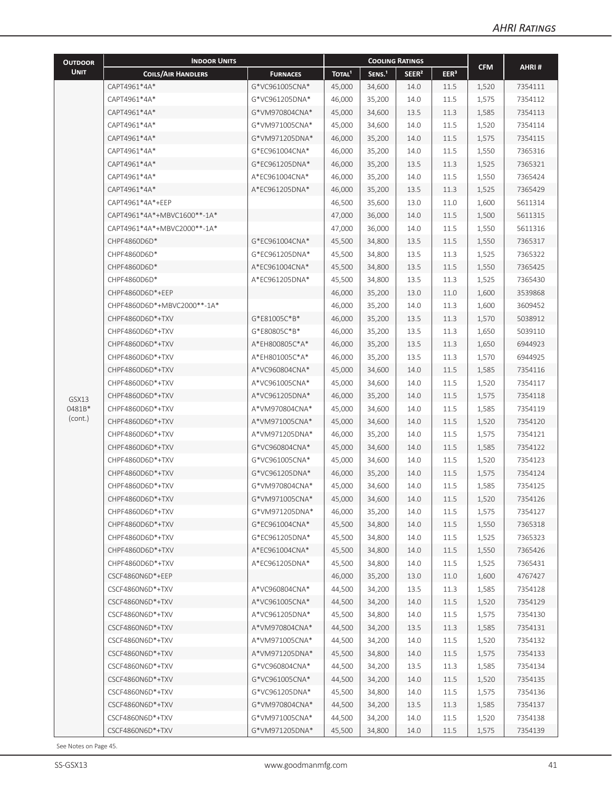| <b>OUTDOOR</b>             | <b>INDOOR UNITS</b>         |                 |                    | <b>COOLING RATINGS</b>                                                                                                                                                                                                                                                                                                                                                                                                                                                                                                                                                                   |                   |                  |            |         |
|----------------------------|-----------------------------|-----------------|--------------------|------------------------------------------------------------------------------------------------------------------------------------------------------------------------------------------------------------------------------------------------------------------------------------------------------------------------------------------------------------------------------------------------------------------------------------------------------------------------------------------------------------------------------------------------------------------------------------------|-------------------|------------------|------------|---------|
| <b>UNIT</b>                | <b>COILS/AIR HANDLERS</b>   | <b>FURNACES</b> | TOTAL <sup>1</sup> | SENS. <sup>1</sup>                                                                                                                                                                                                                                                                                                                                                                                                                                                                                                                                                                       | SEER <sup>2</sup> | EER <sup>3</sup> | <b>CFM</b> | AHRI#   |
|                            | CAPT4961*4A*                | G*VC961005CNA*  | 45,000             | 34,600                                                                                                                                                                                                                                                                                                                                                                                                                                                                                                                                                                                   | 14.0              | 11.5             | 1,520      | 7354111 |
|                            | CAPT4961*4A*                | G*VC961205DNA*  | 46,000             | 14.0<br>11.5<br>35,200<br>13.5<br>45,000<br>34,600<br>11.3<br>45,000<br>14.0<br>11.5                                                                                                                                                                                                                                                                                                                                                                                                                                                                                                     | 1,575             | 7354112          |            |         |
|                            | CAPT4961*4A*                | G*VM970804CNA*  |                    |                                                                                                                                                                                                                                                                                                                                                                                                                                                                                                                                                                                          |                   |                  | 1,585      | 7354113 |
|                            | CAPT4961*4A*                | G*VM971005CNA*  |                    | 34,600                                                                                                                                                                                                                                                                                                                                                                                                                                                                                                                                                                                   |                   |                  | 1,520      | 7354114 |
|                            | CAPT4961*4A*                | G*VM971205DNA*  | 46,000             | 35,200                                                                                                                                                                                                                                                                                                                                                                                                                                                                                                                                                                                   | 14.0              | 11.5             | 1,575      | 7354115 |
|                            | CAPT4961*4A*                | G*EC961004CNA*  | 46,000             | 11.5<br>35,200<br>14.0<br>13.5<br>11.3<br>35,200<br>11.5<br>35,200<br>14.0<br>13.5<br>11.3<br>35,200<br>35,600<br>13.0<br>11.0<br>14.0<br>36,000<br>11.5<br>14.0<br>11.5<br>36,000<br>34,800<br>13.5<br>11.5<br>34,800<br>13.5<br>11.3<br>13.5<br>11.5<br>34,800<br>13.5<br>11.3<br>34,800<br>35,200<br>13.0<br>11.0<br>35,200<br>14.0<br>11.3<br>13.5<br>11.3<br>35,200<br>13.5<br>11.3<br>35,200<br>13.5<br>35,200<br>11.3<br>13.5<br>11.3<br>35,200<br>14.0<br>34,600<br>11.5<br>14.0<br>11.5<br>34,600<br>11.5<br>35,200<br>14.0<br>11.5<br>34,600<br>14.0<br>11.5<br>34,600<br>14.0 | 1,550             | 7365316          |            |         |
|                            | CAPT4961*4A*                | G*EC961205DNA*  | 46,000             |                                                                                                                                                                                                                                                                                                                                                                                                                                                                                                                                                                                          |                   |                  | 1,525      | 7365321 |
|                            | CAPT4961*4A*                | A*EC961004CNA*  | 46,000             |                                                                                                                                                                                                                                                                                                                                                                                                                                                                                                                                                                                          |                   |                  | 1,550      | 7365424 |
|                            | CAPT4961*4A*                | A*EC961205DNA*  | 46,000             |                                                                                                                                                                                                                                                                                                                                                                                                                                                                                                                                                                                          |                   |                  | 1,525      | 7365429 |
|                            | CAPT4961*4A*+EEP            |                 | 46,500             |                                                                                                                                                                                                                                                                                                                                                                                                                                                                                                                                                                                          |                   |                  | 1,600      | 5611314 |
|                            | CAPT4961*4A*+MBVC1600**-1A* |                 | 47,000             |                                                                                                                                                                                                                                                                                                                                                                                                                                                                                                                                                                                          |                   |                  | 1,500      | 5611315 |
|                            | CAPT4961*4A*+MBVC2000**-1A* |                 | 47,000             |                                                                                                                                                                                                                                                                                                                                                                                                                                                                                                                                                                                          |                   |                  | 1,550      | 5611316 |
|                            | CHPF4860D6D*                | G*EC961004CNA*  | 45,500             |                                                                                                                                                                                                                                                                                                                                                                                                                                                                                                                                                                                          | 1,550             | 7365317          |            |         |
|                            | CHPF4860D6D*                | G*EC961205DNA*  | 45,500             | 1,525                                                                                                                                                                                                                                                                                                                                                                                                                                                                                                                                                                                    | 7365322           |                  |            |         |
|                            | CHPF4860D6D*                | A*EC961004CNA*  | 45,500             |                                                                                                                                                                                                                                                                                                                                                                                                                                                                                                                                                                                          |                   |                  | 1,550      | 7365425 |
|                            | CHPF4860D6D*                | A*EC961205DNA*  | 45,500             |                                                                                                                                                                                                                                                                                                                                                                                                                                                                                                                                                                                          |                   |                  | 1,525      | 7365430 |
|                            | CHPF4860D6D*+EEP            |                 | 46,000             |                                                                                                                                                                                                                                                                                                                                                                                                                                                                                                                                                                                          | 1,600             | 3539868          |            |         |
|                            | CHPF4860D6D*+MBVC2000**-1A* |                 | 46,000             |                                                                                                                                                                                                                                                                                                                                                                                                                                                                                                                                                                                          |                   |                  | 1,600      | 3609452 |
|                            | CHPF4860D6D*+TXV            | G*E81005C*B*    | 46,000             |                                                                                                                                                                                                                                                                                                                                                                                                                                                                                                                                                                                          |                   |                  | 1,570      | 5038912 |
| GSX13<br>0481B*<br>(cont.) | CHPF4860D6D*+TXV            | G*E80805C*B*    | 46,000             |                                                                                                                                                                                                                                                                                                                                                                                                                                                                                                                                                                                          |                   |                  | 1,650      | 5039110 |
|                            | CHPF4860D6D*+TXV            | A*EH800805C*A*  | 46,000             |                                                                                                                                                                                                                                                                                                                                                                                                                                                                                                                                                                                          |                   |                  | 1,650      | 6944923 |
|                            | CHPF4860D6D*+TXV            | A*EH801005C*A*  | 46,000             |                                                                                                                                                                                                                                                                                                                                                                                                                                                                                                                                                                                          |                   |                  | 1,570      | 6944925 |
|                            | CHPF4860D6D*+TXV            | A*VC960804CNA*  | 45,000             |                                                                                                                                                                                                                                                                                                                                                                                                                                                                                                                                                                                          |                   |                  | 1,585      | 7354116 |
|                            | CHPF4860D6D*+TXV            | A*VC961005CNA*  | 45,000             |                                                                                                                                                                                                                                                                                                                                                                                                                                                                                                                                                                                          |                   |                  | 1,520      | 7354117 |
|                            | CHPF4860D6D*+TXV            | A*VC961205DNA*  | 46,000             |                                                                                                                                                                                                                                                                                                                                                                                                                                                                                                                                                                                          |                   |                  | 1,575      | 7354118 |
|                            | CHPF4860D6D*+TXV            | A*VM970804CNA*  | 45,000             |                                                                                                                                                                                                                                                                                                                                                                                                                                                                                                                                                                                          |                   |                  | 1,585      | 7354119 |
|                            | CHPF4860D6D*+TXV            | A*VM971005CNA*  | 45,000             |                                                                                                                                                                                                                                                                                                                                                                                                                                                                                                                                                                                          |                   |                  | 1,520      | 7354120 |
|                            | CHPF4860D6D*+TXV            | A*VM971205DNA*  | 46,000             | 35,200                                                                                                                                                                                                                                                                                                                                                                                                                                                                                                                                                                                   | 14.0              | 11.5             | 1,575      | 7354121 |
|                            | CHPF4860D6D*+TXV            | G*VC960804CNA*  | 45,000             | 34,600                                                                                                                                                                                                                                                                                                                                                                                                                                                                                                                                                                                   | 14.0              | 11.5             | 1,585      | 7354122 |
|                            | CHPF4860D6D*+TXV            | G*VC961005CNA*  | 45,000             | 34,600                                                                                                                                                                                                                                                                                                                                                                                                                                                                                                                                                                                   | 14.0              | 11.5             | 1,520      | 7354123 |
|                            | CHPF4860D6D*+TXV            | G*VC961205DNA*  | 46,000             | 35,200                                                                                                                                                                                                                                                                                                                                                                                                                                                                                                                                                                                   | 14.0              | 11.5             | 1,575      | 7354124 |
|                            | CHPF4860D6D*+TXV            | G*VM970804CNA*  | 45,000             | 34,600                                                                                                                                                                                                                                                                                                                                                                                                                                                                                                                                                                                   | 14.0              | 11.5             | 1,585      | 7354125 |
|                            | CHPF4860D6D*+TXV            | G*VM971005CNA*  | 45,000             | 34,600                                                                                                                                                                                                                                                                                                                                                                                                                                                                                                                                                                                   | 14.0              | 11.5             | 1,520      | 7354126 |
|                            | CHPF4860D6D*+TXV            | G*VM971205DNA*  | 46,000             | 35,200                                                                                                                                                                                                                                                                                                                                                                                                                                                                                                                                                                                   | 14.0              | 11.5             | 1,575      | 7354127 |
|                            | CHPF4860D6D*+TXV            | G*EC961004CNA*  | 45,500             | 34,800                                                                                                                                                                                                                                                                                                                                                                                                                                                                                                                                                                                   | 14.0              | 11.5             | 1,550      | 7365318 |
|                            | CHPF4860D6D*+TXV            | G*EC961205DNA*  | 45,500             | 34,800                                                                                                                                                                                                                                                                                                                                                                                                                                                                                                                                                                                   | 14.0              | 11.5             | 1,525      | 7365323 |
|                            | CHPF4860D6D*+TXV            | A*EC961004CNA*  | 45,500             | 34,800                                                                                                                                                                                                                                                                                                                                                                                                                                                                                                                                                                                   | 14.0              | 11.5             | 1,550      | 7365426 |
|                            | CHPF4860D6D*+TXV            | A*EC961205DNA*  | 45,500             | 34,800                                                                                                                                                                                                                                                                                                                                                                                                                                                                                                                                                                                   | 14.0              | 11.5             | 1,525      | 7365431 |
|                            | CSCF4860N6D*+EEP            |                 | 46,000             | 35,200                                                                                                                                                                                                                                                                                                                                                                                                                                                                                                                                                                                   | 13.0              | 11.0             | 1,600      | 4767427 |
|                            | CSCF4860N6D*+TXV            | A*VC960804CNA*  | 44,500             | 34,200                                                                                                                                                                                                                                                                                                                                                                                                                                                                                                                                                                                   | 13.5              | 11.3             | 1,585      | 7354128 |
|                            | CSCF4860N6D*+TXV            | A*VC961005CNA*  | 44,500             | 34,200                                                                                                                                                                                                                                                                                                                                                                                                                                                                                                                                                                                   | 14.0              | 11.5             | 1,520      | 7354129 |
|                            | CSCF4860N6D*+TXV            | A*VC961205DNA*  | 45,500             | 34,800                                                                                                                                                                                                                                                                                                                                                                                                                                                                                                                                                                                   | 14.0              | 11.5             | 1,575      | 7354130 |
|                            | CSCF4860N6D*+TXV            | A*VM970804CNA*  | 44,500             | 34,200                                                                                                                                                                                                                                                                                                                                                                                                                                                                                                                                                                                   | 13.5              | 11.3             | 1,585      | 7354131 |
|                            | CSCF4860N6D*+TXV            | A*VM971005CNA*  | 44,500             | 34,200                                                                                                                                                                                                                                                                                                                                                                                                                                                                                                                                                                                   | 14.0              | 11.5             | 1,520      | 7354132 |
|                            | CSCF4860N6D*+TXV            | A*VM971205DNA*  | 45,500             | 34,800                                                                                                                                                                                                                                                                                                                                                                                                                                                                                                                                                                                   | 14.0              | 11.5             | 1,575      | 7354133 |
|                            | CSCF4860N6D*+TXV            | G*VC960804CNA*  | 44,500             | 34,200                                                                                                                                                                                                                                                                                                                                                                                                                                                                                                                                                                                   | 13.5              | 11.3             | 1,585      | 7354134 |
|                            | CSCF4860N6D*+TXV            | G*VC961005CNA*  | 44,500             | 34,200                                                                                                                                                                                                                                                                                                                                                                                                                                                                                                                                                                                   | 14.0              | 11.5             | 1,520      | 7354135 |
|                            | CSCF4860N6D*+TXV            | G*VC961205DNA*  | 45,500             | 34,800                                                                                                                                                                                                                                                                                                                                                                                                                                                                                                                                                                                   | 14.0              | 11.5             | 1,575      | 7354136 |
|                            | CSCF4860N6D*+TXV            | G*VM970804CNA*  | 44,500             | 34,200                                                                                                                                                                                                                                                                                                                                                                                                                                                                                                                                                                                   | 13.5              | 11.3             | 1,585      | 7354137 |
|                            | CSCF4860N6D*+TXV            | G*VM971005CNA*  | 44,500             | 34,200                                                                                                                                                                                                                                                                                                                                                                                                                                                                                                                                                                                   | 14.0              | 11.5             | 1,520      | 7354138 |
|                            | CSCF4860N6D*+TXV            | G*VM971205DNA*  | 45,500             | 34,800                                                                                                                                                                                                                                                                                                                                                                                                                                                                                                                                                                                   | 14.0              | 11.5             | 1,575      | 7354139 |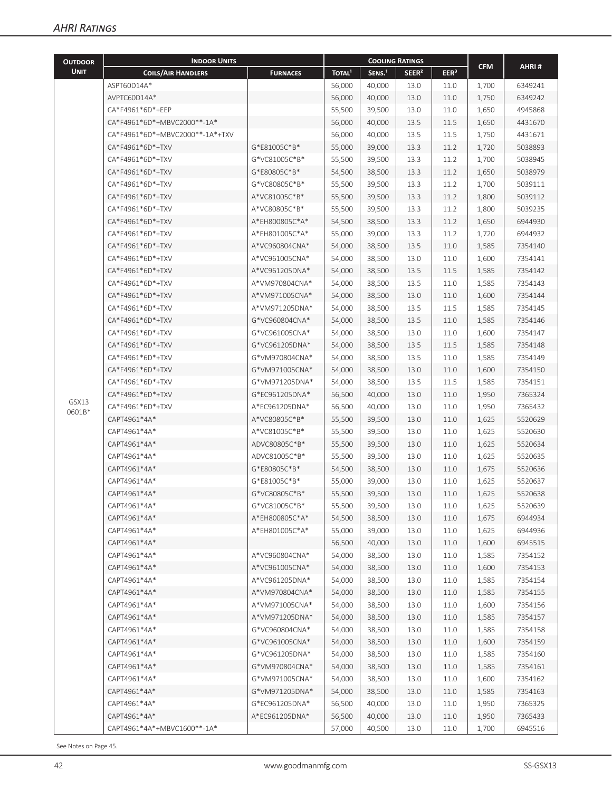| <b>OUTDOOR</b> | <b>INDOOR UNITS</b>                                                                | <b>COOLING RATINGS</b>                             |                          |                                                                                       |                   |                                                                  |            |         |
|----------------|------------------------------------------------------------------------------------|----------------------------------------------------|--------------------------|---------------------------------------------------------------------------------------|-------------------|------------------------------------------------------------------|------------|---------|
| <b>UNIT</b>    | <b>COILS/AIR HANDLERS</b>                                                          | <b>FURNACES</b>                                    | <b>TOTAL<sup>1</sup></b> | SENS. <sup>1</sup>                                                                    | SEER <sup>2</sup> | EER <sup>3</sup>                                                 | <b>CFM</b> | AHRI#   |
|                | ASPT60D14A*                                                                        |                                                    | 56,000                   | 40,000                                                                                | 13.0              | 11.0                                                             | 1,700      | 6349241 |
|                | AVPTC60D14A*                                                                       |                                                    | 56,000                   | 40,000                                                                                | 13.0              | 11.0<br>1,750<br>11.0<br>1,650<br>11.5<br>1,650<br>11.5<br>1,750 | 6349242    |         |
|                | CA*F4961*6D*+EEP                                                                   |                                                    | 55,500                   | 39,500<br>13.0<br>13.5<br>40,000<br>13.5<br>40,000<br>13.3<br>11.2<br>39,000<br>1,720 |                   | 4945868                                                          |            |         |
|                | CA*F4961*6D*+MBVC2000**-1A*<br>56,000<br>CA*F4961*6D*+MBVC2000**-1A*+TXV<br>56,000 |                                                    |                          |                                                                                       |                   | 4431670                                                          |            |         |
|                |                                                                                    |                                                    |                          |                                                                                       |                   |                                                                  |            | 4431671 |
|                | CA*F4961*6D*+TXV                                                                   | G*E81005C*B*                                       | 55,000                   |                                                                                       |                   |                                                                  |            | 5038893 |
|                | CA*F4961*6D*+TXV                                                                   | G*VC81005C*B*                                      | 55,500                   | 39,500                                                                                | 13.3              | 11.2                                                             | 1,700      | 5038945 |
|                | CA*F4961*6D*+TXV                                                                   | G*E80805C*B*                                       | 54,500                   | 38,500                                                                                | 13.3              | 11.2                                                             | 1,650      | 5038979 |
|                | CA*F4961*6D*+TXV                                                                   | G*VC80805C*B*                                      | 55,500                   | 39,500                                                                                | 13.3              | 11.2                                                             | 1,700      | 5039111 |
|                | CA*F4961*6D*+TXV                                                                   | A*VC81005C*B*                                      | 55,500                   | 39,500                                                                                | 13.3              | 11.2                                                             | 1,800      | 5039112 |
|                | CA*F4961*6D*+TXV                                                                   | A*VC80805C*B*                                      | 55,500                   | 39,500                                                                                | 13.3              | 11.2                                                             | 1,800      | 5039235 |
|                | CA*F4961*6D*+TXV                                                                   | A*EH800805C*A*                                     | 54,500                   | 38,500                                                                                | 13.3              | 11.2                                                             | 1,650      | 6944930 |
|                | CA*F4961*6D*+TXV                                                                   | A*EH801005C*A*                                     | 55,000                   | 39,000                                                                                | 13.3              | 11.2                                                             | 1,720      | 6944932 |
|                | CA*F4961*6D*+TXV                                                                   | A*VC960804CNA*                                     | 54,000                   | 38,500                                                                                | 13.5              | 11.0                                                             | 1,585      | 7354140 |
|                | CA*F4961*6D*+TXV                                                                   | A*VC961005CNA*                                     | 54,000                   | 38,500                                                                                | 13.0              | 11.0                                                             | 1,600      | 7354141 |
|                | CA*F4961*6D*+TXV                                                                   | A*VC961205DNA*                                     | 54,000                   | 38,500                                                                                | 13.5              | 11.5                                                             | 1,585      | 7354142 |
|                | CA*F4961*6D*+TXV                                                                   | A*VM970804CNA*                                     | 54,000                   | 38,500                                                                                | 13.5              | 11.0                                                             | 1,585      | 7354143 |
|                | CA*F4961*6D*+TXV                                                                   | A*VM971005CNA*                                     | 54,000                   | 38,500                                                                                | 13.0              | 11.0                                                             | 1,600      | 7354144 |
|                | CA*F4961*6D*+TXV                                                                   | A*VM971205DNA*                                     | 54,000                   | 38,500                                                                                | 13.5              | 11.5                                                             | 1,585      | 7354145 |
|                | CA*F4961*6D*+TXV                                                                   | G*VC960804CNA*                                     | 54,000                   | 38,500                                                                                | 13.5              | 11.0                                                             | 1,585      | 7354146 |
|                | CA*F4961*6D*+TXV                                                                   | G*VC961005CNA*                                     | 54,000                   | 38,500                                                                                | 13.0              | 11.0                                                             | 1,600      | 7354147 |
|                | CA*F4961*6D*+TXV                                                                   | G*VC961205DNA*                                     | 54,000                   | 38,500                                                                                | 13.5              | 11.5                                                             | 1,585      | 7354148 |
|                | CA*F4961*6D*+TXV                                                                   | G*VM970804CNA*                                     |                          |                                                                                       | 13.5              | 11.0                                                             |            | 7354149 |
|                |                                                                                    |                                                    | 54,000<br>54,000         | 38,500                                                                                |                   |                                                                  | 1,585      |         |
|                | CA*F4961*6D*+TXV                                                                   | G*VM971005CNA*<br>G*VM971205DNA*<br>G*EC961205DNA* |                          | 38,500                                                                                | 13.0              | 11.0                                                             | 1,600      | 7354150 |
|                | CA*F4961*6D*+TXV                                                                   |                                                    | 54,000                   | 38,500                                                                                | 13.5              | 11.5                                                             | 1,585      | 7354151 |
| GSX13          | CA*F4961*6D*+TXV                                                                   |                                                    | 56,500                   | 40,000                                                                                | 13.0              | 11.0                                                             | 1,950      | 7365324 |
| 0601B*         | CA*F4961*6D*+TXV                                                                   | A*EC961205DNA*                                     | 56,500                   | 40,000                                                                                | 13.0              | 11.0                                                             | 1,950      | 7365432 |
|                | CAPT4961*4A*                                                                       | A*VC80805C*B*                                      | 55,500                   | 39,500                                                                                | 13.0              | 11.0                                                             | 1,625      | 5520629 |
|                | CAPT4961*4A*                                                                       | A*VC81005C*B*                                      | 55,500                   | 39,500                                                                                | 13.0              | 11.0                                                             | 1,625      | 5520630 |
|                | CAPT4961*4A*                                                                       | ADVC80805C*B*                                      | 55,500                   | 39,500                                                                                | 13.0              | 11.0                                                             | 1,625      | 5520634 |
|                | CAPT4961*4A*                                                                       | ADVC81005C*B*                                      | 55,500                   | 39,500                                                                                | 13.0              | 11.0                                                             | 1,625      | 5520635 |
|                | CAPT4961*4A*                                                                       | G*E80805C*B*                                       | 54,500                   | 38,500                                                                                | 13.0              | 11.0                                                             | 1,675      | 5520636 |
|                | CAPT4961*4A*                                                                       | G*E81005C*B*                                       | 55,000                   | 39,000                                                                                | 13.0              | 11.0                                                             | 1,625      | 5520637 |
|                | CAPT4961*4A*                                                                       | G*VC80805C*B*                                      | 55,500                   | 39,500                                                                                | 13.0              | 11.0                                                             | 1,625      | 5520638 |
|                | CAPT4961*4A*                                                                       | G*VC81005C*B*                                      | 55,500                   | 39,500                                                                                | 13.0              | 11.0                                                             | 1,625      | 5520639 |
|                | CAPT4961*4A*                                                                       | A*EH800805C*A*                                     | 54,500                   | 38,500                                                                                | 13.0              | 11.0                                                             | 1,675      | 6944934 |
|                | CAPT4961*4A*                                                                       | A*EH801005C*A*                                     | 55,000                   | 39,000                                                                                | 13.0              | 11.0                                                             | 1,625      | 6944936 |
|                | CAPT4961*4A*                                                                       |                                                    | 56,500                   | 40,000                                                                                | 13.0              | 11.0                                                             | 1,600      | 6945515 |
|                | CAPT4961*4A*                                                                       | A*VC960804CNA*                                     | 54,000                   | 38,500                                                                                | 13.0              | 11.0                                                             | 1,585      | 7354152 |
|                | CAPT4961*4A*                                                                       | A*VC961005CNA*                                     | 54,000                   | 38,500                                                                                | 13.0              | 11.0                                                             | 1,600      | 7354153 |
|                | CAPT4961*4A*                                                                       | A*VC961205DNA*                                     | 54,000                   | 38,500                                                                                | 13.0              | 11.0                                                             | 1,585      | 7354154 |
|                | CAPT4961*4A*                                                                       | A*VM970804CNA*                                     | 54,000                   | 38,500                                                                                | 13.0              | 11.0                                                             | 1,585      | 7354155 |
|                | CAPT4961*4A*                                                                       | A*VM971005CNA*                                     | 54,000                   | 38,500                                                                                | 13.0              | 11.0                                                             | 1,600      | 7354156 |
|                | CAPT4961*4A*                                                                       | A*VM971205DNA*                                     | 54,000                   | 38,500                                                                                | 13.0              | 11.0                                                             | 1,585      | 7354157 |
|                | CAPT4961*4A*                                                                       | G*VC960804CNA*                                     | 54,000                   | 38,500                                                                                | 13.0              | 11.0                                                             | 1,585      | 7354158 |
|                | CAPT4961*4A*                                                                       | G*VC961005CNA*                                     | 54,000                   | 38,500                                                                                | 13.0              | 11.0                                                             | 1,600      | 7354159 |
|                | CAPT4961*4A*                                                                       | G*VC961205DNA*                                     | 54,000                   | 38,500                                                                                | 13.0              | 11.0                                                             | 1,585      | 7354160 |
|                | CAPT4961*4A*                                                                       | G*VM970804CNA*                                     | 54,000                   | 38,500                                                                                | 13.0              | 11.0                                                             | 1,585      | 7354161 |
|                | CAPT4961*4A*                                                                       | G*VM971005CNA*                                     | 54,000                   | 38,500                                                                                | 13.0              | 11.0                                                             | 1,600      | 7354162 |
|                | CAPT4961*4A*                                                                       | G*VM971205DNA*                                     | 54,000                   | 38,500                                                                                | 13.0              | 11.0                                                             | 1,585      | 7354163 |
|                | CAPT4961*4A*                                                                       | G*EC961205DNA*                                     | 56,500                   | 40,000                                                                                | 13.0              | 11.0                                                             | 1,950      | 7365325 |
|                | CAPT4961*4A*                                                                       | A*EC961205DNA*                                     | 56,500                   | 40,000                                                                                | 13.0              | 11.0                                                             | 1,950      | 7365433 |
|                | CAPT4961*4A*+MBVC1600**-1A*                                                        |                                                    | 57,000                   | 40,500                                                                                | 13.0              | 11.0                                                             | 1,700      | 6945516 |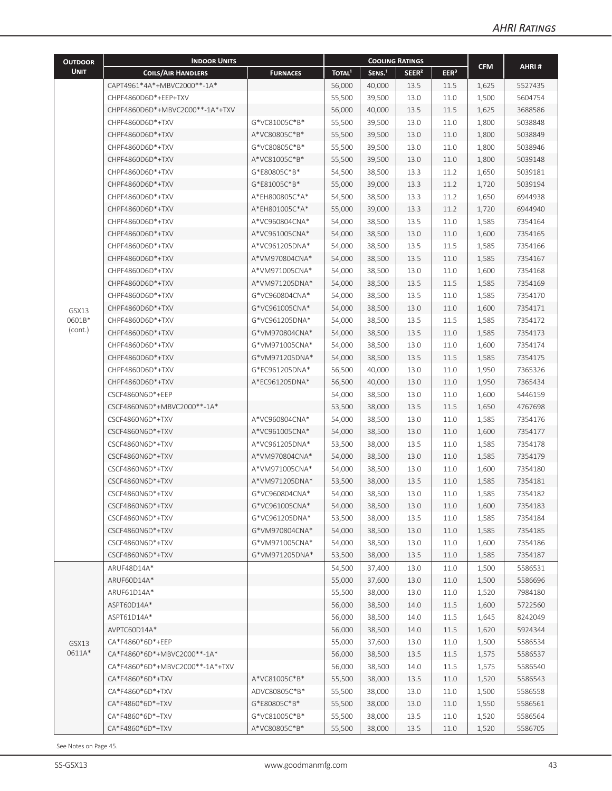| <b>OUTDOOR</b> | <b>INDOOR UNITS</b>             |                 |                    |                    | <b>COOLING RATINGS</b> |                  |            |                                                     |  |
|----------------|---------------------------------|-----------------|--------------------|--------------------|------------------------|------------------|------------|-----------------------------------------------------|--|
| <b>UNIT</b>    | <b>COILS/AIR HANDLERS</b>       | <b>FURNACES</b> | TOTAL <sup>1</sup> | SENS. <sup>1</sup> | SEER <sup>2</sup>      | EER <sup>3</sup> | <b>CFM</b> | AHRI#                                               |  |
|                | CAPT4961*4A*+MBVC2000**-1A*     |                 | 56,000             | 40,000             | 13.5                   | 11.5             | 1,625      | 5527435                                             |  |
|                | CHPF4860D6D*+EEP+TXV            |                 | 55,500             | 39,500             | 13.0                   | 11.0             | 1,500      | 5604754                                             |  |
|                | CHPF4860D6D*+MBVC2000**-1A*+TXV |                 | 56,000             | 40,000             | 13.5                   | 11.5             | 1,625      | 3688586                                             |  |
|                | CHPF4860D6D*+TXV                | G*VC81005C*B*   | 55,500             | 39,500             | 13.0                   | 11.0             | 1,800      | 5038848                                             |  |
|                | CHPF4860D6D*+TXV                | A*VC80805C*B*   | 55,500             | 39,500             | 13.0                   | 11.0             | 1,800      | 5038849                                             |  |
|                | CHPF4860D6D*+TXV                | G*VC80805C*B*   | 55,500             | 39,500             | 13.0                   | 11.0             | 1,800      | 5038946                                             |  |
|                | CHPF4860D6D*+TXV                | A*VC81005C*B*   | 55,500             | 39,500             | 13.0                   | 11.0             | 1,800      | 5039148                                             |  |
|                | CHPF4860D6D*+TXV                | G*E80805C*B*    | 54,500             | 38,500             | 13.3                   | 11.2             | 1,650      | 5039181                                             |  |
|                | CHPF4860D6D*+TXV                | G*E81005C*B*    | 55,000             | 39,000             | 13.3                   | 11.2             | 1,720      | 5039194                                             |  |
|                | CHPF4860D6D*+TXV                | A*EH800805C*A*  | 54,500             | 38,500             | 13.3                   | 11.2             | 1,650      | 6944938                                             |  |
|                | CHPF4860D6D*+TXV                | A*EH801005C*A*  | 55,000             | 39,000             | 13.3                   | 11.2             | 1,720      | 6944940                                             |  |
|                | CHPF4860D6D*+TXV                | A*VC960804CNA*  | 54,000             | 38,500             | 13.5                   | 11.0             | 1,585      | 7354164                                             |  |
|                | CHPF4860D6D*+TXV                | A*VC961005CNA*  | 54,000             | 38,500             | 13.0                   | 11.0             | 1,600      | 7354165                                             |  |
|                | CHPF4860D6D*+TXV                | A*VC961205DNA*  | 54,000             | 38,500             | 13.5                   | 11.5             | 1,585      | 7354166                                             |  |
|                | CHPF4860D6D*+TXV                | A*VM970804CNA*  | 54,000             | 38,500             | 13.5                   | 11.0             | 1,585      | 7354167                                             |  |
|                | CHPF4860D6D*+TXV                | A*VM971005CNA*  | 54,000             | 38,500             | 13.0                   | 11.0             | 1,600      | 7354168                                             |  |
|                | CHPF4860D6D*+TXV                | A*VM971205DNA*  | 54,000             | 38,500             | 13.5                   | 11.5             | 1,585      | 7354169                                             |  |
|                | CHPF4860D6D*+TXV                | G*VC960804CNA*  | 54,000             | 38,500             | 13.5                   | 11.0             | 1,585      | 7354170                                             |  |
| GSX13          | CHPF4860D6D*+TXV                | G*VC961005CNA*  | 54,000             | 38,500             | 13.0                   | 11.0             | 1,600      | 7354171                                             |  |
| 0601B*         | CHPF4860D6D*+TXV                | G*VC961205DNA*  | 54,000             | 38,500             | 13.5                   | 11.5             | 1,585      | 7354172                                             |  |
| (cont.)        | CHPF4860D6D*+TXV                | G*VM970804CNA*  | 54,000             | 38,500             | 13.5                   | 11.0             | 1,585      | 7354173                                             |  |
|                | CHPF4860D6D*+TXV                | G*VM971005CNA*  | 54,000             | 38,500             | 13.0                   | 11.0             | 1,600      | 7354174                                             |  |
|                | CHPF4860D6D*+TXV                | G*VM971205DNA*  | 54,000             | 38,500             | 13.5                   | 11.5             | 1,585      | 7354175                                             |  |
|                | CHPF4860D6D*+TXV                | G*EC961205DNA*  | 56,500             | 40,000             | 13.0                   | 11.0             | 1,950      | 7365326<br>7365434<br>5446159<br>4767698<br>7354176 |  |
|                | CHPF4860D6D*+TXV                | A*EC961205DNA*  | 56,500             | 40,000             | 13.0                   | 11.0             | 1,950      |                                                     |  |
|                | CSCF4860N6D*+EEP                |                 | 54,000             | 38,500             | 13.0                   | 11.0             | 1,600      |                                                     |  |
|                | CSCF4860N6D*+MBVC2000**-1A*     |                 | 53,500             | 38,000             | 13.5                   | 11.5             | 1,650      |                                                     |  |
|                | CSCF4860N6D*+TXV                | A*VC960804CNA*  | 54,000             | 38,500             | 13.0                   | 11.0             | 1,585      |                                                     |  |
|                | CSCF4860N6D*+TXV                | A*VC961005CNA*  | 54,000             | 38,500             | 13.0                   | 11.0             | 1,600      | 7354177                                             |  |
|                | CSCF4860N6D*+TXV                | A*VC961205DNA*  | 53,500             | 38,000             | 13.5                   | 11.0             | 1,585      | 7354178                                             |  |
|                | CSCF4860N6D*+TXV                | A*VM970804CNA*  | 54,000             | 38,500             | 13.0                   | 11.0             | 1,585      | 7354179                                             |  |
|                | CSCF4860N6D*+TXV                | A*VM971005CNA*  | 54,000             | 38,500             | 13.0                   | 11.0             | 1,600      | 7354180                                             |  |
|                | CSCF4860N6D*+TXV                | A*VM971205DNA*  | 53,500             | 38,000             | 13.5                   | 11.0             | 1,585      | 7354181                                             |  |
|                | CSCF4860N6D*+TXV                | G*VC960804CNA*  | 54,000             | 38,500             | 13.0                   | 11.0             | 1,585      | 7354182                                             |  |
|                | CSCF4860N6D*+TXV                | G*VC961005CNA*  | 54,000             | 38,500             | 13.0                   | 11.0             | 1,600      | 7354183                                             |  |
|                | CSCF4860N6D*+TXV                | G*VC961205DNA*  | 53,500             | 38,000             | 13.5                   | 11.0             | 1,585      | 7354184                                             |  |
|                | CSCF4860N6D*+TXV                | G*VM970804CNA*  | 54,000             | 38,500             | 13.0                   | 11.0             | 1,585      | 7354185                                             |  |
|                | CSCF4860N6D*+TXV                | G*VM971005CNA*  | 54,000             | 38,500             | 13.0                   | 11.0             | 1,600      | 7354186                                             |  |
|                | CSCF4860N6D*+TXV                | G*VM971205DNA*  | 53,500             | 38,000             | 13.5                   | 11.0             | 1,585      | 7354187                                             |  |
|                | ARUF48D14A*                     |                 | 54,500             | 37,400             | 13.0                   | 11.0             | 1,500      | 5586531                                             |  |
|                | ARUF60D14A*                     |                 | 55,000             | 37,600             | 13.0                   | 11.0             | 1,500      | 5586696                                             |  |
|                | ARUF61D14A*                     |                 | 55,500             | 38,000             | 13.0                   | 11.0             | 1,520      | 7984180                                             |  |
|                | ASPT60D14A*                     |                 | 56,000             | 38,500             | 14.0                   | 11.5             | 1,600      | 5722560                                             |  |
|                | ASPT61D14A*                     |                 | 56,000             | 38,500             | 14.0                   | 11.5             | 1,645      | 8242049                                             |  |
|                | AVPTC60D14A*                    |                 | 56,000             | 38,500             | 14.0                   | 11.5             | 1,620      | 5924344                                             |  |
| GSX13          | CA*F4860*6D*+EEP                |                 | 55,000             | 37,600             | 13.0                   | 11.0             | 1,500      | 5586534                                             |  |
| 0611A*         | CA*F4860*6D*+MBVC2000**-1A*     |                 | 56,000             | 38,500             | 13.5                   | 11.5             | 1,575      | 5586537                                             |  |
|                | CA*F4860*6D*+MBVC2000**-1A*+TXV |                 | 56,000             | 38,500             | 14.0                   | 11.5             | 1,575      | 5586540                                             |  |
|                | CA*F4860*6D*+TXV                | A*VC81005C*B*   | 55,500             | 38,000             | 13.5                   | 11.0             | 1,520      | 5586543                                             |  |
|                | CA*F4860*6D*+TXV                | ADVC80805C*B*   | 55,500             | 38,000             | 13.0                   | 11.0             | 1,500      | 5586558                                             |  |
|                | CA*F4860*6D*+TXV                | G*E80805C*B*    | 55,500             | 38,000             | 13.0                   | 11.0             | 1,550      | 5586561                                             |  |
|                | CA*F4860*6D*+TXV                | G*VC81005C*B*   | 55,500             | 38,000             | 13.5                   | 11.0             | 1,520      | 5586564                                             |  |
|                | CA*F4860*6D*+TXV                | A*VC80805C*B*   | 55,500             | 38,000             | 13.5                   | 11.0             | 1,520      | 5586705                                             |  |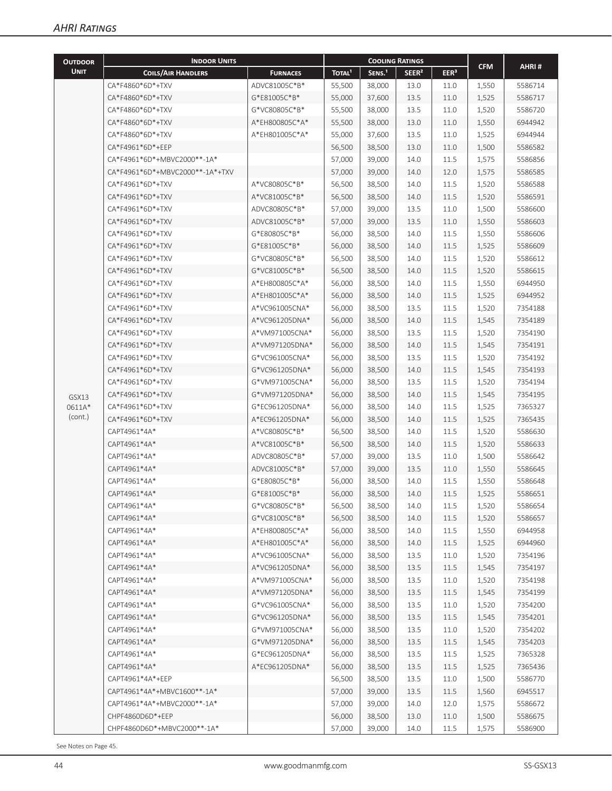| <b>OUTDOOR</b> | <b>INDOOR UNITS</b>               |                 |                    |                    | <b>COOLING RATINGS</b> |                  |            |         |
|----------------|-----------------------------------|-----------------|--------------------|--------------------|------------------------|------------------|------------|---------|
| <b>UNIT</b>    | <b>COILS/AIR HANDLERS</b>         | <b>FURNACES</b> | TOTAL <sup>1</sup> | SENS. <sup>1</sup> | SEER <sup>2</sup>      | EER <sup>3</sup> | <b>CFM</b> | AHRI#   |
|                | CA*F4860*6D*+TXV                  | ADVC81005C*B*   | 55,500             | 38,000             | 13.0                   | 11.0             | 1,550      | 5586714 |
|                | CA*F4860*6D*+TXV                  | G*E81005C*B*    | 55,000             | 37,600             | 13.5                   | 11.0             | 1,525      | 5586717 |
|                | CA*F4860*6D*+TXV                  | G*VC80805C*B*   | 55,500             | 38,000             | 13.5                   | 11.0             | 1,520      | 5586720 |
|                | CA*F4860*6D*+TXV                  | A*EH800805C*A*  | 55,500             | 38,000             | 13.0                   | 11.0             | 1,550      | 6944942 |
|                | CA*F4860*6D*+TXV                  | A*EH801005C*A*  | 55,000             | 37,600             | 13.5                   | 11.0             | 1,525      | 6944944 |
|                | CA*F4961*6D*+EEP                  |                 | 56,500             | 38,500             | 13.0                   | 11.0             | 1,500      | 5586582 |
|                | CA*F4961*6D*+MBVC2000**-1A*       |                 | 57,000             | 39,000             | 14.0                   | 11.5             | 1,575      | 5586856 |
|                | CA*F4961*6D*+MBVC2000**-1A*+TXV   |                 | 57,000             | 39,000             | 14.0                   | 12.0             | 1,575      | 5586585 |
|                | CA*F4961*6D*+TXV                  | A*VC80805C*B*   | 56,500             | 38,500             | 14.0                   | 11.5             | 1,520      | 5586588 |
|                | CA*F4961*6D*+TXV                  | A*VC81005C*B*   | 56,500             | 38,500             | 14.0                   | 11.5             | 1,520      | 5586591 |
|                | CA*F4961*6D*+TXV<br>ADVC80805C*B* |                 | 57,000             | 39,000             | 13.5                   | 11.0             | 1,500      | 5586600 |
|                | CA*F4961*6D*+TXV                  | ADVC81005C*B*   | 57,000             | 39,000             | 13.5                   | 11.0             | 1,550      | 5586603 |
|                | CA*F4961*6D*+TXV                  | G*E80805C*B*    | 56,000             | 38,500             | 14.0                   | 11.5             | 1,550      | 5586606 |
|                | CA*F4961*6D*+TXV                  | G*E81005C*B*    | 56,000             | 38,500             | 14.0                   | 11.5             | 1,525      | 5586609 |
|                | CA*F4961*6D*+TXV                  | G*VC80805C*B*   | 56,500             | 38,500             | 14.0                   | 11.5             | 1,520      | 5586612 |
|                | CA*F4961*6D*+TXV                  | G*VC81005C*B*   | 56,500             | 38,500             | 14.0                   | 11.5             | 1,520      | 5586615 |
|                | CA*F4961*6D*+TXV                  | A*EH800805C*A*  | 56,000             | 38,500             | 14.0                   | 11.5             | 1,550      | 6944950 |
|                | CA*F4961*6D*+TXV                  | A*EH801005C*A*  | 56,000             | 38,500             | 14.0                   | 11.5             | 1,525      | 6944952 |
|                | CA*F4961*6D*+TXV                  | A*VC961005CNA*  | 56,000             | 38,500             | 13.5                   | 11.5             | 1,520      | 7354188 |
|                | CA*F4961*6D*+TXV                  | A*VC961205DNA*  | 56,000             | 38,500             | 14.0                   | 11.5             | 1,545      | 7354189 |
|                | CA*F4961*6D*+TXV                  | A*VM971005CNA*  | 56,000             | 38,500             | 13.5                   | 11.5             | 1,520      | 7354190 |
|                | CA*F4961*6D*+TXV                  | A*VM971205DNA*  | 56,000             | 38,500             | 14.0                   | 11.5             | 1,545      | 7354191 |
|                | CA*F4961*6D*+TXV                  | G*VC961005CNA*  | 56,000             | 38,500             | 13.5                   | 11.5             | 1,520      | 7354192 |
|                | CA*F4961*6D*+TXV                  | G*VC961205DNA*  | 56,000             | 38,500             | 14.0                   | 11.5             | 1,545      | 7354193 |
|                | CA*F4961*6D*+TXV                  | G*VM971005CNA*  | 56,000             | 38,500             | 13.5                   | 11.5             | 1,520      | 7354194 |
| GSX13          | CA*F4961*6D*+TXV                  | G*VM971205DNA*  | 56,000             | 38,500             | 14.0                   | 11.5             | 1,545      | 7354195 |
| 0611A*         | CA*F4961*6D*+TXV                  | G*EC961205DNA*  | 56,000             | 38,500             | 14.0                   | 11.5             | 1,525      | 7365327 |
| (cont.)        | CA*F4961*6D*+TXV                  | A*EC961205DNA*  | 56,000             | 38,500             | 14.0                   | 11.5             | 1,525      | 7365435 |
|                | CAPT4961*4A*                      | A*VC80805C*B*   | 56,500             | 38,500             | 14.0                   | 11.5             | 1,520      | 5586630 |
|                | CAPT4961*4A*                      | A*VC81005C*B*   | 56,500             | 38,500             | 14.0                   | 11.5             | 1,520      | 5586633 |
|                | CAPT4961*4A*                      | ADVC80805C*B*   | 57,000             | 39,000             | 13.5                   | 11.0             | 1,500      | 5586642 |
|                | CAPT4961*4A*                      | ADVC81005C*B*   | 57,000             | 39,000             | 13.5                   | 11.0             | 1,550      | 5586645 |
|                | CAPT4961*4A*                      | G*E80805C*B*    | 56,000             | 38,500             | 14.0                   | 11.5             | 1,550      | 5586648 |
|                | CAPT4961*4A*                      | G*E81005C*B*    | 56,000             | 38,500             | 14.0                   | 11.5             | 1,525      | 5586651 |
|                | CAPT4961*4A*                      | G*VC80805C*B*   | 56,500             | 38,500             | 14.0                   | 11.5             | 1,520      | 5586654 |
|                | CAPT4961*4A*                      | G*VC81005C*B*   | 56,500             | 38,500             | 14.0                   | 11.5             | 1,520      | 5586657 |
|                | CAPT4961*4A*                      | A*EH800805C*A*  | 56,000             | 38,500             | 14.0                   | 11.5             | 1,550      | 6944958 |
|                | CAPT4961*4A*                      | A*EH801005C*A*  | 56,000             | 38,500             | 14.0                   | 11.5             | 1,525      | 6944960 |
|                | CAPT4961*4A*                      | A*VC961005CNA*  | 56,000             | 38,500             | 13.5                   | 11.0             | 1,520      | 7354196 |
|                | CAPT4961*4A*                      | A*VC961205DNA*  | 56,000             | 38,500             | 13.5                   | 11.5             | 1,545      | 7354197 |
|                | CAPT4961*4A*                      | A*VM971005CNA*  | 56,000             | 38,500             | 13.5                   | 11.0             | 1,520      | 7354198 |
|                | CAPT4961*4A*                      | A*VM971205DNA*  | 56,000             | 38,500             | 13.5                   | 11.5             | 1,545      | 7354199 |
|                | CAPT4961*4A*                      | G*VC961005CNA*  | 56,000             | 38,500             | 13.5                   | 11.0             | 1,520      | 7354200 |
|                | CAPT4961*4A*                      | G*VC961205DNA*  | 56,000             | 38,500             | 13.5                   | 11.5             | 1,545      | 7354201 |
|                | CAPT4961*4A*                      | G*VM971005CNA*  | 56,000             | 38,500             | 13.5                   | 11.0             | 1,520      | 7354202 |
|                | CAPT4961*4A*                      | G*VM971205DNA*  | 56,000             | 38,500             | 13.5                   | 11.5             | 1,545      | 7354203 |
|                | CAPT4961*4A*                      | G*EC961205DNA*  | 56,000             | 38,500             | 13.5                   | 11.5             | 1,525      | 7365328 |
|                | CAPT4961*4A*                      | A*EC961205DNA*  | 56,000             | 38,500             | 13.5                   | 11.5             | 1,525      | 7365436 |
|                | CAPT4961*4A*+EEP                  |                 | 56,500             | 38,500             | 13.5                   | 11.0             | 1,500      | 5586770 |
|                | CAPT4961*4A*+MBVC1600**-1A*       |                 | 57,000             | 39,000             | 13.5                   | 11.5             | 1,560      | 6945517 |
|                | CAPT4961*4A*+MBVC2000**-1A*       |                 | 57,000             | 39,000             | 14.0                   | 12.0             | 1,575      | 5586672 |
|                | CHPF4860D6D*+EEP                  |                 | 56,000             | 38,500             | 13.0                   | 11.0             | 1,500      | 5586675 |
|                | CHPF4860D6D*+MBVC2000**-1A*       |                 | 57,000             | 39,000             | 14.0                   | 11.5             | 1,575      | 5586900 |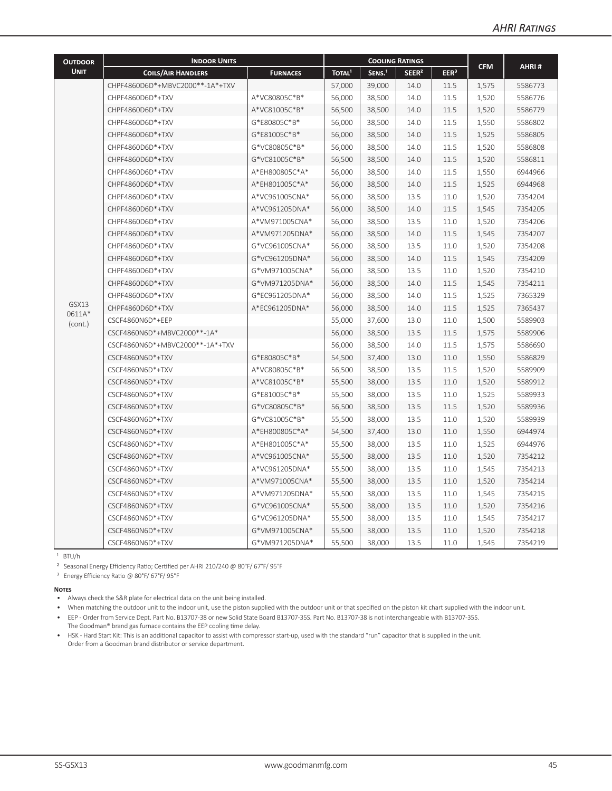| <b>OUTDOOR</b>  | <b>INDOOR UNITS</b>             |                                                              |                    | <b>COOLING RATINGS</b> |                   |                  |            |         |
|-----------------|---------------------------------|--------------------------------------------------------------|--------------------|------------------------|-------------------|------------------|------------|---------|
| <b>UNIT</b>     | <b>COILS/AIR HANDLERS</b>       | <b>FURNACES</b>                                              | TOTAL <sup>1</sup> | SENS. <sup>1</sup>     | SEER <sup>2</sup> | EER <sup>3</sup> | <b>CFM</b> | AHRI#   |
|                 | CHPF4860D6D*+MBVC2000**-1A*+TXV |                                                              | 57,000             | 39,000                 | 14.0              | 11.5             | 1,575      | 5586773 |
|                 | CHPF4860D6D*+TXV                | A*VC80805C*B*                                                | 56,000             | 38,500                 | 14.0              | 11.5             | 1,520      | 5586776 |
|                 | CHPF4860D6D*+TXV                | A*VC81005C*B*                                                | 56,500             | 38,500                 | 14.0              | 11.5             | 1,520      | 5586779 |
|                 | CHPF4860D6D*+TXV                | G*E80805C*B*                                                 | 56,000             | 38,500                 | 14.0              | 11.5             | 1,550      | 5586802 |
|                 | CHPF4860D6D*+TXV                | G*E81005C*B*                                                 | 56,000             | 38,500                 | 14.0              | 11.5             | 1,525      | 5586805 |
|                 | CHPF4860D6D*+TXV                | G*VC80805C*B*                                                | 56,000             | 38,500                 | 14.0              | 11.5             | 1,520      | 5586808 |
|                 | CHPF4860D6D*+TXV                | G*VC81005C*B*                                                | 56,500             | 38,500                 | 14.0              | 11.5             | 1,520      | 5586811 |
|                 | CHPF4860D6D*+TXV                | A*EH800805C*A*                                               | 56,000             | 38,500                 | 14.0              | 11.5             | 1,550      | 6944966 |
|                 | CHPF4860D6D*+TXV                | A*EH801005C*A*                                               | 56,000             | 38,500                 | 14.0              | 11.5             | 1,525      | 6944968 |
|                 | CHPF4860D6D*+TXV                | A*VC961005CNA*                                               | 56,000             | 38,500                 | 13.5              | 11.0             | 1,520      | 7354204 |
|                 | CHPF4860D6D*+TXV                | A*VC961205DNA*                                               | 56,000             | 38,500                 | 14.0              | 11.5             | 1,545      | 7354205 |
|                 | CHPF4860D6D*+TXV                | A*VM971005CNA*                                               | 56,000             | 38,500                 | 13.5              | 11.0             | 1,520      | 7354206 |
|                 | CHPF4860D6D*+TXV                | A*VM971205DNA*                                               | 56,000             | 38,500                 | 14.0              | 11.5             | 1,545      | 7354207 |
|                 | CHPF4860D6D*+TXV                | G*VC961005CNA*                                               | 56,000             | 38,500                 | 13.5              | 11.0             | 1,520      | 7354208 |
|                 | CHPF4860D6D*+TXV                | G*VC961205DNA*                                               | 56,000             | 38,500                 | 14.0              | 11.5             | 1,545      | 7354209 |
|                 | CHPF4860D6D*+TXV                | G*VM971005CNA*<br>56,000<br>G*VM971205DNA*                   |                    | 38,500                 | 13.5              | 11.0             | 1,520      | 7354210 |
|                 | CHPF4860D6D*+TXV                | 56,000<br>G*EC961205DNA*<br>56,000                           |                    | 38,500                 | 14.0              | 11.5             | 1,545      | 7354211 |
|                 | CHPF4860D6D*+TXV                |                                                              |                    | 38,500                 | 14.0              | 11.5             | 1,525      | 7365329 |
| GSX13<br>0611A* | CHPF4860D6D*+TXV                | A*EC961205DNA*                                               | 56,000             | 38,500                 | 14.0              | 11.5             | 1,525      | 7365437 |
| (cont.)         | CSCF4860N6D*+EEP                |                                                              | 55,000             | 37,600                 | 13.0              | 11.0             | 1,500      | 5589903 |
|                 | CSCF4860N6D*+MBVC2000**-1A*     |                                                              | 56,000             | 38,500                 | 13.5              | 11.5             | 1,575      | 5589906 |
|                 | CSCF4860N6D*+MBVC2000**-1A*+TXV |                                                              | 56,000             | 38,500                 | 14.0              | 11.5             | 1,575      | 5586690 |
|                 | CSCF4860N6D*+TXV                | G*E80805C*B*                                                 | 54,500             | 37,400                 | 13.0              | 11.0             | 1,550      | 5586829 |
|                 | CSCF4860N6D*+TXV                | A*VC80805C*B*                                                | 56,500             | 38,500                 | 13.5              | 11.5             | 1,520      | 5589909 |
|                 | CSCF4860N6D*+TXV                | A*VC81005C*B*                                                | 55,500             | 38,000                 | 13.5              | 11.0             | 1,520      | 5589912 |
|                 | CSCF4860N6D*+TXV                | G*E81005C*B*                                                 | 55,500             | 38,000                 | 13.5              | 11.0             | 1,525      | 5589933 |
|                 | CSCF4860N6D*+TXV                | G*VC80805C*B*                                                | 56,500             | 38,500                 | 13.5              | 11.5             | 1,520      | 5589936 |
|                 | CSCF4860N6D*+TXV                | G*VC81005C*B*                                                | 55,500             | 38,000                 | 13.5              | 11.0             | 1,520      | 5589939 |
|                 | CSCF4860N6D*+TXV                | A*EH800805C*A*<br>54,500<br>A*EH801005C*A*<br>A*VC961005CNA* |                    | 37,400                 | 13.0              | 11.0             | 1,550      | 6944974 |
|                 | CSCF4860N6D*+TXV                |                                                              | 55,500             | 38,000                 | 13.5              | 11.0             | 1,525      | 6944976 |
|                 | CSCF4860N6D*+TXV                |                                                              | 55,500             | 38,000                 | 13.5              | 11.0             | 1,520      | 7354212 |
|                 | CSCF4860N6D*+TXV                | A*VC961205DNA*                                               | 55,500             | 38,000                 | 13.5              | 11.0             | 1,545      | 7354213 |
|                 | CSCF4860N6D*+TXV                | A*VM971005CNA*                                               | 55,500             | 38,000                 | 13.5              | 11.0             | 1,520      | 7354214 |
|                 | CSCF4860N6D*+TXV                | A*VM971205DNA*                                               | 55,500             | 38,000                 | 13.5              | 11.0             | 1,545      | 7354215 |
|                 | CSCF4860N6D*+TXV                | G*VC961005CNA*                                               | 55,500             | 38,000                 | 13.5              | 11.0             | 1,520      | 7354216 |
|                 | CSCF4860N6D*+TXV                | G*VC961205DNA*                                               | 55,500             | 38,000                 | 13.5              | 11.0             | 1,545      | 7354217 |
|                 | CSCF4860N6D*+TXV                | G*VM971005CNA*                                               | 55,500             | 38,000                 | 13.5              | 11.0             | 1,520      | 7354218 |
|                 | CSCF4860N6D*+TXV                | G*VM971205DNA*                                               | 55,500             | 38,000                 | 13.5              | 11.0             | 1,545      | 7354219 |

 $1$  BTU/h

² Seasonal Energy Efficiency Ratio; Certified per AHRI 210/240 @ 80°F/ 67°F/ 95°F

³ Energy Efficiency Ratio @ 80°F/ 67°F/ 95°F

#### **Notes**

• Always check the S&R plate for electrical data on the unit being installed.

• When matching the outdoor unit to the indoor unit, use the piston supplied with the outdoor unit or that specified on the piston kit chart supplied with the indoor unit. • EEP - Order from Service Dept. Part No. B13707-38 or new Solid State Board B13707-35S. Part No. B13707-38 is not interchangeable with B13707-35S.

The Goodman® brand gas furnace contains the EEP cooling time delay.

• HSK - Hard Start Kit: This is an additional capacitor to assist with compressor start-up, used with the standard "run" capacitor that is supplied in the unit. Order from a Goodman brand distributor or service department.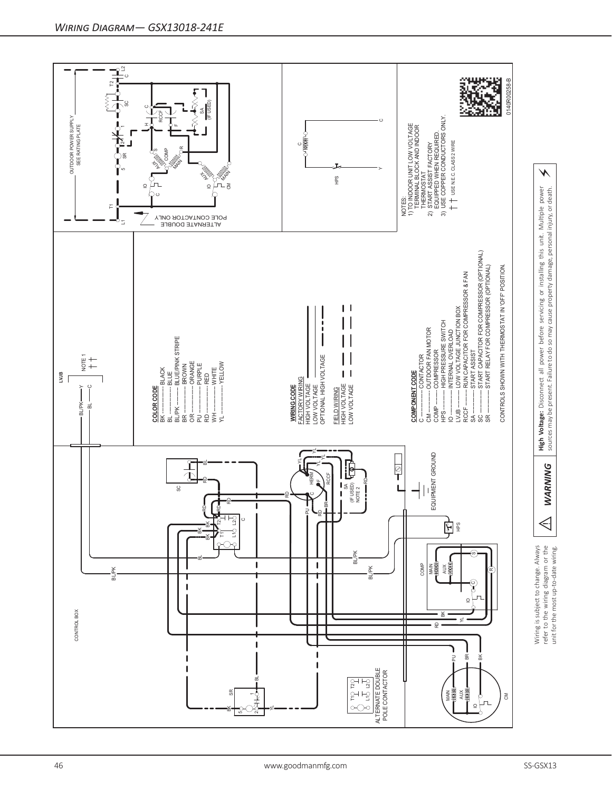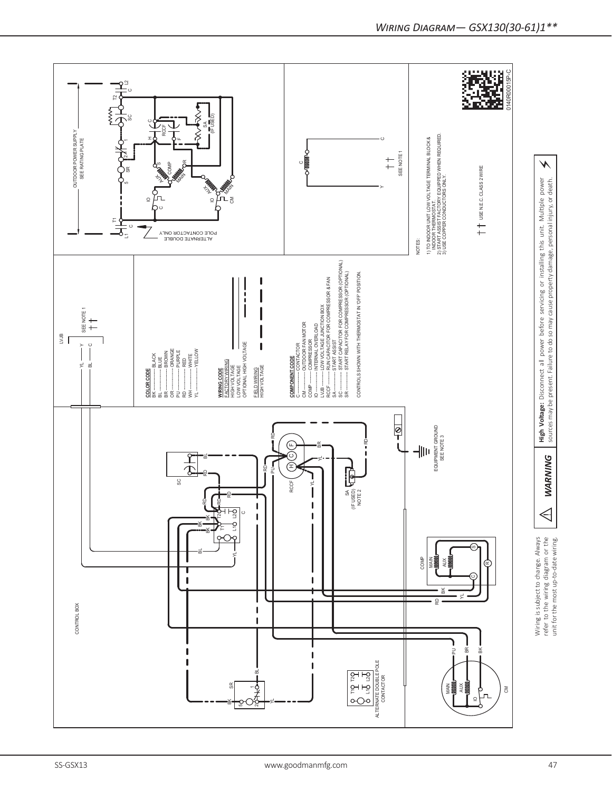